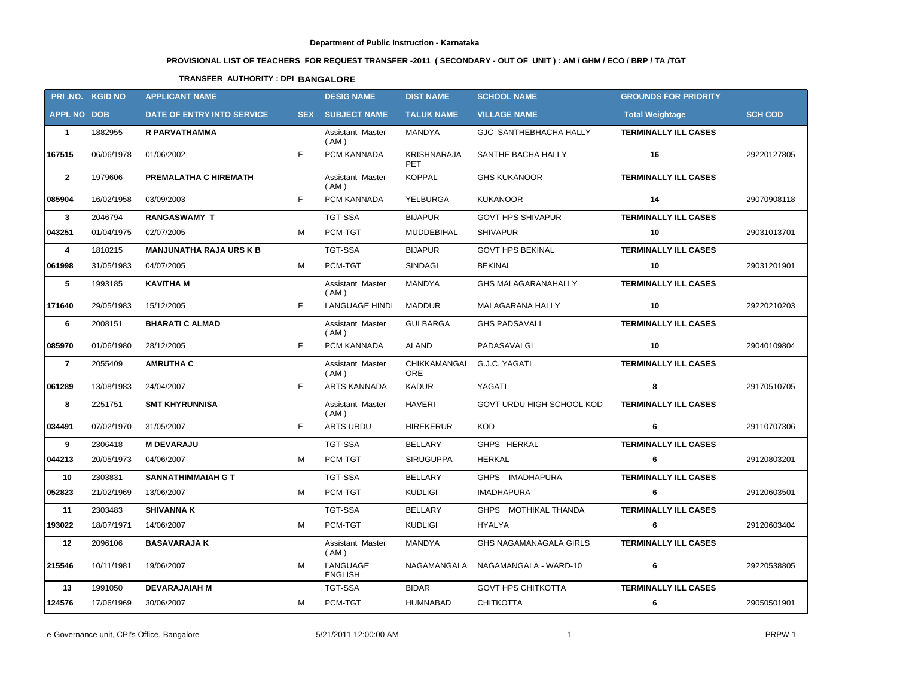# **PROVISIONAL LIST OF TEACHERS FOR REQUEST TRANSFER -2011 ( SECONDARY - OUT OF UNIT ) : AM / GHM / ECO / BRP / TA /TGT**

## **TRANSFER AUTHORITY : DPI BANGALORE**

|                    | PRI.NO. KGID NO | <b>APPLICANT NAME</b>          |            | <b>DESIG NAME</b>               | <b>DIST NAME</b>                 | <b>SCHOOL NAME</b>            | <b>GROUNDS FOR PRIORITY</b> |                |
|--------------------|-----------------|--------------------------------|------------|---------------------------------|----------------------------------|-------------------------------|-----------------------------|----------------|
| <b>APPL NO DOB</b> |                 | DATE OF ENTRY INTO SERVICE     | <b>SEX</b> | <b>SUBJECT NAME</b>             | <b>TALUK NAME</b>                | <b>VILLAGE NAME</b>           | <b>Total Weightage</b>      | <b>SCH COD</b> |
| $\mathbf{1}$       | 1882955         | R PARVATHAMMA                  |            | Assistant Master<br>(AM)        | MANDYA                           | GJC SANTHEBHACHA HALLY        | <b>TERMINALLY ILL CASES</b> |                |
| 167515             | 06/06/1978      | 01/06/2002                     | F.         | PCM KANNADA                     | <b>KRISHNARAJA</b><br><b>PET</b> | SANTHE BACHA HALLY            | 16                          | 29220127805    |
| $\overline{2}$     | 1979606         | PREMALATHA C HIREMATH          |            | Assistant Master<br>(AM)        | <b>KOPPAL</b>                    | <b>GHS KUKANOOR</b>           | <b>TERMINALLY ILL CASES</b> |                |
| 085904             | 16/02/1958      | 03/09/2003                     | F          | PCM KANNADA                     | YELBURGA                         | <b>KUKANOOR</b>               | 14                          | 29070908118    |
| $\mathbf{3}$       | 2046794         | <b>RANGASWAMY T</b>            |            | <b>TGT-SSA</b>                  | <b>BIJAPUR</b>                   | <b>GOVT HPS SHIVAPUR</b>      | <b>TERMINALLY ILL CASES</b> |                |
| 043251             | 01/04/1975      | 02/07/2005                     | м          | PCM-TGT                         | MUDDEBIHAL                       | <b>SHIVAPUR</b>               | 10                          | 29031013701    |
| 4                  | 1810215         | <b>MANJUNATHA RAJA URS K B</b> |            | <b>TGT-SSA</b>                  | <b>BIJAPUR</b>                   | <b>GOVT HPS BEKINAL</b>       | <b>TERMINALLY ILL CASES</b> |                |
| 061998             | 31/05/1983      | 04/07/2005                     | м          | PCM-TGT                         | <b>SINDAGI</b>                   | <b>BEKINAL</b>                | 10                          | 29031201901    |
| 5                  | 1993185         | <b>KAVITHA M</b>               |            | Assistant Master<br>(AM)        | <b>MANDYA</b>                    | <b>GHS MALAGARANAHALLY</b>    | <b>TERMINALLY ILL CASES</b> |                |
| 171640             | 29/05/1983      | 15/12/2005                     | F.         | <b>LANGUAGE HINDI</b>           | <b>MADDUR</b>                    | MALAGARANA HALLY              | 10                          | 29220210203    |
| 6                  | 2008151         | <b>BHARATI C ALMAD</b>         |            | Assistant Master<br>(AM)        | <b>GULBARGA</b>                  | <b>GHS PADSAVALI</b>          | <b>TERMINALLY ILL CASES</b> |                |
| 085970             | 01/06/1980      | 28/12/2005                     | F          | PCM KANNADA                     | <b>ALAND</b>                     | PADASAVALGI                   | 10                          | 29040109804    |
| $\overline{7}$     | 2055409         | <b>AMRUTHA C</b>               |            | <b>Assistant Master</b><br>(AM) | CHIKKAMANGAL<br>ORE              | G.J.C. YAGATI                 | <b>TERMINALLY ILL CASES</b> |                |
| 061289             | 13/08/1983      | 24/04/2007                     | F.         | <b>ARTS KANNADA</b>             | <b>KADUR</b>                     | YAGATI                        | 8                           | 29170510705    |
| 8                  | 2251751         | <b>SMT KHYRUNNISA</b>          |            | Assistant Master<br>(AM)        | <b>HAVERI</b>                    | GOVT URDU HIGH SCHOOL KOD     | <b>TERMINALLY ILL CASES</b> |                |
| 034491             | 07/02/1970      | 31/05/2007                     | F.         | <b>ARTS URDU</b>                | <b>HIREKERUR</b>                 | <b>KOD</b>                    | 6                           | 29110707306    |
| 9                  | 2306418         | <b>M DEVARAJU</b>              |            | <b>TGT-SSA</b>                  | <b>BELLARY</b>                   | GHPS HERKAL                   | <b>TERMINALLY ILL CASES</b> |                |
| 044213             | 20/05/1973      | 04/06/2007                     | м          | PCM-TGT                         | <b>SIRUGUPPA</b>                 | <b>HERKAL</b>                 | 6                           | 29120803201    |
| 10                 | 2303831         | <b>SANNATHIMMAIAH G T</b>      |            | <b>TGT-SSA</b>                  | <b>BELLARY</b>                   | GHPS IMADHAPURA               | <b>TERMINALLY ILL CASES</b> |                |
| 052823             | 21/02/1969      | 13/06/2007                     | м          | PCM-TGT                         | <b>KUDLIGI</b>                   | <b>IMADHAPURA</b>             | 6                           | 29120603501    |
| 11                 | 2303483         | <b>SHIVANNA K</b>              |            | <b>TGT-SSA</b>                  | <b>BELLARY</b>                   | GHPS MOTHIKAL THANDA          | <b>TERMINALLY ILL CASES</b> |                |
| 193022             | 18/07/1971      | 14/06/2007                     | М          | PCM-TGT                         | <b>KUDLIGI</b>                   | <b>HYALYA</b>                 | 6                           | 29120603404    |
| 12                 | 2096106         | <b>BASAVARAJA K</b>            |            | Assistant Master<br>(AM)        | MANDYA                           | <b>GHS NAGAMANAGALA GIRLS</b> | <b>TERMINALLY ILL CASES</b> |                |
| 215546             | 10/11/1981      | 19/06/2007                     | м          | LANGUAGE<br><b>ENGLISH</b>      | NAGAMANGALA                      | NAGAMANGALA - WARD-10         | 6                           | 29220538805    |
| 13                 | 1991050         | <b>DEVARAJAIAH M</b>           |            | TGT-SSA                         | <b>BIDAR</b>                     | <b>GOVT HPS CHITKOTTA</b>     | <b>TERMINALLY ILL CASES</b> |                |
| 124576             | 17/06/1969      | 30/06/2007                     | M          | PCM-TGT                         | <b>HUMNABAD</b>                  | <b>CHITKOTTA</b>              | 6                           | 29050501901    |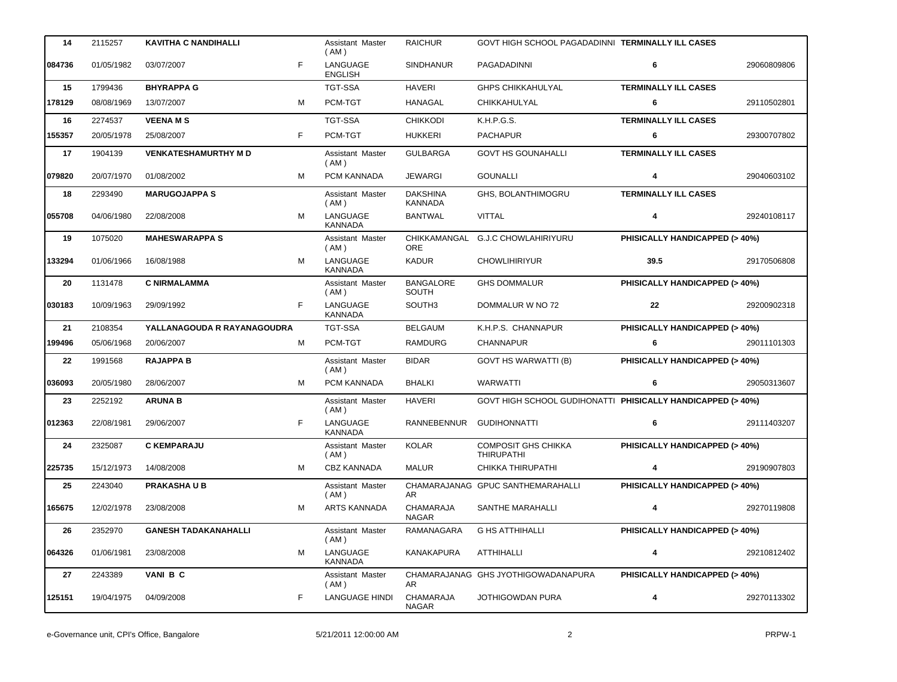| 14     | 2115257    | <b>KAVITHA C NANDIHALLI</b> |   | Assistant Master<br>(AM)   | <b>RAICHUR</b>                   | GOVT HIGH SCHOOL PAGADADINNI TERMINALLY ILL CASES           |                                          |             |
|--------|------------|-----------------------------|---|----------------------------|----------------------------------|-------------------------------------------------------------|------------------------------------------|-------------|
| 084736 | 01/05/1982 | 03/07/2007                  | F | LANGUAGE<br><b>ENGLISH</b> | <b>SINDHANUR</b>                 | PAGADADINNI                                                 | 6                                        | 29060809806 |
| 15     | 1799436    | <b>BHYRAPPA G</b>           |   | <b>TGT-SSA</b>             | <b>HAVERI</b>                    | <b>GHPS CHIKKAHULYAL</b>                                    | <b>TERMINALLY ILL CASES</b>              |             |
| 178129 | 08/08/1969 | 13/07/2007                  | м | PCM-TGT                    | HANAGAL                          | <b>CHIKKAHULYAL</b>                                         | 6                                        | 29110502801 |
| 16     | 2274537    | <b>VEENAMS</b>              |   | <b>TGT-SSA</b>             | <b>CHIKKODI</b>                  | K.H.P.G.S.                                                  | <b>TERMINALLY ILL CASES</b>              |             |
| 155357 | 20/05/1978 | 25/08/2007                  | F | PCM-TGT                    | <b>HUKKERI</b>                   | <b>PACHAPUR</b>                                             | 6                                        | 29300707802 |
| 17     | 1904139    | <b>VENKATESHAMURTHY M D</b> |   | Assistant Master<br>(AM)   | <b>GULBARGA</b>                  | <b>GOVT HS GOUNAHALLI</b>                                   | <b>TERMINALLY ILL CASES</b>              |             |
| 079820 | 20/07/1970 | 01/08/2002                  | м | PCM KANNADA                | <b>JEWARGI</b>                   | <b>GOUNALLI</b>                                             | 4                                        | 29040603102 |
| 18     | 2293490    | <b>MARUGOJAPPA S</b>        |   | Assistant Master<br>(AM)   | <b>DAKSHINA</b><br>KANNADA       | GHS, BOLANTHIMOGRU                                          | <b>TERMINALLY ILL CASES</b>              |             |
| 055708 | 04/06/1980 | 22/08/2008                  | M | LANGUAGE<br><b>KANNADA</b> | <b>BANTWAL</b>                   | <b>VITTAL</b>                                               | 4                                        | 29240108117 |
| 19     | 1075020    | <b>MAHESWARAPPA S</b>       |   | Assistant Master<br>(AM)   | CHIKKAMANGAL<br><b>ORE</b>       | <b>G.J.C CHOWLAHIRIYURU</b>                                 | PHISICALLY HANDICAPPED (> 40%)           |             |
| 133294 | 01/06/1966 | 16/08/1988                  | M | LANGUAGE<br><b>KANNADA</b> | <b>KADUR</b>                     | <b>CHOWLIHIRIYUR</b>                                        | 39.5                                     | 29170506808 |
| 20     | 1131478    | <b>C NIRMALAMMA</b>         |   | Assistant Master<br>(AM)   | <b>BANGALORE</b><br>SOUTH        | <b>GHS DOMMALUR</b>                                         | PHISICALLY HANDICAPPED (> 40%)           |             |
| 030183 | 10/09/1963 | 29/09/1992                  | F | LANGUAGE<br><b>KANNADA</b> | SOUTH3                           | DOMMALUR W NO 72                                            | 22                                       | 29200902318 |
| 21     | 2108354    | YALLANAGOUDA R RAYANAGOUDRA |   | TGT-SSA                    | <b>BELGAUM</b>                   | K.H.P.S. CHANNAPUR                                          | PHISICALLY HANDICAPPED (> 40%)           |             |
| 199496 | 05/06/1968 | 20/06/2007                  | М | PCM-TGT                    | <b>RAMDURG</b>                   | CHANNAPUR                                                   | 6                                        | 29011101303 |
| 22     | 1991568    | <b>RAJAPPA B</b>            |   | Assistant Master<br>(AM)   | <b>BIDAR</b>                     | <b>GOVT HS WARWATTI (B)</b>                                 | PHISICALLY HANDICAPPED (> 40%)           |             |
| 036093 | 20/05/1980 | 28/06/2007                  | м | PCM KANNADA                | <b>BHALKI</b>                    | <b>WARWATTI</b>                                             | 6                                        | 29050313607 |
| 23     | 2252192    | <b>ARUNA B</b>              |   | Assistant Master<br>(AM)   | <b>HAVERI</b>                    | GOVT HIGH SCHOOL GUDIHONATTI PHISICALLY HANDICAPPED (> 40%) |                                          |             |
| 012363 | 22/08/1981 | 29/06/2007                  | F | LANGUAGE<br><b>KANNADA</b> | RANNEBENNUR                      | <b>GUDIHONNATTI</b>                                         | 6                                        | 29111403207 |
| 24     | 2325087    | <b>C KEMPARAJU</b>          |   | Assistant Master<br>(AM)   | <b>KOLAR</b>                     | <b>COMPOSIT GHS CHIKKA</b><br><b>THIRUPATHI</b>             | PHISICALLY HANDICAPPED (> 40%)           |             |
| 225735 | 15/12/1973 | 14/08/2008                  | М | <b>CBZ KANNADA</b>         | <b>MALUR</b>                     | CHIKKA THIRUPATHI                                           | 4                                        | 29190907803 |
| 25     | 2243040    | <b>PRAKASHAUB</b>           |   | Assistant Master<br>(AM)   | AR                               | CHAMARAJANAG GPUC SANTHEMARAHALLI                           | PHISICALLY HANDICAPPED (> 40%)           |             |
| 165675 | 12/02/1978 | 23/08/2008                  | М | <b>ARTS KANNADA</b>        | <b>CHAMARAJA</b><br><b>NAGAR</b> | SANTHE MARAHALLI                                            | 4                                        | 29270119808 |
| 26     | 2352970    | <b>GANESH TADAKANAHALLI</b> |   | Assistant Master<br>(AM)   | RAMANAGARA                       | <b>G HS ATTHIHALLI</b>                                      | PHISICALLY HANDICAPPED (> 40%)           |             |
| 064326 | 01/06/1981 | 23/08/2008                  | М | LANGUAGE<br><b>KANNADA</b> | KANAKAPURA                       | ATTHIHALLI                                                  | 4                                        | 29210812402 |
| 27     | 2243389    | VANI B C                    |   | Assistant Master<br>(AM)   | AR.                              | CHAMARAJANAG GHS JYOTHIGOWADANAPURA                         | <b>PHISICALLY HANDICAPPED (&gt; 40%)</b> |             |
| 125151 | 19/04/1975 | 04/09/2008                  | F | <b>LANGUAGE HINDI</b>      | CHAMARAJA<br><b>NAGAR</b>        | JOTHIGOWDAN PURA                                            | 4                                        | 29270113302 |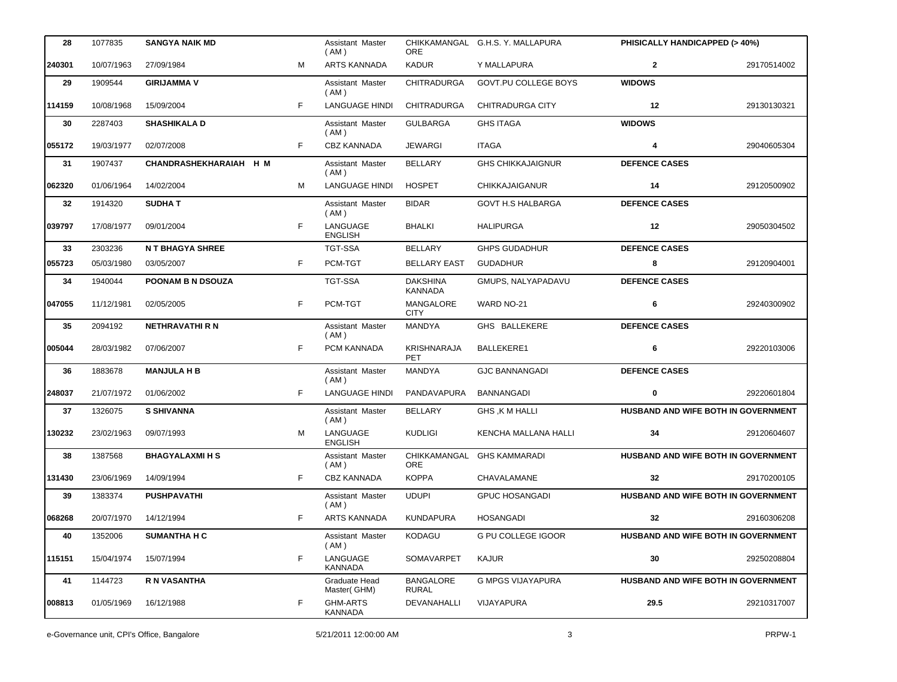| 28     | 1077835    | <b>SANGYA NAIK MD</b>  |    | Assistant Master<br>(AM)          | <b>ORE</b>                        | CHIKKAMANGAL G.H.S. Y. MALLAPURA | PHISICALLY HANDICAPPED (> 40%)             |             |
|--------|------------|------------------------|----|-----------------------------------|-----------------------------------|----------------------------------|--------------------------------------------|-------------|
| 240301 | 10/07/1963 | 27/09/1984             | м  | ARTS KANNADA                      | <b>KADUR</b>                      | Y MALLAPURA                      | $\mathbf{2}$                               | 29170514002 |
| 29     | 1909544    | <b>GIRIJAMMA V</b>     |    | Assistant Master<br>( AM )        | <b>CHITRADURGA</b>                | GOVT.PU COLLEGE BOYS             | <b>WIDOWS</b>                              |             |
| 114159 | 10/08/1968 | 15/09/2004             | F  | <b>LANGUAGE HINDI</b>             | <b>CHITRADURGA</b>                | CHITRADURGA CITY                 | 12                                         | 29130130321 |
| 30     | 2287403    | <b>SHASHIKALA D</b>    |    | Assistant Master<br>(AM)          | <b>GULBARGA</b>                   | <b>GHS ITAGA</b>                 | <b>WIDOWS</b>                              |             |
| 055172 | 19/03/1977 | 02/07/2008             | F  | <b>CBZ KANNADA</b>                | <b>JEWARGI</b>                    | <b>ITAGA</b>                     | 4                                          | 29040605304 |
| 31     | 1907437    | CHANDRASHEKHARAIAH H M |    | Assistant Master<br>(AM)          | <b>BELLARY</b>                    | <b>GHS CHIKKAJAIGNUR</b>         | <b>DEFENCE CASES</b>                       |             |
| 062320 | 01/06/1964 | 14/02/2004             | м  | <b>LANGUAGE HINDI</b>             | <b>HOSPET</b>                     | <b>CHIKKAJAIGANUR</b>            | 14                                         | 29120500902 |
| 32     | 1914320    | <b>SUDHAT</b>          |    | Assistant Master<br>(AM)          | <b>BIDAR</b>                      | <b>GOVT H.S HALBARGA</b>         | <b>DEFENCE CASES</b>                       |             |
| 039797 | 17/08/1977 | 09/01/2004             | F  | LANGUAGE<br><b>ENGLISH</b>        | <b>BHALKI</b>                     | <b>HALIPURGA</b>                 | 12                                         | 29050304502 |
| 33     | 2303236    | <b>NT BHAGYA SHREE</b> |    | <b>TGT-SSA</b>                    | <b>BELLARY</b>                    | <b>GHPS GUDADHUR</b>             | <b>DEFENCE CASES</b>                       |             |
| 055723 | 05/03/1980 | 03/05/2007             | F. | PCM-TGT                           | <b>BELLARY EAST</b>               | <b>GUDADHUR</b>                  | 8                                          | 29120904001 |
| 34     | 1940044    | POONAM B N DSOUZA      |    | <b>TGT-SSA</b>                    | <b>DAKSHINA</b><br><b>KANNADA</b> | GMUPS, NALYAPADAVU               | <b>DEFENCE CASES</b>                       |             |
| 047055 | 11/12/1981 | 02/05/2005             | F  | PCM-TGT                           | MANGALORE<br><b>CITY</b>          | WARD NO-21                       | 6                                          | 29240300902 |
| 35     | 2094192    | <b>NETHRAVATHI R N</b> |    | Assistant Master<br>(AM)          | <b>MANDYA</b>                     | GHS BALLEKERE                    | <b>DEFENCE CASES</b>                       |             |
| 005044 | 28/03/1982 | 07/06/2007             | F  | PCM KANNADA                       | <b>KRISHNARAJA</b><br><b>PET</b>  | BALLEKERE1                       | 6                                          | 29220103006 |
| 36     | 1883678    | <b>MANJULA H B</b>     |    | Assistant Master<br>(AM)          | <b>MANDYA</b>                     | <b>GJC BANNANGADI</b>            | <b>DEFENCE CASES</b>                       |             |
| 248037 | 21/07/1972 | 01/06/2002             | F  | <b>LANGUAGE HINDI</b>             | PANDAVAPURA                       | <b>BANNANGADI</b>                | 0                                          | 29220601804 |
| 37     | 1326075    | <b>S SHIVANNA</b>      |    | Assistant Master<br>(AM)          | <b>BELLARY</b>                    | <b>GHS, K M HALLI</b>            | HUSBAND AND WIFE BOTH IN GOVERNMENT        |             |
| 130232 | 23/02/1963 | 09/07/1993             | м  | LANGUAGE<br><b>ENGLISH</b>        | <b>KUDLIGI</b>                    | KENCHA MALLANA HALLI             | 34                                         | 29120604607 |
| 38     | 1387568    | <b>BHAGYALAXMI H S</b> |    | Assistant Master<br>(AM)          | CHIKKAMANGAL<br>ORE               | <b>GHS KAMMARADI</b>             | HUSBAND AND WIFE BOTH IN GOVERNMENT        |             |
| 131430 | 23/06/1969 | 14/09/1994             |    | <b>CBZ KANNADA</b>                | <b>KOPPA</b>                      | CHAVALAMANE                      | 32                                         | 29170200105 |
| 39     | 1383374    | <b>PUSHPAVATHI</b>     |    | Assistant Master<br>(AM)          | <b>UDUPI</b>                      | <b>GPUC HOSANGADI</b>            | <b>HUSBAND AND WIFE BOTH IN GOVERNMENT</b> |             |
| 068268 | 20/07/1970 | 14/12/1994             | F  | ARTS KANNADA                      | <b>KUNDAPURA</b>                  | <b>HOSANGADI</b>                 | 32                                         | 29160306208 |
| 40     | 1352006    | <b>SUMANTHA H C</b>    |    | Assistant Master<br>(AM)          | <b>KODAGU</b>                     | <b>G PU COLLEGE IGOOR</b>        | HUSBAND AND WIFE BOTH IN GOVERNMENT        |             |
| 115151 | 15/04/1974 | 15/07/1994             | F  | LANGUAGE<br>KANNADA               | <b>SOMAVARPET</b>                 | <b>KAJUR</b>                     | 30                                         | 29250208804 |
| 41     | 1144723    | R N VASANTHA           |    | Graduate Head<br>Master(GHM)      | <b>BANGALORE</b><br>RURAL         | <b>G MPGS VIJAYAPURA</b>         | HUSBAND AND WIFE BOTH IN GOVERNMENT        |             |
| 008813 | 01/05/1969 | 16/12/1988             | F  | <b>GHM-ARTS</b><br><b>KANNADA</b> | DEVANAHALLI                       | <b>VIJAYAPURA</b>                | 29.5                                       | 29210317007 |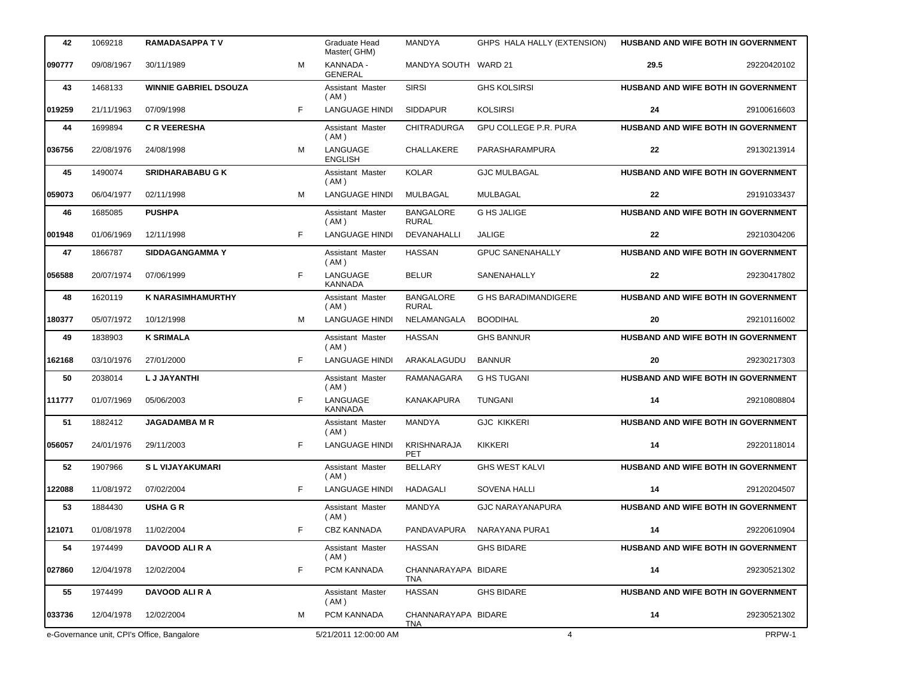| 42     | 1069218                                    | <b>RAMADASAPPA TV</b>        |   | Graduate Head<br>Master(GHM) | <b>MANDYA</b>                     | GHPS HALA HALLY (EXTENSION) |      | HUSBAND AND WIFE BOTH IN GOVERNMENT        |
|--------|--------------------------------------------|------------------------------|---|------------------------------|-----------------------------------|-----------------------------|------|--------------------------------------------|
| 090777 | 09/08/1967                                 | 30/11/1989                   | M | KANNADA -<br><b>GENERAL</b>  | MANDYA SOUTH WARD 21              |                             | 29.5 | 29220420102                                |
| 43     | 1468133                                    | <b>WINNIE GABRIEL DSOUZA</b> |   | Assistant Master<br>(AM)     | <b>SIRSI</b>                      | <b>GHS KOLSIRSI</b>         |      | HUSBAND AND WIFE BOTH IN GOVERNMENT        |
| 019259 | 21/11/1963                                 | 07/09/1998                   | F | <b>LANGUAGE HINDI</b>        | <b>SIDDAPUR</b>                   | <b>KOLSIRSI</b>             | 24   | 29100616603                                |
| 44     | 1699894                                    | <b>C R VEERESHA</b>          |   | Assistant Master<br>(AM)     | <b>CHITRADURGA</b>                | GPU COLLEGE P.R. PURA       |      | HUSBAND AND WIFE BOTH IN GOVERNMENT        |
| 036756 | 22/08/1976                                 | 24/08/1998                   | M | LANGUAGE<br><b>ENGLISH</b>   | CHALLAKERE                        | PARASHARAMPURA              | 22   | 29130213914                                |
| 45     | 1490074                                    | <b>SRIDHARABABU G K</b>      |   | Assistant Master<br>(AM)     | <b>KOLAR</b>                      | <b>GJC MULBAGAL</b>         |      | HUSBAND AND WIFE BOTH IN GOVERNMENT        |
| 059073 | 06/04/1977                                 | 02/11/1998                   | M | <b>LANGUAGE HINDI</b>        | MULBAGAL                          | MULBAGAL                    | 22   | 29191033437                                |
| 46     | 1685085                                    | <b>PUSHPA</b>                |   | Assistant Master<br>(AM)     | <b>BANGALORE</b><br><b>RURAL</b>  | <b>G HS JALIGE</b>          |      | HUSBAND AND WIFE BOTH IN GOVERNMENT        |
| 001948 | 01/06/1969                                 | 12/11/1998                   | F | <b>LANGUAGE HINDI</b>        | DEVANAHALLI                       | <b>JALIGE</b>               | 22   | 29210304206                                |
| 47     | 1866787                                    | <b>SIDDAGANGAMMAY</b>        |   | Assistant Master<br>(AM)     | <b>HASSAN</b>                     | <b>GPUC SANENAHALLY</b>     |      | HUSBAND AND WIFE BOTH IN GOVERNMENT        |
| 056588 | 20/07/1974                                 | 07/06/1999                   | F | LANGUAGE<br><b>KANNADA</b>   | <b>BELUR</b>                      | SANENAHALLY                 | 22   | 29230417802                                |
| 48     | 1620119                                    | <b>K NARASIMHAMURTHY</b>     |   | Assistant Master<br>(AM)     | <b>BANGALORE</b><br><b>RURAL</b>  | <b>G HS BARADIMANDIGERE</b> |      | HUSBAND AND WIFE BOTH IN GOVERNMENT        |
| 180377 | 05/07/1972                                 | 10/12/1998                   | M | <b>LANGUAGE HINDI</b>        | NELAMANGALA                       | <b>BOODIHAL</b>             | 20   | 29210116002                                |
| 49     | 1838903                                    | <b>K SRIMALA</b>             |   | Assistant Master<br>(AM)     | <b>HASSAN</b>                     | <b>GHS BANNUR</b>           |      | <b>HUSBAND AND WIFE BOTH IN GOVERNMENT</b> |
| 162168 | 03/10/1976                                 | 27/01/2000                   | F | <b>LANGUAGE HINDI</b>        | ARAKALAGUDU                       | <b>BANNUR</b>               | 20   | 29230217303                                |
| 50     | 2038014                                    | <b>LJJAYANTHI</b>            |   | Assistant Master<br>(AM)     | RAMANAGARA                        | <b>G HS TUGANI</b>          |      | HUSBAND AND WIFE BOTH IN GOVERNMENT        |
| 111777 | 01/07/1969                                 | 05/06/2003                   | F | LANGUAGE<br><b>KANNADA</b>   | <b>KANAKAPURA</b>                 | <b>TUNGANI</b>              | 14   | 29210808804                                |
| 51     | 1882412                                    | <b>JAGADAMBA M R</b>         |   | Assistant Master<br>(AM)     | <b>MANDYA</b>                     | <b>GJC KIKKERI</b>          |      | HUSBAND AND WIFE BOTH IN GOVERNMENT        |
| 056057 | 24/01/1976                                 | 29/11/2003                   | F | <b>LANGUAGE HINDI</b>        | KRISHNARAJA<br><b>PET</b>         | <b>KIKKERI</b>              | 14   | 29220118014                                |
| 52     | 1907966                                    | <b>SL VIJAYAKUMARI</b>       |   | Assistant Master<br>(AM)     | <b>BELLARY</b>                    | <b>GHS WEST KALVI</b>       |      | HUSBAND AND WIFE BOTH IN GOVERNMENT        |
| 122088 | 11/08/1972                                 | 07/02/2004                   | F | <b>LANGUAGE HINDI</b>        | HADAGALI                          | <b>SOVENA HALLI</b>         | 14   | 29120204507                                |
| 53     | 1884430                                    | <b>USHA G R</b>              |   | Assistant Master<br>(AM)     | <b>MANDYA</b>                     | <b>GJC NARAYANAPURA</b>     |      | HUSBAND AND WIFE BOTH IN GOVERNMENT        |
| 121071 | 01/08/1978                                 | 11/02/2004                   | F | <b>CBZ KANNADA</b>           | PANDAVAPURA                       | NARAYANA PURA1              | 14   | 29220610904                                |
| 54     | 1974499                                    | DAVOOD ALI R A               |   | Assistant Master<br>(AM)     | <b>HASSAN</b>                     | <b>GHS BIDARE</b>           |      | <b>HUSBAND AND WIFE BOTH IN GOVERNMENT</b> |
| 027860 | 12/04/1978                                 | 12/02/2004                   | F | PCM KANNADA                  | CHANNARAYAPA BIDARE<br>TNA        |                             | 14   | 29230521302                                |
| 55     | 1974499                                    | DAVOOD ALI R A               |   | Assistant Master<br>(AM)     | <b>HASSAN</b>                     | <b>GHS BIDARE</b>           |      | <b>HUSBAND AND WIFE BOTH IN GOVERNMENT</b> |
| 033736 | 12/04/1978                                 | 12/02/2004                   | м | PCM KANNADA                  | CHANNARAYAPA BIDARE<br><u>TNA</u> |                             | 14   | 29230521302                                |
|        | e-Governance unit, CPI's Office, Bangalore |                              |   | 5/21/2011 12:00:00 AM        |                                   | 4                           |      | PRPW-1                                     |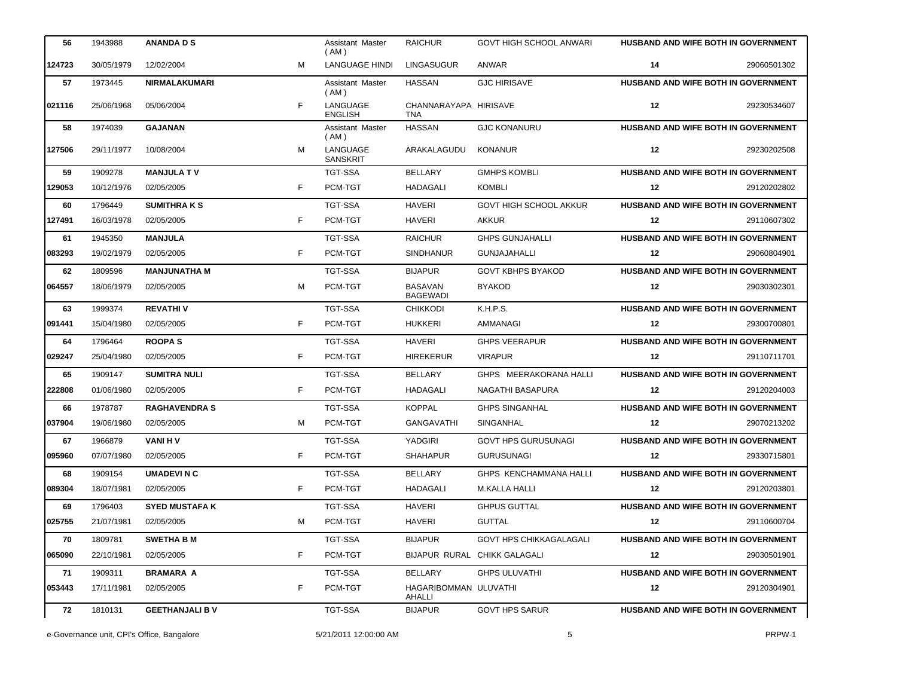| 56     | 1943988    | ANANDA D S             |    | Assistant Master<br>( AM )  | <b>RAICHUR</b>                    | GOVT HIGH SCHOOL ANWARI        | <b>HUSBAND AND WIFE BOTH IN GOVERNMENT</b> |             |
|--------|------------|------------------------|----|-----------------------------|-----------------------------------|--------------------------------|--------------------------------------------|-------------|
| 124723 | 30/05/1979 | 12/02/2004             | м  | LANGUAGE HINDI              | LINGASUGUR                        | ANWAR                          | 14                                         | 29060501302 |
| 57     | 1973445    | <b>NIRMALAKUMARI</b>   |    | Assistant Master<br>( AM )  | <b>HASSAN</b>                     | <b>GJC HIRISAVE</b>            | HUSBAND AND WIFE BOTH IN GOVERNMENT        |             |
| 021116 | 25/06/1968 | 05/06/2004             | F. | LANGUAGE<br><b>ENGLISH</b>  | CHANNARAYAPA HIRISAVE<br>TNA      |                                | 12                                         | 29230534607 |
| 58     | 1974039    | <b>GAJANAN</b>         |    | Assistant Master<br>(AM)    | <b>HASSAN</b>                     | <b>GJC KONANURU</b>            | HUSBAND AND WIFE BOTH IN GOVERNMENT        |             |
| 127506 | 29/11/1977 | 10/08/2004             | M  | LANGUAGE<br><b>SANSKRIT</b> | ARAKALAGUDU                       | <b>KONANUR</b>                 | 12                                         | 29230202508 |
| 59     | 1909278    | <b>MANJULA TV</b>      |    | <b>TGT-SSA</b>              | <b>BELLARY</b>                    | <b>GMHPS KOMBLI</b>            | HUSBAND AND WIFE BOTH IN GOVERNMENT        |             |
| 129053 | 10/12/1976 | 02/05/2005             | F  | PCM-TGT                     | HADAGALI                          | <b>KOMBLI</b>                  | 12                                         | 29120202802 |
| 60     | 1796449    | <b>SUMITHRAKS</b>      |    | <b>TGT-SSA</b>              | <b>HAVERI</b>                     | <b>GOVT HIGH SCHOOL AKKUR</b>  | <b>HUSBAND AND WIFE BOTH IN GOVERNMENT</b> |             |
| 127491 | 16/03/1978 | 02/05/2005             | F. | PCM-TGT                     | <b>HAVERI</b>                     | <b>AKKUR</b>                   | 12                                         | 29110607302 |
| 61     | 1945350    | <b>MANJULA</b>         |    | <b>TGT-SSA</b>              | <b>RAICHUR</b>                    | <b>GHPS GUNJAHALLI</b>         | HUSBAND AND WIFE BOTH IN GOVERNMENT        |             |
| 083293 | 19/02/1979 | 02/05/2005             | F  | PCM-TGT                     | <b>SINDHANUR</b>                  | <b>GUNJAJAHALLI</b>            | 12                                         | 29060804901 |
| 62     | 1809596    | <b>MANJUNATHA M</b>    |    | <b>TGT-SSA</b>              | <b>BIJAPUR</b>                    | <b>GOVT KBHPS BYAKOD</b>       | <b>HUSBAND AND WIFE BOTH IN GOVERNMENT</b> |             |
| 064557 | 18/06/1979 | 02/05/2005             | м  | PCM-TGT                     | <b>BASAVAN</b><br><b>BAGEWADI</b> | <b>BYAKOD</b>                  | 12                                         | 29030302301 |
| 63     | 1999374    | <b>REVATHIV</b>        |    | <b>TGT-SSA</b>              | <b>CHIKKODI</b>                   | K.H.P.S.                       | HUSBAND AND WIFE BOTH IN GOVERNMENT        |             |
| 091441 | 15/04/1980 | 02/05/2005             | F  | PCM-TGT                     | <b>HUKKERI</b>                    | AMMANAGI                       | 12                                         | 29300700801 |
| 64     | 1796464    | <b>ROOPAS</b>          |    | TGT-SSA                     | <b>HAVERI</b>                     | <b>GHPS VEERAPUR</b>           | <b>HUSBAND AND WIFE BOTH IN GOVERNMENT</b> |             |
| 029247 | 25/04/1980 | 02/05/2005             | F  | PCM-TGT                     | <b>HIREKERUR</b>                  | <b>VIRAPUR</b>                 | 12                                         | 29110711701 |
| 65     | 1909147    | <b>SUMITRA NULI</b>    |    | TGT-SSA                     | <b>BELLARY</b>                    | GHPS MEERAKORANA HALLI         | <b>HUSBAND AND WIFE BOTH IN GOVERNMENT</b> |             |
| 222808 | 01/06/1980 | 02/05/2005             | F  | PCM-TGT                     | HADAGALI                          | NAGATHI BASAPURA               | 12                                         | 29120204003 |
| 66     | 1978787    | <b>RAGHAVENDRA S</b>   |    | <b>TGT-SSA</b>              | <b>KOPPAL</b>                     | <b>GHPS SINGANHAL</b>          | HUSBAND AND WIFE BOTH IN GOVERNMENT        |             |
| 037904 | 19/06/1980 | 02/05/2005             | м  | PCM-TGT                     | <b>GANGAVATHI</b>                 | SINGANHAL                      | 12                                         | 29070213202 |
| 67     | 1966879    | VANI H V               |    | <b>TGT-SSA</b>              | YADGIRI                           | <b>GOVT HPS GURUSUNAGI</b>     | HUSBAND AND WIFE BOTH IN GOVERNMENT        |             |
| 095960 | 07/07/1980 | 02/05/2005             | F. | PCM-TGT                     | <b>SHAHAPUR</b>                   | <b>GURUSUNAGI</b>              | 12                                         | 29330715801 |
| 68     | 1909154    | <b>UMADEVINC</b>       |    | <b>TGT-SSA</b>              | <b>BELLARY</b>                    | GHPS KENCHAMMANA HALLI         | <b>HUSBAND AND WIFE BOTH IN GOVERNMENT</b> |             |
| 089304 | 18/07/1981 | 02/05/2005             | F. | PCM-TGT                     | HADAGALI                          | M.KALLA HALLI                  | 12                                         | 29120203801 |
| 69     | 1796403    | <b>SYED MUSTAFA K</b>  |    | TGT-SSA                     | <b>HAVERI</b>                     | <b>GHPUS GUTTAL</b>            | <b>HUSBAND AND WIFE BOTH IN GOVERNMENT</b> |             |
| 025755 | 21/07/1981 | 02/05/2005             | м  | PCM-TGT                     | <b>HAVERI</b>                     | GUTTAL                         | 12                                         | 29110600704 |
| 70     | 1809781    | <b>SWETHA B M</b>      |    | TGT-SSA                     | <b>BIJAPUR</b>                    | <b>GOVT HPS CHIKKAGALAGALI</b> | <b>HUSBAND AND WIFE BOTH IN GOVERNMENT</b> |             |
| 065090 | 22/10/1981 | 02/05/2005             | F. | PCM-TGT                     |                                   | BIJAPUR RURAL CHIKK GALAGALI   | 12                                         | 29030501901 |
| 71     | 1909311    | <b>BRAMARA A</b>       |    | <b>TGT-SSA</b>              | BELLARY                           | <b>GHPS ULUVATHI</b>           | <b>HUSBAND AND WIFE BOTH IN GOVERNMENT</b> |             |
| 053443 | 17/11/1981 | 02/05/2005             | F. | PCM-TGT                     | HAGARIBOMMAN ULUVATHI<br>AHALLI   |                                | 12                                         | 29120304901 |
| 72     | 1810131    | <b>GEETHANJALI B V</b> |    | TGT-SSA                     | <b>BIJAPUR</b>                    | <b>GOVT HPS SARUR</b>          | HUSBAND AND WIFE BOTH IN GOVERNMENT        |             |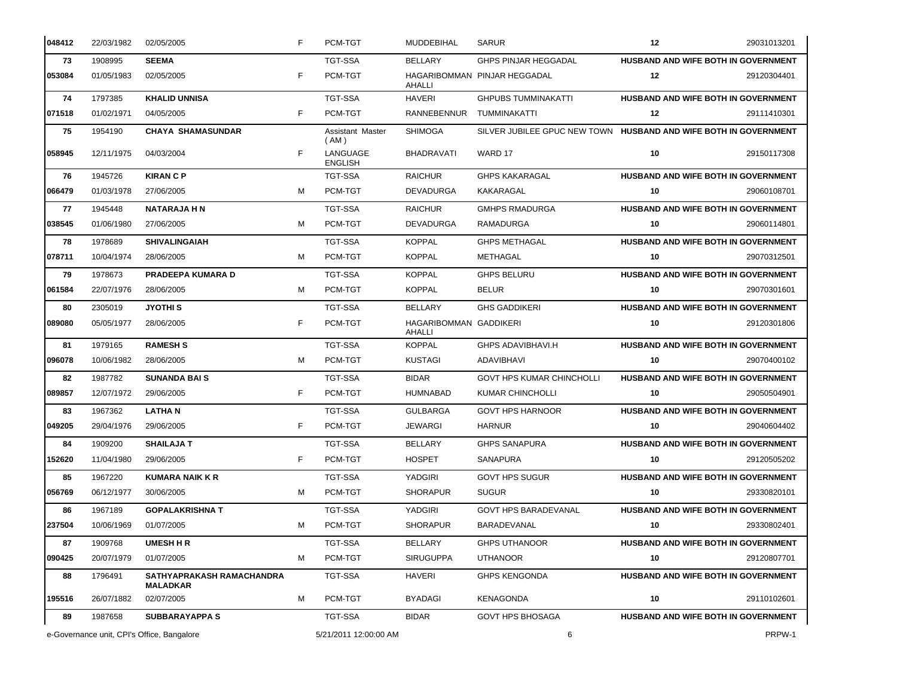| 048412 | 22/03/1982                                 | 02/05/2005                                   | F | PCM-TGT                    | MUDDEBIHAL                              | <b>SARUR</b>                                                     | 12 | 29031013201                                |
|--------|--------------------------------------------|----------------------------------------------|---|----------------------------|-----------------------------------------|------------------------------------------------------------------|----|--------------------------------------------|
| 73     | 1908995                                    | <b>SEEMA</b>                                 |   | <b>TGT-SSA</b>             | <b>BELLARY</b>                          | <b>GHPS PINJAR HEGGADAL</b>                                      |    | HUSBAND AND WIFE BOTH IN GOVERNMENT        |
| 053084 | 01/05/1983                                 | 02/05/2005                                   | F | PCM-TGT                    | AHALLI                                  | HAGARIBOMMAN PINJAR HEGGADAL                                     | 12 | 29120304401                                |
| 74     | 1797385                                    | <b>KHALID UNNISA</b>                         |   | <b>TGT-SSA</b>             | <b>HAVERI</b>                           | <b>GHPUBS TUMMINAKATTI</b>                                       |    | HUSBAND AND WIFE BOTH IN GOVERNMENT        |
| 071518 | 01/02/1971                                 | 04/05/2005                                   | F | PCM-TGT                    | RANNEBENNUR                             | TUMMINAKATTI                                                     | 12 | 29111410301                                |
| 75     | 1954190                                    | <b>CHAYA SHAMASUNDAR</b>                     |   | Assistant Master<br>(AM)   | <b>SHIMOGA</b>                          | SILVER JUBILEE GPUC NEW TOWN HUSBAND AND WIFE BOTH IN GOVERNMENT |    |                                            |
| 058945 | 12/11/1975                                 | 04/03/2004                                   | F | LANGUAGE<br><b>ENGLISH</b> | BHADRAVATI                              | WARD 17                                                          | 10 | 29150117308                                |
| 76     | 1945726                                    | <b>KIRAN C P</b>                             |   | <b>TGT-SSA</b>             | <b>RAICHUR</b>                          | <b>GHPS KAKARAGAL</b>                                            |    | HUSBAND AND WIFE BOTH IN GOVERNMENT        |
| 066479 | 01/03/1978                                 | 27/06/2005                                   | M | PCM-TGT                    | <b>DEVADURGA</b>                        | KAKARAGAL                                                        | 10 | 29060108701                                |
| 77     | 1945448                                    | <b>NATARAJA H N</b>                          |   | <b>TGT-SSA</b>             | <b>RAICHUR</b>                          | <b>GMHPS RMADURGA</b>                                            |    | HUSBAND AND WIFE BOTH IN GOVERNMENT        |
| 038545 | 01/06/1980                                 | 27/06/2005                                   | M | PCM-TGT                    | <b>DEVADURGA</b>                        | RAMADURGA                                                        | 10 | 29060114801                                |
| 78     | 1978689                                    | <b>SHIVALINGAIAH</b>                         |   | <b>TGT-SSA</b>             | <b>KOPPAL</b>                           | <b>GHPS METHAGAL</b>                                             |    | HUSBAND AND WIFE BOTH IN GOVERNMENT        |
| 078711 | 10/04/1974                                 | 28/06/2005                                   | M | PCM-TGT                    | <b>KOPPAL</b>                           | METHAGAL                                                         | 10 | 29070312501                                |
| 79     | 1978673                                    | <b>PRADEEPA KUMARA D</b>                     |   | <b>TGT-SSA</b>             | <b>KOPPAL</b>                           | <b>GHPS BELURU</b>                                               |    | HUSBAND AND WIFE BOTH IN GOVERNMENT        |
| 061584 | 22/07/1976                                 | 28/06/2005                                   | M | PCM-TGT                    | <b>KOPPAL</b>                           | <b>BELUR</b>                                                     | 10 | 29070301601                                |
| 80     | 2305019                                    | <b>JYOTHI S</b>                              |   | <b>TGT-SSA</b>             | <b>BELLARY</b>                          | <b>GHS GADDIKERI</b>                                             |    | HUSBAND AND WIFE BOTH IN GOVERNMENT        |
| 089080 | 05/05/1977                                 | 28/06/2005                                   | F | PCM-TGT                    | <b>HAGARIBOMMAN GADDIKERI</b><br>AHALLI |                                                                  | 10 | 29120301806                                |
| 81     | 1979165                                    | <b>RAMESH S</b>                              |   | <b>TGT-SSA</b>             | <b>KOPPAL</b>                           | <b>GHPS ADAVIBHAVI.H</b>                                         |    | <b>HUSBAND AND WIFE BOTH IN GOVERNMENT</b> |
| 096078 | 10/06/1982                                 | 28/06/2005                                   | м | PCM-TGT                    | <b>KUSTAGI</b>                          | ADAVIBHAVI                                                       | 10 | 29070400102                                |
| 82     | 1987782                                    | <b>SUNANDA BAIS</b>                          |   | <b>TGT-SSA</b>             | <b>BIDAR</b>                            | <b>GOVT HPS KUMAR CHINCHOLLI</b>                                 |    | HUSBAND AND WIFE BOTH IN GOVERNMENT        |
| 089857 | 12/07/1972                                 | 29/06/2005                                   | F | PCM-TGT                    | <b>HUMNABAD</b>                         | <b>KUMAR CHINCHOLLI</b>                                          | 10 | 29050504901                                |
| 83     | 1967362                                    | <b>LATHAN</b>                                |   | <b>TGT-SSA</b>             | <b>GULBARGA</b>                         | <b>GOVT HPS HARNOOR</b>                                          |    | HUSBAND AND WIFE BOTH IN GOVERNMENT        |
| 049205 | 29/04/1976                                 | 29/06/2005                                   | F | PCM-TGT                    | JEWARGI                                 | <b>HARNUR</b>                                                    | 10 | 29040604402                                |
| 84     | 1909200                                    | <b>SHAILAJA T</b>                            |   | <b>TGT-SSA</b>             | BELLARY                                 | <b>GHPS SANAPURA</b>                                             |    | HUSBAND AND WIFE BOTH IN GOVERNMENT        |
| 152620 | 11/04/1980                                 | 29/06/2005                                   | F | PCM-TGT                    | <b>HOSPET</b>                           | SANAPURA                                                         | 10 | 29120505202                                |
| 85     | 1967220                                    | <b>KUMARA NAIK K R</b>                       |   | <b>TGT-SSA</b>             | YADGIRI                                 | <b>GOVT HPS SUGUR</b>                                            |    | <b>HUSBAND AND WIFE BOTH IN GOVERNMENT</b> |
| 056769 | 06/12/1977                                 | 30/06/2005                                   | M | PCM-TGT                    | <b>SHORAPUR</b>                         | <b>SUGUR</b>                                                     | 10 | 29330820101                                |
| 86     | 1967189                                    | <b>GOPALAKRISHNA T</b>                       |   | TGT-SSA                    | YADGIRI                                 | <b>GOVT HPS BARADEVANAL</b>                                      |    | HUSBAND AND WIFE BOTH IN GOVERNMENT        |
| 237504 | 10/06/1969                                 | 01/07/2005                                   | M | PCM-TGT                    | <b>SHORAPUR</b>                         | BARADEVANAL                                                      | 10 | 29330802401                                |
| 87     | 1909768                                    | <b>UMESH H R</b>                             |   | TGT-SSA                    | <b>BELLARY</b>                          | <b>GHPS UTHANOOR</b>                                             |    | HUSBAND AND WIFE BOTH IN GOVERNMENT        |
| 090425 | 20/07/1979                                 | 01/07/2005                                   | M | PCM-TGT                    | <b>SIRUGUPPA</b>                        | <b>UTHANOOR</b>                                                  | 10 | 29120807701                                |
| 88     | 1796491                                    | SATHYAPRAKASH RAMACHANDRA<br><b>MALADKAR</b> |   | TGT-SSA                    | <b>HAVERI</b>                           | <b>GHPS KENGONDA</b>                                             |    | HUSBAND AND WIFE BOTH IN GOVERNMENT        |
| 195516 | 26/07/1882                                 | 02/07/2005                                   | M | PCM-TGT                    | <b>BYADAGI</b>                          | KENAGONDA                                                        | 10 | 29110102601                                |
| 89     | 1987658                                    | <b>SUBBARAYAPPA S</b>                        |   | TGT-SSA                    | <b>BIDAR</b>                            | <b>GOVT HPS BHOSAGA</b>                                          |    | HUSBAND AND WIFE BOTH IN GOVERNMENT        |
|        | e-Governance unit, CPI's Office, Bangalore |                                              |   | 5/21/2011 12:00:00 AM      |                                         | PRPW-1<br>6                                                      |    |                                            |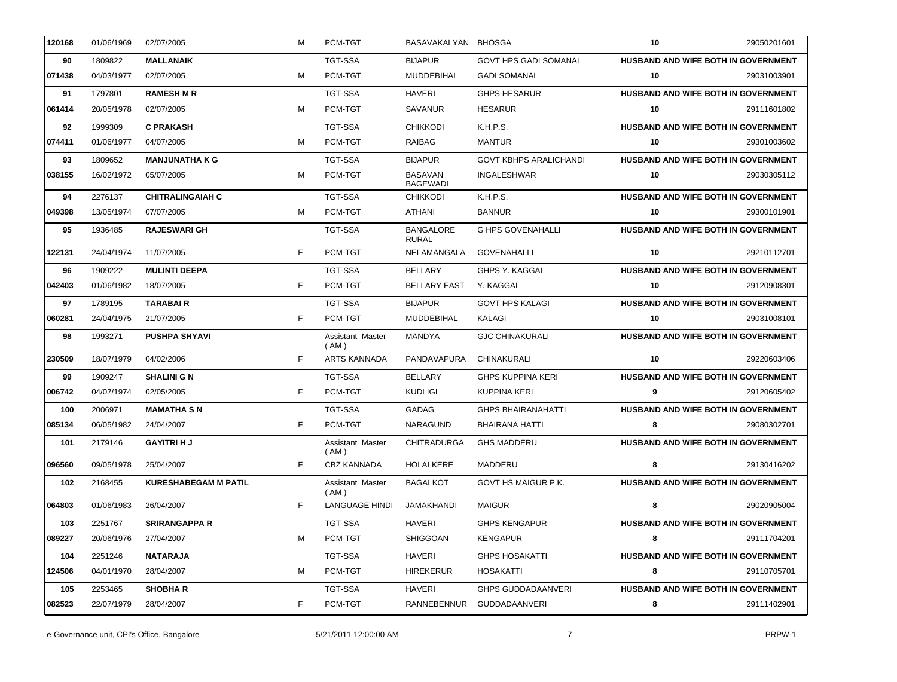| 120168 | 01/06/1969 | 02/07/2005                  | м  | PCM-TGT                    | BASAVAKALYAN BHOSGA               |                               | 10 | 29050201601                                |
|--------|------------|-----------------------------|----|----------------------------|-----------------------------------|-------------------------------|----|--------------------------------------------|
| 90     | 1809822    | <b>MALLANAIK</b>            |    | <b>TGT-SSA</b>             | <b>BIJAPUR</b>                    | <b>GOVT HPS GADI SOMANAL</b>  |    | <b>HUSBAND AND WIFE BOTH IN GOVERNMENT</b> |
| 071438 | 04/03/1977 | 02/07/2005                  | M  | PCM-TGT                    | MUDDEBIHAL                        | <b>GADI SOMANAL</b>           | 10 | 29031003901                                |
| 91     | 1797801    | <b>RAMESH M R</b>           |    | <b>TGT-SSA</b>             | <b>HAVERI</b>                     | <b>GHPS HESARUR</b>           |    | HUSBAND AND WIFE BOTH IN GOVERNMENT        |
| 061414 | 20/05/1978 | 02/07/2005                  | M  | PCM-TGT                    | SAVANUR                           | <b>HESARUR</b>                | 10 | 29111601802                                |
| 92     | 1999309    | <b>C PRAKASH</b>            |    | <b>TGT-SSA</b>             | <b>CHIKKODI</b>                   | K.H.P.S.                      |    | HUSBAND AND WIFE BOTH IN GOVERNMENT        |
| 074411 | 01/06/1977 | 04/07/2005                  | м  | PCM-TGT                    | RAIBAG                            | <b>MANTUR</b>                 | 10 | 29301003602                                |
| 93     | 1809652    | <b>MANJUNATHA K G</b>       |    | <b>TGT-SSA</b>             | <b>BIJAPUR</b>                    | <b>GOVT KBHPS ARALICHANDI</b> |    | HUSBAND AND WIFE BOTH IN GOVERNMENT        |
| 038155 | 16/02/1972 | 05/07/2005                  | M  | PCM-TGT                    | <b>BASAVAN</b><br><b>BAGEWADI</b> | <b>INGALESHWAR</b>            | 10 | 29030305112                                |
| 94     | 2276137    | <b>CHITRALINGAIAH C</b>     |    | <b>TGT-SSA</b>             | <b>CHIKKODI</b>                   | K.H.P.S.                      |    | HUSBAND AND WIFE BOTH IN GOVERNMENT        |
| 049398 | 13/05/1974 | 07/07/2005                  | M  | PCM-TGT                    | ATHANI                            | <b>BANNUR</b>                 | 10 | 29300101901                                |
| 95     | 1936485    | <b>RAJESWARI GH</b>         |    | <b>TGT-SSA</b>             | <b>BANGALORE</b><br><b>RURAL</b>  | <b>G HPS GOVENAHALLI</b>      |    | HUSBAND AND WIFE BOTH IN GOVERNMENT        |
| 122131 | 24/04/1974 | 11/07/2005                  | F  | PCM-TGT                    | NELAMANGALA                       | <b>GOVENAHALLI</b>            | 10 | 29210112701                                |
| 96     | 1909222    | <b>MULINTI DEEPA</b>        |    | TGT-SSA                    | <b>BELLARY</b>                    | GHPS Y. KAGGAL                |    | HUSBAND AND WIFE BOTH IN GOVERNMENT        |
| 042403 | 01/06/1982 | 18/07/2005                  | F. | PCM-TGT                    | <b>BELLARY EAST</b>               | Y. KAGGAL                     | 10 | 29120908301                                |
| 97     | 1789195    | <b>TARABAIR</b>             |    | <b>TGT-SSA</b>             | <b>BIJAPUR</b>                    | <b>GOVT HPS KALAGI</b>        |    | HUSBAND AND WIFE BOTH IN GOVERNMENT        |
| 060281 | 24/04/1975 | 21/07/2005                  | F  | PCM-TGT                    | MUDDEBIHAL                        | KALAGI                        | 10 | 29031008101                                |
| 98     | 1993271    | <b>PUSHPA SHYAVI</b>        |    | Assistant Master<br>(AM)   | MANDYA                            | <b>GJC CHINAKURALI</b>        |    | HUSBAND AND WIFE BOTH IN GOVERNMENT        |
| 230509 | 18/07/1979 | 04/02/2006                  | F  | <b>ARTS KANNADA</b>        | PANDAVAPURA                       | CHINAKURALI                   | 10 | 29220603406                                |
| 99     | 1909247    | <b>SHALINI G N</b>          |    | TGT-SSA                    | <b>BELLARY</b>                    | <b>GHPS KUPPINA KERI</b>      |    | HUSBAND AND WIFE BOTH IN GOVERNMENT        |
| 006742 | 04/07/1974 | 02/05/2005                  | F  | PCM-TGT                    | <b>KUDLIGI</b>                    | <b>KUPPINA KERI</b>           | 9  | 29120605402                                |
| 100    | 2006971    | <b>MAMATHA SN</b>           |    | <b>TGT-SSA</b>             | GADAG                             | <b>GHPS BHAIRANAHATTI</b>     |    | HUSBAND AND WIFE BOTH IN GOVERNMENT        |
| 085134 | 06/05/1982 | 24/04/2007                  | F  | PCM-TGT                    | NARAGUND                          | <b>BHAIRANA HATTI</b>         | 8  | 29080302701                                |
| 101    | 2179146    | <b>GAYITRI H J</b>          |    | Assistant Master<br>(AM)   | <b>CHITRADURGA</b>                | <b>GHS MADDERU</b>            |    | HUSBAND AND WIFE BOTH IN GOVERNMENT        |
| 096560 | 09/05/1978 | 25/04/2007                  | F  | <b>CBZ KANNADA</b>         | <b>HOLALKERE</b>                  | MADDERU                       | 8  | 29130416202                                |
| 102    | 2168455    | <b>KURESHABEGAM M PATIL</b> |    | Assistant Master<br>( AM ) | <b>BAGALKOT</b>                   | GOVT HS MAIGUR P.K.           |    | HUSBAND AND WIFE BOTH IN GOVERNMENT        |
| 064803 | 01/06/1983 | 26/04/2007                  | F  | LANGUAGE HINDI             | JAMAKHANDI                        | <b>MAIGUR</b>                 | 8  | 29020905004                                |
| 103    | 2251767    | <b>SRIRANGAPPA R</b>        |    | TGT-SSA                    | <b>HAVERI</b>                     | <b>GHPS KENGAPUR</b>          |    | HUSBAND AND WIFE BOTH IN GOVERNMENT        |
| 089227 | 20/06/1976 | 27/04/2007                  | M  | PCM-TGT                    | <b>SHIGGOAN</b>                   | <b>KENGAPUR</b>               | 8  | 29111704201                                |
| 104    | 2251246    | <b>NATARAJA</b>             |    | TGT-SSA                    | <b>HAVERI</b>                     | <b>GHPS HOSAKATTI</b>         |    | HUSBAND AND WIFE BOTH IN GOVERNMENT        |
| 124506 | 04/01/1970 | 28/04/2007                  | M  | PCM-TGT                    | <b>HIREKERUR</b>                  | <b>HOSAKATTI</b>              | 8  | 29110705701                                |
| 105    | 2253465    | <b>SHOBHAR</b>              |    | TGT-SSA                    | HAVERI                            | <b>GHPS GUDDADAANVERI</b>     |    | HUSBAND AND WIFE BOTH IN GOVERNMENT        |
| 082523 | 22/07/1979 | 28/04/2007                  | F  | PCM-TGT                    | RANNEBENNUR                       | GUDDADAANVERI                 | 8  | 29111402901                                |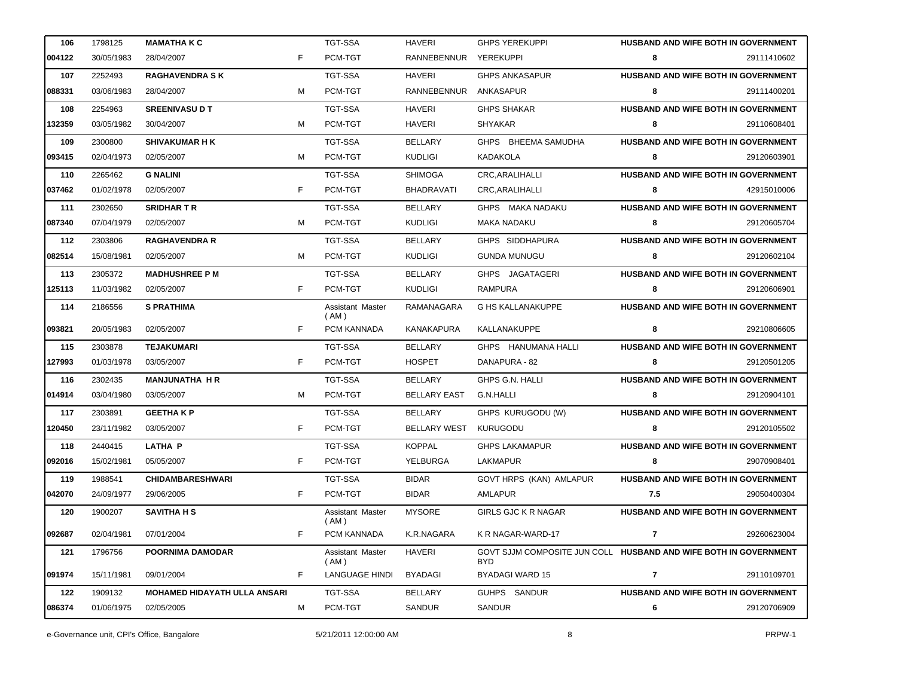| 106    | 1798125    | <b>MAMATHAKC</b>                    |    | <b>TGT-SSA</b>             | HAVERI                | <b>GHPS YEREKUPPI</b>                                                    | <b>HUSBAND AND WIFE BOTH IN GOVERNMENT</b> |             |
|--------|------------|-------------------------------------|----|----------------------------|-----------------------|--------------------------------------------------------------------------|--------------------------------------------|-------------|
| 004122 | 30/05/1983 | 28/04/2007                          | F  | PCM-TGT                    | RANNEBENNUR YEREKUPPI |                                                                          | 8                                          | 29111410602 |
| 107    | 2252493    | <b>RAGHAVENDRA SK</b>               |    | <b>TGT-SSA</b>             | <b>HAVERI</b>         | <b>GHPS ANKASAPUR</b>                                                    | HUSBAND AND WIFE BOTH IN GOVERNMENT        |             |
| 088331 | 03/06/1983 | 28/04/2007                          | м  | PCM-TGT                    | RANNEBENNUR           | ANKASAPUR                                                                | 8                                          | 29111400201 |
| 108    | 2254963    | <b>SREENIVASU D T</b>               |    | <b>TGT-SSA</b>             | HAVERI                | <b>GHPS SHAKAR</b>                                                       | HUSBAND AND WIFE BOTH IN GOVERNMENT        |             |
| 132359 | 03/05/1982 | 30/04/2007                          | м  | PCM-TGT                    | HAVERI                | <b>SHYAKAR</b>                                                           | 8                                          | 29110608401 |
| 109    | 2300800    | <b>SHIVAKUMAR H K</b>               |    | <b>TGT-SSA</b>             | <b>BELLARY</b>        | GHPS BHEEMA SAMUDHA                                                      | HUSBAND AND WIFE BOTH IN GOVERNMENT        |             |
| 093415 | 02/04/1973 | 02/05/2007                          | м  | PCM-TGT                    | <b>KUDLIGI</b>        | KADAKOLA                                                                 | 8                                          | 29120603901 |
| 110    | 2265462    | <b>G NALINI</b>                     |    | <b>TGT-SSA</b>             | <b>SHIMOGA</b>        | CRC, ARALIHALLI                                                          | HUSBAND AND WIFE BOTH IN GOVERNMENT        |             |
| 037462 | 01/02/1978 | 02/05/2007                          | F  | PCM-TGT                    | <b>BHADRAVATI</b>     | CRC, ARALIHALLI                                                          | 8                                          | 42915010006 |
| 111    | 2302650    | <b>SRIDHARTR</b>                    |    | <b>TGT-SSA</b>             | <b>BELLARY</b>        | GHPS MAKA NADAKU                                                         | HUSBAND AND WIFE BOTH IN GOVERNMENT        |             |
| 087340 | 07/04/1979 | 02/05/2007                          | м  | PCM-TGT                    | <b>KUDLIGI</b>        | MAKA NADAKU                                                              | 8                                          | 29120605704 |
| 112    | 2303806    | <b>RAGHAVENDRA R</b>                |    | <b>TGT-SSA</b>             | <b>BELLARY</b>        | GHPS SIDDHAPURA                                                          | HUSBAND AND WIFE BOTH IN GOVERNMENT        |             |
| 082514 | 15/08/1981 | 02/05/2007                          | м  | PCM-TGT                    | <b>KUDLIGI</b>        | <b>GUNDA MUNUGU</b>                                                      | 8                                          | 29120602104 |
| 113    | 2305372    | <b>MADHUSHREE P M</b>               |    | <b>TGT-SSA</b>             | <b>BELLARY</b>        | GHPS JAGATAGERI                                                          | HUSBAND AND WIFE BOTH IN GOVERNMENT        |             |
| 125113 | 11/03/1982 | 02/05/2007                          | F  | PCM-TGT                    | <b>KUDLIGI</b>        | RAMPURA                                                                  | 8                                          | 29120606901 |
| 114    | 2186556    | <b>S PRATHIMA</b>                   |    | Assistant Master<br>(AM)   | RAMANAGARA            | <b>G HS KALLANAKUPPE</b>                                                 | HUSBAND AND WIFE BOTH IN GOVERNMENT        |             |
| 093821 | 20/05/1983 | 02/05/2007                          | F  | PCM KANNADA                | <b>KANAKAPURA</b>     | KALLANAKUPPE                                                             | 8                                          | 29210806605 |
| 115    | 2303878    | <b>TEJAKUMARI</b>                   |    | TGT-SSA                    | <b>BELLARY</b>        | GHPS HANUMANA HALLI                                                      | HUSBAND AND WIFE BOTH IN GOVERNMENT        |             |
| 127993 | 01/03/1978 | 03/05/2007                          | F  | PCM-TGT                    | <b>HOSPET</b>         | DANAPURA - 82                                                            | 8                                          | 29120501205 |
| 116    | 2302435    | <b>MANJUNATHA H R</b>               |    | TGT-SSA                    | <b>BELLARY</b>        | GHPS G.N. HALLI                                                          | HUSBAND AND WIFE BOTH IN GOVERNMENT        |             |
| 014914 | 03/04/1980 | 03/05/2007                          | м  | PCM-TGT                    | <b>BELLARY EAST</b>   | G.N.HALLI                                                                | 8                                          | 29120904101 |
| 117    | 2303891    | <b>GEETHAKP</b>                     |    | <b>TGT-SSA</b>             | BELLARY               | GHPS KURUGODU (W)                                                        | HUSBAND AND WIFE BOTH IN GOVERNMENT        |             |
| 120450 | 23/11/1982 | 03/05/2007                          | F  | PCM-TGT                    | <b>BELLARY WEST</b>   | KURUGODU                                                                 | 8                                          | 29120105502 |
| 118    | 2440415    | <b>LATHA P</b>                      |    | TGT-SSA                    | <b>KOPPAL</b>         | <b>GHPS LAKAMAPUR</b>                                                    | HUSBAND AND WIFE BOTH IN GOVERNMENT        |             |
| 092016 | 15/02/1981 | 05/05/2007                          | F  | PCM-TGT                    | YELBURGA              | <b>LAKMAPUR</b>                                                          | 8                                          | 29070908401 |
| 119    | 1988541    | <b>CHIDAMBARESHWARI</b>             |    | <b>TGT-SSA</b>             | <b>BIDAR</b>          | <b>GOVT HRPS (KAN) AMLAPUR</b>                                           | HUSBAND AND WIFE BOTH IN GOVERNMENT        |             |
| 042070 | 24/09/1977 | 29/06/2005                          | F. | PCM-TGT                    | <b>BIDAR</b>          | AMLAPUR                                                                  | 7.5                                        | 29050400304 |
| 120    | 1900207    | <b>SAVITHA H S</b>                  |    | Assistant Master<br>(AM)   | <b>MYSORE</b>         | <b>GIRLS GJC K R NAGAR</b>                                               | HUSBAND AND WIFE BOTH IN GOVERNMENT        |             |
| 092687 | 02/04/1981 | 07/01/2004                          | F  | PCM KANNADA                | K.R.NAGARA            | K R NAGAR-WARD-17                                                        | 7                                          | 29260623004 |
| 121    | 1796756    | POORNIMA DAMODAR                    |    | Assistant Master<br>( AM ) | <b>HAVERI</b>         | GOVT SJJM COMPOSITE JUN COLL HUSBAND AND WIFE BOTH IN GOVERNMENT<br>BYD. |                                            |             |
| 091974 | 15/11/1981 | 09/01/2004                          | F  | <b>LANGUAGE HINDI</b>      | <b>BYADAGI</b>        | <b>BYADAGI WARD 15</b>                                                   | $\mathbf{7}$                               | 29110109701 |
| 122    | 1909132    | <b>MOHAMED HIDAYATH ULLA ANSARI</b> |    | TGT-SSA                    | <b>BELLARY</b>        | GUHPS SANDUR                                                             | HUSBAND AND WIFE BOTH IN GOVERNMENT        |             |
| 086374 | 01/06/1975 | 02/05/2005                          | м  | PCM-TGT                    | SANDUR                | SANDUR                                                                   | 6                                          | 29120706909 |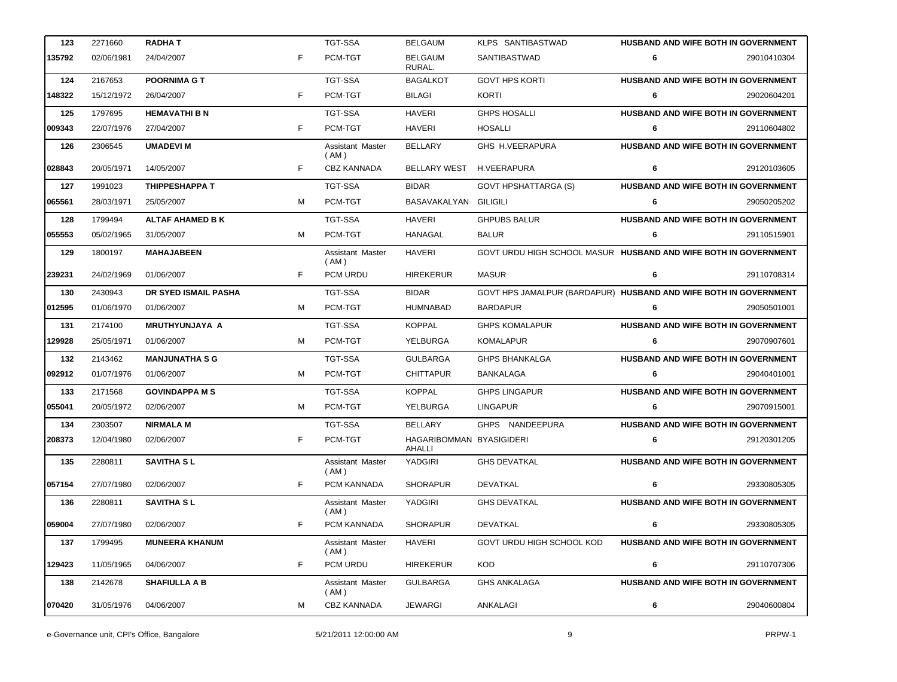| 123    | 2271660    | <b>RADHAT</b>           |   | <b>TGT-SSA</b>             | <b>BELGAUM</b>                     | KLPS SANTIBASTWAD                                                | <b>HUSBAND AND WIFE BOTH IN GOVERNMENT</b> |             |
|--------|------------|-------------------------|---|----------------------------|------------------------------------|------------------------------------------------------------------|--------------------------------------------|-------------|
| 135792 | 02/06/1981 | 24/04/2007              | F | PCM-TGT                    | <b>BELGAUM</b><br>RURAL.           | SANTIBASTWAD                                                     | 6                                          | 29010410304 |
| 124    | 2167653    | <b>POORNIMA G T</b>     |   | <b>TGT-SSA</b>             | <b>BAGALKOT</b>                    | <b>GOVT HPS KORTI</b>                                            | HUSBAND AND WIFE BOTH IN GOVERNMENT        |             |
| 148322 | 15/12/1972 | 26/04/2007              | F | PCM-TGT                    | <b>BILAGI</b>                      | KORTI                                                            | 6                                          | 29020604201 |
| 125    | 1797695    | <b>HEMAVATHI B N</b>    |   | <b>TGT-SSA</b>             | <b>HAVERI</b>                      | <b>GHPS HOSALLI</b>                                              | HUSBAND AND WIFE BOTH IN GOVERNMENT        |             |
| 009343 | 22/07/1976 | 27/04/2007              | F | PCM-TGT                    | <b>HAVERI</b>                      | <b>HOSALLI</b>                                                   | 6                                          | 29110604802 |
| 126    | 2306545    | <b>UMADEVI M</b>        |   | Assistant Master<br>(AM)   | <b>BELLARY</b>                     | GHS H.VEERAPURA                                                  | HUSBAND AND WIFE BOTH IN GOVERNMENT        |             |
| 028843 | 20/05/1971 | 14/05/2007              | F | <b>CBZ KANNADA</b>         | BELLARY WEST                       | <b>H.VEERAPURA</b>                                               | 6                                          | 29120103605 |
| 127    | 1991023    | <b>THIPPESHAPPA T</b>   |   | <b>TGT-SSA</b>             | <b>BIDAR</b>                       | <b>GOVT HPSHATTARGA (S)</b>                                      | HUSBAND AND WIFE BOTH IN GOVERNMENT        |             |
| 065561 | 28/03/1971 | 25/05/2007              | M | PCM-TGT                    | BASAVAKALYAN GILIGILI              |                                                                  | 6                                          | 29050205202 |
| 128    | 1799494    | <b>ALTAF AHAMED B K</b> |   | <b>TGT-SSA</b>             | <b>HAVERI</b>                      | <b>GHPUBS BALUR</b>                                              | HUSBAND AND WIFE BOTH IN GOVERNMENT        |             |
| 055553 | 05/02/1965 | 31/05/2007              | м | PCM-TGT                    | <b>HANAGAL</b>                     | <b>BALUR</b>                                                     | 6                                          | 29110515901 |
| 129    | 1800197    | <b>MAHAJABEEN</b>       |   | Assistant Master<br>(AM)   | <b>HAVERI</b>                      | GOVT URDU HIGH SCHOOL MASUR HUSBAND AND WIFE BOTH IN GOVERNMENT  |                                            |             |
| 239231 | 24/02/1969 | 01/06/2007              | F | PCM URDU                   | <b>HIREKERUR</b>                   | <b>MASUR</b>                                                     | 6                                          | 29110708314 |
| 130    | 2430943    | DR SYED ISMAIL PASHA    |   | <b>TGT-SSA</b>             | <b>BIDAR</b>                       | GOVT HPS JAMALPUR (BARDAPUR) HUSBAND AND WIFE BOTH IN GOVERNMENT |                                            |             |
| 012595 | 01/06/1970 | 01/06/2007              | M | PCM-TGT                    | <b>HUMNABAD</b>                    | <b>BARDAPUR</b>                                                  | 6                                          | 29050501001 |
| 131    | 2174100    | <b>MRUTHYUNJAYA A</b>   |   | <b>TGT-SSA</b>             | <b>KOPPAL</b>                      | <b>GHPS KOMALAPUR</b>                                            | HUSBAND AND WIFE BOTH IN GOVERNMENT        |             |
| 129928 | 25/05/1971 | 01/06/2007              | M | PCM-TGT                    | YELBURGA                           | <b>KOMALAPUR</b>                                                 | 6                                          | 29070907601 |
| 132    | 2143462    | <b>MANJUNATHA S G</b>   |   | TGT-SSA                    | <b>GULBARGA</b>                    | <b>GHPS BHANKALGA</b>                                            | <b>HUSBAND AND WIFE BOTH IN GOVERNMENT</b> |             |
| 092912 | 01/07/1976 | 01/06/2007              | M | PCM-TGT                    | <b>CHITTAPUR</b>                   | <b>BANKALAGA</b>                                                 | 6                                          | 29040401001 |
| 133    | 2171568    | <b>GOVINDAPPA M S</b>   |   | TGT-SSA                    | <b>KOPPAL</b>                      | <b>GHPS LINGAPUR</b>                                             | HUSBAND AND WIFE BOTH IN GOVERNMENT        |             |
| 055041 | 20/05/1972 | 02/06/2007              | M | PCM-TGT                    | YELBURGA                           | <b>LINGAPUR</b>                                                  | 6                                          | 29070915001 |
| 134    | 2303507    | <b>NIRMALA M</b>        |   | <b>TGT-SSA</b>             | <b>BELLARY</b>                     | GHPS NANDEEPURA                                                  | <b>HUSBAND AND WIFE BOTH IN GOVERNMENT</b> |             |
| 208373 | 12/04/1980 | 02/06/2007              | F | PCM-TGT                    | HAGARIBOMMAN BYASIGIDERI<br>AHALLI |                                                                  | 6                                          | 29120301205 |
| 135    | 2280811    | <b>SAVITHA SL</b>       |   | Assistant Master<br>(AM)   | <b>YADGIRI</b>                     | <b>GHS DEVATKAL</b>                                              | HUSBAND AND WIFE BOTH IN GOVERNMENT        |             |
| 057154 | 27/07/1980 | 02/06/2007              | F | PCM KANNADA                | <b>SHORAPUR</b>                    | DEVATKAL                                                         | 6                                          | 29330805305 |
| 136    | 2280811    | <b>SAVITHA SL</b>       |   | Assistant Master<br>( AM ) | YADGIRI                            | <b>GHS DEVATKAL</b>                                              | <b>HUSBAND AND WIFE BOTH IN GOVERNMENT</b> |             |
| 059004 | 27/07/1980 | 02/06/2007              | F | PCM KANNADA                | <b>SHORAPUR</b>                    | <b>DEVATKAL</b>                                                  | 6                                          | 29330805305 |
| 137    | 1799495    | <b>MUNEERA KHANUM</b>   |   | Assistant Master<br>(AM)   | HAVERI                             | GOVT URDU HIGH SCHOOL KOD                                        | <b>HUSBAND AND WIFE BOTH IN GOVERNMENT</b> |             |
| 129423 | 11/05/1965 | 04/06/2007              | F | PCM URDU                   | <b>HIREKERUR</b>                   | <b>KOD</b>                                                       | 6                                          | 29110707306 |
| 138    | 2142678    | <b>SHAFIULLA A B</b>    |   | Assistant Master<br>(AM)   | <b>GULBARGA</b>                    | <b>GHS ANKALAGA</b>                                              | <b>HUSBAND AND WIFE BOTH IN GOVERNMENT</b> |             |
| 070420 | 31/05/1976 | 04/06/2007              | M | <b>CBZ KANNADA</b>         | JEWARGI                            | ANKALAGI                                                         | 6                                          | 29040600804 |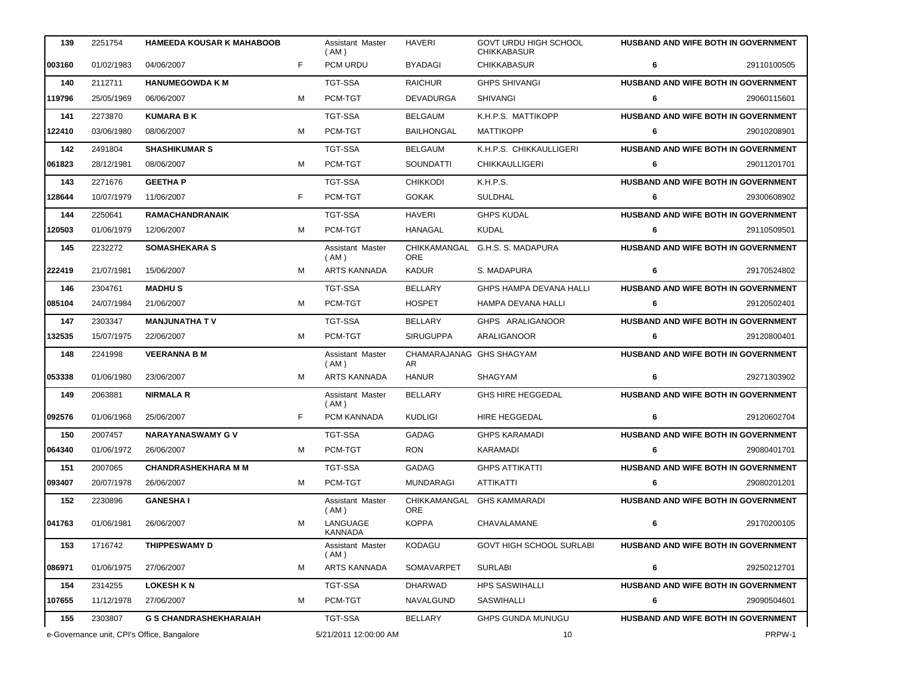| 139    | 2251754                                    | <b>HAMEEDA KOUSAR K MAHABOOB</b> |   | Assistant Master<br>(AM)        | <b>HAVERI</b>                   | <b>GOVT URDU HIGH SCHOOL</b><br><b>CHIKKABASUR</b> |   | <b>HUSBAND AND WIFE BOTH IN GOVERNMENT</b> |
|--------|--------------------------------------------|----------------------------------|---|---------------------------------|---------------------------------|----------------------------------------------------|---|--------------------------------------------|
| 003160 | 01/02/1983                                 | 04/06/2007                       | F | PCM URDU                        | <b>BYADAGI</b>                  | <b>CHIKKABASUR</b>                                 | 6 | 29110100505                                |
| 140    | 2112711                                    | <b>HANUMEGOWDA K M</b>           |   | TGT-SSA                         | <b>RAICHUR</b>                  | <b>GHPS SHIVANGI</b>                               |   | HUSBAND AND WIFE BOTH IN GOVERNMENT        |
| 119796 | 25/05/1969                                 | 06/06/2007                       | м | PCM-TGT                         | DEVADURGA                       | <b>SHIVANGI</b>                                    | 6 | 29060115601                                |
| 141    | 2273870                                    | <b>KUMARA B K</b>                |   | TGT-SSA                         | <b>BELGAUM</b>                  | K.H.P.S. MATTIKOPP                                 |   | HUSBAND AND WIFE BOTH IN GOVERNMENT        |
| 122410 | 03/06/1980                                 | 08/06/2007                       | м | PCM-TGT                         | <b>BAILHONGAL</b>               | <b>MATTIKOPP</b>                                   | 6 | 29010208901                                |
| 142    | 2491804                                    | <b>SHASHIKUMAR S</b>             |   | <b>TGT-SSA</b>                  | <b>BELGAUM</b>                  | K.H.P.S. CHIKKAULLIGERI                            |   | HUSBAND AND WIFE BOTH IN GOVERNMENT        |
| 061823 | 28/12/1981                                 | 08/06/2007                       | м | PCM-TGT                         | SOUNDATTI                       | <b>CHIKKAULLIGERI</b>                              | 6 | 29011201701                                |
| 143    | 2271676                                    | <b>GEETHA P</b>                  |   | TGT-SSA                         | <b>CHIKKODI</b>                 | K.H.P.S.                                           |   | <b>HUSBAND AND WIFE BOTH IN GOVERNMENT</b> |
| 128644 | 10/07/1979                                 | 11/06/2007                       | F | PCM-TGT                         | <b>GOKAK</b>                    | <b>SULDHAL</b>                                     | 6 | 29300608902                                |
| 144    | 2250641                                    | <b>RAMACHANDRANAIK</b>           |   | TGT-SSA                         | <b>HAVERI</b>                   | <b>GHPS KUDAL</b>                                  |   | <b>HUSBAND AND WIFE BOTH IN GOVERNMENT</b> |
| 120503 | 01/06/1979                                 | 12/06/2007                       | м | PCM-TGT                         | HANAGAL                         | <b>KUDAL</b>                                       | 6 | 29110509501                                |
| 145    | 2232272                                    | <b>SOMASHEKARA S</b>             |   | <b>Assistant Master</b><br>(AM) | <b>ORE</b>                      | CHIKKAMANGAL G.H.S. S. MADAPURA                    |   | HUSBAND AND WIFE BOTH IN GOVERNMENT        |
| 222419 | 21/07/1981                                 | 15/06/2007                       | м | ARTS KANNADA                    | <b>KADUR</b>                    | S. MADAPURA                                        | 6 | 29170524802                                |
| 146    | 2304761                                    | <b>MADHUS</b>                    |   | TGT-SSA                         | <b>BELLARY</b>                  | GHPS HAMPA DEVANA HALLI                            |   | <b>HUSBAND AND WIFE BOTH IN GOVERNMENT</b> |
| 085104 | 24/07/1984                                 | 21/06/2007                       | м | PCM-TGT                         | <b>HOSPET</b>                   | HAMPA DEVANA HALLI                                 | 6 | 29120502401                                |
| 147    | 2303347                                    | <b>MANJUNATHA TV</b>             |   | <b>TGT-SSA</b>                  | BELLARY                         | GHPS ARALIGANOOR                                   |   | HUSBAND AND WIFE BOTH IN GOVERNMENT        |
| 132535 | 15/07/1975                                 | 22/06/2007                       | м | PCM-TGT                         | <b>SIRUGUPPA</b>                | <b>ARALIGANOOR</b>                                 | 6 | 29120800401                                |
| 148    | 2241998                                    | <b>VEERANNA B M</b>              |   | Assistant Master<br>(AM)        | CHAMARAJANAG GHS SHAGYAM<br>AR. |                                                    |   | HUSBAND AND WIFE BOTH IN GOVERNMENT        |
| 053338 | 01/06/1980                                 | 23/06/2007                       | м | ARTS KANNADA                    | <b>HANUR</b>                    | SHAGYAM                                            | 6 | 29271303902                                |
| 149    | 2063881                                    | <b>NIRMALA R</b>                 |   | Assistant Master<br>(AM)        | <b>BELLARY</b>                  | <b>GHS HIRE HEGGEDAL</b>                           |   | HUSBAND AND WIFE BOTH IN GOVERNMENT        |
| 092576 | 01/06/1968                                 | 25/06/2007                       | F | PCM KANNADA                     | <b>KUDLIGI</b>                  | <b>HIRE HEGGEDAL</b>                               | 6 | 29120602704                                |
| 150    | 2007457                                    | <b>NARAYANASWAMY GV</b>          |   | TGT-SSA                         | GADAG                           | <b>GHPS KARAMADI</b>                               |   | HUSBAND AND WIFE BOTH IN GOVERNMENT        |
| 064340 | 01/06/1972                                 | 26/06/2007                       | м | PCM-TGT                         | <b>RON</b>                      | KARAMADI                                           | 6 | 29080401701                                |
| 151    | 2007065                                    | <b>CHANDRASHEKHARA M M</b>       |   | TGT-SSA                         | GADAG                           | <b>GHPS ATTIKATTI</b>                              |   | HUSBAND AND WIFE BOTH IN GOVERNMENT        |
| 093407 | 20/07/1978                                 | 26/06/2007                       |   | PCM-TGT                         | MUNDARAGI                       | ATTIKATTI                                          |   | 29080201201                                |
| 152    | 2230896                                    | <b>GANESHAI</b>                  |   | Assistant Master<br>(AM)        | <b>ORE</b>                      | CHIKKAMANGAL GHS KAMMARADI                         |   | HUSBAND AND WIFE BOTH IN GOVERNMENT        |
| 041763 | 01/06/1981                                 | 26/06/2007                       | м | LANGUAGE<br>KANNADA             | <b>KOPPA</b>                    | CHAVALAMANE                                        | 6 | 29170200105                                |
| 153    | 1716742                                    | <b>THIPPESWAMY D</b>             |   | Assistant Master<br>( AM )      | KODAGU                          | <b>GOVT HIGH SCHOOL SURLABI</b>                    |   | HUSBAND AND WIFE BOTH IN GOVERNMENT        |
| 086971 | 01/06/1975                                 | 27/06/2007                       | м | ARTS KANNADA                    | SOMAVARPET                      | <b>SURLABI</b>                                     | 6 | 29250212701                                |
| 154    | 2314255                                    | <b>LOKESH K N</b>                |   | TGT-SSA                         | <b>DHARWAD</b>                  | <b>HPS SASWIHALLI</b>                              |   | HUSBAND AND WIFE BOTH IN GOVERNMENT        |
| 107655 | 11/12/1978                                 | 27/06/2007                       | м | PCM-TGT                         | NAVALGUND                       | SASWIHALLI                                         | 6 | 29090504601                                |
| 155    | 2303807                                    | <b>G S CHANDRASHEKHARAIAH</b>    |   | TGT-SSA                         | BELLARY                         | <b>GHPS GUNDA MUNUGU</b>                           |   | HUSBAND AND WIFE BOTH IN GOVERNMENT        |
|        | e-Governance unit, CPI's Office, Bangalore |                                  |   | 5/21/2011 12:00:00 AM           |                                 | 10<br>PRPW-1                                       |   |                                            |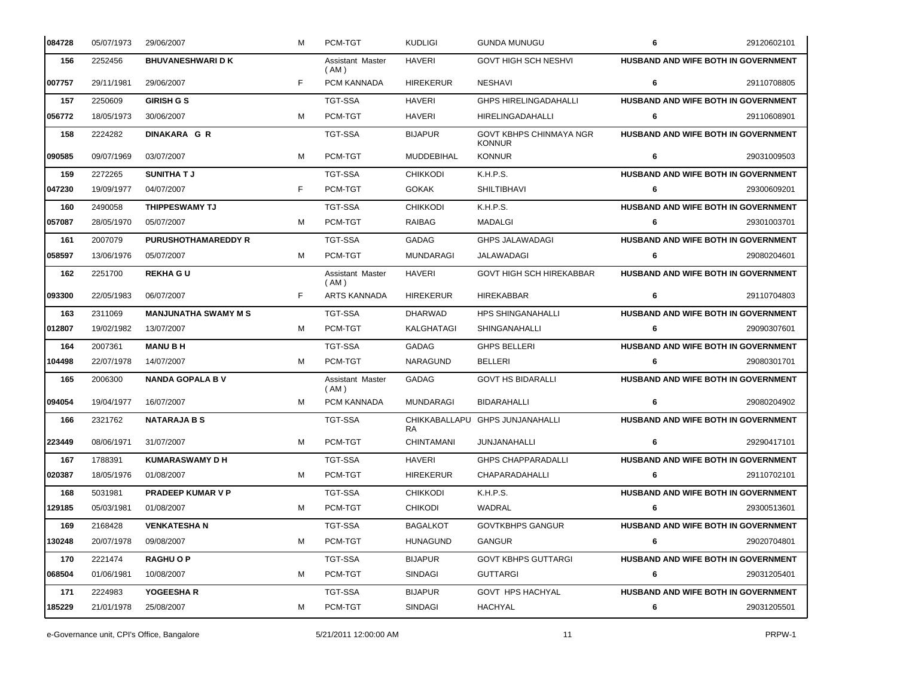| 084728 | 05/07/1973 | 29/06/2007                  | м | PCM-TGT                  | <b>KUDLIGI</b>    | <b>GUNDA MUNUGU</b>                             | 6 | 29120602101                                |
|--------|------------|-----------------------------|---|--------------------------|-------------------|-------------------------------------------------|---|--------------------------------------------|
| 156    | 2252456    | <b>BHUVANESHWARI D K</b>    |   | Assistant Master<br>(AM) | <b>HAVERI</b>     | <b>GOVT HIGH SCH NESHVI</b>                     |   | HUSBAND AND WIFE BOTH IN GOVERNMENT        |
| 007757 | 29/11/1981 | 29/06/2007                  | F | PCM KANNADA              | <b>HIREKERUR</b>  | <b>NESHAVI</b>                                  | 6 | 29110708805                                |
| 157    | 2250609    | <b>GIRISH G S</b>           |   | <b>TGT-SSA</b>           | <b>HAVERI</b>     | <b>GHPS HIRELINGADAHALLI</b>                    |   | HUSBAND AND WIFE BOTH IN GOVERNMENT        |
| 056772 | 18/05/1973 | 30/06/2007                  | м | PCM-TGT                  | <b>HAVERI</b>     | <b>HIRELINGADAHALLI</b>                         | 6 | 29110608901                                |
| 158    | 2224282    | <b>DINAKARA G R</b>         |   | <b>TGT-SSA</b>           | <b>BIJAPUR</b>    | <b>GOVT KBHPS CHINMAYA NGR</b><br><b>KONNUR</b> |   | HUSBAND AND WIFE BOTH IN GOVERNMENT        |
| 090585 | 09/07/1969 | 03/07/2007                  | м | PCM-TGT                  | <b>MUDDEBIHAL</b> | <b>KONNUR</b>                                   | 6 | 29031009503                                |
| 159    | 2272265    | <b>SUNITHAT J</b>           |   | <b>TGT-SSA</b>           | <b>CHIKKODI</b>   | K.H.P.S.                                        |   | HUSBAND AND WIFE BOTH IN GOVERNMENT        |
| 047230 | 19/09/1977 | 04/07/2007                  | F | PCM-TGT                  | <b>GOKAK</b>      | <b>SHILTIBHAVI</b>                              | 6 | 29300609201                                |
| 160    | 2490058    | THIPPESWAMY TJ              |   | <b>TGT-SSA</b>           | <b>CHIKKODI</b>   | K.H.P.S.                                        |   | HUSBAND AND WIFE BOTH IN GOVERNMENT        |
| 057087 | 28/05/1970 | 05/07/2007                  | м | PCM-TGT                  | RAIBAG            | MADALGI                                         | 6 | 29301003701                                |
| 161    | 2007079    | <b>PURUSHOTHAMAREDDY R</b>  |   | <b>TGT-SSA</b>           | GADAG             | <b>GHPS JALAWADAGI</b>                          |   | <b>HUSBAND AND WIFE BOTH IN GOVERNMENT</b> |
| 058597 | 13/06/1976 | 05/07/2007                  | M | PCM-TGT                  | <b>MUNDARAGI</b>  | JALAWADAGI                                      | 6 | 29080204601                                |
| 162    | 2251700    | <b>REKHA GU</b>             |   | Assistant Master<br>(AM) | <b>HAVERI</b>     | <b>GOVT HIGH SCH HIREKABBAR</b>                 |   | HUSBAND AND WIFE BOTH IN GOVERNMENT        |
| 093300 | 22/05/1983 | 06/07/2007                  | F | <b>ARTS KANNADA</b>      | <b>HIREKERUR</b>  | <b>HIREKABBAR</b>                               | 6 | 29110704803                                |
| 163    | 2311069    | <b>MANJUNATHA SWAMY M S</b> |   | <b>TGT-SSA</b>           | <b>DHARWAD</b>    | <b>HPS SHINGANAHALLI</b>                        |   | <b>HUSBAND AND WIFE BOTH IN GOVERNMENT</b> |
| 012807 | 19/02/1982 | 13/07/2007                  | м | PCM-TGT                  | KALGHATAGI        | SHINGANAHALLI                                   | 6 | 29090307601                                |
| 164    | 2007361    | <b>MANUBH</b>               |   | <b>TGT-SSA</b>           | GADAG             | <b>GHPS BELLERI</b>                             |   | HUSBAND AND WIFE BOTH IN GOVERNMENT        |
| 104498 | 22/07/1978 | 14/07/2007                  | м | PCM-TGT                  | <b>NARAGUND</b>   | <b>BELLERI</b>                                  | 6 | 29080301701                                |
| 165    | 2006300    | <b>NANDA GOPALA B V</b>     |   | Assistant Master<br>(AM) | <b>GADAG</b>      | <b>GOVT HS BIDARALLI</b>                        |   | HUSBAND AND WIFE BOTH IN GOVERNMENT        |
| 094054 | 19/04/1977 | 16/07/2007                  | м | PCM KANNADA              | <b>MUNDARAGI</b>  | BIDARAHALLI                                     | 6 | 29080204902                                |
| 166    | 2321762    | <b>NATARAJA B S</b>         |   | <b>TGT-SSA</b>           | RA                | CHIKKABALLAPU GHPS JUNJANAHALLI                 |   | HUSBAND AND WIFE BOTH IN GOVERNMENT        |
| 223449 | 08/06/1971 | 31/07/2007                  | м | PCM-TGT                  | <b>CHINTAMANI</b> | JUNJANAHALLI                                    | 6 | 29290417101                                |
| 167    | 1788391    | <b>KUMARASWAMY D H</b>      |   | <b>TGT-SSA</b>           | <b>HAVERI</b>     | <b>GHPS CHAPPARADALLI</b>                       |   | HUSBAND AND WIFE BOTH IN GOVERNMENT        |
| 020387 | 18/05/1976 | 01/08/2007                  | м | PCM-TGT                  | <b>HIREKERUR</b>  | CHAPARADAHALLI                                  | 6 | 29110702101                                |
| 168    | 5031981    | <b>PRADEEP KUMAR V P</b>    |   | TGT-SSA                  | <b>CHIKKODI</b>   | K.H.P.S.                                        |   | <b>HUSBAND AND WIFE BOTH IN GOVERNMENT</b> |
| 129185 | 05/03/1981 | 01/08/2007                  | м | PCM-TGT                  | <b>CHIKODI</b>    | WADRAL                                          | 6 | 29300513601                                |
| 169    | 2168428    | <b>VENKATESHAN</b>          |   | TGT-SSA                  | <b>BAGALKOT</b>   | <b>GOVTKBHPS GANGUR</b>                         |   | HUSBAND AND WIFE BOTH IN GOVERNMENT        |
| 130248 | 20/07/1978 | 09/08/2007                  | м | PCM-TGT                  | <b>HUNAGUND</b>   | GANGUR                                          | 6 | 29020704801                                |
| 170    | 2221474    | <b>RAGHU O P</b>            |   | <b>TGT-SSA</b>           | <b>BIJAPUR</b>    | <b>GOVT KBHPS GUTTARGI</b>                      |   | HUSBAND AND WIFE BOTH IN GOVERNMENT        |
| 068504 | 01/06/1981 | 10/08/2007                  | м | PCM-TGT                  | <b>SINDAGI</b>    | <b>GUTTARGI</b>                                 | 6 | 29031205401                                |
| 171    | 2224983    | YOGEESHA R                  |   | TGT-SSA                  | <b>BIJAPUR</b>    | GOVT HPS HACHYAL                                |   | HUSBAND AND WIFE BOTH IN GOVERNMENT        |
| 185229 | 21/01/1978 | 25/08/2007                  | М | PCM-TGT                  | <b>SINDAGI</b>    | <b>HACHYAL</b>                                  | 6 | 29031205501                                |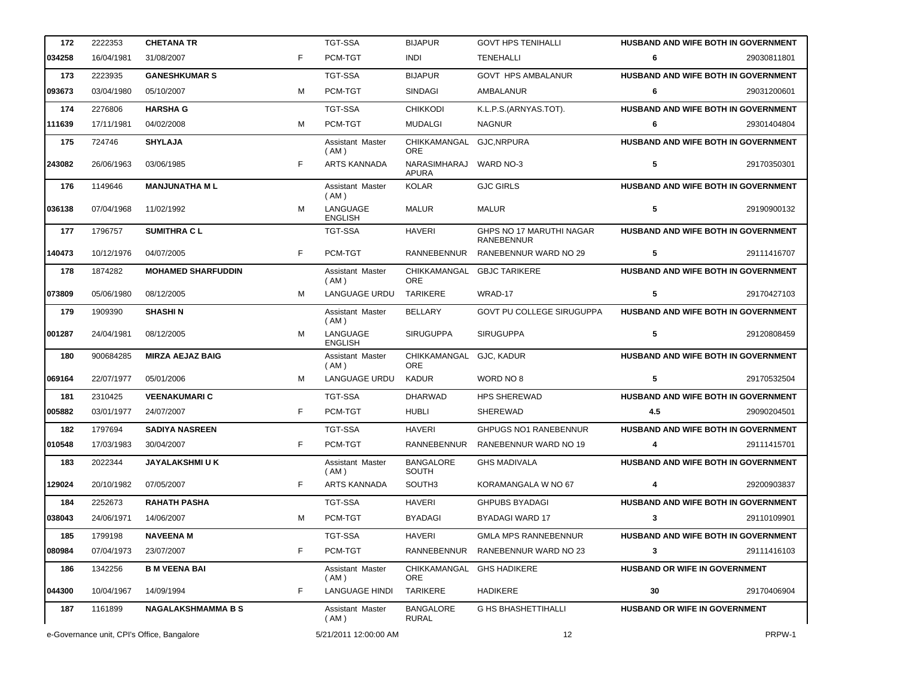| 172    | 2222353                                    | <b>CHETANA TR</b>         |    | <b>TGT-SSA</b>             | <b>BIJAPUR</b>                         | <b>GOVT HPS TENIHALLI</b>                     |                               | HUSBAND AND WIFE BOTH IN GOVERNMENT        |
|--------|--------------------------------------------|---------------------------|----|----------------------------|----------------------------------------|-----------------------------------------------|-------------------------------|--------------------------------------------|
| 034258 | 16/04/1981                                 | 31/08/2007                | F. | PCM-TGT                    | <b>INDI</b>                            | <b>TENEHALLI</b>                              | 6                             | 29030811801                                |
| 173    | 2223935                                    | <b>GANESHKUMAR S</b>      |    | <b>TGT-SSA</b>             | <b>BIJAPUR</b>                         | <b>GOVT HPS AMBALANUR</b>                     |                               | HUSBAND AND WIFE BOTH IN GOVERNMENT        |
| 093673 | 03/04/1980                                 | 05/10/2007                | м  | PCM-TGT                    | <b>SINDAGI</b>                         | AMBALANUR                                     | 6                             | 29031200601                                |
| 174    | 2276806                                    | <b>HARSHA G</b>           |    | <b>TGT-SSA</b>             | <b>CHIKKODI</b>                        | K.L.P.S.(ARNYAS.TOT).                         |                               | HUSBAND AND WIFE BOTH IN GOVERNMENT        |
| 111639 | 17/11/1981                                 | 04/02/2008                | м  | PCM-TGT                    | <b>MUDALGI</b>                         | <b>NAGNUR</b>                                 | 6                             | 29301404804                                |
| 175    | 724746                                     | <b>SHYLAJA</b>            |    | Assistant Master<br>(AM)   | CHIKKAMANGAL GJC, NRPURA<br><b>ORE</b> |                                               |                               | HUSBAND AND WIFE BOTH IN GOVERNMENT        |
| 243082 | 26/06/1963                                 | 03/06/1985                | F  | <b>ARTS KANNADA</b>        | NARASIMHARAJ WARD NO-3<br><b>APURA</b> |                                               | 5                             | 29170350301                                |
| 176    | 1149646                                    | <b>MANJUNATHA ML</b>      |    | Assistant Master<br>(AM)   | <b>KOLAR</b>                           | <b>GJC GIRLS</b>                              |                               | HUSBAND AND WIFE BOTH IN GOVERNMENT        |
| 036138 | 07/04/1968                                 | 11/02/1992                | M  | LANGUAGE<br><b>ENGLISH</b> | <b>MALUR</b>                           | <b>MALUR</b>                                  | 5                             | 29190900132                                |
| 177    | 1796757                                    | <b>SUMITHRACL</b>         |    | <b>TGT-SSA</b>             | <b>HAVERI</b>                          | GHPS NO 17 MARUTHI NAGAR<br><b>RANEBENNUR</b> |                               | HUSBAND AND WIFE BOTH IN GOVERNMENT        |
| 140473 | 10/12/1976                                 | 04/07/2005                | F  | PCM-TGT                    | RANNEBENNUR                            | RANEBENNUR WARD NO 29                         | 5                             | 29111416707                                |
| 178    | 1874282                                    | <b>MOHAMED SHARFUDDIN</b> |    | Assistant Master<br>(AM)   | CHIKKAMANGAL<br>ORE                    | <b>GBJC TARIKERE</b>                          |                               | HUSBAND AND WIFE BOTH IN GOVERNMENT        |
| 073809 | 05/06/1980                                 | 08/12/2005                | м  | <b>LANGUAGE URDU</b>       | <b>TARIKERE</b>                        | WRAD-17                                       | 5                             | 29170427103                                |
| 179    | 1909390                                    | <b>SHASHIN</b>            |    | Assistant Master<br>(AM)   | <b>BELLARY</b>                         | GOVT PU COLLEGE SIRUGUPPA                     |                               | HUSBAND AND WIFE BOTH IN GOVERNMENT        |
| 001287 | 24/04/1981                                 | 08/12/2005                | M  | LANGUAGE<br><b>ENGLISH</b> | <b>SIRUGUPPA</b>                       | <b>SIRUGUPPA</b>                              | 5                             | 29120808459                                |
| 180    | 900684285                                  | <b>MIRZA AEJAZ BAIG</b>   |    | Assistant Master<br>(AM)   | CHIKKAMANGAL<br><b>ORE</b>             | GJC, KADUR                                    |                               | HUSBAND AND WIFE BOTH IN GOVERNMENT        |
| 069164 | 22/07/1977                                 | 05/01/2006                | м  | <b>LANGUAGE URDU</b>       | <b>KADUR</b>                           | WORD NO 8                                     | 5                             | 29170532504                                |
| 181    | 2310425                                    | <b>VEENAKUMARIC</b>       |    | <b>TGT-SSA</b>             | <b>DHARWAD</b>                         | <b>HPS SHEREWAD</b>                           |                               | HUSBAND AND WIFE BOTH IN GOVERNMENT        |
| 005882 | 03/01/1977                                 | 24/07/2007                | F  | PCM-TGT                    | <b>HUBLI</b>                           | <b>SHEREWAD</b>                               | 4.5                           | 29090204501                                |
| 182    | 1797694                                    | <b>SADIYA NASREEN</b>     |    | <b>TGT-SSA</b>             | <b>HAVERI</b>                          | <b>GHPUGS NO1 RANEBENNUR</b>                  |                               | HUSBAND AND WIFE BOTH IN GOVERNMENT        |
| 010548 | 17/03/1983                                 | 30/04/2007                | F  | PCM-TGT                    | RANNEBENNUR                            | RANEBENNUR WARD NO 19                         | 4                             | 29111415701                                |
| 183    | 2022344                                    | <b>JAYALAKSHMI U K</b>    |    | Assistant Master<br>(AM)   | <b>BANGALORE</b><br>SOUTH              | <b>GHS MADIVALA</b>                           |                               | HUSBAND AND WIFE BOTH IN GOVERNMENT        |
| 129024 | 20/10/1982                                 | 07/05/2007                | F  | ARTS KANNADA               | SOUTH3                                 | KORAMANGALA W NO 67                           | 4                             | 29200903837                                |
| 184    | 2252673                                    | <b>RAHATH PASHA</b>       |    | <b>TGT-SSA</b>             | HAVERI                                 | <b>GHPUBS BYADAGI</b>                         |                               | <b>HUSBAND AND WIFE BOTH IN GOVERNMENT</b> |
| 038043 | 24/06/1971                                 | 14/06/2007                | м  | PCM-TGT                    | <b>BYADAGI</b>                         | BYADAGI WARD 17                               | 3                             | 29110109901                                |
| 185    | 1799198                                    | <b>NAVEENA M</b>          |    | TGT-SSA                    | <b>HAVERI</b>                          | <b>GMLA MPS RANNEBENNUR</b>                   |                               | <b>HUSBAND AND WIFE BOTH IN GOVERNMENT</b> |
| 080984 | 07/04/1973                                 | 23/07/2007                | F  | PCM-TGT                    | RANNEBENNUR                            | RANEBENNUR WARD NO 23                         | 3                             | 29111416103                                |
| 186    | 1342256                                    | <b>B M VEENA BAI</b>      |    | Assistant Master<br>(AM)   | ORE                                    | CHIKKAMANGAL GHS HADIKERE                     | HUSBAND OR WIFE IN GOVERNMENT |                                            |
| 044300 | 10/04/1967                                 | 14/09/1994                | F  | <b>LANGUAGE HINDI</b>      | <b>TARIKERE</b>                        | <b>HADIKERE</b>                               | 30                            | 29170406904                                |
| 187    | 1161899                                    | <b>NAGALAKSHMAMMA B S</b> |    | Assistant Master<br>(AM)   | <b>BANGALORE</b><br>RURAL              | <b>G HS BHASHETTIHALLI</b>                    | HUSBAND OR WIFE IN GOVERNMENT |                                            |
|        | e-Governance unit, CPI's Office, Bangalore |                           |    | 5/21/2011 12:00:00 AM      |                                        | 12                                            |                               | PRPW-1                                     |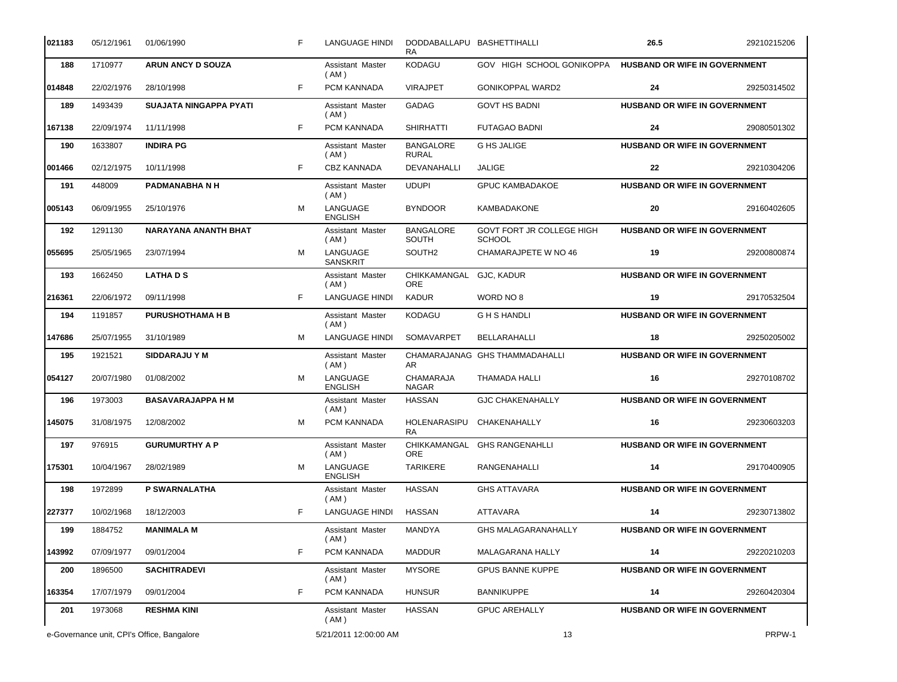| 021183                                                              | 05/12/1961 | 01/06/1990                    | F. | LANGUAGE HINDI              | DODDABALLAPU BASHETTIHALLI<br>RA. |                                            | 26.5                                 | 29210215206 |
|---------------------------------------------------------------------|------------|-------------------------------|----|-----------------------------|-----------------------------------|--------------------------------------------|--------------------------------------|-------------|
| 188                                                                 | 1710977    | <b>ARUN ANCY D SOUZA</b>      |    | Assistant Master<br>(AM)    | KODAGU                            | GOV HIGH SCHOOL GONIKOPPA                  | HUSBAND OR WIFE IN GOVERNMENT        |             |
| 014848                                                              | 22/02/1976 | 28/10/1998                    | F. | PCM KANNADA                 | <b>VIRAJPET</b>                   | <b>GONIKOPPAL WARD2</b>                    | 24                                   | 29250314502 |
| 189                                                                 | 1493439    | <b>SUAJATA NINGAPPA PYATI</b> |    | Assistant Master<br>(AM)    | <b>GADAG</b>                      | <b>GOVT HS BADNI</b>                       | HUSBAND OR WIFE IN GOVERNMENT        |             |
| 167138                                                              | 22/09/1974 | 11/11/1998                    | F. | PCM KANNADA                 | <b>SHIRHATTI</b>                  | <b>FUTAGAO BADNI</b>                       | 24                                   | 29080501302 |
| 190                                                                 | 1633807    | <b>INDIRA PG</b>              |    | Assistant Master<br>( AM )  | <b>BANGALORE</b><br><b>RURAL</b>  | <b>G HS JALIGE</b>                         | <b>HUSBAND OR WIFE IN GOVERNMENT</b> |             |
| 001466                                                              | 02/12/1975 | 10/11/1998                    | F. | CBZ KANNADA                 | <b>DEVANAHALLI</b>                | <b>JALIGE</b>                              | 22                                   | 29210304206 |
| 191                                                                 | 448009     | PADMANABHANH                  |    | Assistant Master<br>(AM)    | <b>UDUPI</b>                      | <b>GPUC KAMBADAKOE</b>                     | HUSBAND OR WIFE IN GOVERNMENT        |             |
| 005143                                                              | 06/09/1955 | 25/10/1976                    | M  | LANGUAGE<br><b>ENGLISH</b>  | <b>BYNDOOR</b>                    | <b>KAMBADAKONE</b>                         | 20                                   | 29160402605 |
| 192                                                                 | 1291130    | NARAYANA ANANTH BHAT          |    | Assistant Master<br>(AM)    | <b>BANGALORE</b><br>SOUTH         | GOVT FORT JR COLLEGE HIGH<br><b>SCHOOL</b> | HUSBAND OR WIFE IN GOVERNMENT        |             |
| 055695                                                              | 25/05/1965 | 23/07/1994                    | M  | LANGUAGE<br><b>SANSKRIT</b> | SOUTH <sub>2</sub>                | CHAMARAJPETE W NO 46                       | 19                                   | 29200800874 |
| 193                                                                 | 1662450    | <b>LATHADS</b>                |    | Assistant Master<br>(AM)    | CHIKKAMANGAL<br><b>ORE</b>        | GJC, KADUR                                 | HUSBAND OR WIFE IN GOVERNMENT        |             |
| 216361                                                              | 22/06/1972 | 09/11/1998                    | F. | <b>LANGUAGE HINDI</b>       | <b>KADUR</b>                      | WORD NO 8                                  | 19                                   | 29170532504 |
| 194                                                                 | 1191857    | <b>PURUSHOTHAMA H B</b>       |    | Assistant Master<br>(AM)    | <b>KODAGU</b>                     | <b>GHSHANDLI</b>                           | HUSBAND OR WIFE IN GOVERNMENT        |             |
| 147686                                                              | 25/07/1955 | 31/10/1989                    | M  | <b>LANGUAGE HINDI</b>       | SOMAVARPET                        | BELLARAHALLI                               | 18                                   | 29250205002 |
| 195                                                                 | 1921521    | <b>SIDDARAJU Y M</b>          |    | Assistant Master<br>(AM)    | AR.                               | CHAMARAJANAG GHS THAMMADAHALLI             | HUSBAND OR WIFE IN GOVERNMENT        |             |
| 054127                                                              | 20/07/1980 | 01/08/2002                    | м  | LANGUAGE<br><b>ENGLISH</b>  | CHAMARAJA<br><b>NAGAR</b>         | THAMADA HALLI                              | 16                                   | 29270108702 |
| 196                                                                 | 1973003    | <b>BASAVARAJAPPA H M</b>      |    | Assistant Master<br>(AM)    | <b>HASSAN</b>                     | <b>GJC CHAKENAHALLY</b>                    | HUSBAND OR WIFE IN GOVERNMENT        |             |
| 145075                                                              | 31/08/1975 | 12/08/2002                    | M  | PCM KANNADA                 | HOLENARASIPU<br>RA.               | CHAKENAHALLY                               | 16                                   | 29230603203 |
| 197                                                                 | 976915     | <b>GURUMURTHY A P</b>         |    | Assistant Master<br>(AM)    | ORE                               | CHIKKAMANGAL GHS RANGENAHLLI               | HUSBAND OR WIFE IN GOVERNMENT        |             |
| 175301                                                              | 10/04/1967 | 28/02/1989                    | M  | LANGUAGE<br><b>ENGLISH</b>  | <b>TARIKERE</b>                   | RANGENAHALLI                               | 14                                   | 29170400905 |
| 198                                                                 | 1972899    | P SWARNALATHA                 |    | Assistant Master<br>(AM)    | <b>HASSAN</b>                     | <b>GHS ATTAVARA</b>                        | <b>HUSBAND OR WIFE IN GOVERNMENT</b> |             |
| 227377                                                              | 10/02/1968 | 18/12/2003                    | F. | <b>LANGUAGE HINDI</b>       | <b>HASSAN</b>                     | ATTAVARA                                   | 14                                   | 29230713802 |
| 199                                                                 | 1884752    | <b>MANIMALA M</b>             |    | Assistant Master<br>(AM)    | MANDYA                            | <b>GHS MALAGARANAHALLY</b>                 | <b>HUSBAND OR WIFE IN GOVERNMENT</b> |             |
| 143992                                                              | 07/09/1977 | 09/01/2004                    | F  | PCM KANNADA                 | <b>MADDUR</b>                     | MALAGARANA HALLY                           | 14                                   | 29220210203 |
| 200                                                                 | 1896500    | <b>SACHITRADEVI</b>           |    | Assistant Master<br>( AM )  | <b>MYSORE</b>                     | <b>GPUS BANNE KUPPE</b>                    | <b>HUSBAND OR WIFE IN GOVERNMENT</b> |             |
| 163354                                                              | 17/07/1979 | 09/01/2004                    | F. | PCM KANNADA                 | <b>HUNSUR</b>                     | <b>BANNIKUPPE</b>                          | 14                                   | 29260420304 |
| 201                                                                 | 1973068    | <b>RESHMA KINI</b>            |    | Assistant Master<br>(AM)    | <b>HASSAN</b>                     | <b>GPUC AREHALLY</b>                       | HUSBAND OR WIFE IN GOVERNMENT        |             |
| e-Governance unit, CPI's Office, Bangalore<br>5/21/2011 12:00:00 AM |            | 13                            |    | PRPW-1                      |                                   |                                            |                                      |             |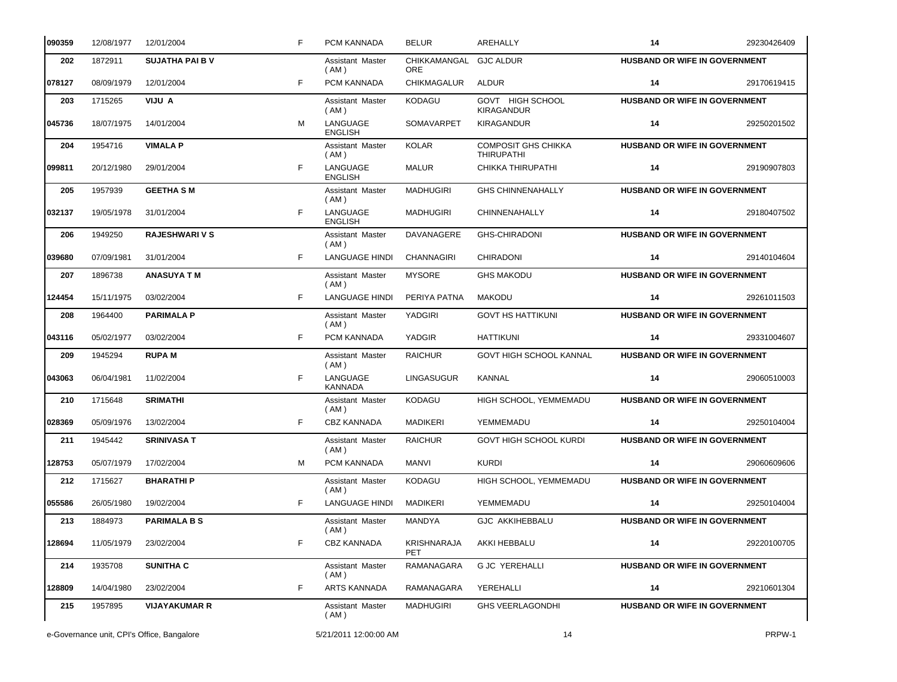| 090359 | 12/08/1977                                 | 12/01/2004             | F  | PCM KANNADA                | <b>BELUR</b>                         | AREHALLY                                        | 14                                   | 29230426409 |
|--------|--------------------------------------------|------------------------|----|----------------------------|--------------------------------------|-------------------------------------------------|--------------------------------------|-------------|
| 202    | 1872911                                    | <b>SUJATHA PAI B V</b> |    | Assistant Master<br>(AM)   | CHIKKAMANGAL GJC ALDUR<br><b>ORE</b> |                                                 | <b>HUSBAND OR WIFE IN GOVERNMENT</b> |             |
| 078127 | 08/09/1979                                 | 12/01/2004             | F. | PCM KANNADA                | <b>CHIKMAGALUR</b>                   | ALDUR                                           | 14                                   | 29170619415 |
| 203    | 1715265                                    | VIJU A                 |    | Assistant Master<br>(AM)   | <b>KODAGU</b>                        | GOVT HIGH SCHOOL<br><b>KIRAGANDUR</b>           | <b>HUSBAND OR WIFE IN GOVERNMENT</b> |             |
| 045736 | 18/07/1975                                 | 14/01/2004             | M  | LANGUAGE<br><b>ENGLISH</b> | SOMAVARPET                           | <b>KIRAGANDUR</b>                               | 14                                   | 29250201502 |
| 204    | 1954716                                    | <b>VIMALA P</b>        |    | Assistant Master<br>(AM)   | <b>KOLAR</b>                         | <b>COMPOSIT GHS CHIKKA</b><br><b>THIRUPATHI</b> | HUSBAND OR WIFE IN GOVERNMENT        |             |
| 099811 | 20/12/1980                                 | 29/01/2004             | F  | LANGUAGE<br><b>ENGLISH</b> | <b>MALUR</b>                         | CHIKKA THIRUPATHI                               | 14                                   | 29190907803 |
| 205    | 1957939                                    | <b>GEETHA SM</b>       |    | Assistant Master<br>( AM ) | <b>MADHUGIRI</b>                     | <b>GHS CHINNENAHALLY</b>                        | HUSBAND OR WIFE IN GOVERNMENT        |             |
| 032137 | 19/05/1978                                 | 31/01/2004             | F. | LANGUAGE<br><b>ENGLISH</b> | <b>MADHUGIRI</b>                     | CHINNENAHALLY                                   | 14                                   | 29180407502 |
| 206    | 1949250                                    | <b>RAJESHWARI V S</b>  |    | Assistant Master<br>( AM ) | DAVANAGERE                           | <b>GHS-CHIRADONI</b>                            | HUSBAND OR WIFE IN GOVERNMENT        |             |
| 039680 | 07/09/1981                                 | 31/01/2004             | F. | <b>LANGUAGE HINDI</b>      | <b>CHANNAGIRI</b>                    | <b>CHIRADONI</b>                                | 14                                   | 29140104604 |
| 207    | 1896738                                    | <b>ANASUYA T M</b>     |    | Assistant Master<br>( AM ) | <b>MYSORE</b>                        | <b>GHS MAKODU</b>                               | HUSBAND OR WIFE IN GOVERNMENT        |             |
| 124454 | 15/11/1975                                 | 03/02/2004             | F. | <b>LANGUAGE HINDI</b>      | PERIYA PATNA                         | <b>MAKODU</b>                                   | 14                                   | 29261011503 |
| 208    | 1964400                                    | <b>PARIMALA P</b>      |    | Assistant Master<br>(AM)   | YADGIRI                              | <b>GOVT HS HATTIKUNI</b>                        | <b>HUSBAND OR WIFE IN GOVERNMENT</b> |             |
| 043116 | 05/02/1977                                 | 03/02/2004             | F. | PCM KANNADA                | YADGIR                               | <b>HATTIKUNI</b>                                | 14                                   | 29331004607 |
| 209    | 1945294                                    | <b>RUPAM</b>           |    | Assistant Master<br>( AM ) | <b>RAICHUR</b>                       | <b>GOVT HIGH SCHOOL KANNAL</b>                  | <b>HUSBAND OR WIFE IN GOVERNMENT</b> |             |
| 043063 | 06/04/1981                                 | 11/02/2004             | F. | LANGUAGE<br><b>KANNADA</b> | LINGASUGUR                           | KANNAL                                          | 14                                   | 29060510003 |
| 210    | 1715648                                    | <b>SRIMATHI</b>        |    | Assistant Master<br>(AM)   | <b>KODAGU</b>                        | HIGH SCHOOL, YEMMEMADU                          | HUSBAND OR WIFE IN GOVERNMENT        |             |
| 028369 | 05/09/1976                                 | 13/02/2004             | F. | <b>CBZ KANNADA</b>         | <b>MADIKERI</b>                      | YEMMEMADU                                       | 14                                   | 29250104004 |
| 211    | 1945442                                    | <b>SRINIVASA T</b>     |    | Assistant Master<br>(AM)   | <b>RAICHUR</b>                       | <b>GOVT HIGH SCHOOL KURDI</b>                   | HUSBAND OR WIFE IN GOVERNMENT        |             |
| 128753 | 05/07/1979                                 | 17/02/2004             | м  | PCM KANNADA                | MANVI                                | <b>KURDI</b>                                    | 14                                   | 29060609606 |
| 212    | 1715627                                    | <b>BHARATHIP</b>       |    | Assistant Master<br>( AM ) | KODAGU                               | HIGH SCHOOL, YEMMEMADU                          | HUSBAND OR WIFE IN GOVERNMENT        |             |
| 055586 | 26/05/1980                                 | 19/02/2004             | F  | <b>LANGUAGE HINDI</b>      | MADIKERI                             | YEMMEMADU                                       | 14                                   | 29250104004 |
| 213    | 1884973                                    | <b>PARIMALA B S</b>    |    | Assistant Master<br>(AM)   | MANDYA                               | <b>GJC AKKIHEBBALU</b>                          | <b>HUSBAND OR WIFE IN GOVERNMENT</b> |             |
| 128694 | 11/05/1979                                 | 23/02/2004             | F  | CBZ KANNADA                | <b>KRISHNARAJA</b><br>PET            | AKKI HEBBALU                                    | 14                                   | 29220100705 |
| 214    | 1935708                                    | <b>SUNITHA C</b>       |    | Assistant Master<br>( AM ) | RAMANAGARA                           | <b>G JC YEREHALLI</b>                           | <b>HUSBAND OR WIFE IN GOVERNMENT</b> |             |
| 128809 | 14/04/1980                                 | 23/02/2004             | F  | ARTS KANNADA               | RAMANAGARA                           | YEREHALLI                                       | 14                                   | 29210601304 |
| 215    | 1957895                                    | <b>VIJAYAKUMAR R</b>   |    | Assistant Master<br>(AM)   | <b>MADHUGIRI</b>                     | <b>GHS VEERLAGONDHI</b>                         | <b>HUSBAND OR WIFE IN GOVERNMENT</b> |             |
|        | e-Governance unit, CPI's Office, Bangalore |                        |    | 5/21/2011 12:00:00 AM      |                                      | 14                                              |                                      | PRPW-1      |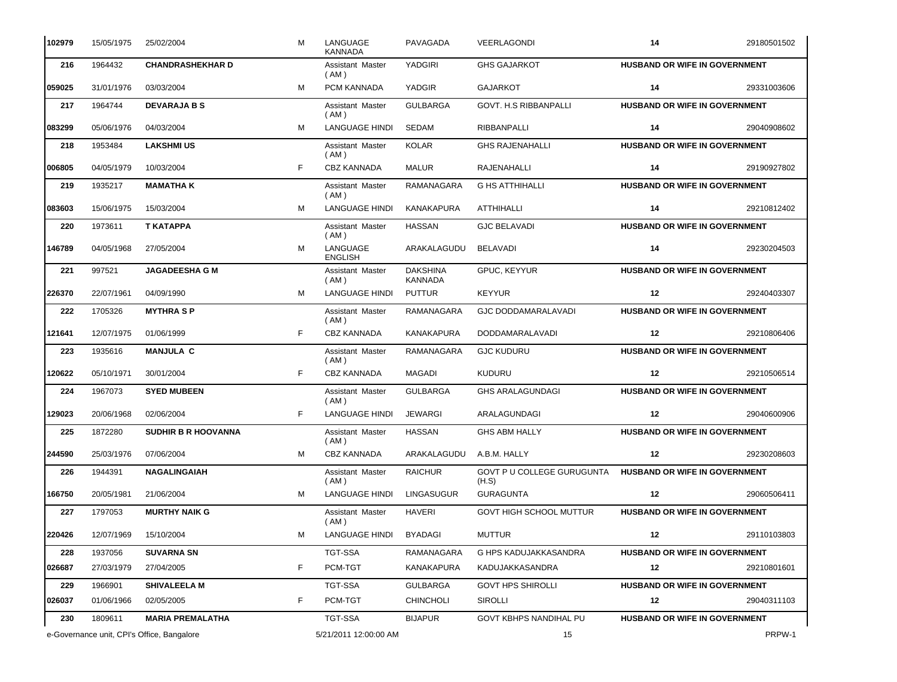| 102979 | 15/05/1975                                 | 25/02/2004                 | M  | LANGUAGE<br><b>KANNADA</b>      | PAVAGADA                   | VEERLAGONDI                                | 14                                   | 29180501502 |
|--------|--------------------------------------------|----------------------------|----|---------------------------------|----------------------------|--------------------------------------------|--------------------------------------|-------------|
| 216    | 1964432                                    | <b>CHANDRASHEKHAR D</b>    |    | Assistant Master<br>(AM)        | YADGIRI                    | <b>GHS GAJARKOT</b>                        | HUSBAND OR WIFE IN GOVERNMENT        |             |
| 059025 | 31/01/1976                                 | 03/03/2004                 | M  | PCM KANNADA                     | YADGIR                     | <b>GAJARKOT</b>                            | 14                                   | 29331003606 |
| 217    | 1964744                                    | <b>DEVARAJA B S</b>        |    | Assistant Master<br>(AM)        | <b>GULBARGA</b>            | <b>GOVT. H.S RIBBANPALLI</b>               | HUSBAND OR WIFE IN GOVERNMENT        |             |
| 083299 | 05/06/1976                                 | 04/03/2004                 | м  | <b>LANGUAGE HINDI</b>           | <b>SEDAM</b>               | <b>RIBBANPALLI</b>                         | 14                                   | 29040908602 |
| 218    | 1953484                                    | <b>LAKSHMI US</b>          |    | Assistant Master<br>(AM)        | <b>KOLAR</b>               | <b>GHS RAJENAHALLI</b>                     | HUSBAND OR WIFE IN GOVERNMENT        |             |
| 006805 | 04/05/1979                                 | 10/03/2004                 | F  | <b>CBZ KANNADA</b>              | <b>MALUR</b>               | <b>RAJENAHALLI</b>                         | 14                                   | 29190927802 |
| 219    | 1935217                                    | <b>MAMATHA K</b>           |    | Assistant Master<br>(AM)        | RAMANAGARA                 | <b>G HS ATTHIHALLI</b>                     | <b>HUSBAND OR WIFE IN GOVERNMENT</b> |             |
| 083603 | 15/06/1975                                 | 15/03/2004                 | M  | LANGUAGE HINDI                  | KANAKAPURA                 | ATTHIHALLI                                 | 14                                   | 29210812402 |
| 220    | 1973611                                    | T KATAPPA                  |    | Assistant Master<br>(AM)        | <b>HASSAN</b>              | <b>GJC BELAVADI</b>                        | HUSBAND OR WIFE IN GOVERNMENT        |             |
| 146789 | 04/05/1968                                 | 27/05/2004                 | M  | LANGUAGE<br><b>ENGLISH</b>      | ARAKALAGUDU                | <b>BELAVADI</b>                            | 14                                   | 29230204503 |
| 221    | 997521                                     | <b>JAGADEESHA G M</b>      |    | Assistant Master<br>( AM )      | <b>DAKSHINA</b><br>KANNADA | GPUC, KEYYUR                               | HUSBAND OR WIFE IN GOVERNMENT        |             |
| 226370 | 22/07/1961                                 | 04/09/1990                 | M  | <b>LANGUAGE HINDI</b>           | <b>PUTTUR</b>              | <b>KEYYUR</b>                              | 12                                   | 29240403307 |
| 222    | 1705326                                    | <b>MYTHRASP</b>            |    | Assistant Master<br>( AM )      | RAMANAGARA                 | <b>GJC DODDAMARALAVADI</b>                 | HUSBAND OR WIFE IN GOVERNMENT        |             |
| 121641 | 12/07/1975                                 | 01/06/1999                 | F. | <b>CBZ KANNADA</b>              | <b>KANAKAPURA</b>          | DODDAMARALAVADI                            | 12                                   | 29210806406 |
| 223    | 1935616                                    | <b>MANJULA C</b>           |    | Assistant Master<br>( AM )      | RAMANAGARA                 | <b>GJC KUDURU</b>                          | HUSBAND OR WIFE IN GOVERNMENT        |             |
| 120622 | 05/10/1971                                 | 30/01/2004                 | F. | <b>CBZ KANNADA</b>              | <b>MAGADI</b>              | <b>KUDURU</b>                              | 12                                   | 29210506514 |
| 224    | 1967073                                    | <b>SYED MUBEEN</b>         |    | Assistant Master<br>(AM)        | <b>GULBARGA</b>            | <b>GHS ARALAGUNDAGI</b>                    | HUSBAND OR WIFE IN GOVERNMENT        |             |
| 129023 | 20/06/1968                                 | 02/06/2004                 | F  | <b>LANGUAGE HINDI</b>           | <b>JEWARGI</b>             | ARALAGUNDAGI                               | 12                                   | 29040600906 |
| 225    | 1872280                                    | <b>SUDHIR B R HOOVANNA</b> |    | Assistant Master<br>(AM)        | <b>HASSAN</b>              | <b>GHS ABM HALLY</b>                       | HUSBAND OR WIFE IN GOVERNMENT        |             |
| 244590 | 25/03/1976                                 | 07/06/2004                 | M  | CBZ KANNADA                     | ARAKALAGUDU                | A.B.M. HALLY                               | 12                                   | 29230208603 |
| 226    | 1944391                                    | <b>NAGALINGAIAH</b>        |    | Assistant Master<br>(AM)        | <b>RAICHUR</b>             | <b>GOVT P U COLLEGE GURUGUNTA</b><br>(H.S) | <b>HUSBAND OR WIFE IN GOVERNMENT</b> |             |
| 166750 | 20/05/1981                                 | 21/06/2004                 | м  | LANGUAGE HINDI LINGASUGUR       |                            | <b>GURAGUNTA</b>                           | 12                                   | 29060506411 |
| 227    | 1797053                                    | <b>MURTHY NAIK G</b>       |    | <b>Assistant Master</b><br>(AM) | <b>HAVERI</b>              | GOVT HIGH SCHOOL MUTTUR                    | <b>HUSBAND OR WIFE IN GOVERNMENT</b> |             |
| 220426 | 12/07/1969                                 | 15/10/2004                 | м  | <b>LANGUAGE HINDI</b>           | <b>BYADAGI</b>             | <b>MUTTUR</b>                              | 12                                   | 29110103803 |
| 228    | 1937056                                    | <b>SUVARNA SN</b>          |    | TGT-SSA                         | RAMANAGARA                 | G HPS KADUJAKKASANDRA                      | HUSBAND OR WIFE IN GOVERNMENT        |             |
| 026687 | 27/03/1979                                 | 27/04/2005                 | F  | PCM-TGT                         | KANAKAPURA                 | KADUJAKKASANDRA                            | 12                                   | 29210801601 |
| 229    | 1966901                                    | <b>SHIVALEELA M</b>        |    | TGT-SSA                         | <b>GULBARGA</b>            | <b>GOVT HPS SHIROLLI</b>                   | HUSBAND OR WIFE IN GOVERNMENT        |             |
| 026037 | 01/06/1966                                 | 02/05/2005                 | F  | PCM-TGT                         | <b>CHINCHOLI</b>           | SIROLLI                                    | 12                                   | 29040311103 |
| 230    | 1809611                                    | <b>MARIA PREMALATHA</b>    |    | <b>TGT-SSA</b>                  | <b>BIJAPUR</b>             | <b>GOVT KBHPS NANDIHAL PU</b>              | <b>HUSBAND OR WIFE IN GOVERNMENT</b> |             |
|        | e-Governance unit, CPI's Office, Bangalore |                            |    | 5/21/2011 12:00:00 AM           |                            | 15                                         |                                      | PRPW-1      |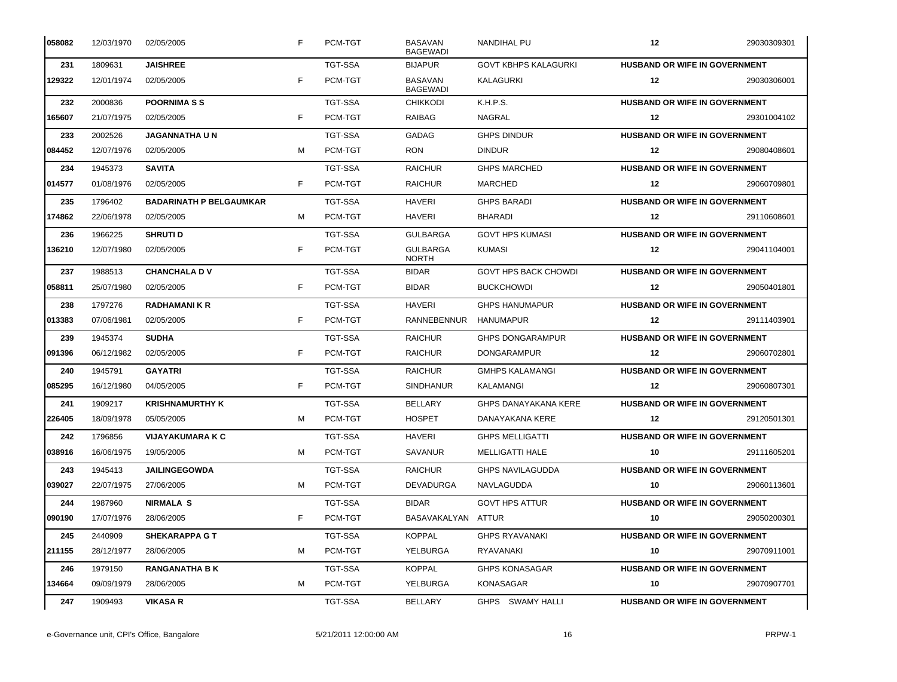| 058082 | 12/03/1970 | 02/05/2005                     | F | PCM-TGT        | <b>BASAVAN</b><br><b>BAGEWADI</b> | <b>NANDIHAL PU</b>          | 12                                   | 29030309301 |
|--------|------------|--------------------------------|---|----------------|-----------------------------------|-----------------------------|--------------------------------------|-------------|
| 231    | 1809631    | <b>JAISHREE</b>                |   | <b>TGT-SSA</b> | <b>BIJAPUR</b>                    | <b>GOVT KBHPS KALAGURKI</b> | HUSBAND OR WIFE IN GOVERNMENT        |             |
| 129322 | 12/01/1974 | 02/05/2005                     | F | PCM-TGT        | <b>BASAVAN</b><br><b>BAGEWADI</b> | KALAGURKI                   | $12 \,$                              | 29030306001 |
| 232    | 2000836    | <b>POORNIMASS</b>              |   | <b>TGT-SSA</b> | <b>CHIKKODI</b>                   | K.H.P.S.                    | <b>HUSBAND OR WIFE IN GOVERNMENT</b> |             |
| 165607 | 21/07/1975 | 02/05/2005                     | F | PCM-TGT        | RAIBAG                            | NAGRAL                      | 12                                   | 29301004102 |
| 233    | 2002526    | <b>JAGANNATHA U N</b>          |   | <b>TGT-SSA</b> | GADAG                             | <b>GHPS DINDUR</b>          | <b>HUSBAND OR WIFE IN GOVERNMENT</b> |             |
| 084452 | 12/07/1976 | 02/05/2005                     | м | PCM-TGT        | <b>RON</b>                        | <b>DINDUR</b>               | 12                                   | 29080408601 |
| 234    | 1945373    | <b>SAVITA</b>                  |   | <b>TGT-SSA</b> | <b>RAICHUR</b>                    | <b>GHPS MARCHED</b>         | <b>HUSBAND OR WIFE IN GOVERNMENT</b> |             |
| 014577 | 01/08/1976 | 02/05/2005                     | F | PCM-TGT        | <b>RAICHUR</b>                    | <b>MARCHED</b>              | 12                                   | 29060709801 |
| 235    | 1796402    | <b>BADARINATH P BELGAUMKAR</b> |   | <b>TGT-SSA</b> | <b>HAVERI</b>                     | <b>GHPS BARADI</b>          | <b>HUSBAND OR WIFE IN GOVERNMENT</b> |             |
| 174862 | 22/06/1978 | 02/05/2005                     | м | PCM-TGT        | <b>HAVERI</b>                     | <b>BHARADI</b>              | 12                                   | 29110608601 |
| 236    | 1966225    | <b>SHRUTI D</b>                |   | <b>TGT-SSA</b> | <b>GULBARGA</b>                   | <b>GOVT HPS KUMASI</b>      | <b>HUSBAND OR WIFE IN GOVERNMENT</b> |             |
| 136210 | 12/07/1980 | 02/05/2005                     | F | PCM-TGT        | <b>GULBARGA</b><br><b>NORTH</b>   | <b>KUMASI</b>               | 12                                   | 29041104001 |
| 237    | 1988513    | <b>CHANCHALA DV</b>            |   | <b>TGT-SSA</b> | <b>BIDAR</b>                      | <b>GOVT HPS BACK CHOWDI</b> | <b>HUSBAND OR WIFE IN GOVERNMENT</b> |             |
| 058811 | 25/07/1980 | 02/05/2005                     | F | PCM-TGT        | <b>BIDAR</b>                      | <b>BUCKCHOWDI</b>           | 12                                   | 29050401801 |
| 238    | 1797276    | <b>RADHAMANIKR</b>             |   | <b>TGT-SSA</b> | <b>HAVERI</b>                     | <b>GHPS HANUMAPUR</b>       | HUSBAND OR WIFE IN GOVERNMENT        |             |
| 013383 | 07/06/1981 | 02/05/2005                     | F | PCM-TGT        | RANNEBENNUR                       | HANUMAPUR                   | 12                                   | 29111403901 |
| 239    | 1945374    | <b>SUDHA</b>                   |   | <b>TGT-SSA</b> | <b>RAICHUR</b>                    | <b>GHPS DONGARAMPUR</b>     | <b>HUSBAND OR WIFE IN GOVERNMENT</b> |             |
| 091396 | 06/12/1982 | 02/05/2005                     | F | PCM-TGT        | <b>RAICHUR</b>                    | <b>DONGARAMPUR</b>          | 12                                   | 29060702801 |
| 240    | 1945791    | <b>GAYATRI</b>                 |   | <b>TGT-SSA</b> | <b>RAICHUR</b>                    | <b>GMHPS KALAMANGI</b>      | <b>HUSBAND OR WIFE IN GOVERNMENT</b> |             |
| 085295 | 16/12/1980 | 04/05/2005                     | F | PCM-TGT        | <b>SINDHANUR</b>                  | KALAMANGI                   | 12                                   | 29060807301 |
| 241    | 1909217    | <b>KRISHNAMURTHY K</b>         |   | <b>TGT-SSA</b> | <b>BELLARY</b>                    | <b>GHPS DANAYAKANA KERE</b> | <b>HUSBAND OR WIFE IN GOVERNMENT</b> |             |
| 226405 | 18/09/1978 | 05/05/2005                     | м | PCM-TGT        | <b>HOSPET</b>                     | DANAYAKANA KERE             | 12                                   | 29120501301 |
| 242    | 1796856    | <b>VIJAYAKUMARA K C</b>        |   | <b>TGT-SSA</b> | <b>HAVERI</b>                     | <b>GHPS MELLIGATTI</b>      | HUSBAND OR WIFE IN GOVERNMENT        |             |
| 038916 | 16/06/1975 | 19/05/2005                     | м | PCM-TGT        | <b>SAVANUR</b>                    | <b>MELLIGATTI HALE</b>      | 10                                   | 29111605201 |
| 243    | 1945413    | <b>JAILINGEGOWDA</b>           |   | <b>TGT-SSA</b> | <b>RAICHUR</b>                    | <b>GHPS NAVILAGUDDA</b>     | <b>HUSBAND OR WIFE IN GOVERNMENT</b> |             |
| 039027 | 22/07/1975 | 27/06/2005                     | M | PCM-TGT        | DEVADURGA                         | NAVLAGUDDA                  | 10                                   | 29060113601 |
| 244    | 1987960    | <b>NIRMALA S</b>               |   | TGT-SSA        | <b>BIDAR</b>                      | <b>GOVT HPS ATTUR</b>       | <b>HUSBAND OR WIFE IN GOVERNMENT</b> |             |
| 090190 | 17/07/1976 | 28/06/2005                     | F | PCM-TGT        | BASAVAKALYAN ATTUR                |                             | 10                                   | 29050200301 |
| 245    | 2440909    | <b>SHEKARAPPA G T</b>          |   | TGT-SSA        | <b>KOPPAL</b>                     | <b>GHPS RYAVANAKI</b>       | <b>HUSBAND OR WIFE IN GOVERNMENT</b> |             |
| 211155 | 28/12/1977 | 28/06/2005                     | м | PCM-TGT        | YELBURGA                          | RYAVANAKI                   | 10                                   | 29070911001 |
| 246    | 1979150    | <b>RANGANATHA B K</b>          |   | TGT-SSA        | <b>KOPPAL</b>                     | <b>GHPS KONASAGAR</b>       | <b>HUSBAND OR WIFE IN GOVERNMENT</b> |             |
| 134664 | 09/09/1979 | 28/06/2005                     | м | PCM-TGT        | YELBURGA                          | KONASAGAR                   | 10                                   | 29070907701 |
| 247    | 1909493    | <b>VIKASA R</b>                |   | TGT-SSA        | BELLARY                           | GHPS SWAMY HALLI            | <b>HUSBAND OR WIFE IN GOVERNMENT</b> |             |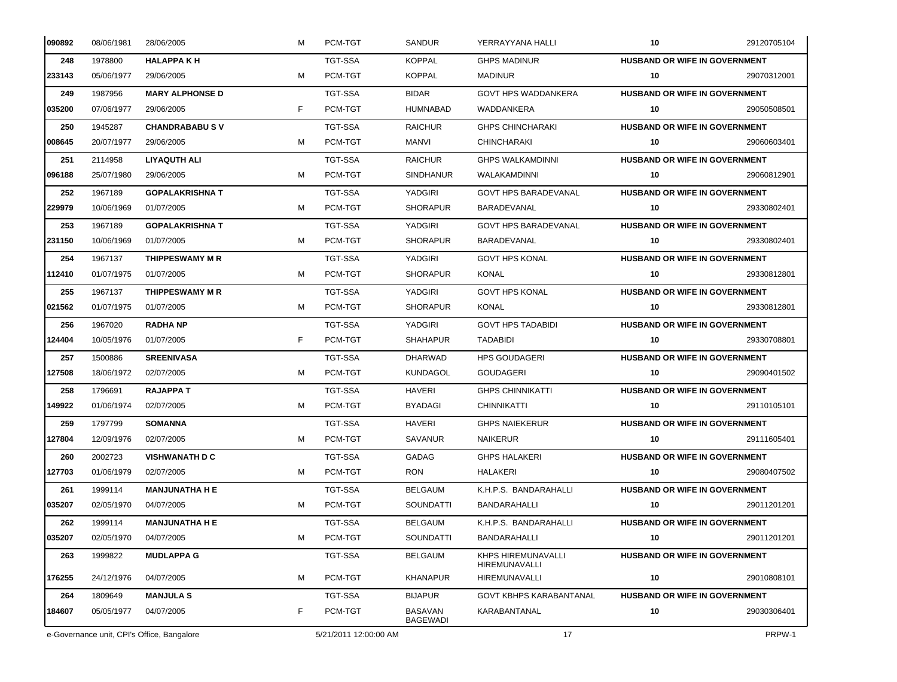| 090892 | 08/06/1981                                 | 28/06/2005             | м  | PCM-TGT               | <b>SANDUR</b>                     | YERRAYYANA HALLI                    | 10                                   | 29120705104 |
|--------|--------------------------------------------|------------------------|----|-----------------------|-----------------------------------|-------------------------------------|--------------------------------------|-------------|
| 248    | 1978800                                    | <b>HALAPPAKH</b>       |    | TGT-SSA               | <b>KOPPAL</b>                     | <b>GHPS MADINUR</b>                 | <b>HUSBAND OR WIFE IN GOVERNMENT</b> |             |
| 233143 | 05/06/1977                                 | 29/06/2005             | м  | PCM-TGT               | <b>KOPPAL</b>                     | <b>MADINUR</b>                      | 10                                   | 29070312001 |
| 249    | 1987956                                    | <b>MARY ALPHONSE D</b> |    | TGT-SSA               | <b>BIDAR</b>                      | <b>GOVT HPS WADDANKERA</b>          | <b>HUSBAND OR WIFE IN GOVERNMENT</b> |             |
| 035200 | 07/06/1977                                 | 29/06/2005             | F. | PCM-TGT               | <b>HUMNABAD</b>                   | WADDANKERA                          | 10                                   | 29050508501 |
| 250    | 1945287                                    | <b>CHANDRABABUS V</b>  |    | TGT-SSA               | <b>RAICHUR</b>                    | <b>GHPS CHINCHARAKI</b>             | <b>HUSBAND OR WIFE IN GOVERNMENT</b> |             |
| 008645 | 20/07/1977                                 | 29/06/2005             | м  | PCM-TGT               | MANVI                             | <b>CHINCHARAKI</b>                  | 10                                   | 29060603401 |
| 251    | 2114958                                    | LIYAQUTH ALI           |    | <b>TGT-SSA</b>        | <b>RAICHUR</b>                    | <b>GHPS WALKAMDINNI</b>             | <b>HUSBAND OR WIFE IN GOVERNMENT</b> |             |
| 096188 | 25/07/1980                                 | 29/06/2005             | м  | PCM-TGT               | <b>SINDHANUR</b>                  | <b>WALAKAMDINNI</b>                 | 10                                   | 29060812901 |
| 252    | 1967189                                    | <b>GOPALAKRISHNA T</b> |    | TGT-SSA               | YADGIRI                           | <b>GOVT HPS BARADEVANAL</b>         | <b>HUSBAND OR WIFE IN GOVERNMENT</b> |             |
| 229979 | 10/06/1969                                 | 01/07/2005             | м  | PCM-TGT               | <b>SHORAPUR</b>                   | BARADEVANAL                         | 10                                   | 29330802401 |
| 253    | 1967189                                    | <b>GOPALAKRISHNA T</b> |    | <b>TGT-SSA</b>        | YADGIRI                           | <b>GOVT HPS BARADEVANAL</b>         | <b>HUSBAND OR WIFE IN GOVERNMENT</b> |             |
| 231150 | 10/06/1969                                 | 01/07/2005             | м  | PCM-TGT               | <b>SHORAPUR</b>                   | BARADEVANAL                         | 10                                   | 29330802401 |
| 254    | 1967137                                    | THIPPESWAMY M R        |    | <b>TGT-SSA</b>        | YADGIRI                           | <b>GOVT HPS KONAL</b>               | <b>HUSBAND OR WIFE IN GOVERNMENT</b> |             |
| 112410 | 01/07/1975                                 | 01/07/2005             | м  | PCM-TGT               | <b>SHORAPUR</b>                   | <b>KONAL</b>                        | 10                                   | 29330812801 |
| 255    | 1967137                                    | THIPPESWAMY M R        |    | <b>TGT-SSA</b>        | YADGIRI                           | <b>GOVT HPS KONAL</b>               | <b>HUSBAND OR WIFE IN GOVERNMENT</b> |             |
| 021562 | 01/07/1975                                 | 01/07/2005             | м  | PCM-TGT               | <b>SHORAPUR</b>                   | KONAL                               | 10                                   | 29330812801 |
| 256    | 1967020                                    | <b>RADHA NP</b>        |    | TGT-SSA               | YADGIRI                           | <b>GOVT HPS TADABIDI</b>            | <b>HUSBAND OR WIFE IN GOVERNMENT</b> |             |
| 124404 | 10/05/1976                                 | 01/07/2005             | F  | PCM-TGT               | <b>SHAHAPUR</b>                   | TADABIDI                            | 10                                   | 29330708801 |
| 257    | 1500886                                    | <b>SREENIVASA</b>      |    | <b>TGT-SSA</b>        | <b>DHARWAD</b>                    | HPS GOUDAGERI                       | <b>HUSBAND OR WIFE IN GOVERNMENT</b> |             |
| 127508 | 18/06/1972                                 | 02/07/2005             | м  | PCM-TGT               | <b>KUNDAGOL</b>                   | <b>GOUDAGERI</b>                    | 10                                   | 29090401502 |
| 258    | 1796691                                    | <b>RAJAPPA T</b>       |    | <b>TGT-SSA</b>        | <b>HAVERI</b>                     | <b>GHPS CHINNIKATTI</b>             | <b>HUSBAND OR WIFE IN GOVERNMENT</b> |             |
| 149922 | 01/06/1974                                 | 02/07/2005             | м  | PCM-TGT               | <b>BYADAGI</b>                    | <b>CHINNIKATTI</b>                  | 10                                   | 29110105101 |
| 259    | 1797799                                    | <b>SOMANNA</b>         |    | <b>TGT-SSA</b>        | <b>HAVERI</b>                     | <b>GHPS NAIEKERUR</b>               | HUSBAND OR WIFE IN GOVERNMENT        |             |
| 127804 | 12/09/1976                                 | 02/07/2005             | м  | PCM-TGT               | SAVANUR                           | <b>NAIKERUR</b>                     | 10                                   | 29111605401 |
| 260    | 2002723                                    | <b>VISHWANATH D C</b>  |    | <b>TGT-SSA</b>        | GADAG                             | <b>GHPS HALAKERI</b>                | <b>HUSBAND OR WIFE IN GOVERNMENT</b> |             |
| 127703 | 01/06/1979                                 | 02/07/2005             | м  | PCM-TGT               | <b>RON</b>                        | <b>HALAKERI</b>                     | 10                                   | 29080407502 |
| 261    | 1999114                                    | <b>MANJUNATHA H E</b>  |    | TGT-SSA               | <b>BELGAUM</b>                    | K.H.P.S. BANDARAHALLI               | <b>HUSBAND OR WIFE IN GOVERNMENT</b> |             |
| 035207 | 02/05/1970                                 | 04/07/2005             | м  | PCM-TGT               | SOUNDATTI                         | BANDARAHALLI                        | 10                                   | 29011201201 |
| 262    | 1999114                                    | <b>MANJUNATHA H E</b>  |    | <b>TGT-SSA</b>        | BELGAUM                           | K.H.P.S. BANDARAHALLI               | <b>HUSBAND OR WIFE IN GOVERNMENT</b> |             |
| 035207 | 02/05/1970                                 | 04/07/2005             | м  | PCM-TGT               | SOUNDATTI                         | BANDARAHALLI                        | 10                                   | 29011201201 |
| 263    | 1999822                                    | <b>MUDLAPPA G</b>      |    | TGT-SSA               | <b>BELGAUM</b>                    | KHPS HIREMUNAVALLI<br>HIREMUNAVALLI | <b>HUSBAND OR WIFE IN GOVERNMENT</b> |             |
| 176255 | 24/12/1976                                 | 04/07/2005             | м  | PCM-TGT               | <b>KHANAPUR</b>                   | HIREMUNAVALLI                       | 10                                   | 29010808101 |
| 264    | 1809649                                    | <b>MANJULA S</b>       |    | TGT-SSA               | <b>BIJAPUR</b>                    | <b>GOVT KBHPS KARABANTANAL</b>      | <b>HUSBAND OR WIFE IN GOVERNMENT</b> |             |
| 184607 | 05/05/1977                                 | 04/07/2005             | F. | PCM-TGT               | <b>BASAVAN</b><br><b>BAGEWADI</b> | KARABANTANAL                        | 10                                   | 29030306401 |
|        | e-Governance unit, CPI's Office, Bangalore |                        |    | 5/21/2011 12:00:00 AM |                                   | 17                                  |                                      | PRPW-1      |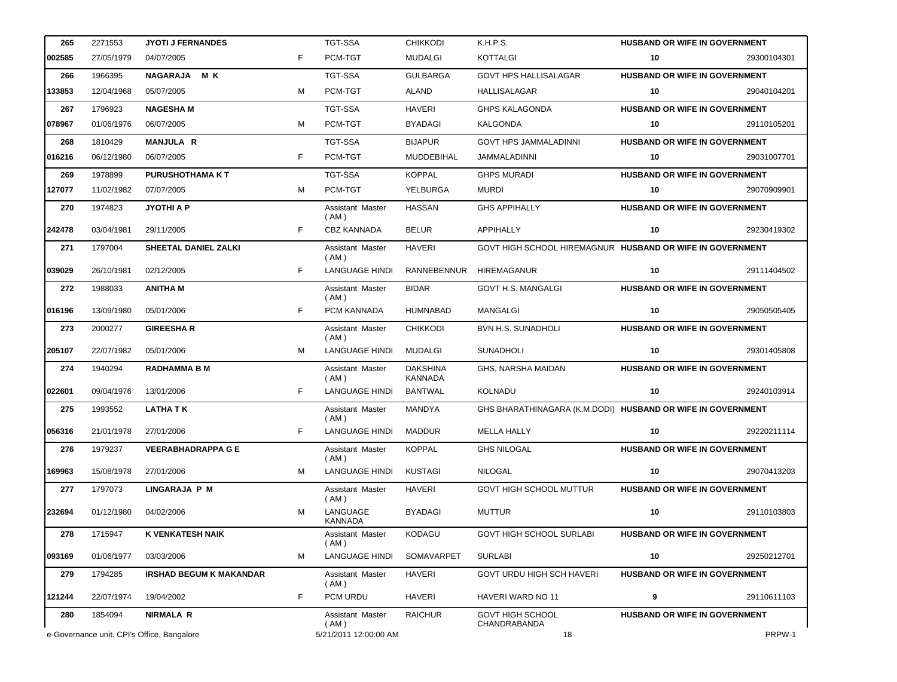| 265    | 2271553    | <b>JYOTI J FERNANDES</b>                   |    | <b>TGT-SSA</b>             | <b>CHIKKODI</b>                   | K.H.P.S.                                                    | <b>HUSBAND OR WIFE IN GOVERNMENT</b> |             |
|--------|------------|--------------------------------------------|----|----------------------------|-----------------------------------|-------------------------------------------------------------|--------------------------------------|-------------|
| 002585 | 27/05/1979 | 04/07/2005                                 | F  | PCM-TGT                    | MUDALGI                           | <b>KOTTALGI</b>                                             | 10                                   | 29300104301 |
| 266    | 1966395    | M K<br><b>NAGARAJA</b>                     |    | <b>TGT-SSA</b>             | <b>GULBARGA</b>                   | <b>GOVT HPS HALLISALAGAR</b>                                | HUSBAND OR WIFE IN GOVERNMENT        |             |
| 133853 | 12/04/1968 | 05/07/2005                                 | M  | PCM-TGT                    | <b>ALAND</b>                      | HALLISALAGAR                                                | 10                                   | 29040104201 |
| 267    | 1796923    | <b>NAGESHAM</b>                            |    | <b>TGT-SSA</b>             | <b>HAVERI</b>                     | <b>GHPS KALAGONDA</b>                                       | HUSBAND OR WIFE IN GOVERNMENT        |             |
| 078967 | 01/06/1976 | 06/07/2005                                 | M  | PCM-TGT                    | <b>BYADAGI</b>                    | KALGONDA                                                    | 10                                   | 29110105201 |
| 268    | 1810429    | <b>MANJULA R</b>                           |    | <b>TGT-SSA</b>             | <b>BIJAPUR</b>                    | <b>GOVT HPS JAMMALADINNI</b>                                | <b>HUSBAND OR WIFE IN GOVERNMENT</b> |             |
| 016216 | 06/12/1980 | 06/07/2005                                 | F  | PCM-TGT                    | <b>MUDDEBIHAL</b>                 | <b>JAMMALADINNI</b>                                         | 10                                   | 29031007701 |
| 269    | 1978899    | <b>PURUSHOTHAMA KT</b>                     |    | <b>TGT-SSA</b>             | <b>KOPPAL</b>                     | <b>GHPS MURADI</b>                                          | HUSBAND OR WIFE IN GOVERNMENT        |             |
| 127077 | 11/02/1982 | 07/07/2005                                 | M  | PCM-TGT                    | YELBURGA                          | <b>MURDI</b>                                                | 10                                   | 29070909901 |
| 270    | 1974823    | <b>JYOTHI A P</b>                          |    | Assistant Master<br>(AM)   | <b>HASSAN</b>                     | <b>GHS APPIHALLY</b>                                        | HUSBAND OR WIFE IN GOVERNMENT        |             |
| 242478 | 03/04/1981 | 29/11/2005                                 | F  | <b>CBZ KANNADA</b>         | <b>BELUR</b>                      | <b>APPIHALLY</b>                                            | 10                                   | 29230419302 |
| 271    | 1797004    | SHEETAL DANIEL ZALKI                       |    | Assistant Master<br>(AM)   | <b>HAVERI</b>                     | GOVT HIGH SCHOOL HIREMAGNUR HUSBAND OR WIFE IN GOVERNMENT   |                                      |             |
| 039029 | 26/10/1981 | 02/12/2005                                 | F  | <b>LANGUAGE HINDI</b>      | RANNEBENNUR                       | <b>HIREMAGANUR</b>                                          | 10                                   | 29111404502 |
| 272    | 1988033    | <b>ANITHAM</b>                             |    | Assistant Master<br>(AM)   | <b>BIDAR</b>                      | <b>GOVT H.S. MANGALGI</b>                                   | HUSBAND OR WIFE IN GOVERNMENT        |             |
| 016196 | 13/09/1980 | 05/01/2006                                 | F  | PCM KANNADA                | <b>HUMNABAD</b>                   | MANGALGI                                                    | 10                                   | 29050505405 |
| 273    | 2000277    | <b>GIREESHAR</b>                           |    | Assistant Master<br>(AM)   | <b>CHIKKODI</b>                   | <b>BVN H.S. SUNADHOLI</b>                                   | <b>HUSBAND OR WIFE IN GOVERNMENT</b> |             |
| 205107 | 22/07/1982 | 05/01/2006                                 | M  | LANGUAGE HINDI             | MUDALGI                           | <b>SUNADHOLI</b>                                            | 10                                   | 29301405808 |
| 274    | 1940294    | <b>RADHAMMA B M</b>                        |    | Assistant Master<br>(AM)   | <b>DAKSHINA</b><br><b>KANNADA</b> | GHS, NARSHA MAIDAN                                          | HUSBAND OR WIFE IN GOVERNMENT        |             |
| 022601 | 09/04/1976 | 13/01/2006                                 | F. | <b>LANGUAGE HINDI</b>      | <b>BANTWAL</b>                    | KOLNADU                                                     | 10                                   | 29240103914 |
| 275    | 1993552    | <b>LATHA T K</b>                           |    | Assistant Master<br>(AM)   | MANDYA                            | GHS BHARATHINAGARA (K.M.DODI) HUSBAND OR WIFE IN GOVERNMENT |                                      |             |
| 056316 | 21/01/1978 | 27/01/2006                                 | F  | <b>LANGUAGE HINDI</b>      | <b>MADDUR</b>                     | <b>MELLA HALLY</b>                                          | 10                                   | 29220211114 |
| 276    | 1979237    | <b>VEERABHADRAPPA G E</b>                  |    | Assistant Master<br>(AM)   | <b>KOPPAL</b>                     | <b>GHS NILOGAL</b>                                          | HUSBAND OR WIFE IN GOVERNMENT        |             |
| 169963 | 15/08/1978 | 27/01/2006                                 | м  | <b>LANGUAGE HINDI</b>      | <b>KUSTAGI</b>                    | <b>NILOGAL</b>                                              | 10                                   | 29070413203 |
| 277    | 1797073    | <b>LINGARAJA P M</b>                       |    | Assistant Master<br>(AM)   | <b>HAVERI</b>                     | <b>GOVT HIGH SCHOOL MUTTUR</b>                              | <b>HUSBAND OR WIFE IN GOVERNMENT</b> |             |
| 232694 | 01/12/1980 | 04/02/2006                                 | M  | LANGUAGE<br><b>KANNADA</b> | <b>BYADAGI</b>                    | <b>MUTTUR</b>                                               | 10                                   | 29110103803 |
| 278    | 1715947    | <b>K VENKATESH NAIK</b>                    |    | Assistant Master<br>(AM)   | KODAGU                            | <b>GOVT HIGH SCHOOL SURLABI</b>                             | <b>HUSBAND OR WIFE IN GOVERNMENT</b> |             |
| 093169 | 01/06/1977 | 03/03/2006                                 | м  | <b>LANGUAGE HINDI</b>      | <b>SOMAVARPET</b>                 | <b>SURLABI</b>                                              | 10                                   | 29250212701 |
| 279    | 1794285    | <b>IRSHAD BEGUM K MAKANDAR</b>             |    | Assistant Master<br>(AM)   | <b>HAVERI</b>                     | <b>GOVT URDU HIGH SCH HAVERI</b>                            | <b>HUSBAND OR WIFE IN GOVERNMENT</b> |             |
| 121244 | 22/07/1974 | 19/04/2002                                 | F  | PCM URDU                   | <b>HAVERI</b>                     | HAVERI WARD NO 11                                           | 9                                    | 29110611103 |
| 280    | 1854094    | <b>NIRMALA R</b>                           |    | Assistant Master<br>(AM)   | <b>RAICHUR</b>                    | <b>GOVT HIGH SCHOOL</b><br>CHANDRABANDA                     | HUSBAND OR WIFE IN GOVERNMENT        |             |
|        |            | e-Governance unit, CPI's Office, Bangalore |    | 5/21/2011 12:00:00 AM      |                                   | 18                                                          |                                      | PRPW-1      |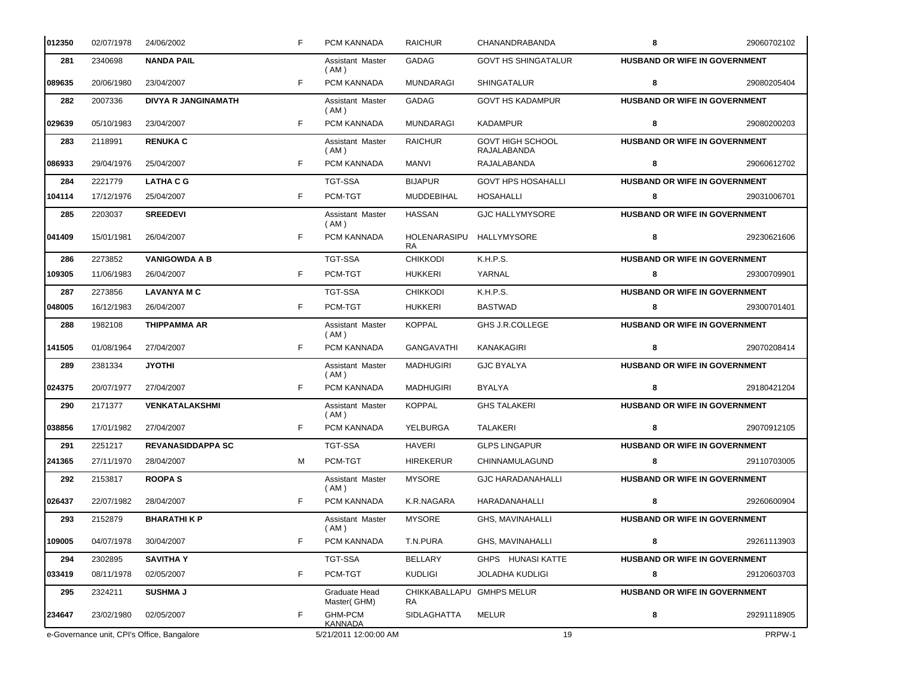| 012350 | 02/07/1978                                 | 24/06/2002                 | F  | PCM KANNADA                  | <b>RAICHUR</b>                  | CHANANDRABANDA                         | 8                                    | 29060702102 |
|--------|--------------------------------------------|----------------------------|----|------------------------------|---------------------------------|----------------------------------------|--------------------------------------|-------------|
| 281    | 2340698                                    | <b>NANDA PAIL</b>          |    | Assistant Master<br>(AM)     | GADAG                           | <b>GOVT HS SHINGATALUR</b>             | <b>HUSBAND OR WIFE IN GOVERNMENT</b> |             |
| 089635 | 20/06/1980                                 | 23/04/2007                 | F. | PCM KANNADA                  | <b>MUNDARAGI</b>                | <b>SHINGATALUR</b>                     | 8                                    | 29080205404 |
| 282    | 2007336                                    | <b>DIVYA R JANGINAMATH</b> |    | Assistant Master<br>(AM)     | GADAG                           | <b>GOVT HS KADAMPUR</b>                | HUSBAND OR WIFE IN GOVERNMENT        |             |
| 029639 | 05/10/1983                                 | 23/04/2007                 | F. | PCM KANNADA                  | <b>MUNDARAGI</b>                | <b>KADAMPUR</b>                        | 8                                    | 29080200203 |
| 283    | 2118991                                    | <b>RENUKA C</b>            |    | Assistant Master<br>(AM)     | <b>RAICHUR</b>                  | <b>GOVT HIGH SCHOOL</b><br>RAJALABANDA | <b>HUSBAND OR WIFE IN GOVERNMENT</b> |             |
| 086933 | 29/04/1976                                 | 25/04/2007                 | F. | PCM KANNADA                  | MANVI                           | <b>RAJALABANDA</b>                     | 8                                    | 29060612702 |
| 284    | 2221779                                    | <b>LATHA C G</b>           |    | <b>TGT-SSA</b>               | <b>BIJAPUR</b>                  | <b>GOVT HPS HOSAHALLI</b>              | HUSBAND OR WIFE IN GOVERNMENT        |             |
| 104114 | 17/12/1976                                 | 25/04/2007                 | F  | PCM-TGT                      | MUDDEBIHAL                      | HOSAHALLI                              | 8                                    | 29031006701 |
| 285    | 2203037                                    | <b>SREEDEVI</b>            |    | Assistant Master<br>(AM)     | <b>HASSAN</b>                   | <b>GJC HALLYMYSORE</b>                 | HUSBAND OR WIFE IN GOVERNMENT        |             |
| 041409 | 15/01/1981                                 | 26/04/2007                 | F. | PCM KANNADA                  | HOLENARASIPU<br><b>RA</b>       | <b>HALLYMYSORE</b>                     | 8                                    | 29230621606 |
| 286    | 2273852                                    | <b>VANIGOWDA A B</b>       |    | <b>TGT-SSA</b>               | <b>CHIKKODI</b>                 | K.H.P.S.                               | HUSBAND OR WIFE IN GOVERNMENT        |             |
| 109305 | 11/06/1983                                 | 26/04/2007                 | F  | PCM-TGT                      | <b>HUKKERI</b>                  | YARNAL                                 | 8                                    | 29300709901 |
| 287    | 2273856                                    | <b>LAVANYA M C</b>         |    | <b>TGT-SSA</b>               | <b>CHIKKODI</b>                 | K.H.P.S.                               | <b>HUSBAND OR WIFE IN GOVERNMENT</b> |             |
| 048005 | 16/12/1983                                 | 26/04/2007                 | F. | PCM-TGT                      | <b>HUKKERI</b>                  | <b>BASTWAD</b>                         | 8                                    | 29300701401 |
| 288    | 1982108                                    | <b>THIPPAMMA AR</b>        |    | Assistant Master<br>(AM)     | <b>KOPPAL</b>                   | GHS J.R.COLLEGE                        | <b>HUSBAND OR WIFE IN GOVERNMENT</b> |             |
| 141505 | 01/08/1964                                 | 27/04/2007                 | F. | PCM KANNADA                  | <b>GANGAVATHI</b>               | KANAKAGIRI                             | 8                                    | 29070208414 |
| 289    | 2381334                                    | JYOTHI                     |    | Assistant Master<br>(AM)     | <b>MADHUGIRI</b>                | <b>GJC BYALYA</b>                      | <b>HUSBAND OR WIFE IN GOVERNMENT</b> |             |
| 024375 | 20/07/1977                                 | 27/04/2007                 | F. | PCM KANNADA                  | MADHUGIRI                       | BYALYA                                 | 8                                    | 29180421204 |
| 290    | 2171377                                    | <b>VENKATALAKSHMI</b>      |    | Assistant Master<br>(AM)     | <b>KOPPAL</b>                   | <b>GHS TALAKERI</b>                    | HUSBAND OR WIFE IN GOVERNMENT        |             |
| 038856 | 17/01/1982                                 | 27/04/2007                 | F. | PCM KANNADA                  | YELBURGA                        | TALAKERI                               | 8                                    | 29070912105 |
| 291    | 2251217                                    | <b>REVANASIDDAPPA SC</b>   |    | <b>TGT-SSA</b>               | <b>HAVERI</b>                   | <b>GLPS LINGAPUR</b>                   | HUSBAND OR WIFE IN GOVERNMENT        |             |
| 241365 | 27/11/1970                                 | 28/04/2007                 | м  | PCM-TGT                      | <b>HIREKERUR</b>                | CHINNAMULAGUND                         | 8                                    | 29110703005 |
| 292    | 2153817                                    | <b>ROOPAS</b>              |    | Assistant Master<br>(AM)     | <b>MYSORE</b>                   | <b>GJC HARADANAHALLI</b>               | <b>HUSBAND OR WIFE IN GOVERNMENT</b> |             |
| 026437 | 22/07/1982                                 | 28/04/2007                 | F  | PCM KANNADA                  | K.R.NAGARA                      | HARADANAHALLI                          | 8                                    | 29260600904 |
| 293    | 2152879                                    | <b>BHARATHIKP</b>          |    | Assistant Master<br>(AM)     | <b>MYSORE</b>                   | GHS, MAVINAHALLI                       | <b>HUSBAND OR WIFE IN GOVERNMENT</b> |             |
| 109005 | 04/07/1978                                 | 30/04/2007                 | F  | PCM KANNADA                  | T.N.PURA                        | GHS, MAVINAHALLI                       | 8                                    | 29261113903 |
| 294    | 2302895                                    | <b>SAVITHA Y</b>           |    | TGT-SSA                      | BELLARY                         | GHPS HUNASI KATTE                      | <b>HUSBAND OR WIFE IN GOVERNMENT</b> |             |
| 033419 | 08/11/1978                                 | 02/05/2007                 | F  | PCM-TGT                      | <b>KUDLIGI</b>                  | <b>JOLADHA KUDLIGI</b>                 | 8                                    | 29120603703 |
| 295    | 2324211                                    | <b>SUSHMA J</b>            |    | Graduate Head<br>Master(GHM) | CHIKKABALLAPU GMHPS MELUR<br>RA |                                        | <b>HUSBAND OR WIFE IN GOVERNMENT</b> |             |
| 234647 | 23/02/1980                                 | 02/05/2007                 | F  | <b>GHM-PCM</b><br>KANNADA    | SIDLAGHATTA                     | <b>MELUR</b>                           | 8                                    | 29291118905 |
|        | e-Governance unit, CPI's Office, Bangalore |                            |    | 5/21/2011 12:00:00 AM        |                                 | 19                                     |                                      | PRPW-1      |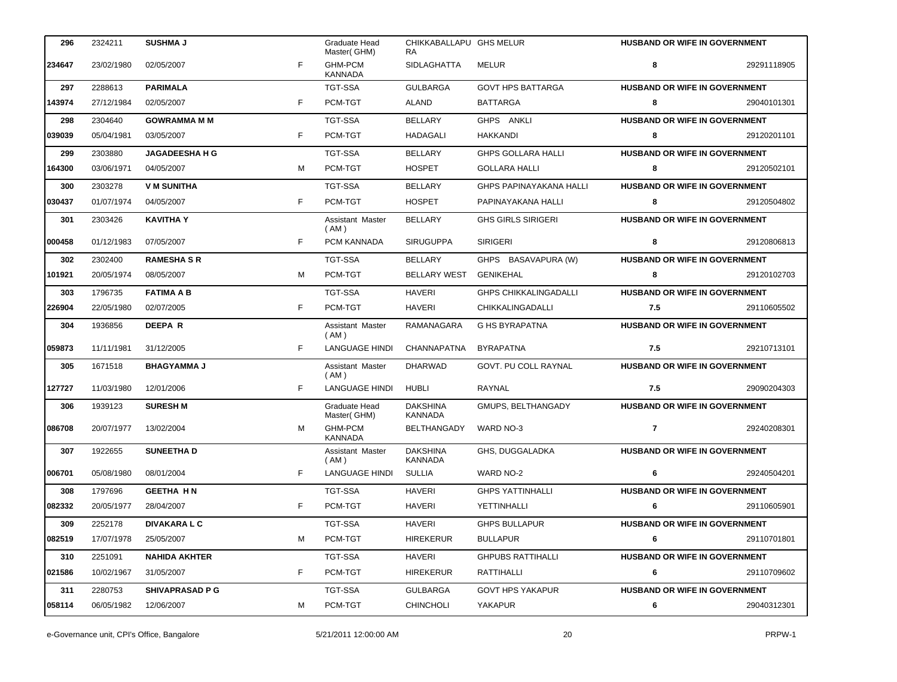| 296    | 2324211    | <b>SUSHMA J</b>        |    | Graduate Head<br>Master(GHM)     | CHIKKABALLAPU GHS MELUR<br>RA.    |                                | <b>HUSBAND OR WIFE IN GOVERNMENT</b> |             |
|--------|------------|------------------------|----|----------------------------------|-----------------------------------|--------------------------------|--------------------------------------|-------------|
| 234647 | 23/02/1980 | 02/05/2007             | F  | <b>GHM-PCM</b><br><b>KANNADA</b> | <b>SIDLAGHATTA</b>                | MELUR                          | 8                                    | 29291118905 |
| 297    | 2288613    | <b>PARIMALA</b>        |    | <b>TGT-SSA</b>                   | <b>GULBARGA</b>                   | <b>GOVT HPS BATTARGA</b>       | <b>HUSBAND OR WIFE IN GOVERNMENT</b> |             |
| 143974 | 27/12/1984 | 02/05/2007             | F  | PCM-TGT                          | <b>ALAND</b>                      | <b>BATTARGA</b>                | 8                                    | 29040101301 |
| 298    | 2304640    | <b>GOWRAMMA M M</b>    |    | <b>TGT-SSA</b>                   | <b>BELLARY</b>                    | GHPS ANKLI                     | <b>HUSBAND OR WIFE IN GOVERNMENT</b> |             |
| 039039 | 05/04/1981 | 03/05/2007             | F. | PCM-TGT                          | HADAGALI                          | HAKKANDI                       | 8                                    | 29120201101 |
| 299    | 2303880    | <b>JAGADEESHA H G</b>  |    | <b>TGT-SSA</b>                   | <b>BELLARY</b>                    | <b>GHPS GOLLARA HALLI</b>      | HUSBAND OR WIFE IN GOVERNMENT        |             |
| 164300 | 03/06/1971 | 04/05/2007             | м  | PCM-TGT                          | <b>HOSPET</b>                     | <b>GOLLARA HALLI</b>           | 8                                    | 29120502101 |
| 300    | 2303278    | <b>V M SUNITHA</b>     |    | <b>TGT-SSA</b>                   | <b>BELLARY</b>                    | <b>GHPS PAPINAYAKANA HALLI</b> | <b>HUSBAND OR WIFE IN GOVERNMENT</b> |             |
| 030437 | 01/07/1974 | 04/05/2007             | F. | PCM-TGT                          | <b>HOSPET</b>                     | PAPINAYAKANA HALLI             | 8                                    | 29120504802 |
| 301    | 2303426    | <b>KAVITHA Y</b>       |    | Assistant Master<br>(AM)         | <b>BELLARY</b>                    | <b>GHS GIRLS SIRIGERI</b>      | HUSBAND OR WIFE IN GOVERNMENT        |             |
| 000458 | 01/12/1983 | 07/05/2007             | F  | PCM KANNADA                      | <b>SIRUGUPPA</b>                  | <b>SIRIGERI</b>                | 8                                    | 29120806813 |
| 302    | 2302400    | <b>RAMESHA S R</b>     |    | <b>TGT-SSA</b>                   | <b>BELLARY</b>                    | GHPS BASAVAPURA (W)            | HUSBAND OR WIFE IN GOVERNMENT        |             |
| 101921 | 20/05/1974 | 08/05/2007             | м  | PCM-TGT                          | <b>BELLARY WEST</b>               | <b>GENIKEHAL</b>               | 8                                    | 29120102703 |
| 303    | 1796735    | <b>FATIMA A B</b>      |    | <b>TGT-SSA</b>                   | <b>HAVERI</b>                     | <b>GHPS CHIKKALINGADALLI</b>   | HUSBAND OR WIFE IN GOVERNMENT        |             |
| 226904 | 22/05/1980 | 02/07/2005             | F. | PCM-TGT                          | <b>HAVERI</b>                     | <b>CHIKKALINGADALLI</b>        | 7.5                                  | 29110605502 |
| 304    | 1936856    | <b>DEEPAR</b>          |    | Assistant Master<br>(AM)         | RAMANAGARA                        | <b>G HS BYRAPATNA</b>          | HUSBAND OR WIFE IN GOVERNMENT        |             |
| 059873 | 11/11/1981 | 31/12/2005             | F. | <b>LANGUAGE HINDI</b>            | <b>CHANNAPATNA</b>                | <b>BYRAPATNA</b>               | 7.5                                  | 29210713101 |
| 305    | 1671518    | <b>BHAGYAMMA J</b>     |    | Assistant Master<br>(AM)         | <b>DHARWAD</b>                    | GOVT. PU COLL RAYNAL           | HUSBAND OR WIFE IN GOVERNMENT        |             |
| 127727 | 11/03/1980 | 12/01/2006             | F  | LANGUAGE HINDI                   | <b>HUBLI</b>                      | RAYNAL                         | 7.5                                  | 29090204303 |
| 306    | 1939123    | <b>SURESH M</b>        |    | Graduate Head<br>Master(GHM)     | <b>DAKSHINA</b><br><b>KANNADA</b> | GMUPS, BELTHANGADY             | HUSBAND OR WIFE IN GOVERNMENT        |             |
| 086708 | 20/07/1977 | 13/02/2004             | м  | <b>GHM-PCM</b><br><b>KANNADA</b> | BELTHANGADY                       | WARD NO-3                      | $\overline{7}$                       | 29240208301 |
| 307    | 1922655    | <b>SUNEETHA D</b>      |    | Assistant Master<br>( AM )       | <b>DAKSHINA</b><br>KANNADA        | GHS, DUGGALADKA                | <b>HUSBAND OR WIFE IN GOVERNMENT</b> |             |
| 006701 | 05/08/1980 | 08/01/2004             | F  | <b>LANGUAGE HINDI</b>            | <b>SULLIA</b>                     | <b>WARD NO-2</b>               | 6                                    | 29240504201 |
| 308    | 1797696    | <b>GEETHA HN</b>       |    | TGT-SSA                          | <b>HAVERI</b>                     | <b>GHPS YATTINHALLI</b>        | <b>HUSBAND OR WIFE IN GOVERNMENT</b> |             |
| 082332 | 20/05/1977 | 28/04/2007             | F. | PCM-TGT                          | <b>HAVERI</b>                     | YETTINHALLI                    | 6                                    | 29110605901 |
| 309    | 2252178    | <b>DIVAKARA L C</b>    |    | TGT-SSA                          | <b>HAVERI</b>                     | <b>GHPS BULLAPUR</b>           | <b>HUSBAND OR WIFE IN GOVERNMENT</b> |             |
| 082519 | 17/07/1978 | 25/05/2007             | м  | PCM-TGT                          | <b>HIREKERUR</b>                  | <b>BULLAPUR</b>                | 6                                    | 29110701801 |
| 310    | 2251091    | <b>NAHIDA AKHTER</b>   |    | TGT-SSA                          | HAVERI                            | <b>GHPUBS RATTIHALLI</b>       | <b>HUSBAND OR WIFE IN GOVERNMENT</b> |             |
| 021586 | 10/02/1967 | 31/05/2007             | F. | PCM-TGT                          | <b>HIREKERUR</b>                  | RATTIHALLI                     | 6                                    | 29110709602 |
| 311    | 2280753    | <b>SHIVAPRASAD P G</b> |    | TGT-SSA                          | <b>GULBARGA</b>                   | <b>GOVT HPS YAKAPUR</b>        | <b>HUSBAND OR WIFE IN GOVERNMENT</b> |             |
| 058114 | 06/05/1982 | 12/06/2007             | М  | PCM-TGT                          | <b>CHINCHOLI</b>                  | YAKAPUR                        | 6                                    | 29040312301 |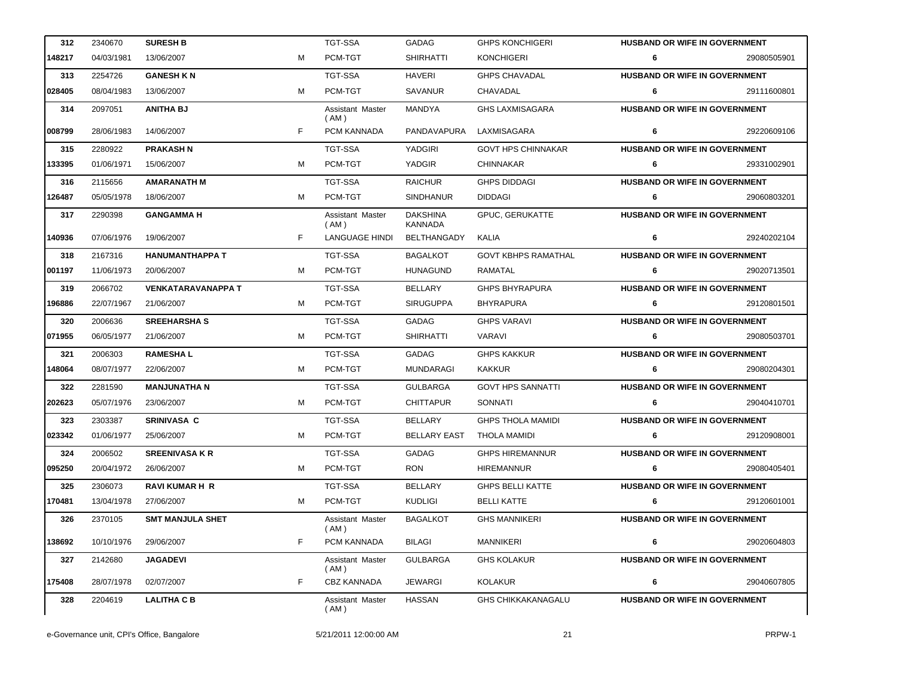| 312    | 2340670    | <b>SURESH B</b>         |    | <b>TGT-SSA</b>           | <b>GADAG</b>               | <b>GHPS KONCHIGERI</b>     | <b>HUSBAND OR WIFE IN GOVERNMENT</b> |             |
|--------|------------|-------------------------|----|--------------------------|----------------------------|----------------------------|--------------------------------------|-------------|
| 148217 | 04/03/1981 | 13/06/2007              | м  | PCM-TGT                  | <b>SHIRHATTI</b>           | <b>KONCHIGERI</b>          | 6                                    | 29080505901 |
| 313    | 2254726    | <b>GANESH KN</b>        |    | <b>TGT-SSA</b>           | <b>HAVERI</b>              | <b>GHPS CHAVADAL</b>       | HUSBAND OR WIFE IN GOVERNMENT        |             |
| 028405 | 08/04/1983 | 13/06/2007              | м  | PCM-TGT                  | SAVANUR                    | CHAVADAL                   | 6                                    | 29111600801 |
| 314    | 2097051    | <b>ANITHA BJ</b>        |    | Assistant Master<br>(AM) | MANDYA                     | <b>GHS LAXMISAGARA</b>     | HUSBAND OR WIFE IN GOVERNMENT        |             |
| 008799 | 28/06/1983 | 14/06/2007              | F. | PCM KANNADA              | PANDAVAPURA                | LAXMISAGARA                | 6                                    | 29220609106 |
| 315    | 2280922    | <b>PRAKASH N</b>        |    | <b>TGT-SSA</b>           | YADGIRI                    | <b>GOVT HPS CHINNAKAR</b>  | HUSBAND OR WIFE IN GOVERNMENT        |             |
| 133395 | 01/06/1971 | 15/06/2007              | м  | PCM-TGT                  | YADGIR                     | <b>CHINNAKAR</b>           | 6                                    | 29331002901 |
| 316    | 2115656    | <b>AMARANATH M</b>      |    | <b>TGT-SSA</b>           | <b>RAICHUR</b>             | <b>GHPS DIDDAGI</b>        | HUSBAND OR WIFE IN GOVERNMENT        |             |
| 126487 | 05/05/1978 | 18/06/2007              | м  | PCM-TGT                  | <b>SINDHANUR</b>           | <b>DIDDAGI</b>             | 6                                    | 29060803201 |
| 317    | 2290398    | <b>GANGAMMA H</b>       |    | Assistant Master<br>(AM) | <b>DAKSHINA</b><br>KANNADA | GPUC, GERUKATTE            | <b>HUSBAND OR WIFE IN GOVERNMENT</b> |             |
| 140936 | 07/06/1976 | 19/06/2007              | F. | <b>LANGUAGE HINDI</b>    | BELTHANGADY                | KALIA                      | 6                                    | 29240202104 |
| 318    | 2167316    | <b>HANUMANTHAPPA T</b>  |    | <b>TGT-SSA</b>           | <b>BAGALKOT</b>            | <b>GOVT KBHPS RAMATHAL</b> | <b>HUSBAND OR WIFE IN GOVERNMENT</b> |             |
| 001197 | 11/06/1973 | 20/06/2007              | м  | PCM-TGT                  | <b>HUNAGUND</b>            | RAMATAL                    | 6                                    | 29020713501 |
| 319    | 2066702    | VENKATARAVANAPPA T      |    | <b>TGT-SSA</b>           | BELLARY                    | <b>GHPS BHYRAPURA</b>      | HUSBAND OR WIFE IN GOVERNMENT        |             |
| 196886 | 22/07/1967 | 21/06/2007              | м  | PCM-TGT                  | <b>SIRUGUPPA</b>           | <b>BHYRAPURA</b>           | 6                                    | 29120801501 |
| 320    | 2006636    | <b>SREEHARSHA S</b>     |    | <b>TGT-SSA</b>           | GADAG                      | <b>GHPS VARAVI</b>         | HUSBAND OR WIFE IN GOVERNMENT        |             |
| 071955 | 06/05/1977 | 21/06/2007              | м  | PCM-TGT                  | <b>SHIRHATTI</b>           | VARAVI                     | 6                                    | 29080503701 |
| 321    | 2006303    | <b>RAMESHAL</b>         |    | <b>TGT-SSA</b>           | GADAG                      | <b>GHPS KAKKUR</b>         | HUSBAND OR WIFE IN GOVERNMENT        |             |
| 148064 | 08/07/1977 | 22/06/2007              | м  | PCM-TGT                  | <b>MUNDARAGI</b>           | <b>KAKKUR</b>              | 6                                    | 29080204301 |
| 322    | 2281590    | <b>MANJUNATHA N</b>     |    | <b>TGT-SSA</b>           | <b>GULBARGA</b>            | <b>GOVT HPS SANNATTI</b>   | HUSBAND OR WIFE IN GOVERNMENT        |             |
| 202623 | 05/07/1976 | 23/06/2007              | м  | PCM-TGT                  | <b>CHITTAPUR</b>           | SONNATI                    | 6                                    | 29040410701 |
| 323    | 2303387    | <b>SRINIVASA C</b>      |    | <b>TGT-SSA</b>           | <b>BELLARY</b>             | <b>GHPS THOLA MAMIDI</b>   | <b>HUSBAND OR WIFE IN GOVERNMENT</b> |             |
| 023342 | 01/06/1977 | 25/06/2007              | м  | PCM-TGT                  | <b>BELLARY EAST</b>        | THOLA MAMIDI               | 6                                    | 29120908001 |
| 324    | 2006502    | <b>SREENIVASA K R</b>   |    | <b>TGT-SSA</b>           | GADAG                      | <b>GHPS HIREMANNUR</b>     | HUSBAND OR WIFE IN GOVERNMENT        |             |
| 095250 | 20/04/1972 | 26/06/2007              | м  | PCM-TGT                  | <b>RON</b>                 | <b>HIREMANNUR</b>          | 6                                    | 29080405401 |
| 325    | 2306073    | <b>RAVI KUMAR H R</b>   |    | <b>TGT-SSA</b>           | <b>BELLARY</b>             | <b>GHPS BELLI KATTE</b>    | <b>HUSBAND OR WIFE IN GOVERNMENT</b> |             |
| 170481 | 13/04/1978 | 27/06/2007              | M  | PCM-TGT                  | <b>KUDLIGI</b>             | <b>BELLI KATTE</b>         | 6                                    | 29120601001 |
| 326    | 2370105    | <b>SMT MANJULA SHET</b> |    | Assistant Master<br>(AM) | <b>BAGALKOT</b>            | <b>GHS MANNIKERI</b>       | <b>HUSBAND OR WIFE IN GOVERNMENT</b> |             |
| 138692 | 10/10/1976 | 29/06/2007              | F. | PCM KANNADA              | <b>BILAGI</b>              | MANNIKERI                  | 6                                    | 29020604803 |
| 327    | 2142680    | <b>JAGADEVI</b>         |    | Assistant Master<br>(AM) | <b>GULBARGA</b>            | <b>GHS KOLAKUR</b>         | <b>HUSBAND OR WIFE IN GOVERNMENT</b> |             |
| 175408 | 28/07/1978 | 02/07/2007              | F  | <b>CBZ KANNADA</b>       | JEWARGI                    | <b>KOLAKUR</b>             | 6                                    | 29040607805 |
| 328    | 2204619    | <b>LALITHA C B</b>      |    | Assistant Master<br>(AM) | <b>HASSAN</b>              | GHS CHIKKAKANAGALU         | <b>HUSBAND OR WIFE IN GOVERNMENT</b> |             |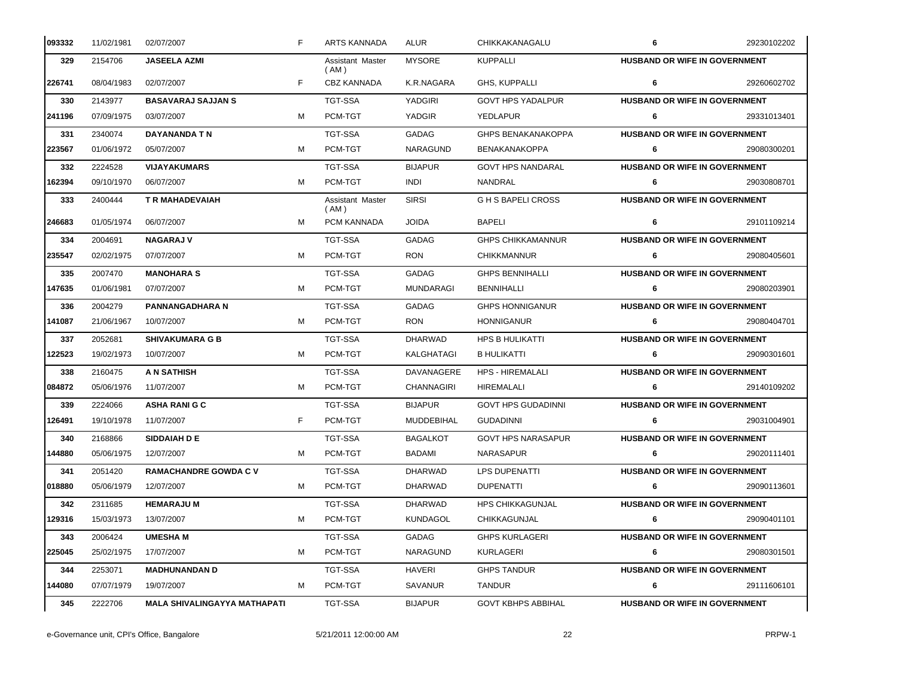| 093332 | 11/02/1981 | 02/07/2007                          | F | <b>ARTS KANNADA</b>      | ALUR              | CHIKKAKANAGALU            | 6                                    | 29230102202 |
|--------|------------|-------------------------------------|---|--------------------------|-------------------|---------------------------|--------------------------------------|-------------|
| 329    | 2154706    | JASEELA AZMI                        |   | Assistant Master<br>(AM) | <b>MYSORE</b>     | <b>KUPPALLI</b>           | <b>HUSBAND OR WIFE IN GOVERNMENT</b> |             |
| 226741 | 08/04/1983 | 02/07/2007                          | F | <b>CBZ KANNADA</b>       | K.R.NAGARA        | GHS, KUPPALLI             | 6                                    | 29260602702 |
| 330    | 2143977    | <b>BASAVARAJ SAJJAN S</b>           |   | <b>TGT-SSA</b>           | YADGIRI           | <b>GOVT HPS YADALPUR</b>  | HUSBAND OR WIFE IN GOVERNMENT        |             |
| 241196 | 07/09/1975 | 03/07/2007                          | м | PCM-TGT                  | YADGIR            | YEDLAPUR                  | 6                                    | 29331013401 |
| 331    | 2340074    | DAYANANDA T N                       |   | <b>TGT-SSA</b>           | <b>GADAG</b>      | <b>GHPS BENAKANAKOPPA</b> | <b>HUSBAND OR WIFE IN GOVERNMENT</b> |             |
| 223567 | 01/06/1972 | 05/07/2007                          | м | PCM-TGT                  | NARAGUND          | <b>BENAKANAKOPPA</b>      | 6                                    | 29080300201 |
| 332    | 2224528    | <b>VIJAYAKUMARS</b>                 |   | <b>TGT-SSA</b>           | <b>BIJAPUR</b>    | <b>GOVT HPS NANDARAL</b>  | <b>HUSBAND OR WIFE IN GOVERNMENT</b> |             |
| 162394 | 09/10/1970 | 06/07/2007                          | м | PCM-TGT                  | <b>INDI</b>       | NANDRAL                   | 6                                    | 29030808701 |
| 333    | 2400444    | <b>T R MAHADEVAIAH</b>              |   | Assistant Master<br>(AM) | <b>SIRSI</b>      | <b>GHS BAPELI CROSS</b>   | HUSBAND OR WIFE IN GOVERNMENT        |             |
| 246683 | 01/05/1974 | 06/07/2007                          | м | PCM KANNADA              | <b>JOIDA</b>      | <b>BAPELI</b>             | 6                                    | 29101109214 |
| 334    | 2004691    | <b>NAGARAJ V</b>                    |   | <b>TGT-SSA</b>           | GADAG             | <b>GHPS CHIKKAMANNUR</b>  | <b>HUSBAND OR WIFE IN GOVERNMENT</b> |             |
| 235547 | 02/02/1975 | 07/07/2007                          | м | PCM-TGT                  | <b>RON</b>        | <b>CHIKKMANNUR</b>        | 6                                    | 29080405601 |
| 335    | 2007470    | <b>MANOHARA S</b>                   |   | <b>TGT-SSA</b>           | GADAG             | <b>GHPS BENNIHALLI</b>    | HUSBAND OR WIFE IN GOVERNMENT        |             |
| 147635 | 01/06/1981 | 07/07/2007                          | м | PCM-TGT                  | <b>MUNDARAGI</b>  | <b>BENNIHALLI</b>         | 6                                    | 29080203901 |
| 336    | 2004279    | <b>PANNANGADHARA N</b>              |   | <b>TGT-SSA</b>           | GADAG             | <b>GHPS HONNIGANUR</b>    | <b>HUSBAND OR WIFE IN GOVERNMENT</b> |             |
| 141087 | 21/06/1967 | 10/07/2007                          | м | PCM-TGT                  | <b>RON</b>        | <b>HONNIGANUR</b>         | 6                                    | 29080404701 |
| 337    | 2052681    | <b>SHIVAKUMARA G B</b>              |   | <b>TGT-SSA</b>           | <b>DHARWAD</b>    | <b>HPS B HULIKATTI</b>    | HUSBAND OR WIFE IN GOVERNMENT        |             |
| 122523 | 19/02/1973 | 10/07/2007                          | м | PCM-TGT                  | KALGHATAGI        | <b>B HULIKATTI</b>        | 6                                    | 29090301601 |
| 338    | 2160475    | A N SATHISH                         |   | TGT-SSA                  | DAVANAGERE        | <b>HPS - HIREMALALI</b>   | <b>HUSBAND OR WIFE IN GOVERNMENT</b> |             |
| 084872 | 05/06/1976 | 11/07/2007                          | м | PCM-TGT                  | <b>CHANNAGIRI</b> | HIREMALALI                | 6                                    | 29140109202 |
| 339    | 2224066    | <b>ASHA RANIGC</b>                  |   | <b>TGT-SSA</b>           | <b>BIJAPUR</b>    | <b>GOVT HPS GUDADINNI</b> | HUSBAND OR WIFE IN GOVERNMENT        |             |
| 126491 | 19/10/1978 | 11/07/2007                          | F | PCM-TGT                  | MUDDEBIHAL        | <b>GUDADINNI</b>          | 6                                    | 29031004901 |
| 340    | 2168866    | <b>SIDDAIAH D E</b>                 |   | TGT-SSA                  | <b>BAGALKOT</b>   | <b>GOVT HPS NARASAPUR</b> | <b>HUSBAND OR WIFE IN GOVERNMENT</b> |             |
| 144880 | 05/06/1975 | 12/07/2007                          | м | PCM-TGT                  | BADAMI            | NARASAPUR                 | 6                                    | 29020111401 |
| 341    | 2051420    | <b>RAMACHANDRE GOWDA C V</b>        |   | <b>TGT-SSA</b>           | <b>DHARWAD</b>    | <b>LPS DUPENATTI</b>      | HUSBAND OR WIFE IN GOVERNMENT        |             |
| 018880 | 05/06/1979 | 12/07/2007                          | м | PCM-TGT                  | <b>DHARWAD</b>    | <b>DUPENATTI</b>          | 6                                    | 29090113601 |
| 342    | 2311685    | <b>HEMARAJU M</b>                   |   | TGT-SSA                  | <b>DHARWAD</b>    | <b>HPS CHIKKAGUNJAL</b>   | <b>HUSBAND OR WIFE IN GOVERNMENT</b> |             |
| 129316 | 15/03/1973 | 13/07/2007                          | м | PCM-TGT                  | <b>KUNDAGOL</b>   | CHIKKAGUNJAL              | 6                                    | 29090401101 |
| 343    | 2006424    | <b>UMESHA M</b>                     |   | TGT-SSA                  | GADAG             | <b>GHPS KURLAGERI</b>     | <b>HUSBAND OR WIFE IN GOVERNMENT</b> |             |
| 225045 | 25/02/1975 | 17/07/2007                          | м | PCM-TGT                  | <b>NARAGUND</b>   | KURLAGERI                 | 6                                    | 29080301501 |
| 344    | 2253071    | <b>MADHUNANDAN D</b>                |   | TGT-SSA                  | <b>HAVERI</b>     | <b>GHPS TANDUR</b>        | <b>HUSBAND OR WIFE IN GOVERNMENT</b> |             |
| 144080 | 07/07/1979 | 19/07/2007                          | м | PCM-TGT                  | SAVANUR           | <b>TANDUR</b>             | 6                                    | 29111606101 |
| 345    | 2222706    | <b>MALA SHIVALINGAYYA MATHAPATI</b> |   | TGT-SSA                  | <b>BIJAPUR</b>    | <b>GOVT KBHPS ABBIHAL</b> | <b>HUSBAND OR WIFE IN GOVERNMENT</b> |             |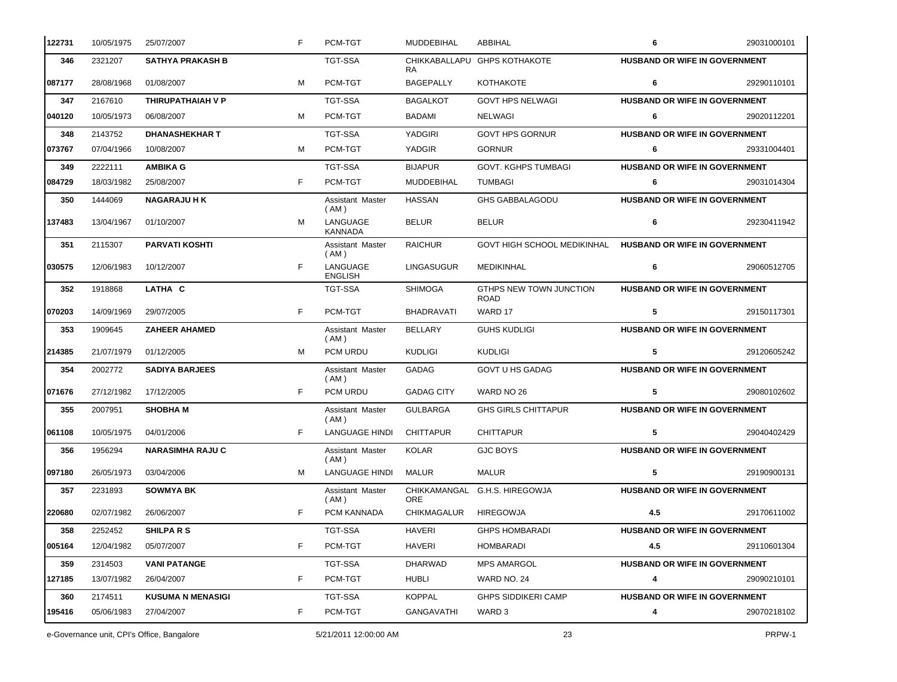| 122731 | 10/05/1975 | 25/07/2007               | F  | PCM-TGT                    | <b>MUDDEBIHAL</b> | ABBIHAL                                | 6                                    | 29031000101 |
|--------|------------|--------------------------|----|----------------------------|-------------------|----------------------------------------|--------------------------------------|-------------|
| 346    | 2321207    | <b>SATHYA PRAKASH B</b>  |    | TGT-SSA                    | RA.               | CHIKKABALLAPU GHPS KOTHAKOTE           | <b>HUSBAND OR WIFE IN GOVERNMENT</b> |             |
| 087177 | 28/08/1968 | 01/08/2007               | м  | PCM-TGT                    | BAGEPALLY         | KOTHAKOTE                              | 6                                    | 29290110101 |
| 347    | 2167610    | THIRUPATHAIAH V P        |    | <b>TGT-SSA</b>             | <b>BAGALKOT</b>   | <b>GOVT HPS NELWAGI</b>                | <b>HUSBAND OR WIFE IN GOVERNMENT</b> |             |
| 040120 | 10/05/1973 | 06/08/2007               | м  | PCM-TGT                    | BADAMI            | NELWAGI                                | 6                                    | 29020112201 |
| 348    | 2143752    | <b>DHANASHEKHAR T</b>    |    | TGT-SSA                    | YADGIRI           | <b>GOVT HPS GORNUR</b>                 | <b>HUSBAND OR WIFE IN GOVERNMENT</b> |             |
| 073767 | 07/04/1966 | 10/08/2007               | м  | PCM-TGT                    | YADGIR            | <b>GORNUR</b>                          | 6                                    | 29331004401 |
| 349    | 2222111    | <b>AMBIKA G</b>          |    | <b>TGT-SSA</b>             | <b>BIJAPUR</b>    | <b>GOVT. KGHPS TUMBAGI</b>             | <b>HUSBAND OR WIFE IN GOVERNMENT</b> |             |
| 084729 | 18/03/1982 | 25/08/2007               | F  | PCM-TGT                    | <b>MUDDEBIHAL</b> | <b>TUMBAGI</b>                         | 6                                    | 29031014304 |
| 350    | 1444069    | <b>NAGARAJU HK</b>       |    | Assistant Master<br>(AM)   | <b>HASSAN</b>     | <b>GHS GABBALAGODU</b>                 | HUSBAND OR WIFE IN GOVERNMENT        |             |
| 137483 | 13/04/1967 | 01/10/2007               | м  | LANGUAGE<br><b>KANNADA</b> | <b>BELUR</b>      | <b>BELUR</b>                           | 6                                    | 29230411942 |
| 351    | 2115307    | <b>PARVATI KOSHTI</b>    |    | Assistant Master<br>(AM)   | <b>RAICHUR</b>    | <b>GOVT HIGH SCHOOL MEDIKINHAL</b>     | <b>HUSBAND OR WIFE IN GOVERNMENT</b> |             |
| 030575 | 12/06/1983 | 10/12/2007               | F  | LANGUAGE<br><b>ENGLISH</b> | LINGASUGUR        | <b>MEDIKINHAL</b>                      | 6                                    | 29060512705 |
| 352    | 1918868    | LATHA C                  |    | <b>TGT-SSA</b>             | <b>SHIMOGA</b>    | GTHPS NEW TOWN JUNCTION<br><b>ROAD</b> | HUSBAND OR WIFE IN GOVERNMENT        |             |
| 070203 | 14/09/1969 | 29/07/2005               | F  | PCM-TGT                    | <b>BHADRAVATI</b> | WARD 17                                | 5                                    | 29150117301 |
| 353    | 1909645    | <b>ZAHEER AHAMED</b>     |    | Assistant Master<br>(AM)   | <b>BELLARY</b>    | <b>GUHS KUDLIGI</b>                    | HUSBAND OR WIFE IN GOVERNMENT        |             |
| 214385 | 21/07/1979 | 01/12/2005               | м  | PCM URDU                   | <b>KUDLIGI</b>    | <b>KUDLIGI</b>                         | 5                                    | 29120605242 |
| 354    | 2002772    | <b>SADIYA BARJEES</b>    |    | Assistant Master<br>(AM)   | <b>GADAG</b>      | <b>GOVT U HS GADAG</b>                 | HUSBAND OR WIFE IN GOVERNMENT        |             |
| 071676 | 27/12/1982 | 17/12/2005               | F. | PCM URDU                   | <b>GADAG CITY</b> | WARD NO 26                             | 5                                    | 29080102602 |
| 355    | 2007951    | <b>SHOBHA M</b>          |    | Assistant Master<br>(AM)   | <b>GULBARGA</b>   | <b>GHS GIRLS CHITTAPUR</b>             | HUSBAND OR WIFE IN GOVERNMENT        |             |
| 061108 | 10/05/1975 | 04/01/2006               | F. | <b>LANGUAGE HINDI</b>      | <b>CHITTAPUR</b>  | <b>CHITTAPUR</b>                       | 5                                    | 29040402429 |
| 356    | 1956294    | <b>NARASIMHA RAJU C</b>  |    | Assistant Master<br>( AM ) | <b>KOLAR</b>      | <b>GJC BOYS</b>                        | HUSBAND OR WIFE IN GOVERNMENT        |             |
| 097180 | 26/05/1973 | 03/04/2006               | м  | <b>LANGUAGE HINDI</b>      | MALUR             | <b>MALUR</b>                           | 5                                    | 29190900131 |
| 357    | 2231893    | <b>SOWMYA BK</b>         |    | Assistant Master<br>(AM)   | <b>ORE</b>        | CHIKKAMANGAL G.H.S. HIREGOWJA          | <b>HUSBAND OR WIFE IN GOVERNMENT</b> |             |
| 220680 | 02/07/1982 | 26/06/2007               | F. | PCM KANNADA                | CHIKMAGALUR       | <b>HIREGOWJA</b>                       | 4.5                                  | 29170611002 |
| 358    | 2252452    | <b>SHILPARS</b>          |    | TGT-SSA                    | <b>HAVERI</b>     | <b>GHPS HOMBARADI</b>                  | <b>HUSBAND OR WIFE IN GOVERNMENT</b> |             |
| 005164 | 12/04/1982 | 05/07/2007               | F. | PCM-TGT                    | <b>HAVERI</b>     | <b>HOMBARADI</b>                       | 4.5                                  | 29110601304 |
| 359    | 2314503    | <b>VANI PATANGE</b>      |    | <b>TGT-SSA</b>             | <b>DHARWAD</b>    | <b>MPS AMARGOL</b>                     | <b>HUSBAND OR WIFE IN GOVERNMENT</b> |             |
| 127185 | 13/07/1982 | 26/04/2007               | F. | PCM-TGT                    | HUBLI             | WARD NO. 24                            | 4                                    | 29090210101 |
| 360    | 2174511    | <b>KUSUMA N MENASIGI</b> |    | <b>TGT-SSA</b>             | <b>KOPPAL</b>     | <b>GHPS SIDDIKERI CAMP</b>             | HUSBAND OR WIFE IN GOVERNMENT        |             |
| 195416 | 05/06/1983 | 27/04/2007               | F  | PCM-TGT                    | <b>GANGAVATHI</b> | WARD 3                                 | 4                                    | 29070218102 |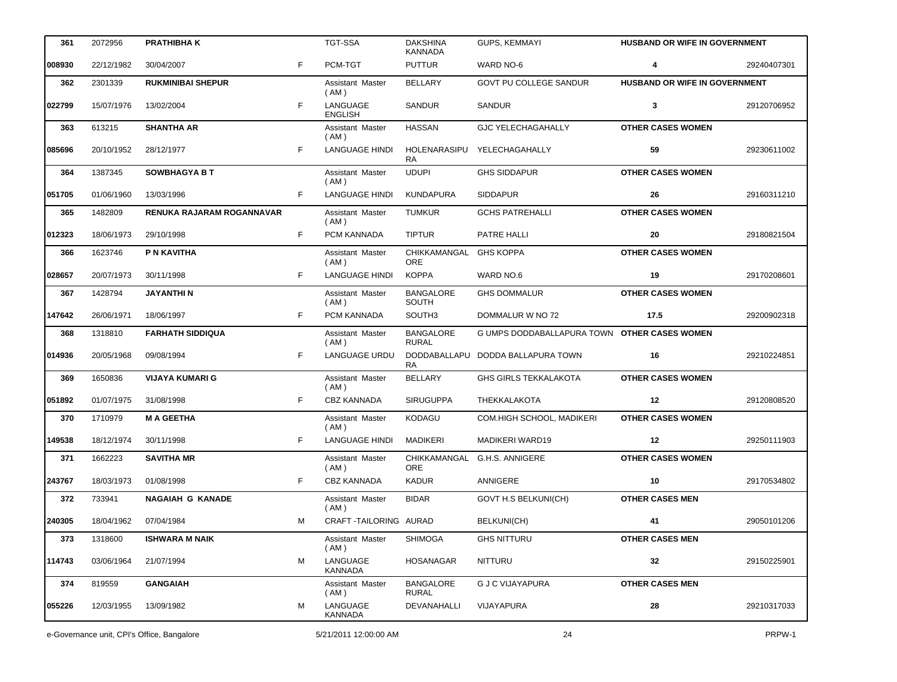| 361    | 2072956                                    | <b>PRATHIBHAK</b>                |    | <b>TGT-SSA</b>                    | <b>DAKSHINA</b><br><b>KANNADA</b> | <b>GUPS, KEMMAYI</b>                         | HUSBAND OR WIFE IN GOVERNMENT        |             |
|--------|--------------------------------------------|----------------------------------|----|-----------------------------------|-----------------------------------|----------------------------------------------|--------------------------------------|-------------|
| 008930 | 22/12/1982                                 | 30/04/2007                       | F  | PCM-TGT                           | <b>PUTTUR</b>                     | WARD NO-6                                    | 4                                    | 29240407301 |
| 362    | 2301339                                    | <b>RUKMINIBAI SHEPUR</b>         |    | Assistant Master<br>( AM )        | <b>BELLARY</b>                    | GOVT PU COLLEGE SANDUR                       | <b>HUSBAND OR WIFE IN GOVERNMENT</b> |             |
| 022799 | 15/07/1976                                 | 13/02/2004                       | F  | LANGUAGE<br><b>ENGLISH</b>        | <b>SANDUR</b>                     | <b>SANDUR</b>                                | 3                                    | 29120706952 |
| 363    | 613215                                     | <b>SHANTHA AR</b>                |    | Assistant Master<br>( AM )        | <b>HASSAN</b>                     | <b>GJC YELECHAGAHALLY</b>                    | <b>OTHER CASES WOMEN</b>             |             |
| 085696 | 20/10/1952                                 | 28/12/1977                       | F. | LANGUAGE HINDI                    | HOLENARASIPU<br>RA.               | YELECHAGAHALLY                               | 59                                   | 29230611002 |
| 364    | 1387345                                    | <b>SOWBHAGYA B T</b>             |    | Assistant Master<br>(AM)          | <b>UDUPI</b>                      | <b>GHS SIDDAPUR</b>                          | <b>OTHER CASES WOMEN</b>             |             |
| 051705 | 01/06/1960                                 | 13/03/1996                       | F. | LANGUAGE HINDI                    | KUNDAPURA                         | <b>SIDDAPUR</b>                              | 26                                   | 29160311210 |
| 365    | 1482809                                    | <b>RENUKA RAJARAM ROGANNAVAR</b> |    | Assistant Master<br>(AM)          | <b>TUMKUR</b>                     | <b>GCHS PATREHALLI</b>                       | <b>OTHER CASES WOMEN</b>             |             |
| 012323 | 18/06/1973                                 | 29/10/1998                       | F. | PCM KANNADA                       | <b>TIPTUR</b>                     | PATRE HALLI                                  | 20                                   | 29180821504 |
| 366    | 1623746                                    | P N KAVITHA                      |    | Assistant Master<br>(AM)          | CHIKKAMANGAL<br><b>ORE</b>        | <b>GHS KOPPA</b>                             | <b>OTHER CASES WOMEN</b>             |             |
| 028657 | 20/07/1973                                 | 30/11/1998                       | F. | <b>LANGUAGE HINDI</b>             | <b>KOPPA</b>                      | WARD NO.6                                    | 19                                   | 29170208601 |
| 367    | 1428794                                    | <b>JAYANTHI N</b>                |    | <b>Assistant Master</b><br>( AM ) | <b>BANGALORE</b><br>SOUTH         | <b>GHS DOMMALUR</b>                          | <b>OTHER CASES WOMEN</b>             |             |
| 147642 | 26/06/1971                                 | 18/06/1997                       | F  | PCM KANNADA                       | SOUTH <sub>3</sub>                | DOMMALUR W NO 72                             | 17.5                                 | 29200902318 |
| 368    | 1318810                                    | <b>FARHATH SIDDIQUA</b>          |    | Assistant Master<br>( AM )        | <b>BANGALORE</b><br><b>RURAL</b>  | G UMPS DODDABALLAPURA TOWN OTHER CASES WOMEN |                                      |             |
| 014936 | 20/05/1968                                 | 09/08/1994                       | F. | LANGUAGE URDU                     | RA.                               | DODDABALLAPU DODDA BALLAPURA TOWN            | 16                                   | 29210224851 |
| 369    | 1650836                                    | <b>VIJAYA KUMARI G</b>           |    | Assistant Master<br>( AM )        | <b>BELLARY</b>                    | <b>GHS GIRLS TEKKALAKOTA</b>                 | <b>OTHER CASES WOMEN</b>             |             |
| 051892 | 01/07/1975                                 | 31/08/1998                       | F  | <b>CBZ KANNADA</b>                | <b>SIRUGUPPA</b>                  | THEKKALAKOTA                                 | $12 \,$                              | 29120808520 |
| 370    | 1710979                                    | <b>M A GEETHA</b>                |    | Assistant Master<br>(AM)          | <b>KODAGU</b>                     | COM.HIGH SCHOOL, MADIKERI                    | <b>OTHER CASES WOMEN</b>             |             |
| 149538 | 18/12/1974                                 | 30/11/1998                       | F  | <b>LANGUAGE HINDI</b>             | <b>MADIKERI</b>                   | <b>MADIKERI WARD19</b>                       | 12                                   | 29250111903 |
| 371    | 1662223                                    | <b>SAVITHA MR</b>                |    | Assistant Master<br>( AM )        | <b>ORE</b>                        | CHIKKAMANGAL G.H.S. ANNIGERE                 | <b>OTHER CASES WOMEN</b>             |             |
| 243767 |                                            | 18/03/1973 01/08/1998            |    | CBZ KANNADA                       | <b>KADUR</b>                      | ANNIGERE                                     | 10                                   | 29170534802 |
| 372    | 733941                                     | <b>NAGAIAH G KANADE</b>          |    | Assistant Master<br>(AM)          | <b>BIDAR</b>                      | <b>GOVT H.S BELKUNI(CH)</b>                  | <b>OTHER CASES MEN</b>               |             |
| 240305 | 18/04/1962                                 | 07/04/1984                       | м  | CRAFT-TAILORING AURAD             |                                   | <b>BELKUNI(CH)</b>                           | 41                                   | 29050101206 |
| 373    | 1318600                                    | <b>ISHWARA M NAIK</b>            |    | Assistant Master<br>(AM)          | <b>SHIMOGA</b>                    | <b>GHS NITTURU</b>                           | <b>OTHER CASES MEN</b>               |             |
| 114743 | 03/06/1964                                 | 21/07/1994                       | M  | LANGUAGE<br>KANNADA               | <b>HOSANAGAR</b>                  | <b>NITTURU</b>                               | 32                                   | 29150225901 |
| 374    | 819559                                     | <b>GANGAIAH</b>                  |    | Assistant Master<br>(AM)          | <b>BANGALORE</b><br><b>RURAL</b>  | <b>G J C VIJAYAPURA</b>                      | <b>OTHER CASES MEN</b>               |             |
| 055226 | 12/03/1955                                 | 13/09/1982                       | м  | LANGUAGE<br><b>KANNADA</b>        | DEVANAHALLI                       | VIJAYAPURA                                   | 28                                   | 29210317033 |
|        | e-Governance unit, CPI's Office, Bangalore |                                  |    | 5/21/2011 12:00:00 AM             |                                   | 24                                           |                                      | PRPW-1      |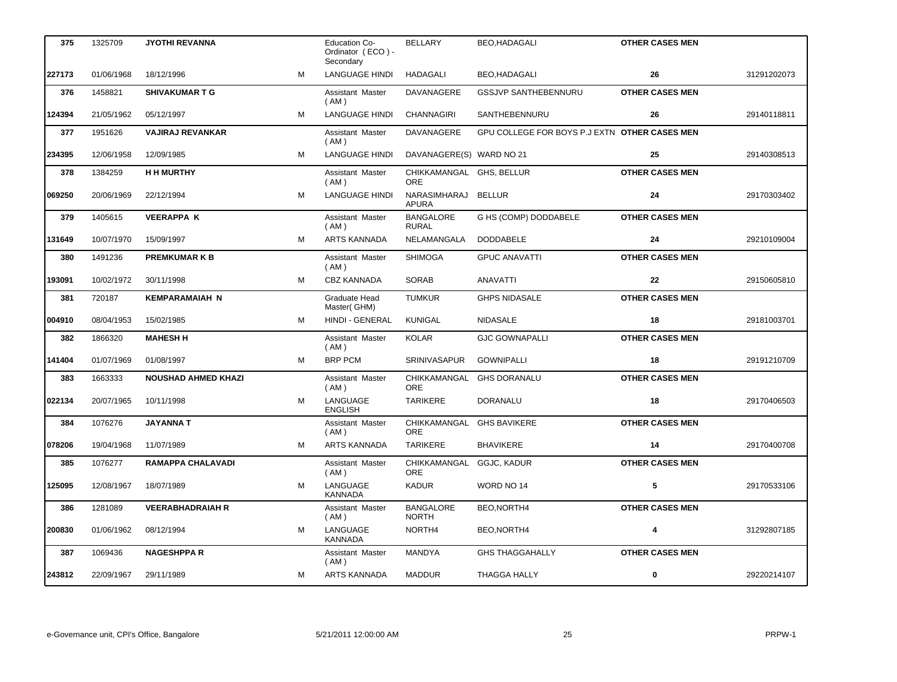| 375    | 1325709    | <b>JYOTHI REVANNA</b>      |   | <b>Education Co-</b><br>Ordinator (ECO) -<br>Secondary | <b>BELLARY</b>                   | <b>BEO,HADAGALI</b>                           | <b>OTHER CASES MEN</b> |             |
|--------|------------|----------------------------|---|--------------------------------------------------------|----------------------------------|-----------------------------------------------|------------------------|-------------|
| 227173 | 01/06/1968 | 18/12/1996                 | M | <b>LANGUAGE HINDI</b>                                  | <b>HADAGALI</b>                  | BEO,HADAGALI                                  | 26                     | 31291202073 |
| 376    | 1458821    | <b>SHIVAKUMAR T G</b>      |   | Assistant Master<br>(AM)                               | DAVANAGERE                       | <b>GSSJVP SANTHEBENNURU</b>                   | <b>OTHER CASES MEN</b> |             |
| 124394 | 21/05/1962 | 05/12/1997                 | м | <b>LANGUAGE HINDI</b>                                  | <b>CHANNAGIRI</b>                | SANTHEBENNURU                                 | 26                     | 29140118811 |
| 377    | 1951626    | <b>VAJIRAJ REVANKAR</b>    |   | Assistant Master<br>(AM)                               | DAVANAGERE                       | GPU COLLEGE FOR BOYS P.J EXTN OTHER CASES MEN |                        |             |
| 234395 | 12/06/1958 | 12/09/1985                 | M | <b>LANGUAGE HINDI</b>                                  | DAVANAGERE(S) WARD NO 21         |                                               | 25                     | 29140308513 |
| 378    | 1384259    | <b>H H MURTHY</b>          |   | Assistant Master<br>(AM)                               | CHIKKAMANGAL GHS, BELLUR<br>ORE. |                                               | <b>OTHER CASES MEN</b> |             |
| 069250 | 20/06/1969 | 22/12/1994                 | м | LANGUAGE HINDI                                         | NARASIMHARAJ<br><b>APURA</b>     | <b>BELLUR</b>                                 | 24                     | 29170303402 |
| 379    | 1405615    | <b>VEERAPPA K</b>          |   | Assistant Master<br>(AM)                               | <b>BANGALORE</b><br><b>RURAL</b> | G HS (COMP) DODDABELE                         | <b>OTHER CASES MEN</b> |             |
| 131649 | 10/07/1970 | 15/09/1997                 | м | <b>ARTS KANNADA</b>                                    | NELAMANGALA                      | <b>DODDABELE</b>                              | 24                     | 29210109004 |
| 380    | 1491236    | <b>PREMKUMARKB</b>         |   | Assistant Master<br>(AM)                               | <b>SHIMOGA</b>                   | <b>GPUC ANAVATTI</b>                          | <b>OTHER CASES MEN</b> |             |
| 193091 | 10/02/1972 | 30/11/1998                 | M | CBZ KANNADA                                            | <b>SORAB</b>                     | <b>ANAVATTI</b>                               | 22                     | 29150605810 |
| 381    | 720187     | <b>KEMPARAMAIAH N</b>      |   | Graduate Head<br>Master(GHM)                           | <b>TUMKUR</b>                    | <b>GHPS NIDASALE</b>                          | <b>OTHER CASES MEN</b> |             |
| 004910 | 08/04/1953 | 15/02/1985                 | M | HINDI - GENERAL                                        | <b>KUNIGAL</b>                   | NIDASALE                                      | 18                     | 29181003701 |
| 382    | 1866320    | <b>MAHESH H</b>            |   | Assistant Master<br>(AM)                               | <b>KOLAR</b>                     | <b>GJC GOWNAPALLI</b>                         | <b>OTHER CASES MEN</b> |             |
| 141404 | 01/07/1969 | 01/08/1997                 | M | <b>BRP PCM</b>                                         | SRINIVASAPUR                     | <b>GOWNIPALLI</b>                             | 18                     | 29191210709 |
| 383    | 1663333    | <b>NOUSHAD AHMED KHAZI</b> |   | Assistant Master<br>(AM)                               | CHIKKAMANGAL<br>ORE              | <b>GHS DORANALU</b>                           | <b>OTHER CASES MEN</b> |             |
| 022134 | 20/07/1965 | 10/11/1998                 | M | LANGUAGE<br><b>ENGLISH</b>                             | <b>TARIKERE</b>                  | <b>DORANALU</b>                               | 18                     | 29170406503 |
| 384    | 1076276    | <b>JAYANNA T</b>           |   | Assistant Master<br>(AM)                               | CHIKKAMANGAL<br><b>ORE</b>       | <b>GHS BAVIKERE</b>                           | <b>OTHER CASES MEN</b> |             |
| 078206 | 19/04/1968 | 11/07/1989                 | м | <b>ARTS KANNADA</b>                                    | <b>TARIKERE</b>                  | <b>BHAVIKERE</b>                              | 14                     | 29170400708 |
| 385    | 1076277    | <b>RAMAPPA CHALAVADI</b>   |   | Assistant Master<br>(AM)                               | CHIKKAMANGAL GGJC, KADUR<br>ORE  |                                               | <b>OTHER CASES MEN</b> |             |
| 125095 | 12/08/1967 | 18/07/1989                 | М | LANGUAGE<br>KANNADA                                    | <b>KADUR</b>                     | WORD NO 14                                    | 5                      | 29170533106 |
| 386    | 1281089    | <b>VEERABHADRAIAH R</b>    |   | Assistant Master<br>(AM)                               | <b>BANGALORE</b><br><b>NORTH</b> | BEO,NORTH4                                    | <b>OTHER CASES MEN</b> |             |
| 200830 | 01/06/1962 | 08/12/1994                 | м | LANGUAGE<br><b>KANNADA</b>                             | NORTH4                           | BEO,NORTH4                                    | 4                      | 31292807185 |
| 387    | 1069436    | <b>NAGESHPPA R</b>         |   | Assistant Master<br>(AM)                               | MANDYA                           | <b>GHS THAGGAHALLY</b>                        | <b>OTHER CASES MEN</b> |             |
| 243812 | 22/09/1967 | 29/11/1989                 | М | ARTS KANNADA                                           | <b>MADDUR</b>                    | <b>THAGGA HALLY</b>                           | 0                      | 29220214107 |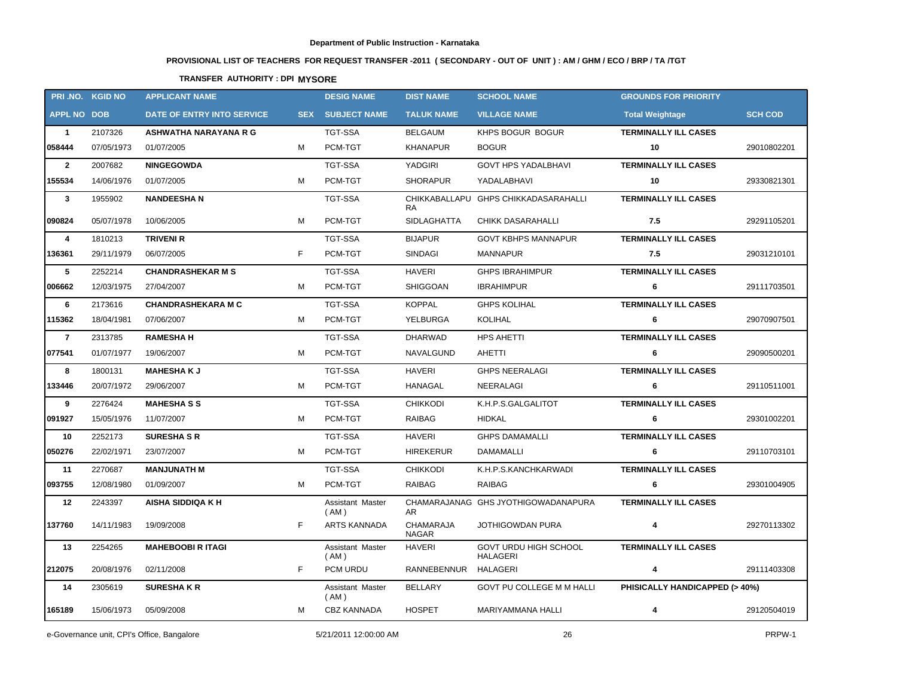# **PROVISIONAL LIST OF TEACHERS FOR REQUEST TRANSFER -2011 ( SECONDARY - OUT OF UNIT ) : AM / GHM / ECO / BRP / TA /TGT**

## **TRANSFER AUTHORITY : DPI MYSORE**

|                    | PRI.NO. KGID NO | <b>APPLICANT NAME</b>      |            | <b>DESIG NAME</b>        | <b>DIST NAME</b>          | <b>SCHOOL NAME</b>                       | <b>GROUNDS FOR PRIORITY</b>    |                |
|--------------------|-----------------|----------------------------|------------|--------------------------|---------------------------|------------------------------------------|--------------------------------|----------------|
| <b>APPL NO DOB</b> |                 | DATE OF ENTRY INTO SERVICE | <b>SEX</b> | <b>SUBJECT NAME</b>      | <b>TALUK NAME</b>         | <b>VILLAGE NAME</b>                      | <b>Total Weightage</b>         | <b>SCH COD</b> |
| $\mathbf{1}$       | 2107326         | ASHWATHA NARAYANA R G      |            | <b>TGT-SSA</b>           | <b>BELGAUM</b>            | KHPS BOGUR BOGUR                         | <b>TERMINALLY ILL CASES</b>    |                |
| 058444             | 07/05/1973      | 01/07/2005                 | м          | PCM-TGT                  | <b>KHANAPUR</b>           | <b>BOGUR</b>                             | 10                             | 29010802201    |
| $\overline{2}$     | 2007682         | <b>NINGEGOWDA</b>          |            | <b>TGT-SSA</b>           | YADGIRI                   | <b>GOVT HPS YADALBHAVI</b>               | <b>TERMINALLY ILL CASES</b>    |                |
| 155534             | 14/06/1976      | 01/07/2005                 | М          | PCM-TGT                  | <b>SHORAPUR</b>           | YADALABHAVI                              | 10                             | 29330821301    |
| $\mathbf{3}$       | 1955902         | <b>NANDEESHAN</b>          |            | <b>TGT-SSA</b>           | RA                        | CHIKKABALLAPU GHPS CHIKKADASARAHALLI     | <b>TERMINALLY ILL CASES</b>    |                |
| 090824             | 05/07/1978      | 10/06/2005                 | M          | PCM-TGT                  | <b>SIDLAGHATTA</b>        | <b>CHIKK DASARAHALLI</b>                 | 7.5                            | 29291105201    |
| 4                  | 1810213         | <b>TRIVENI R</b>           |            | <b>TGT-SSA</b>           | <b>BIJAPUR</b>            | <b>GOVT KBHPS MANNAPUR</b>               | <b>TERMINALLY ILL CASES</b>    |                |
| 136361             | 29/11/1979      | 06/07/2005                 | F          | PCM-TGT                  | <b>SINDAGI</b>            | MANNAPUR                                 | 7.5                            | 29031210101    |
| 5                  | 2252214         | <b>CHANDRASHEKAR M S</b>   |            | <b>TGT-SSA</b>           | <b>HAVERI</b>             | <b>GHPS IBRAHIMPUR</b>                   | <b>TERMINALLY ILL CASES</b>    |                |
| 006662             | 12/03/1975      | 27/04/2007                 | М          | PCM-TGT                  | SHIGGOAN                  | <b>IBRAHIMPUR</b>                        | 6                              | 29111703501    |
| 6                  | 2173616         | <b>CHANDRASHEKARA M C</b>  |            | <b>TGT-SSA</b>           | <b>KOPPAL</b>             | <b>GHPS KOLIHAL</b>                      | <b>TERMINALLY ILL CASES</b>    |                |
| 115362             | 18/04/1981      | 07/06/2007                 | М          | PCM-TGT                  | YELBURGA                  | KOLIHAL                                  | 6                              | 29070907501    |
| $\overline{7}$     | 2313785         | <b>RAMESHAH</b>            |            | TGT-SSA                  | <b>DHARWAD</b>            | <b>HPS AHETTI</b>                        | <b>TERMINALLY ILL CASES</b>    |                |
| 077541             | 01/07/1977      | 19/06/2007                 | М          | PCM-TGT                  | NAVALGUND                 | AHETTI                                   | 6                              | 29090500201    |
| 8                  | 1800131         | <b>MAHESHAKJ</b>           |            | <b>TGT-SSA</b>           | <b>HAVERI</b>             | <b>GHPS NEERALAGI</b>                    | <b>TERMINALLY ILL CASES</b>    |                |
| 133446             | 20/07/1972      | 29/06/2007                 | М          | PCM-TGT                  | HANAGAL                   | NEERALAGI                                | 6                              | 29110511001    |
| 9                  | 2276424         | <b>MAHESHASS</b>           |            | TGT-SSA                  | <b>CHIKKODI</b>           | K.H.P.S.GALGALITOT                       | <b>TERMINALLY ILL CASES</b>    |                |
| 091927             | 15/05/1976      | 11/07/2007                 | М          | PCM-TGT                  | <b>RAIBAG</b>             | <b>HIDKAL</b>                            | 6                              | 29301002201    |
| 10                 | 2252173         | <b>SURESHA S R</b>         |            | <b>TGT-SSA</b>           | <b>HAVERI</b>             | <b>GHPS DAMAMALLI</b>                    | <b>TERMINALLY ILL CASES</b>    |                |
| 050276             | 22/02/1971      | 23/07/2007                 | M          | PCM-TGT                  | HIREKERUR                 | DAMAMALLI                                | 6                              | 29110703101    |
| 11                 | 2270687         | <b>MANJUNATH M</b>         |            | <b>TGT-SSA</b>           | <b>CHIKKODI</b>           | K.H.P.S.KANCHKARWADI                     | <b>TERMINALLY ILL CASES</b>    |                |
| 093755             | 12/08/1980      | 01/09/2007                 | м          | PCM-TGT                  | RAIBAG                    | <b>RAIBAG</b>                            | 6                              | 29301004905    |
| 12                 | 2243397         | AISHA SIDDIQA K H          |            | Assistant Master<br>(AM) | AR                        | CHAMARAJANAG GHS JYOTHIGOWADANAPURA      | <b>TERMINALLY ILL CASES</b>    |                |
| 137760             | 14/11/1983      | 19/09/2008                 | F          | <b>ARTS KANNADA</b>      | CHAMARAJA<br><b>NAGAR</b> | <b>JOTHIGOWDAN PURA</b>                  | 4                              | 29270113302    |
| 13                 | 2254265         | <b>MAHEBOOBI R ITAGI</b>   |            | Assistant Master<br>(AM) | HAVERI                    | GOVT URDU HIGH SCHOOL<br><b>HALAGERI</b> | <b>TERMINALLY ILL CASES</b>    |                |
| 212075             | 20/08/1976      | 02/11/2008                 | F          | PCM URDU                 | RANNEBENNUR               | <b>HALAGERI</b>                          | 4                              | 29111403308    |
| 14                 | 2305619         | <b>SURESHAKR</b>           |            | Assistant Master<br>(AM) | BELLARY                   | GOVT PU COLLEGE M M HALLI                | PHISICALLY HANDICAPPED (> 40%) |                |
| 165189             | 15/06/1973      | 05/09/2008                 | М          | <b>CBZ KANNADA</b>       | <b>HOSPET</b>             | MARIYAMMANA HALLI                        | 4                              | 29120504019    |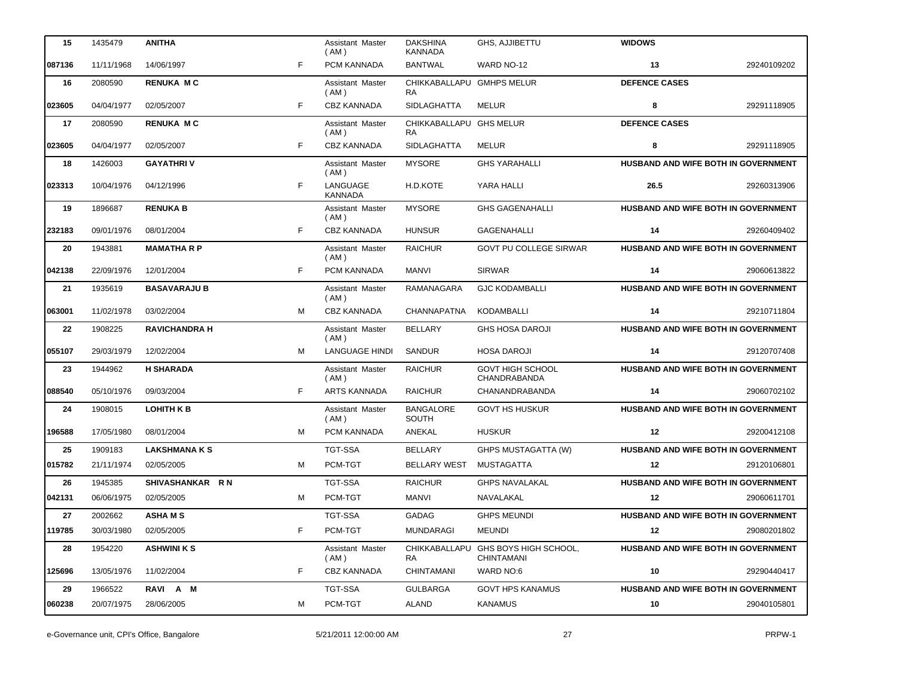| 15     | 1435479    | <b>ANITHA</b>        |   | Assistant Master<br>(AM)   | <b>DAKSHINA</b><br><b>KANNADA</b>      | GHS, AJJIBETTU                                    | <b>WIDOWS</b>                              |             |
|--------|------------|----------------------|---|----------------------------|----------------------------------------|---------------------------------------------------|--------------------------------------------|-------------|
| 087136 | 11/11/1968 | 14/06/1997           | F | PCM KANNADA                | <b>BANTWAL</b>                         | WARD NO-12                                        | 13                                         | 29240109202 |
| 16     | 2080590    | <b>RENUKA MC</b>     |   | Assistant Master<br>(AM)   | CHIKKABALLAPU GMHPS MELUR<br><b>RA</b> |                                                   | <b>DEFENCE CASES</b>                       |             |
| 023605 | 04/04/1977 | 02/05/2007           | F | CBZ KANNADA                | <b>SIDLAGHATTA</b>                     | MELUR                                             | 8                                          | 29291118905 |
| 17     | 2080590    | <b>RENUKA MC</b>     |   | Assistant Master<br>(AM)   | CHIKKABALLAPU GHS MELUR<br><b>RA</b>   |                                                   | <b>DEFENCE CASES</b>                       |             |
| 023605 | 04/04/1977 | 02/05/2007           | F | <b>CBZ KANNADA</b>         | <b>SIDLAGHATTA</b>                     | MELUR                                             | 8                                          | 29291118905 |
| 18     | 1426003    | <b>GAYATHRIV</b>     |   | Assistant Master<br>(AM)   | <b>MYSORE</b>                          | <b>GHS YARAHALLI</b>                              | HUSBAND AND WIFE BOTH IN GOVERNMENT        |             |
| 023313 | 10/04/1976 | 04/12/1996           | F | LANGUAGE<br><b>KANNADA</b> | H.D.KOTE                               | YARA HALLI                                        | 26.5                                       | 29260313906 |
| 19     | 1896687    | <b>RENUKA B</b>      |   | Assistant Master<br>( AM ) | <b>MYSORE</b>                          | <b>GHS GAGENAHALLI</b>                            | HUSBAND AND WIFE BOTH IN GOVERNMENT        |             |
| 232183 | 09/01/1976 | 08/01/2004           | F | <b>CBZ KANNADA</b>         | <b>HUNSUR</b>                          | <b>GAGENAHALLI</b>                                | 14                                         | 29260409402 |
| 20     | 1943881    | <b>MAMATHARP</b>     |   | Assistant Master<br>(AM)   | <b>RAICHUR</b>                         | <b>GOVT PU COLLEGE SIRWAR</b>                     | HUSBAND AND WIFE BOTH IN GOVERNMENT        |             |
| 042138 | 22/09/1976 | 12/01/2004           | F | PCM KANNADA                | <b>MANVI</b>                           | <b>SIRWAR</b>                                     | 14                                         | 29060613822 |
| 21     | 1935619    | <b>BASAVARAJU B</b>  |   | Assistant Master<br>(AM)   | <b>RAMANAGARA</b>                      | <b>GJC KODAMBALLI</b>                             | HUSBAND AND WIFE BOTH IN GOVERNMENT        |             |
| 063001 | 11/02/1978 | 03/02/2004           | м | <b>CBZ KANNADA</b>         | CHANNAPATNA                            | <b>KODAMBALLI</b>                                 | 14                                         | 29210711804 |
| 22     | 1908225    | <b>RAVICHANDRA H</b> |   | Assistant Master<br>(AM)   | <b>BELLARY</b>                         | <b>GHS HOSA DAROJI</b>                            | HUSBAND AND WIFE BOTH IN GOVERNMENT        |             |
| 055107 | 29/03/1979 | 12/02/2004           | M | <b>LANGUAGE HINDI</b>      | <b>SANDUR</b>                          | <b>HOSA DAROJI</b>                                | 14                                         | 29120707408 |
| 23     | 1944962    | <b>H SHARADA</b>     |   | Assistant Master<br>(AM)   | <b>RAICHUR</b>                         | <b>GOVT HIGH SCHOOL</b><br>CHANDRABANDA           | HUSBAND AND WIFE BOTH IN GOVERNMENT        |             |
| 088540 | 05/10/1976 | 09/03/2004           | F | <b>ARTS KANNADA</b>        | <b>RAICHUR</b>                         | CHANANDRABANDA                                    | 14                                         | 29060702102 |
| 24     | 1908015    | <b>LOHITH K B</b>    |   | Assistant Master<br>(AM)   | <b>BANGALORE</b><br>SOUTH              | <b>GOVT HS HUSKUR</b>                             | HUSBAND AND WIFE BOTH IN GOVERNMENT        |             |
| 196588 | 17/05/1980 | 08/01/2004           | м | PCM KANNADA                | ANEKAL                                 | <b>HUSKUR</b>                                     | 12                                         | 29200412108 |
| 25     | 1909183    | <b>LAKSHMANA K S</b> |   | <b>TGT-SSA</b>             | <b>BELLARY</b>                         | GHPS MUSTAGATTA (W)                               | HUSBAND AND WIFE BOTH IN GOVERNMENT        |             |
| 015782 | 21/11/1974 | 02/05/2005           | M | PCM-TGT                    | <b>BELLARY WEST</b>                    | MUSTAGATTA                                        | 12                                         | 29120106801 |
| 26     | 1945385    | SHIVASHANKAR RN      |   | TGT-SSA                    | <b>RAICHUR</b>                         | <b>GHPS NAVALAKAL</b>                             | <b>HUSBAND AND WIFE BOTH IN GOVERNMENT</b> |             |
| 042131 | 06/06/1975 | 02/05/2005           | м | PCM-TGT                    | MANVI                                  | NAVALAKAL                                         | 12                                         | 29060611701 |
| 27     | 2002662    | <b>ASHAMS</b>        |   | TGT-SSA                    | <b>GADAG</b>                           | <b>GHPS MEUNDI</b>                                | HUSBAND AND WIFE BOTH IN GOVERNMENT        |             |
| 119785 | 30/03/1980 | 02/05/2005           | F | PCM-TGT                    | MUNDARAGI                              | <b>MEUNDI</b>                                     | 12                                         | 29080201802 |
| 28     | 1954220    | <b>ASHWINI K S</b>   |   | Assistant Master<br>(AM)   | RA                                     | CHIKKABALLAPU GHS BOYS HIGH SCHOOL,<br>CHINTAMANI | HUSBAND AND WIFE BOTH IN GOVERNMENT        |             |
| 125696 | 13/05/1976 | 11/02/2004           | F | <b>CBZ KANNADA</b>         | CHINTAMANI                             | WARD NO:6                                         | 10                                         | 29290440417 |
| 29     | 1966522    | RAVI A M             |   | TGT-SSA                    | <b>GULBARGA</b>                        | <b>GOVT HPS KANAMUS</b>                           | <b>HUSBAND AND WIFE BOTH IN GOVERNMENT</b> |             |
| 060238 | 20/07/1975 | 28/06/2005           | м | PCM-TGT                    | ALAND                                  | <b>KANAMUS</b>                                    | 10                                         | 29040105801 |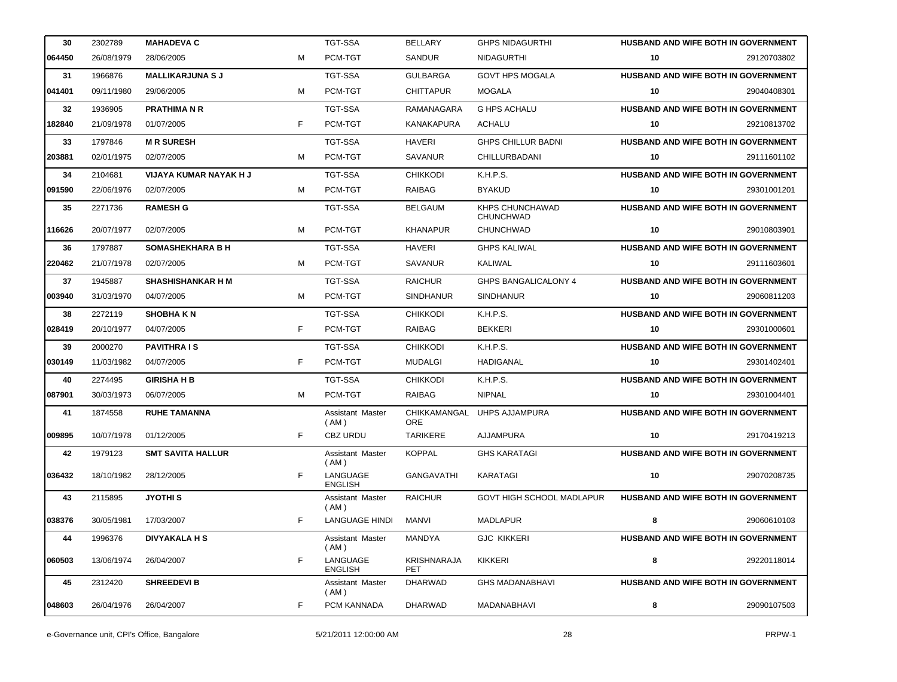| 30     | 2302789    | <b>MAHADEVA C</b>        |    | <b>TGT-SSA</b>             | <b>BELLARY</b>                   | <b>GHPS NIDAGURTHI</b>              | <b>HUSBAND AND WIFE BOTH IN GOVERNMENT</b> |             |
|--------|------------|--------------------------|----|----------------------------|----------------------------------|-------------------------------------|--------------------------------------------|-------------|
| 064450 | 26/08/1979 | 28/06/2005               | M  | PCM-TGT                    | SANDUR                           | <b>NIDAGURTHI</b>                   | 10                                         | 29120703802 |
| 31     | 1966876    | <b>MALLIKARJUNA S J</b>  |    | <b>TGT-SSA</b>             | <b>GULBARGA</b>                  | <b>GOVT HPS MOGALA</b>              | HUSBAND AND WIFE BOTH IN GOVERNMENT        |             |
| 041401 | 09/11/1980 | 29/06/2005               | M  | PCM-TGT                    | <b>CHITTAPUR</b>                 | MOGALA                              | 10                                         | 29040408301 |
| 32     | 1936905    | <b>PRATHIMA N R</b>      |    | <b>TGT-SSA</b>             | <b>RAMANAGARA</b>                | <b>G HPS ACHALU</b>                 | <b>HUSBAND AND WIFE BOTH IN GOVERNMENT</b> |             |
| 182840 | 21/09/1978 | 01/07/2005               | F  | PCM-TGT                    | KANAKAPURA                       | ACHALU                              | 10                                         | 29210813702 |
| 33     | 1797846    | <b>MR SURESH</b>         |    | <b>TGT-SSA</b>             | <b>HAVERI</b>                    | <b>GHPS CHILLUR BADNI</b>           | <b>HUSBAND AND WIFE BOTH IN GOVERNMENT</b> |             |
| 203881 | 02/01/1975 | 02/07/2005               | M  | PCM-TGT                    | <b>SAVANUR</b>                   | CHILLURBADANI                       | 10                                         | 29111601102 |
| 34     | 2104681    | VIJAYA KUMAR NAYAK H J   |    | <b>TGT-SSA</b>             | <b>CHIKKODI</b>                  | K.H.P.S.                            | <b>HUSBAND AND WIFE BOTH IN GOVERNMENT</b> |             |
| 091590 | 22/06/1976 | 02/07/2005               | M  | PCM-TGT                    | <b>RAIBAG</b>                    | <b>BYAKUD</b>                       | 10                                         | 29301001201 |
| 35     | 2271736    | <b>RAMESH G</b>          |    | <b>TGT-SSA</b>             | <b>BELGAUM</b>                   | KHPS CHUNCHAWAD<br><b>CHUNCHWAD</b> | <b>HUSBAND AND WIFE BOTH IN GOVERNMENT</b> |             |
| 116626 | 20/07/1977 | 02/07/2005               | M  | PCM-TGT                    | <b>KHANAPUR</b>                  | <b>CHUNCHWAD</b>                    | 10                                         | 29010803901 |
| 36     | 1797887    | <b>SOMASHEKHARA B H</b>  |    | <b>TGT-SSA</b>             | <b>HAVERI</b>                    | <b>GHPS KALIWAL</b>                 | HUSBAND AND WIFE BOTH IN GOVERNMENT        |             |
| 220462 | 21/07/1978 | 02/07/2005               | M  | PCM-TGT                    | <b>SAVANUR</b>                   | KALIWAL                             | 10                                         | 29111603601 |
| 37     | 1945887    | <b>SHASHISHANKAR H M</b> |    | TGT-SSA                    | <b>RAICHUR</b>                   | <b>GHPS BANGALICALONY 4</b>         | <b>HUSBAND AND WIFE BOTH IN GOVERNMENT</b> |             |
| 003940 | 31/03/1970 | 04/07/2005               | м  | PCM-TGT                    | <b>SINDHANUR</b>                 | <b>SINDHANUR</b>                    | 10                                         | 29060811203 |
| 38     | 2272119    | <b>SHOBHAKN</b>          |    | TGT-SSA                    | <b>CHIKKODI</b>                  | K.H.P.S.                            | HUSBAND AND WIFE BOTH IN GOVERNMENT        |             |
| 028419 | 20/10/1977 | 04/07/2005               | F  | PCM-TGT                    | <b>RAIBAG</b>                    | <b>BEKKERI</b>                      | 10                                         | 29301000601 |
| 39     | 2000270    | <b>PAVITHRA IS</b>       |    | TGT-SSA                    | <b>CHIKKODI</b>                  | K.H.P.S.                            | <b>HUSBAND AND WIFE BOTH IN GOVERNMENT</b> |             |
| 030149 | 11/03/1982 | 04/07/2005               | F. | PCM-TGT                    | MUDALGI                          | HADIGANAL                           | 10                                         | 29301402401 |
| 40     | 2274495    | <b>GIRISHA H B</b>       |    | <b>TGT-SSA</b>             | <b>CHIKKODI</b>                  | K.H.P.S.                            | HUSBAND AND WIFE BOTH IN GOVERNMENT        |             |
| 087901 | 30/03/1973 | 06/07/2005               | M  | PCM-TGT                    | <b>RAIBAG</b>                    | <b>NIPNAL</b>                       | 10                                         | 29301004401 |
| 41     | 1874558    | <b>RUHE TAMANNA</b>      |    | Assistant Master<br>(AM)   | ORE                              | CHIKKAMANGAL UHPS AJJAMPURA         | <b>HUSBAND AND WIFE BOTH IN GOVERNMENT</b> |             |
| 009895 | 10/07/1978 | 01/12/2005               | F  | CBZ URDU                   | <b>TARIKERE</b>                  | AJJAMPURA                           | 10                                         | 29170419213 |
| 42     | 1979123    | <b>SMT SAVITA HALLUR</b> |    | Assistant Master<br>(AM)   | <b>KOPPAL</b>                    | <b>GHS KARATAGI</b>                 | HUSBAND AND WIFE BOTH IN GOVERNMENT        |             |
| 036432 | 18/10/1982 | 28/12/2005               | F  | LANGUAGE<br><b>ENGLISH</b> | <b>GANGAVATHI</b>                | KARATAGI                            | 10                                         | 29070208735 |
| 43     | 2115895    | <b>JYOTHIS</b>           |    | Assistant Master<br>(AM)   | <b>RAICHUR</b>                   | GOVT HIGH SCHOOL MADLAPUR           | HUSBAND AND WIFE BOTH IN GOVERNMENT        |             |
| 038376 | 30/05/1981 | 17/03/2007               | F  | <b>LANGUAGE HINDI</b>      | MANVI                            | <b>MADLAPUR</b>                     | 8                                          | 29060610103 |
| 44     | 1996376    | <b>DIVYAKALA H S</b>     |    | Assistant Master<br>(AM)   | MANDYA                           | <b>GJC KIKKERI</b>                  | <b>HUSBAND AND WIFE BOTH IN GOVERNMENT</b> |             |
| 060503 | 13/06/1974 | 26/04/2007               | F  | LANGUAGE<br><b>ENGLISH</b> | <b>KRISHNARAJA</b><br><b>PET</b> | <b>KIKKERI</b>                      | 8                                          | 29220118014 |
| 45     | 2312420    | <b>SHREEDEVI B</b>       |    | Assistant Master<br>(AM)   | <b>DHARWAD</b>                   | <b>GHS MADANABHAVI</b>              | <b>HUSBAND AND WIFE BOTH IN GOVERNMENT</b> |             |
| 048603 | 26/04/1976 | 26/04/2007               | F  | PCM KANNADA                | DHARWAD                          | MADANABHAVI                         | 8                                          | 29090107503 |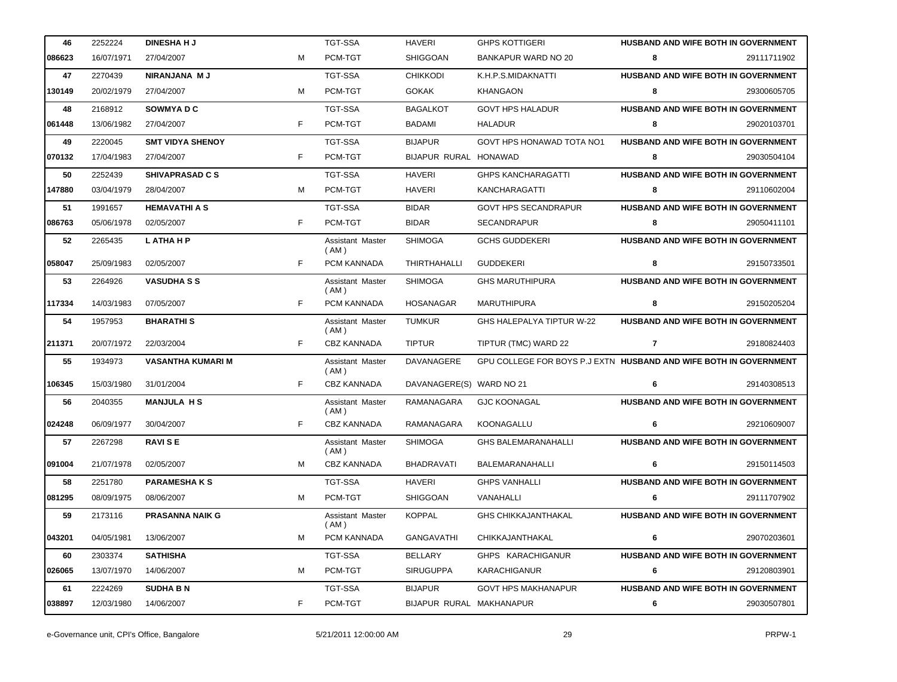| 46     | 2252224    | <b>DINESHAHJ</b>         |    | TGT-SSA                         | <b>HAVERI</b>            | <b>GHPS KOTTIGERI</b>                                             | HUSBAND AND WIFE BOTH IN GOVERNMENT        |             |
|--------|------------|--------------------------|----|---------------------------------|--------------------------|-------------------------------------------------------------------|--------------------------------------------|-------------|
| 086623 | 16/07/1971 | 27/04/2007               | м  | PCM-TGT                         | <b>SHIGGOAN</b>          | BANKAPUR WARD NO 20                                               | 8                                          | 29111711902 |
| 47     | 2270439    | NIRANJANA MJ             |    | TGT-SSA                         | <b>CHIKKODI</b>          | K.H.P.S.MIDAKNATTI                                                | HUSBAND AND WIFE BOTH IN GOVERNMENT        |             |
| 130149 | 20/02/1979 | 27/04/2007               | м  | PCM-TGT                         | <b>GOKAK</b>             | KHANGAON                                                          | 8                                          | 29300605705 |
| 48     | 2168912    | <b>SOWMYADC</b>          |    | TGT-SSA                         | <b>BAGALKOT</b>          | <b>GOVT HPS HALADUR</b>                                           | HUSBAND AND WIFE BOTH IN GOVERNMENT        |             |
| 061448 | 13/06/1982 | 27/04/2007               | F  | PCM-TGT                         | <b>BADAMI</b>            | <b>HALADUR</b>                                                    | 8                                          | 29020103701 |
| 49     | 2220045    | <b>SMT VIDYA SHENOY</b>  |    | TGT-SSA                         | <b>BIJAPUR</b>           | GOVT HPS HONAWAD TOTA NO1                                         | HUSBAND AND WIFE BOTH IN GOVERNMENT        |             |
| 070132 | 17/04/1983 | 27/04/2007               | F. | PCM-TGT                         | BIJAPUR RURAL HONAWAD    |                                                                   | 8                                          | 29030504104 |
| 50     | 2252439    | <b>SHIVAPRASAD C S</b>   |    | TGT-SSA                         | <b>HAVERI</b>            | <b>GHPS KANCHARAGATTI</b>                                         | HUSBAND AND WIFE BOTH IN GOVERNMENT        |             |
| 147880 | 03/04/1979 | 28/04/2007               | м  | PCM-TGT                         | <b>HAVERI</b>            | KANCHARAGATTI                                                     | 8                                          | 29110602004 |
| 51     | 1991657    | <b>HEMAVATHI A S</b>     |    | TGT-SSA                         | <b>BIDAR</b>             | GOVT HPS SECANDRAPUR                                              | HUSBAND AND WIFE BOTH IN GOVERNMENT        |             |
| 086763 | 05/06/1978 | 02/05/2007               | F  | PCM-TGT                         | <b>BIDAR</b>             | SECANDRAPUR                                                       | 8                                          | 29050411101 |
| 52     | 2265435    | L ATHA H P               |    | Assistant Master<br>(AM)        | <b>SHIMOGA</b>           | <b>GCHS GUDDEKERI</b>                                             | HUSBAND AND WIFE BOTH IN GOVERNMENT        |             |
| 058047 | 25/09/1983 | 02/05/2007               | F. | PCM KANNADA                     | <b>THIRTHAHALLI</b>      | <b>GUDDEKERI</b>                                                  | 8                                          | 29150733501 |
| 53     | 2264926    | <b>VASUDHASS</b>         |    | Assistant Master<br>(AM)        | <b>SHIMOGA</b>           | <b>GHS MARUTHIPURA</b>                                            | HUSBAND AND WIFE BOTH IN GOVERNMENT        |             |
| 117334 | 14/03/1983 | 07/05/2007               | F  | PCM KANNADA                     | <b>HOSANAGAR</b>         | <b>MARUTHIPURA</b>                                                | 8                                          | 29150205204 |
| 54     | 1957953    | <b>BHARATHIS</b>         |    | Assistant Master<br>(AM)        | <b>TUMKUR</b>            | GHS HALEPALYA TIPTUR W-22                                         | HUSBAND AND WIFE BOTH IN GOVERNMENT        |             |
| 211371 | 20/07/1972 | 22/03/2004               | F. | <b>CBZ KANNADA</b>              | <b>TIPTUR</b>            | TIPTUR (TMC) WARD 22                                              | $\mathbf{7}$                               | 29180824403 |
| 55     | 1934973    | <b>VASANTHA KUMARI M</b> |    | Assistant Master<br>(AM)        | DAVANAGERE               | GPU COLLEGE FOR BOYS P.J EXTN HUSBAND AND WIFE BOTH IN GOVERNMENT |                                            |             |
| 106345 | 15/03/1980 | 31/01/2004               | F. | <b>CBZ KANNADA</b>              | DAVANAGERE(S) WARD NO 21 |                                                                   | 6                                          | 29140308513 |
| 56     | 2040355    | <b>MANJULA HS</b>        |    | Assistant Master<br>(AM)        | RAMANAGARA               | <b>GJC KOONAGAL</b>                                               | HUSBAND AND WIFE BOTH IN GOVERNMENT        |             |
| 024248 | 06/09/1977 | 30/04/2007               | F  | <b>CBZ KANNADA</b>              | RAMANAGARA               | KOONAGALLU                                                        | 6                                          | 29210609007 |
| 57     | 2267298    | <b>RAVISE</b>            |    | Assistant Master<br>(AM)        | <b>SHIMOGA</b>           | <b>GHS BALEMARANAHALLI</b>                                        | HUSBAND AND WIFE BOTH IN GOVERNMENT        |             |
| 091004 | 21/07/1978 | 02/05/2007               | м  | <b>CBZ KANNADA</b>              | <b>BHADRAVATI</b>        | BALEMARANAHALLI                                                   | 6                                          | 29150114503 |
| 58     | 2251780    | <b>PARAMESHAKS</b>       |    | TGT-SSA                         | <b>HAVERI</b>            | <b>GHPS VANHALLI</b>                                              | HUSBAND AND WIFE BOTH IN GOVERNMENT        |             |
| 081295 | 08/09/1975 | 08/06/2007               | м  | PCM-TGT                         | <b>SHIGGOAN</b>          | VANAHALLI                                                         | 6                                          | 29111707902 |
| 59     | 2173116    | <b>PRASANNA NAIK G</b>   |    | <b>Assistant Master</b><br>(AM) | <b>KOPPAL</b>            | <b>GHS CHIKKAJANTHAKAL</b>                                        | HUSBAND AND WIFE BOTH IN GOVERNMENT        |             |
| 043201 | 04/05/1981 | 13/06/2007               | м  | PCM KANNADA                     | <b>GANGAVATHI</b>        | CHIKKAJANTHAKAL                                                   | 6                                          | 29070203601 |
| 60     | 2303374    | <b>SATHISHA</b>          |    | TGT-SSA                         | BELLARY                  | GHPS KARACHIGANUR                                                 | <b>HUSBAND AND WIFE BOTH IN GOVERNMENT</b> |             |
| 026065 | 13/07/1970 | 14/06/2007               | м  | PCM-TGT                         | <b>SIRUGUPPA</b>         | <b>KARACHIGANUR</b>                                               | 6                                          | 29120803901 |
| 61     | 2224269    | <b>SUDHA B N</b>         |    | TGT-SSA                         | <b>BIJAPUR</b>           | <b>GOVT HPS MAKHANAPUR</b>                                        | HUSBAND AND WIFE BOTH IN GOVERNMENT        |             |
| 038897 | 12/03/1980 | 14/06/2007               | F  | PCM-TGT                         | BIJAPUR RURAL MAKHANAPUR |                                                                   | 6                                          | 29030507801 |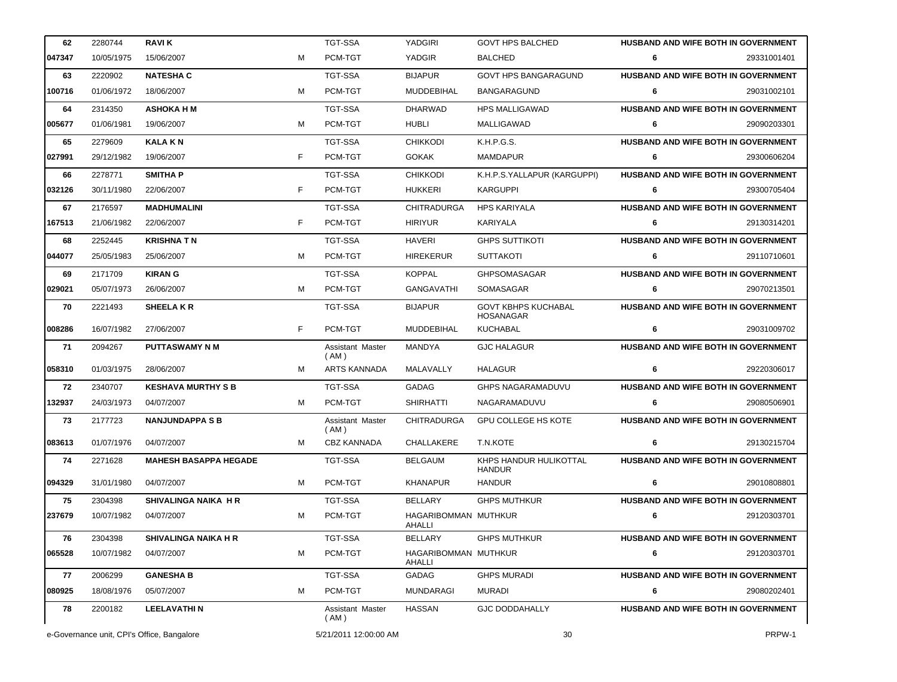| 62     | 2280744    | <b>RAVIK</b>                 |    | <b>TGT-SSA</b>           | YADGIRI                        | <b>GOVT HPS BALCHED</b>                        |   | HUSBAND AND WIFE BOTH IN GOVERNMENT        |
|--------|------------|------------------------------|----|--------------------------|--------------------------------|------------------------------------------------|---|--------------------------------------------|
| 047347 | 10/05/1975 | 15/06/2007                   | м  | PCM-TGT                  | YADGIR                         | <b>BALCHED</b>                                 | 6 | 29331001401                                |
| 63     | 2220902    | <b>NATESHA C</b>             |    | <b>TGT-SSA</b>           | <b>BIJAPUR</b>                 | <b>GOVT HPS BANGARAGUND</b>                    |   | HUSBAND AND WIFE BOTH IN GOVERNMENT        |
| 100716 | 01/06/1972 | 18/06/2007                   | м  | PCM-TGT                  | <b>MUDDEBIHAL</b>              | <b>BANGARAGUND</b>                             | 6 | 29031002101                                |
| 64     | 2314350    | <b>ASHOKA H M</b>            |    | <b>TGT-SSA</b>           | <b>DHARWAD</b>                 | <b>HPS MALLIGAWAD</b>                          |   | <b>HUSBAND AND WIFE BOTH IN GOVERNMENT</b> |
| 005677 | 01/06/1981 | 19/06/2007                   | м  | PCM-TGT                  | <b>HUBLI</b>                   | MALLIGAWAD                                     | 6 | 29090203301                                |
| 65     | 2279609    | <b>KALAKN</b>                |    | <b>TGT-SSA</b>           | <b>CHIKKODI</b>                | K.H.P.G.S.                                     |   | HUSBAND AND WIFE BOTH IN GOVERNMENT        |
| 027991 | 29/12/1982 | 19/06/2007                   | F. | PCM-TGT                  | <b>GOKAK</b>                   | <b>MAMDAPUR</b>                                | 6 | 29300606204                                |
| 66     | 2278771    | <b>SMITHAP</b>               |    | <b>TGT-SSA</b>           | <b>CHIKKODI</b>                | K.H.P.S.YALLAPUR (KARGUPPI)                    |   | HUSBAND AND WIFE BOTH IN GOVERNMENT        |
| 032126 | 30/11/1980 | 22/06/2007                   | F. | PCM-TGT                  | <b>HUKKERI</b>                 | <b>KARGUPPI</b>                                | 6 | 29300705404                                |
| 67     | 2176597    | <b>MADHUMALINI</b>           |    | <b>TGT-SSA</b>           | <b>CHITRADURGA</b>             | <b>HPS KARIYALA</b>                            |   | HUSBAND AND WIFE BOTH IN GOVERNMENT        |
| 167513 | 21/06/1982 | 22/06/2007                   | F  | PCM-TGT                  | <b>HIRIYUR</b>                 | KARIYALA                                       | 6 | 29130314201                                |
| 68     | 2252445    | <b>KRISHNA TN</b>            |    | <b>TGT-SSA</b>           | <b>HAVERI</b>                  | <b>GHPS SUTTIKOTI</b>                          |   | HUSBAND AND WIFE BOTH IN GOVERNMENT        |
| 044077 | 25/05/1983 | 25/06/2007                   | м  | PCM-TGT                  | <b>HIREKERUR</b>               | <b>SUTTAKOTI</b>                               | 6 | 29110710601                                |
| 69     | 2171709    | <b>KIRAN G</b>               |    | <b>TGT-SSA</b>           | <b>KOPPAL</b>                  | <b>GHPSOMASAGAR</b>                            |   | HUSBAND AND WIFE BOTH IN GOVERNMENT        |
| 029021 | 05/07/1973 | 26/06/2007                   | M  | PCM-TGT                  | <b>GANGAVATHI</b>              | SOMASAGAR                                      | 6 | 29070213501                                |
| 70     | 2221493    | <b>SHEELAKR</b>              |    | <b>TGT-SSA</b>           | <b>BIJAPUR</b>                 | <b>GOVT KBHPS KUCHABAL</b><br><b>HOSANAGAR</b> |   | HUSBAND AND WIFE BOTH IN GOVERNMENT        |
| 008286 | 16/07/1982 | 27/06/2007                   | F  | PCM-TGT                  | <b>MUDDEBIHAL</b>              | KUCHABAL                                       | 6 | 29031009702                                |
|        |            |                              |    |                          |                                |                                                |   |                                            |
| 71     | 2094267    | <b>PUTTASWAMY N M</b>        |    | Assistant Master<br>(AM) | MANDYA                         | <b>GJC HALAGUR</b>                             |   | HUSBAND AND WIFE BOTH IN GOVERNMENT        |
| 058310 | 01/03/1975 | 28/06/2007                   | м  | ARTS KANNADA             | MALAVALLY                      | <b>HALAGUR</b>                                 | 6 | 29220306017                                |
| 72     | 2340707    | <b>KESHAVA MURTHY S B</b>    |    | <b>TGT-SSA</b>           | <b>GADAG</b>                   | <b>GHPS NAGARAMADUVU</b>                       |   | HUSBAND AND WIFE BOTH IN GOVERNMENT        |
| 132937 | 24/03/1973 | 04/07/2007                   | м  | PCM-TGT                  | <b>SHIRHATTI</b>               | NAGARAMADUVU                                   | 6 | 29080506901                                |
| 73     | 2177723    | <b>NANJUNDAPPA S B</b>       |    | Assistant Master<br>(AM) | <b>CHITRADURGA</b>             | <b>GPU COLLEGE HS KOTE</b>                     |   | HUSBAND AND WIFE BOTH IN GOVERNMENT        |
| 083613 | 01/07/1976 | 04/07/2007                   | м  | <b>CBZ KANNADA</b>       | CHALLAKERE                     | T.N.KOTE                                       | 6 | 29130215704                                |
| 74     | 2271628    | <b>MAHESH BASAPPA HEGADE</b> |    | <b>TGT-SSA</b>           | <b>BELGAUM</b>                 | KHPS HANDUR HULIKOTTAL<br><b>HANDUR</b>        |   | HUSBAND AND WIFE BOTH IN GOVERNMENT        |
| 094329 | 31/01/1980 | 04/07/2007                   | M  | PCM-TGT                  | <b>KHANAPUR</b>                | <b>HANDUR</b>                                  | 6 | 29010808801                                |
| 75     | 2304398    | SHIVALINGA NAIKA H R         |    | TGT-SSA                  | <b>BELLARY</b>                 | <b>GHPS MUTHKUR</b>                            |   | <b>HUSBAND AND WIFE BOTH IN GOVERNMENT</b> |
| 237679 | 10/07/1982 | 04/07/2007                   | м  | PCM-TGT                  | HAGARIBOMMAN MUTHKUR<br>AHALLI |                                                | 6 | 29120303701                                |
| 76     | 2304398    | <b>SHIVALINGA NAIKA H R</b>  |    | <b>TGT-SSA</b>           | BELLARY                        | <b>GHPS MUTHKUR</b>                            |   | <b>HUSBAND AND WIFE BOTH IN GOVERNMENT</b> |
| 065528 | 10/07/1982 | 04/07/2007                   | м  | PCM-TGT                  | HAGARIBOMMAN MUTHKUR<br>AHALLI |                                                | 6 | 29120303701                                |
| 77     | 2006299    | <b>GANESHA B</b>             |    | TGT-SSA                  | GADAG                          | <b>GHPS MURADI</b>                             |   | <b>HUSBAND AND WIFE BOTH IN GOVERNMENT</b> |
| 080925 | 18/08/1976 | 05/07/2007                   | M  | PCM-TGT                  | <b>MUNDARAGI</b>               | MURADI                                         | 6 | 29080202401                                |
| 78     | 2200182    | <b>LEELAVATHIN</b>           |    | Assistant Master<br>(AM) | <b>HASSAN</b>                  | <b>GJC DODDAHALLY</b>                          |   | HUSBAND AND WIFE BOTH IN GOVERNMENT        |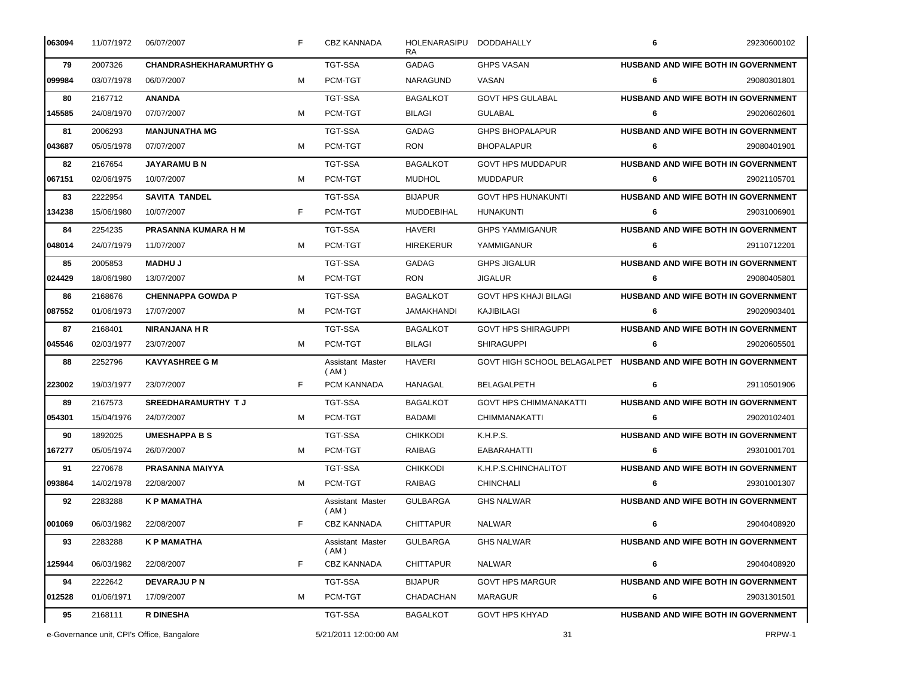| 063094 | 11/07/1972                                 | 06/07/2007                     | F  | CBZ KANNADA                | HOLENARASIPU DODDAHALLY<br>RA. |                                                                 | 6 | 29230600102                         |
|--------|--------------------------------------------|--------------------------------|----|----------------------------|--------------------------------|-----------------------------------------------------------------|---|-------------------------------------|
| 79     | 2007326                                    | <b>CHANDRASHEKHARAMURTHY G</b> |    | TGT-SSA                    | GADAG                          | <b>GHPS VASAN</b>                                               |   | HUSBAND AND WIFE BOTH IN GOVERNMENT |
| 099984 | 03/07/1978                                 | 06/07/2007                     | м  | PCM-TGT                    | NARAGUND                       | VASAN                                                           | 6 | 29080301801                         |
| 80     | 2167712                                    | <b>ANANDA</b>                  |    | <b>TGT-SSA</b>             | <b>BAGALKOT</b>                | <b>GOVT HPS GULABAL</b>                                         |   | HUSBAND AND WIFE BOTH IN GOVERNMENT |
| 145585 | 24/08/1970                                 | 07/07/2007                     | M  | PCM-TGT                    | <b>BILAGI</b>                  | <b>GULABAL</b>                                                  | 6 | 29020602601                         |
| 81     | 2006293                                    | <b>MANJUNATHA MG</b>           |    | <b>TGT-SSA</b>             | GADAG                          | <b>GHPS BHOPALAPUR</b>                                          |   | HUSBAND AND WIFE BOTH IN GOVERNMENT |
| 043687 | 05/05/1978                                 | 07/07/2007                     | M  | PCM-TGT                    | <b>RON</b>                     | <b>BHOPALAPUR</b>                                               | 6 | 29080401901                         |
| 82     | 2167654                                    | <b>JAYARAMU B N</b>            |    | <b>TGT-SSA</b>             | <b>BAGALKOT</b>                | <b>GOVT HPS MUDDAPUR</b>                                        |   | HUSBAND AND WIFE BOTH IN GOVERNMENT |
| 067151 | 02/06/1975                                 | 10/07/2007                     | M  | PCM-TGT                    | <b>MUDHOL</b>                  | MUDDAPUR                                                        | 6 | 29021105701                         |
| 83     | 2222954                                    | <b>SAVITA TANDEL</b>           |    | <b>TGT-SSA</b>             | <b>BIJAPUR</b>                 | <b>GOVT HPS HUNAKUNTI</b>                                       |   | HUSBAND AND WIFE BOTH IN GOVERNMENT |
| 134238 | 15/06/1980                                 | 10/07/2007                     | F. | PCM-TGT                    | MUDDEBIHAL                     | HUNAKUNTI                                                       | 6 | 29031006901                         |
| 84     | 2254235                                    | PRASANNA KUMARA H M            |    | <b>TGT-SSA</b>             | <b>HAVERI</b>                  | <b>GHPS YAMMIGANUR</b>                                          |   | HUSBAND AND WIFE BOTH IN GOVERNMENT |
| 048014 | 24/07/1979                                 | 11/07/2007                     | M  | PCM-TGT                    | <b>HIREKERUR</b>               | YAMMIGANUR                                                      | 6 | 29110712201                         |
| 85     | 2005853                                    | <b>MADHUJ</b>                  |    | TGT-SSA                    | <b>GADAG</b>                   | <b>GHPS JIGALUR</b>                                             |   | HUSBAND AND WIFE BOTH IN GOVERNMENT |
| 024429 | 18/06/1980                                 | 13/07/2007                     | M  | PCM-TGT                    | <b>RON</b>                     | <b>JIGALUR</b>                                                  | 6 | 29080405801                         |
| 86     | 2168676                                    | <b>CHENNAPPA GOWDA P</b>       |    | TGT-SSA                    | <b>BAGALKOT</b>                | <b>GOVT HPS KHAJI BILAGI</b>                                    |   | HUSBAND AND WIFE BOTH IN GOVERNMENT |
| 087552 | 01/06/1973                                 | 17/07/2007                     | м  | PCM-TGT                    | JAMAKHANDI                     | KAJIBILAGI                                                      | 6 | 29020903401                         |
| 87     | 2168401                                    | <b>NIRANJANA H R</b>           |    | TGT-SSA                    | <b>BAGALKOT</b>                | <b>GOVT HPS SHIRAGUPPI</b>                                      |   | HUSBAND AND WIFE BOTH IN GOVERNMENT |
| 045546 | 02/03/1977                                 | 23/07/2007                     | м  | PCM-TGT                    | <b>BILAGI</b>                  | <b>SHIRAGUPPI</b>                                               | 6 | 29020605501                         |
| 88     | 2252796                                    | <b>KAVYASHREE G M</b>          |    | Assistant Master<br>(AM)   | HAVERI                         | GOVT HIGH SCHOOL BELAGALPET HUSBAND AND WIFE BOTH IN GOVERNMENT |   |                                     |
| 223002 | 19/03/1977                                 | 23/07/2007                     | F  | PCM KANNADA                | HANAGAL                        | <b>BELAGALPETH</b>                                              | 6 | 29110501906                         |
| 89     | 2167573                                    | <b>SREEDHARAMURTHY TJ</b>      |    | <b>TGT-SSA</b>             | <b>BAGALKOT</b>                | <b>GOVT HPS CHIMMANAKATTI</b>                                   |   | HUSBAND AND WIFE BOTH IN GOVERNMENT |
| 054301 | 15/04/1976                                 | 24/07/2007                     | м  | PCM-TGT                    | <b>BADAMI</b>                  | CHIMMANAKATTI                                                   | 6 | 29020102401                         |
| 90     | 1892025                                    | <b>UMESHAPPA B S</b>           |    | <b>TGT-SSA</b>             | <b>CHIKKODI</b>                | K.H.P.S.                                                        |   | HUSBAND AND WIFE BOTH IN GOVERNMENT |
| 167277 | 05/05/1974                                 | 26/07/2007                     | м  | PCM-TGT                    | RAIBAG                         | EABARAHATTI                                                     | 6 | 29301001701                         |
| 91     | 2270678                                    | PRASANNA MAIYYA                |    | <b>TGT-SSA</b>             | <b>CHIKKODI</b>                | K.H.P.S.CHINCHALITOT                                            |   | HUSBAND AND WIFE BOTH IN GOVERNMENT |
| 093864 | 14/02/1978                                 | 22/08/2007                     | M  | PCM-TGT                    | <b>RAIBAG</b>                  | CHINCHALI                                                       | 6 | 29301001307                         |
| 92     | 2283288                                    | <b>K P MAMATHA</b>             |    | Assistant Master<br>(AM)   | <b>GULBARGA</b>                | <b>GHS NALWAR</b>                                               |   | HUSBAND AND WIFE BOTH IN GOVERNMENT |
| 001069 | 06/03/1982                                 | 22/08/2007                     | F  | <b>CBZ KANNADA</b>         | <b>CHITTAPUR</b>               | <b>NALWAR</b>                                                   | 6 | 29040408920                         |
| 93     | 2283288                                    | <b>K P MAMATHA</b>             |    | Assistant Master<br>( AM ) | <b>GULBARGA</b>                | <b>GHS NALWAR</b>                                               |   | HUSBAND AND WIFE BOTH IN GOVERNMENT |
| 125944 | 06/03/1982                                 | 22/08/2007                     | F  | CBZ KANNADA                | <b>CHITTAPUR</b>               | <b>NALWAR</b>                                                   | 6 | 29040408920                         |
| 94     | 2222642                                    | <b>DEVARAJU P N</b>            |    | TGT-SSA                    | <b>BIJAPUR</b>                 | <b>GOVT HPS MARGUR</b>                                          |   | HUSBAND AND WIFE BOTH IN GOVERNMENT |
| 012528 | 01/06/1971                                 | 17/09/2007                     | M  | PCM-TGT                    | CHADACHAN                      | MARAGUR                                                         | 6 | 29031301501                         |
| 95     | 2168111                                    | <b>R DINESHA</b>               |    | TGT-SSA                    | <b>BAGALKOT</b>                | <b>GOVT HPS KHYAD</b>                                           |   | HUSBAND AND WIFE BOTH IN GOVERNMENT |
|        | e-Governance unit, CPI's Office, Bangalore |                                |    | 5/21/2011 12:00:00 AM      |                                | 31                                                              |   | PRPW-1                              |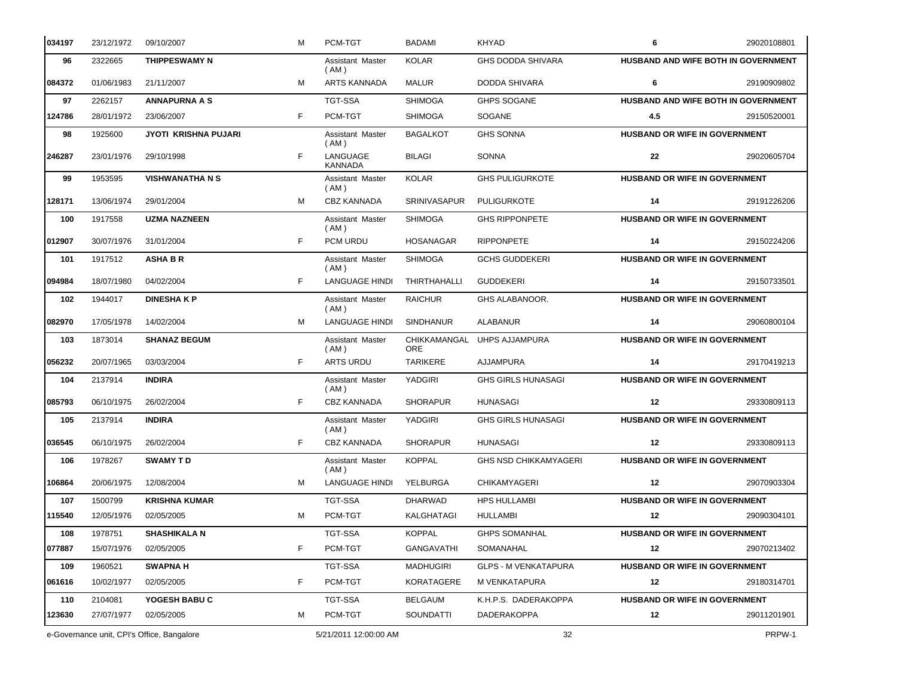| 034197 | 23/12/1972                                 | 09/10/2007                  | м  | PCM-TGT                    | BADAMI              | KHYAD                        | 6                                    | 29020108801                                |  |
|--------|--------------------------------------------|-----------------------------|----|----------------------------|---------------------|------------------------------|--------------------------------------|--------------------------------------------|--|
| 96     | 2322665                                    | THIPPESWAMY N               |    | Assistant Master<br>(AM)   | <b>KOLAR</b>        | <b>GHS DODDA SHIVARA</b>     |                                      | <b>HUSBAND AND WIFE BOTH IN GOVERNMENT</b> |  |
| 084372 | 01/06/1983                                 | 21/11/2007                  | м  | ARTS KANNADA               | <b>MALUR</b>        | DODDA SHIVARA                | 6                                    | 29190909802                                |  |
| 97     | 2262157                                    | <b>ANNAPURNA A S</b>        |    | <b>TGT-SSA</b>             | <b>SHIMOGA</b>      | <b>GHPS SOGANE</b>           |                                      | HUSBAND AND WIFE BOTH IN GOVERNMENT        |  |
| 124786 | 28/01/1972                                 | 23/06/2007                  | F. | PCM-TGT                    | <b>SHIMOGA</b>      | SOGANE                       | 4.5                                  | 29150520001                                |  |
| 98     | 1925600                                    | <b>JYOTI KRISHNA PUJARI</b> |    | Assistant Master<br>(AM)   | <b>BAGALKOT</b>     | <b>GHS SONNA</b>             | <b>HUSBAND OR WIFE IN GOVERNMENT</b> |                                            |  |
| 246287 | 23/01/1976                                 | 29/10/1998                  | F  | LANGUAGE<br><b>KANNADA</b> | <b>BILAGI</b>       | <b>SONNA</b>                 | 22                                   | 29020605704                                |  |
| 99     | 1953595                                    | <b>VISHWANATHA N S</b>      |    | Assistant Master<br>(AM)   | <b>KOLAR</b>        | <b>GHS PULIGURKOTE</b>       | HUSBAND OR WIFE IN GOVERNMENT        |                                            |  |
| 128171 | 13/06/1974                                 | 29/01/2004                  | м  | <b>CBZ KANNADA</b>         | <b>SRINIVASAPUR</b> | <b>PULIGURKOTE</b>           | 14                                   | 29191226206                                |  |
| 100    | 1917558                                    | <b>UZMA NAZNEEN</b>         |    | Assistant Master<br>(AM)   | <b>SHIMOGA</b>      | <b>GHS RIPPONPETE</b>        | <b>HUSBAND OR WIFE IN GOVERNMENT</b> |                                            |  |
| 012907 | 30/07/1976                                 | 31/01/2004                  | F. | PCM URDU                   | <b>HOSANAGAR</b>    | <b>RIPPONPETE</b>            | 14                                   | 29150224206                                |  |
| 101    | 1917512                                    | <b>ASHABR</b>               |    | Assistant Master<br>(AM)   | <b>SHIMOGA</b>      | <b>GCHS GUDDEKERI</b>        | <b>HUSBAND OR WIFE IN GOVERNMENT</b> |                                            |  |
| 094984 | 18/07/1980                                 | 04/02/2004                  | F  | <b>LANGUAGE HINDI</b>      | THIRTHAHALLI        | <b>GUDDEKERI</b>             | 14                                   | 29150733501                                |  |
| 102    | 1944017                                    | <b>DINESHAKP</b>            |    | Assistant Master<br>( AM ) | <b>RAICHUR</b>      | GHS ALABANOOR.               | <b>HUSBAND OR WIFE IN GOVERNMENT</b> |                                            |  |
| 082970 | 17/05/1978                                 | 14/02/2004                  | м  | <b>LANGUAGE HINDI</b>      | <b>SINDHANUR</b>    | <b>ALABANUR</b>              | 14                                   | 29060800104                                |  |
| 103    | 1873014                                    | <b>SHANAZ BEGUM</b>         |    | Assistant Master<br>(AM)   | <b>ORE</b>          | CHIKKAMANGAL UHPS AJJAMPURA  | HUSBAND OR WIFE IN GOVERNMENT        |                                            |  |
| 056232 | 20/07/1965                                 | 03/03/2004                  | F. | <b>ARTS URDU</b>           | <b>TARIKERE</b>     | AJJAMPURA                    | 14                                   | 29170419213                                |  |
| 104    | 2137914                                    | <b>INDIRA</b>               |    | Assistant Master<br>( AM ) | YADGIRI             | <b>GHS GIRLS HUNASAGI</b>    | HUSBAND OR WIFE IN GOVERNMENT        |                                            |  |
| 085793 | 06/10/1975                                 | 26/02/2004                  | F. | <b>CBZ KANNADA</b>         | <b>SHORAPUR</b>     | <b>HUNASAGI</b>              | $12 \,$                              | 29330809113                                |  |
| 105    | 2137914                                    | <b>INDIRA</b>               |    | Assistant Master<br>(AM)   | YADGIRI             | <b>GHS GIRLS HUNASAGI</b>    | HUSBAND OR WIFE IN GOVERNMENT        |                                            |  |
| 036545 | 06/10/1975                                 | 26/02/2004                  | F  | CBZ KANNADA                | <b>SHORAPUR</b>     | HUNASAGI                     | 12                                   | 29330809113                                |  |
| 106    | 1978267                                    | <b>SWAMY TD</b>             |    | Assistant Master<br>(AM)   | <b>KOPPAL</b>       | <b>GHS NSD CHIKKAMYAGERI</b> | HUSBAND OR WIFE IN GOVERNMENT        |                                            |  |
| 106864 |                                            | 20/06/1975 12/08/2004       |    | LANGUAGE HINDI YELBURGA    |                     | CHIKAMYAGERI                 | 12                                   | 29070903304                                |  |
| 107    | 1500799                                    | <b>KRISHNA KUMAR</b>        |    | <b>TGT-SSA</b>             | DHARWAD             | <b>HPS HULLAMBI</b>          | <b>HUSBAND OR WIFE IN GOVERNMENT</b> |                                            |  |
| 115540 | 12/05/1976                                 | 02/05/2005                  | м  | PCM-TGT                    | KALGHATAGI          | <b>HULLAMBI</b>              | 12                                   | 29090304101                                |  |
| 108    | 1978751                                    | <b>SHASHIKALA N</b>         |    | TGT-SSA                    | <b>KOPPAL</b>       | <b>GHPS SOMANHAL</b>         | <b>HUSBAND OR WIFE IN GOVERNMENT</b> |                                            |  |
| 077887 | 15/07/1976                                 | 02/05/2005                  | F. | PCM-TGT                    | GANGAVATHI          | SOMANAHAL                    | 12                                   | 29070213402                                |  |
| 109    | 1960521                                    | <b>SWAPNA H</b>             |    | TGT-SSA                    | <b>MADHUGIRI</b>    | <b>GLPS - M VENKATAPURA</b>  | <b>HUSBAND OR WIFE IN GOVERNMENT</b> |                                            |  |
| 061616 | 10/02/1977                                 | 02/05/2005                  | F. | PCM-TGT                    | KORATAGERE          | M VENKATAPURA                | 12                                   | 29180314701                                |  |
| 110    | 2104081                                    | YOGESH BABU C               |    | TGT-SSA                    | <b>BELGAUM</b>      | K.H.P.S. DADERAKOPPA         | <b>HUSBAND OR WIFE IN GOVERNMENT</b> |                                            |  |
| 123630 | 27/07/1977                                 | 02/05/2005                  | м  | PCM-TGT                    | SOUNDATTI           | <b>DADERAKOPPA</b>           | 12                                   | 29011201901                                |  |
|        | e-Governance unit, CPI's Office, Bangalore |                             |    | 5/21/2011 12:00:00 AM      |                     | 32                           | PRPW-1                               |                                            |  |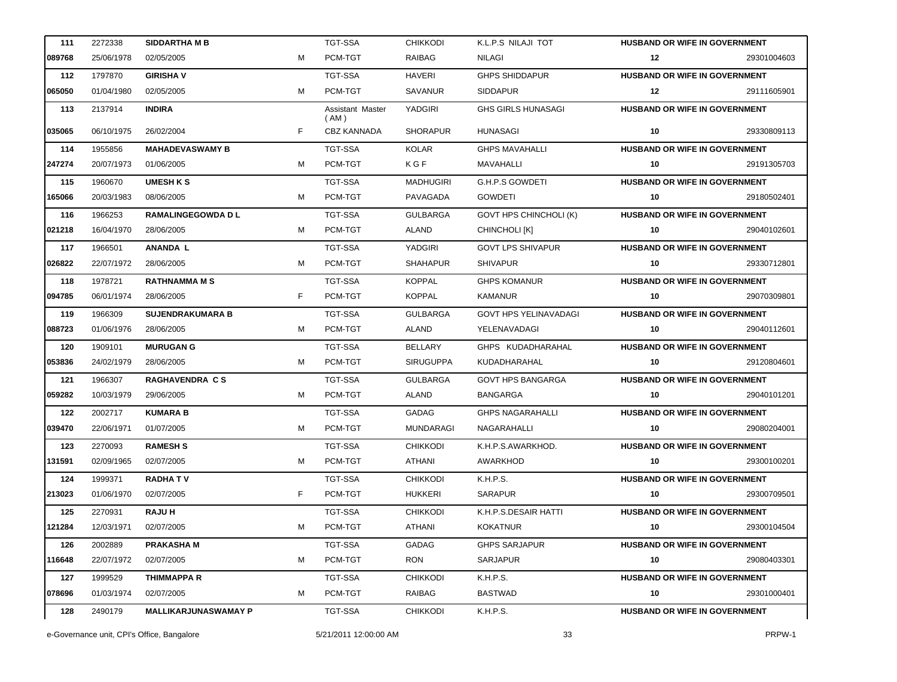| 111    | 2272338    | <b>SIDDARTHAMB</b>          |   | TGT-SSA                  | <b>CHIKKODI</b>  | K.L.P.S NILAJI TOT            | <b>HUSBAND OR WIFE IN GOVERNMENT</b> |             |
|--------|------------|-----------------------------|---|--------------------------|------------------|-------------------------------|--------------------------------------|-------------|
| 089768 | 25/06/1978 | 02/05/2005                  | м | PCM-TGT                  | <b>RAIBAG</b>    | <b>NILAGI</b>                 | $12 \,$                              | 29301004603 |
| 112    | 1797870    | <b>GIRISHA V</b>            |   | <b>TGT-SSA</b>           | <b>HAVERI</b>    | <b>GHPS SHIDDAPUR</b>         | HUSBAND OR WIFE IN GOVERNMENT        |             |
| 065050 | 01/04/1980 | 02/05/2005                  | м | PCM-TGT                  | SAVANUR          | <b>SIDDAPUR</b>               | $12 \,$                              | 29111605901 |
| 113    | 2137914    | <b>INDIRA</b>               |   | Assistant Master<br>(AM) | <b>YADGIRI</b>   | <b>GHS GIRLS HUNASAGI</b>     | <b>HUSBAND OR WIFE IN GOVERNMENT</b> |             |
| 035065 | 06/10/1975 | 26/02/2004                  | F | <b>CBZ KANNADA</b>       | <b>SHORAPUR</b>  | <b>HUNASAGI</b>               | 10                                   | 29330809113 |
| 114    | 1955856    | <b>MAHADEVASWAMY B</b>      |   | <b>TGT-SSA</b>           | <b>KOLAR</b>     | <b>GHPS MAVAHALLI</b>         | HUSBAND OR WIFE IN GOVERNMENT        |             |
| 247274 | 20/07/1973 | 01/06/2005                  | м | PCM-TGT                  | KGF              | MAVAHALLI                     | 10                                   | 29191305703 |
| 115    | 1960670    | <b>UMESH K S</b>            |   | <b>TGT-SSA</b>           | <b>MADHUGIRI</b> | <b>G.H.P.S GOWDETI</b>        | <b>HUSBAND OR WIFE IN GOVERNMENT</b> |             |
| 165066 | 20/03/1983 | 08/06/2005                  | м | PCM-TGT                  | PAVAGADA         | <b>GOWDETI</b>                | 10                                   | 29180502401 |
| 116    | 1966253    | <b>RAMALINGEGOWDA D L</b>   |   | <b>TGT-SSA</b>           | <b>GULBARGA</b>  | <b>GOVT HPS CHINCHOLI (K)</b> | HUSBAND OR WIFE IN GOVERNMENT        |             |
| 021218 | 16/04/1970 | 28/06/2005                  | м | PCM-TGT                  | <b>ALAND</b>     | CHINCHOLI [K]                 | 10                                   | 29040102601 |
| 117    | 1966501    | <b>ANANDA L</b>             |   | TGT-SSA                  | YADGIRI          | <b>GOVT LPS SHIVAPUR</b>      | HUSBAND OR WIFE IN GOVERNMENT        |             |
| 026822 | 22/07/1972 | 28/06/2005                  | м | PCM-TGT                  | <b>SHAHAPUR</b>  | <b>SHIVAPUR</b>               | 10                                   | 29330712801 |
| 118    | 1978721    | <b>RATHNAMMA M S</b>        |   | <b>TGT-SSA</b>           | <b>KOPPAL</b>    | <b>GHPS KOMANUR</b>           | HUSBAND OR WIFE IN GOVERNMENT        |             |
| 094785 | 06/01/1974 | 28/06/2005                  | F | PCM-TGT                  | <b>KOPPAL</b>    | <b>KAMANUR</b>                | 10                                   | 29070309801 |
| 119    | 1966309    | <b>SUJENDRAKUMARA B</b>     |   | <b>TGT-SSA</b>           | <b>GULBARGA</b>  | <b>GOVT HPS YELINAVADAGI</b>  | HUSBAND OR WIFE IN GOVERNMENT        |             |
| 088723 | 01/06/1976 | 28/06/2005                  | м | PCM-TGT                  | ALAND            | YELENAVADAGI                  | 10                                   | 29040112601 |
| 120    | 1909101    | <b>MURUGAN G</b>            |   | <b>TGT-SSA</b>           | <b>BELLARY</b>   | GHPS KUDADHARAHAL             | HUSBAND OR WIFE IN GOVERNMENT        |             |
| 053836 | 24/02/1979 | 28/06/2005                  | м | PCM-TGT                  | <b>SIRUGUPPA</b> | KUDADHARAHAL                  | 10                                   | 29120804601 |
| 121    | 1966307    | <b>RAGHAVENDRA CS</b>       |   | TGT-SSA                  | <b>GULBARGA</b>  | <b>GOVT HPS BANGARGA</b>      | HUSBAND OR WIFE IN GOVERNMENT        |             |
| 059282 | 10/03/1979 | 29/06/2005                  | м | PCM-TGT                  | ALAND            | BANGARGA                      | 10                                   | 29040101201 |
| 122    | 2002717    | <b>KUMARA B</b>             |   | TGT-SSA                  | GADAG            | <b>GHPS NAGARAHALLI</b>       | <b>HUSBAND OR WIFE IN GOVERNMENT</b> |             |
| 039470 | 22/06/1971 | 01/07/2005                  | м | PCM-TGT                  | <b>MUNDARAGI</b> | NAGARAHALLI                   | 10                                   | 29080204001 |
| 123    | 2270093    | <b>RAMESH S</b>             |   | <b>TGT-SSA</b>           | <b>CHIKKODI</b>  | K.H.P.S.AWARKHOD.             | <b>HUSBAND OR WIFE IN GOVERNMENT</b> |             |
| 131591 | 02/09/1965 | 02/07/2005                  | м | PCM-TGT                  | ATHANI           | AWARKHOD                      | 10                                   | 29300100201 |
| 124    | 1999371    | <b>RADHATV</b>              |   | TGT-SSA                  | <b>CHIKKODI</b>  | K.H.P.S.                      | HUSBAND OR WIFE IN GOVERNMENT        |             |
| 213023 | 01/06/1970 | 02/07/2005                  | F | PCM-TGT                  | <b>HUKKERI</b>   | SARAPUR                       | 10                                   | 29300709501 |
| 125    | 2270931    | <b>RAJU H</b>               |   | TGT-SSA                  | <b>CHIKKODI</b>  | K.H.P.S.DESAIR HATTI          | <b>HUSBAND OR WIFE IN GOVERNMENT</b> |             |
| 121284 | 12/03/1971 | 02/07/2005                  | м | PCM-TGT                  | ATHANI           | <b>KOKATNUR</b>               | 10                                   | 29300104504 |
| 126    | 2002889    | <b>PRAKASHA M</b>           |   | TGT-SSA                  | <b>GADAG</b>     | <b>GHPS SARJAPUR</b>          | <b>HUSBAND OR WIFE IN GOVERNMENT</b> |             |
| 116648 | 22/07/1972 | 02/07/2005                  | м | PCM-TGT                  | <b>RON</b>       | <b>SARJAPUR</b>               | 10                                   | 29080403301 |
| 127    | 1999529    | <b>THIMMAPPA R</b>          |   | TGT-SSA                  | <b>CHIKKODI</b>  | K.H.P.S.                      | <b>HUSBAND OR WIFE IN GOVERNMENT</b> |             |
| 078696 | 01/03/1974 | 02/07/2005                  | м | PCM-TGT                  | RAIBAG           | <b>BASTWAD</b>                | 10                                   | 29301000401 |
| 128    | 2490179    | <b>MALLIKARJUNASWAMAY P</b> |   | TGT-SSA                  | <b>CHIKKODI</b>  | K.H.P.S.                      | <b>HUSBAND OR WIFE IN GOVERNMENT</b> |             |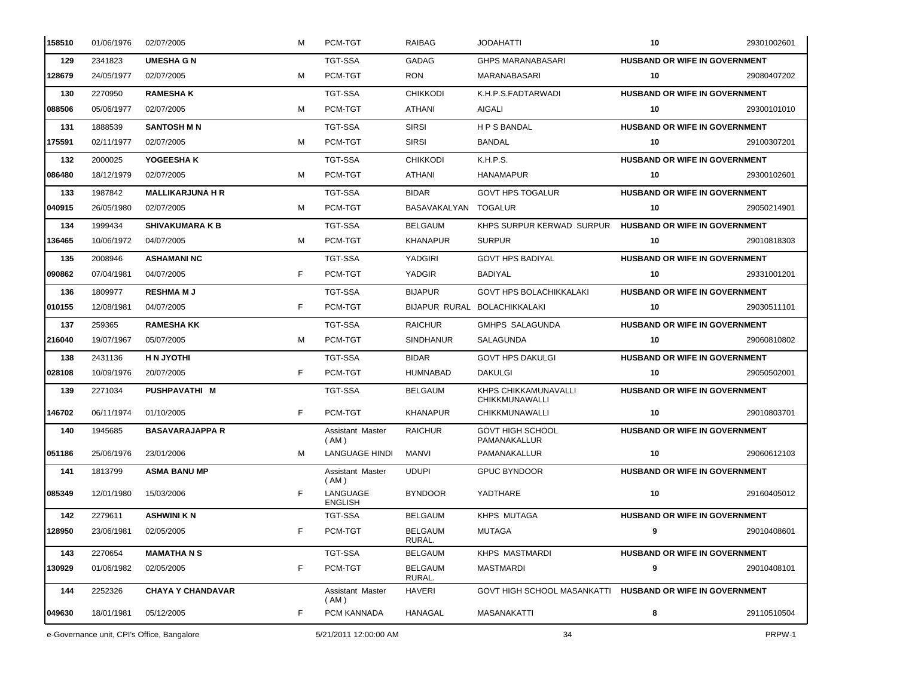| 158510 | 01/06/1976                                 | 02/07/2005               | м  | PCM-TGT                    | <b>RAIBAG</b>            | <b>JODAHATTI</b>                                          | 10                                   | 29301002601 |
|--------|--------------------------------------------|--------------------------|----|----------------------------|--------------------------|-----------------------------------------------------------|--------------------------------------|-------------|
| 129    | 2341823                                    | <b>UMESHA G N</b>        |    | <b>TGT-SSA</b>             | GADAG                    | <b>GHPS MARANABASARI</b>                                  | HUSBAND OR WIFE IN GOVERNMENT        |             |
| 128679 | 24/05/1977                                 | 02/07/2005               | м  | PCM-TGT                    | <b>RON</b>               | MARANABASARI                                              | 10                                   | 29080407202 |
| 130    | 2270950                                    | <b>RAMESHAK</b>          |    | <b>TGT-SSA</b>             | <b>CHIKKODI</b>          | K.H.P.S.FADTARWADI                                        | HUSBAND OR WIFE IN GOVERNMENT        |             |
| 088506 | 05/06/1977                                 | 02/07/2005               | м  | PCM-TGT                    | ATHANI                   | AIGALI                                                    | 10                                   | 29300101010 |
| 131    | 1888539                                    | <b>SANTOSH M N</b>       |    | TGT-SSA                    | <b>SIRSI</b>             | <b>HPSBANDAL</b>                                          | <b>HUSBAND OR WIFE IN GOVERNMENT</b> |             |
| 175591 | 02/11/1977                                 | 02/07/2005               | м  | PCM-TGT                    | <b>SIRSI</b>             | <b>BANDAL</b>                                             | 10                                   | 29100307201 |
| 132    | 2000025                                    | YOGEESHAK                |    | <b>TGT-SSA</b>             | <b>CHIKKODI</b>          | K.H.P.S.                                                  | HUSBAND OR WIFE IN GOVERNMENT        |             |
| 086480 | 18/12/1979                                 | 02/07/2005               | м  | PCM-TGT                    | ATHANI                   | <b>HANAMAPUR</b>                                          | 10                                   | 29300102601 |
| 133    | 1987842                                    | <b>MALLIKARJUNA H R</b>  |    | TGT-SSA                    | <b>BIDAR</b>             | <b>GOVT HPS TOGALUR</b>                                   | <b>HUSBAND OR WIFE IN GOVERNMENT</b> |             |
| 040915 | 26/05/1980                                 | 02/07/2005               | м  | PCM-TGT                    | BASAVAKALYAN TOGALUR     |                                                           | 10                                   | 29050214901 |
| 134    | 1999434                                    | <b>SHIVAKUMARA K B</b>   |    | <b>TGT-SSA</b>             | <b>BELGAUM</b>           | KHPS SURPUR KERWAD SURPUR                                 | <b>HUSBAND OR WIFE IN GOVERNMENT</b> |             |
| 136465 | 10/06/1972                                 | 04/07/2005               | м  | PCM-TGT                    | <b>KHANAPUR</b>          | <b>SURPUR</b>                                             | 10                                   | 29010818303 |
| 135    | 2008946                                    | <b>ASHAMANI NC</b>       |    | <b>TGT-SSA</b>             | <b>YADGIRI</b>           | <b>GOVT HPS BADIYAL</b>                                   | <b>HUSBAND OR WIFE IN GOVERNMENT</b> |             |
| 090862 | 07/04/1981                                 | 04/07/2005               | F  | PCM-TGT                    | YADGIR                   | BADIYAL                                                   | 10                                   | 29331001201 |
| 136    | 1809977                                    | <b>RESHMAMJ</b>          |    | <b>TGT-SSA</b>             | <b>BIJAPUR</b>           | <b>GOVT HPS BOLACHIKKALAKI</b>                            | <b>HUSBAND OR WIFE IN GOVERNMENT</b> |             |
| 010155 | 12/08/1981                                 | 04/07/2005               | F  | PCM-TGT                    |                          | BIJAPUR RURAL BOLACHIKKALAKI                              | 10                                   | 29030511101 |
| 137    | 259365                                     | <b>RAMESHA KK</b>        |    | TGT-SSA                    | <b>RAICHUR</b>           | GMHPS SALAGUNDA                                           | <b>HUSBAND OR WIFE IN GOVERNMENT</b> |             |
| 216040 | 19/07/1967                                 | 05/07/2005               | м  | PCM-TGT                    | <b>SINDHANUR</b>         | SALAGUNDA                                                 | 10                                   | 29060810802 |
| 138    | 2431136                                    | <b>HN JYOTHI</b>         |    | TGT-SSA                    | <b>BIDAR</b>             | <b>GOVT HPS DAKULGI</b>                                   | <b>HUSBAND OR WIFE IN GOVERNMENT</b> |             |
| 028108 | 10/09/1976                                 | 20/07/2005               | F. | PCM-TGT                    | <b>HUMNABAD</b>          | <b>DAKULGI</b>                                            | 10                                   | 29050502001 |
| 139    | 2271034                                    | PUSHPAVATHI M            |    | TGT-SSA                    | <b>BELGAUM</b>           | KHPS CHIKKAMUNAVALLI<br>CHIKKMUNAWALLI                    | <b>HUSBAND OR WIFE IN GOVERNMENT</b> |             |
| 146702 | 06/11/1974                                 | 01/10/2005               | F. | PCM-TGT                    | <b>KHANAPUR</b>          | <b>CHIKKMUNAWALLI</b>                                     | 10                                   | 29010803701 |
| 140    | 1945685                                    | <b>BASAVARAJAPPA R</b>   |    | Assistant Master<br>(AM)   | <b>RAICHUR</b>           | <b>GOVT HIGH SCHOOL</b><br>PAMANAKALLUR                   | <b>HUSBAND OR WIFE IN GOVERNMENT</b> |             |
| 051186 | 25/06/1976                                 | 23/01/2006               | м  | <b>LANGUAGE HINDI</b>      | <b>MANVI</b>             | PAMANAKALLUR                                              | 10                                   | 29060612103 |
| 141    | 1813799                                    | <b>ASMA BANU MP</b>      |    | Assistant Master<br>(AM)   | <b>UDUPI</b>             | <b>GPUC BYNDOOR</b>                                       | HUSBAND OR WIFE IN GOVERNMENT        |             |
| 085349 | 12/01/1980                                 | 15/03/2006               | F  | LANGUAGE<br><b>ENGLISH</b> | <b>BYNDOOR</b>           | YADTHARE                                                  | 10                                   | 29160405012 |
| 142    | 2279611                                    | <b>ASHWINI K N</b>       |    | TGT-SSA                    | <b>BELGAUM</b>           | KHPS MUTAGA                                               | <b>HUSBAND OR WIFE IN GOVERNMENT</b> |             |
| 128950 | 23/06/1981                                 | 02/05/2005               | F  | PCM-TGT                    | <b>BELGAUM</b><br>RURAL. | <b>MUTAGA</b>                                             | 9                                    | 29010408601 |
| 143    | 2270654                                    | <b>MAMATHANS</b>         |    | TGT-SSA                    | <b>BELGAUM</b>           | <b>KHPS MASTMARDI</b>                                     | <b>HUSBAND OR WIFE IN GOVERNMENT</b> |             |
| 130929 | 01/06/1982                                 | 02/05/2005               | F  | PCM-TGT                    | <b>BELGAUM</b><br>RURAL. | <b>MASTMARDI</b>                                          | 9                                    | 29010408101 |
| 144    | 2252326                                    | <b>CHAYA Y CHANDAVAR</b> |    | Assistant Master<br>(AM)   | <b>HAVERI</b>            | GOVT HIGH SCHOOL MASANKATTI HUSBAND OR WIFE IN GOVERNMENT |                                      |             |
| 049630 | 18/01/1981                                 | 05/12/2005               | F  | PCM KANNADA                | HANAGAL                  | MASANAKATTI                                               | 8                                    | 29110510504 |
|        | e-Governance unit, CPI's Office, Bangalore |                          |    | 5/21/2011 12:00:00 AM      |                          | 34                                                        |                                      | PRPW-1      |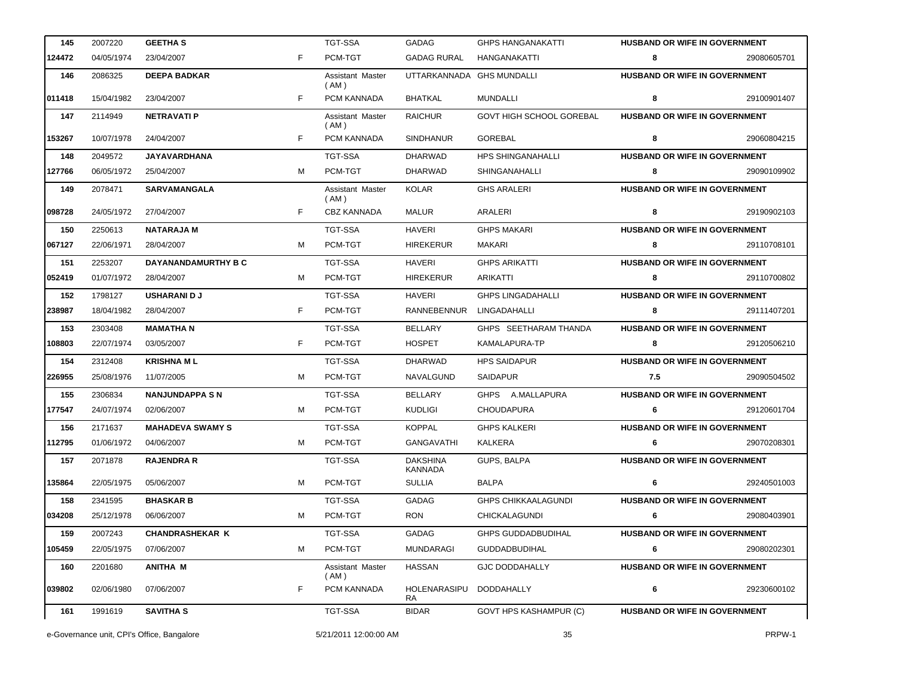| 145    | 2007220                                    | <b>GEETHA S</b>            |    | <b>TGT-SSA</b>             | GADAG                      | <b>GHPS HANGANAKATTI</b>        | <b>HUSBAND OR WIFE IN GOVERNMENT</b> |             |
|--------|--------------------------------------------|----------------------------|----|----------------------------|----------------------------|---------------------------------|--------------------------------------|-------------|
| 124472 | 04/05/1974                                 | 23/04/2007                 | F. | PCM-TGT                    | <b>GADAG RURAL</b>         | HANGANAKATTI                    | 8                                    | 29080605701 |
| 146    | 2086325                                    | <b>DEEPA BADKAR</b>        |    | Assistant Master<br>(AM)   |                            | UTTARKANNADA GHS MUNDALLI       | <b>HUSBAND OR WIFE IN GOVERNMENT</b> |             |
| 011418 | 15/04/1982                                 | 23/04/2007                 | F. | PCM KANNADA                | <b>BHATKAL</b>             | <b>MUNDALLI</b>                 | 8                                    | 29100901407 |
| 147    | 2114949                                    | <b>NETRAVATI P</b>         |    | Assistant Master<br>( AM ) | <b>RAICHUR</b>             | <b>GOVT HIGH SCHOOL GOREBAL</b> | HUSBAND OR WIFE IN GOVERNMENT        |             |
| 153267 | 10/07/1978                                 | 24/04/2007                 | F  | PCM KANNADA                | <b>SINDHANUR</b>           | GOREBAL                         | 8                                    | 29060804215 |
| 148    | 2049572                                    | <b>JAYAVARDHANA</b>        |    | TGT-SSA                    | <b>DHARWAD</b>             | <b>HPS SHINGANAHALLI</b>        | <b>HUSBAND OR WIFE IN GOVERNMENT</b> |             |
| 127766 | 06/05/1972                                 | 25/04/2007                 | м  | PCM-TGT                    | <b>DHARWAD</b>             | SHINGANAHALLI                   | 8                                    | 29090109902 |
| 149    | 2078471                                    | <b>SARVAMANGALA</b>        |    | Assistant Master<br>(AM)   | <b>KOLAR</b>               | <b>GHS ARALERI</b>              | HUSBAND OR WIFE IN GOVERNMENT        |             |
| 098728 | 24/05/1972                                 | 27/04/2007                 | F. | <b>CBZ KANNADA</b>         | <b>MALUR</b>               | ARALERI                         | 8                                    | 29190902103 |
| 150    | 2250613                                    | <b>NATARAJA M</b>          |    | <b>TGT-SSA</b>             | <b>HAVERI</b>              | <b>GHPS MAKARI</b>              | <b>HUSBAND OR WIFE IN GOVERNMENT</b> |             |
| 067127 | 22/06/1971                                 | 28/04/2007                 | м  | PCM-TGT                    | <b>HIREKERUR</b>           | MAKARI                          | 8                                    | 29110708101 |
| 151    | 2253207                                    | <b>DAYANANDAMURTHY B C</b> |    | <b>TGT-SSA</b>             | <b>HAVERI</b>              | <b>GHPS ARIKATTI</b>            | <b>HUSBAND OR WIFE IN GOVERNMENT</b> |             |
| 052419 | 01/07/1972                                 | 28/04/2007                 | м  | PCM-TGT                    | <b>HIREKERUR</b>           | <b>ARIKATTI</b>                 | 8                                    | 29110700802 |
| 152    | 1798127                                    | <b>USHARANI D J</b>        |    | <b>TGT-SSA</b>             | <b>HAVERI</b>              | <b>GHPS LINGADAHALLI</b>        | HUSBAND OR WIFE IN GOVERNMENT        |             |
| 238987 | 18/04/1982                                 | 28/04/2007                 | F  | PCM-TGT                    | RANNEBENNUR                | LINGADAHALLI                    | 8                                    | 29111407201 |
| 153    | 2303408                                    | <b>MAMATHAN</b>            |    | <b>TGT-SSA</b>             | <b>BELLARY</b>             | GHPS SEETHARAM THANDA           | HUSBAND OR WIFE IN GOVERNMENT        |             |
| 108803 | 22/07/1974                                 | 03/05/2007                 | F  | PCM-TGT                    | <b>HOSPET</b>              | KAMALAPURA-TP                   | 8                                    | 29120506210 |
| 154    | 2312408                                    | <b>KRISHNA ML</b>          |    | <b>TGT-SSA</b>             | <b>DHARWAD</b>             | <b>HPS SAIDAPUR</b>             | <b>HUSBAND OR WIFE IN GOVERNMENT</b> |             |
| 226955 | 25/08/1976                                 | 11/07/2005                 | м  | PCM-TGT                    | NAVALGUND                  | <b>SAIDAPUR</b>                 | 7.5                                  | 29090504502 |
| 155    | 2306834                                    | <b>NANJUNDAPPA S N</b>     |    | <b>TGT-SSA</b>             | <b>BELLARY</b>             | GHPS A.MALLAPURA                | HUSBAND OR WIFE IN GOVERNMENT        |             |
| 177547 | 24/07/1974                                 | 02/06/2007                 | м  | PCM-TGT                    | <b>KUDLIGI</b>             | <b>CHOUDAPURA</b>               | 6                                    | 29120601704 |
| 156    | 2171637                                    | <b>MAHADEVA SWAMY S</b>    |    | <b>TGT-SSA</b>             | <b>KOPPAL</b>              | <b>GHPS KALKERI</b>             | HUSBAND OR WIFE IN GOVERNMENT        |             |
| 112795 | 01/06/1972                                 | 04/06/2007                 | м  | PCM-TGT                    | GANGAVATHI                 | KALKERA                         | 6                                    | 29070208301 |
| 157    | 2071878                                    | <b>RAJENDRA R</b>          |    | <b>TGT-SSA</b>             | <b>DAKSHINA</b><br>KANNADA | GUPS, BALPA                     | HUSBAND OR WIFE IN GOVERNMENT        |             |
| 135864 |                                            | 22/05/1975 05/06/2007      |    | PCM-TGT                    | <b>SULLIA</b>              | <b>BALPA</b>                    |                                      | 29240501003 |
| 158    | 2341595                                    | <b>BHASKAR B</b>           |    | <b>TGT-SSA</b>             | <b>GADAG</b>               | <b>GHPS CHIKKAALAGUNDI</b>      | <b>HUSBAND OR WIFE IN GOVERNMENT</b> |             |
| 034208 | 25/12/1978                                 | 06/06/2007                 | м  | PCM-TGT                    | <b>RON</b>                 | <b>CHICKALAGUNDI</b>            | 6                                    | 29080403901 |
| 159    | 2007243                                    | <b>CHANDRASHEKAR K</b>     |    | TGT-SSA                    | GADAG                      | <b>GHPS GUDDADBUDIHAL</b>       | <b>HUSBAND OR WIFE IN GOVERNMENT</b> |             |
| 105459 | 22/05/1975                                 | 07/06/2007                 | м  | PCM-TGT                    | MUNDARAGI                  | <b>GUDDADBUDIHAL</b>            | 6                                    | 29080202301 |
| 160    | 2201680                                    | <b>ANITHA M</b>            |    | Assistant Master<br>(AM)   | <b>HASSAN</b>              | <b>GJC DODDAHALLY</b>           | <b>HUSBAND OR WIFE IN GOVERNMENT</b> |             |
| 039802 | 02/06/1980                                 | 07/06/2007                 | F  | PCM KANNADA                | HOLENARASIPU<br>RA         | DODDAHALLY                      | 6                                    | 29230600102 |
| 161    | 1991619                                    | <b>SAVITHA S</b>           |    | TGT-SSA                    | <b>BIDAR</b>               | <b>GOVT HPS KASHAMPUR (C)</b>   | HUSBAND OR WIFE IN GOVERNMENT        |             |
|        | e-Governance unit, CPI's Office, Bangalore |                            |    | 5/21/2011 12:00:00 AM      |                            | 35                              |                                      | PRPW-1      |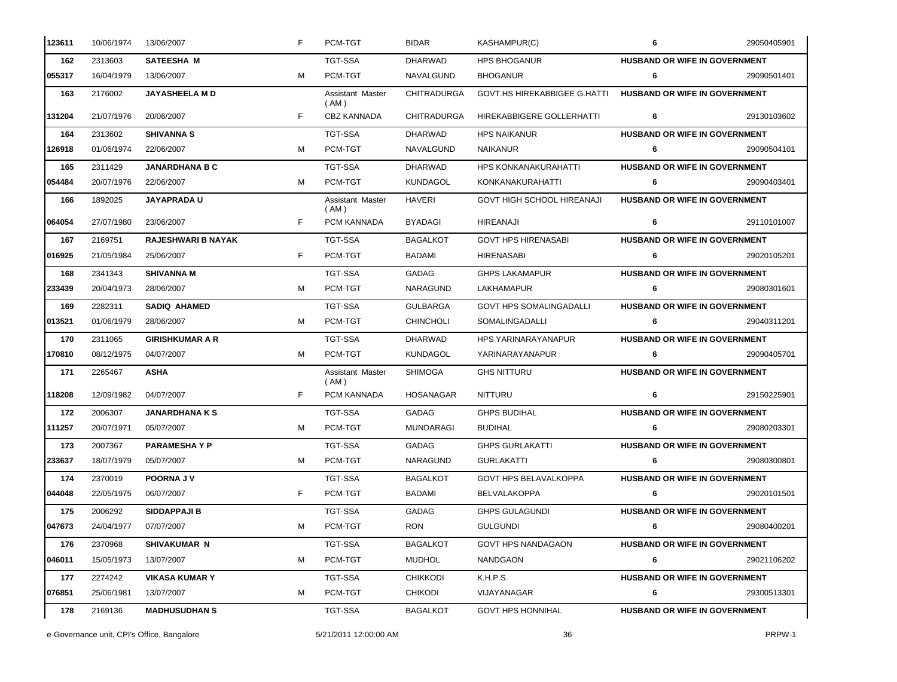| 123611 | 10/06/1974 | 13/06/2007                | F | PCM-TGT                    | <b>BIDAR</b>       | KASHAMPUR(C)                        | 6                                    | 29050405901 |
|--------|------------|---------------------------|---|----------------------------|--------------------|-------------------------------------|--------------------------------------|-------------|
| 162    | 2313603    | <b>SATEESHA M</b>         |   | <b>TGT-SSA</b>             | DHARWAD            | HPS BHOGANUR                        | <b>HUSBAND OR WIFE IN GOVERNMENT</b> |             |
| 055317 | 16/04/1979 | 13/06/2007                | м | PCM-TGT                    | NAVALGUND          | <b>BHOGANUR</b>                     | 6                                    | 29090501401 |
| 163    | 2176002    | <b>JAYASHEELA M D</b>     |   | Assistant Master<br>(AM)   | <b>CHITRADURGA</b> | <b>GOVT.HS HIREKABBIGEE G.HATTI</b> | <b>HUSBAND OR WIFE IN GOVERNMENT</b> |             |
| 131204 | 21/07/1976 | 20/06/2007                | F | <b>CBZ KANNADA</b>         | <b>CHITRADURGA</b> | HIREKABBIGERE GOLLERHATTI           | 6                                    | 29130103602 |
| 164    | 2313602    | <b>SHIVANNA S</b>         |   | <b>TGT-SSA</b>             | <b>DHARWAD</b>     | <b>HPS NAIKANUR</b>                 | <b>HUSBAND OR WIFE IN GOVERNMENT</b> |             |
| 126918 | 01/06/1974 | 22/06/2007                | м | PCM-TGT                    | <b>NAVALGUND</b>   | NAIKANUR                            | 6                                    | 29090504101 |
| 165    | 2311429    | <b>JANARDHANA B C</b>     |   | TGT-SSA                    | <b>DHARWAD</b>     | HPS KONKANAKURAHATTI                | <b>HUSBAND OR WIFE IN GOVERNMENT</b> |             |
| 054484 | 20/07/1976 | 22/06/2007                | м | PCM-TGT                    | <b>KUNDAGOL</b>    | KONKANAKURAHATTI                    | 6                                    | 29090403401 |
| 166    | 1892025    | <b>JAYAPRADAU</b>         |   | Assistant Master<br>( AM ) | <b>HAVERI</b>      | GOVT HIGH SCHOOL HIREANAJI          | <b>HUSBAND OR WIFE IN GOVERNMENT</b> |             |
| 064054 | 27/07/1980 | 23/06/2007                | F | PCM KANNADA                | <b>BYADAGI</b>     | HIREANAJI                           | 6                                    | 29110101007 |
| 167    | 2169751    | <b>RAJESHWARI B NAYAK</b> |   | <b>TGT-SSA</b>             | <b>BAGALKOT</b>    | <b>GOVT HPS HIRENASABI</b>          | <b>HUSBAND OR WIFE IN GOVERNMENT</b> |             |
| 016925 | 21/05/1984 | 25/06/2007                | F | PCM-TGT                    | BADAMI             | <b>HIRENASABI</b>                   | 6                                    | 29020105201 |
| 168    | 2341343    | <b>SHIVANNA M</b>         |   | <b>TGT-SSA</b>             | GADAG              | <b>GHPS LAKAMAPUR</b>               | HUSBAND OR WIFE IN GOVERNMENT        |             |
| 233439 | 20/04/1973 | 28/06/2007                | м | PCM-TGT                    | <b>NARAGUND</b>    | LAKHAMAPUR                          | 6                                    | 29080301601 |
| 169    | 2282311    | <b>SADIQ AHAMED</b>       |   | <b>TGT-SSA</b>             | <b>GULBARGA</b>    | <b>GOVT HPS SOMALINGADALLI</b>      | <b>HUSBAND OR WIFE IN GOVERNMENT</b> |             |
| 013521 | 01/06/1979 | 28/06/2007                | м | PCM-TGT                    | <b>CHINCHOLI</b>   | SOMALINGADALLI                      | 6                                    | 29040311201 |
| 170    | 2311065    | <b>GIRISHKUMAR A R</b>    |   | <b>TGT-SSA</b>             | <b>DHARWAD</b>     | <b>HPS YARINARAYANAPUR</b>          | <b>HUSBAND OR WIFE IN GOVERNMENT</b> |             |
| 170810 | 08/12/1975 | 04/07/2007                | м | PCM-TGT                    | KUNDAGOL           | YARINARAYANAPUR                     | 6                                    | 29090405701 |
| 171    | 2265467    | <b>ASHA</b>               |   | Assistant Master<br>(AM)   | <b>SHIMOGA</b>     | <b>GHS NITTURU</b>                  | <b>HUSBAND OR WIFE IN GOVERNMENT</b> |             |
| 118208 | 12/09/1982 | 04/07/2007                | F | PCM KANNADA                | <b>HOSANAGAR</b>   | <b>NITTURU</b>                      | 6                                    | 29150225901 |
| 172    | 2006307    | <b>JANARDHANAKS</b>       |   | <b>TGT-SSA</b>             | GADAG              | <b>GHPS BUDIHAL</b>                 | HUSBAND OR WIFE IN GOVERNMENT        |             |
| 111257 | 20/07/1971 | 05/07/2007                | м | PCM-TGT                    | <b>MUNDARAGI</b>   | <b>BUDIHAL</b>                      | 6                                    | 29080203301 |
| 173    | 2007367    | <b>PARAMESHAYP</b>        |   | TGT-SSA                    | GADAG              | <b>GHPS GURLAKATTI</b>              | <b>HUSBAND OR WIFE IN GOVERNMENT</b> |             |
| 233637 | 18/07/1979 | 05/07/2007                | м | PCM-TGT                    | NARAGUND           | <b>GURLAKATTI</b>                   | 6                                    | 29080300801 |
| 174    | 2370019    | POORNA JV                 |   | <b>TGT-SSA</b>             | <b>BAGALKOT</b>    | <b>GOVT HPS BELAVALKOPPA</b>        | <b>HUSBAND OR WIFE IN GOVERNMENT</b> |             |
| 044048 | 22/05/1975 | 06/07/2007                | F | PCM-TGT                    | <b>BADAMI</b>      | <b>BELVALAKOPPA</b>                 | 6                                    | 29020101501 |
| 175    | 2006292    | <b>SIDDAPPAJI B</b>       |   | TGT-SSA                    | GADAG              | <b>GHPS GULAGUNDI</b>               | <b>HUSBAND OR WIFE IN GOVERNMENT</b> |             |
| 047673 | 24/04/1977 | 07/07/2007                | М | PCM-TGT                    | <b>RON</b>         | <b>GULGUNDI</b>                     | 6                                    | 29080400201 |
| 176    | 2370968    | <b>SHIVAKUMAR N</b>       |   | TGT-SSA                    | <b>BAGALKOT</b>    | <b>GOVT HPS NANDAGAON</b>           | HUSBAND OR WIFE IN GOVERNMENT        |             |
| 046011 | 15/05/1973 | 13/07/2007                | м | PCM-TGT                    | <b>MUDHOL</b>      | NANDGAON                            | 6                                    | 29021106202 |
| 177    | 2274242    | <b>VIKASA KUMAR Y</b>     |   | TGT-SSA                    | <b>CHIKKODI</b>    | K.H.P.S.                            | <b>HUSBAND OR WIFE IN GOVERNMENT</b> |             |
| 076851 | 25/06/1981 | 13/07/2007                | м | PCM-TGT                    | <b>CHIKODI</b>     | VIJAYANAGAR                         | 6                                    | 29300513301 |
| 178    | 2169136    | <b>MADHUSUDHAN S</b>      |   | TGT-SSA                    | <b>BAGALKOT</b>    | <b>GOVT HPS HONNIHAL</b>            | <b>HUSBAND OR WIFE IN GOVERNMENT</b> |             |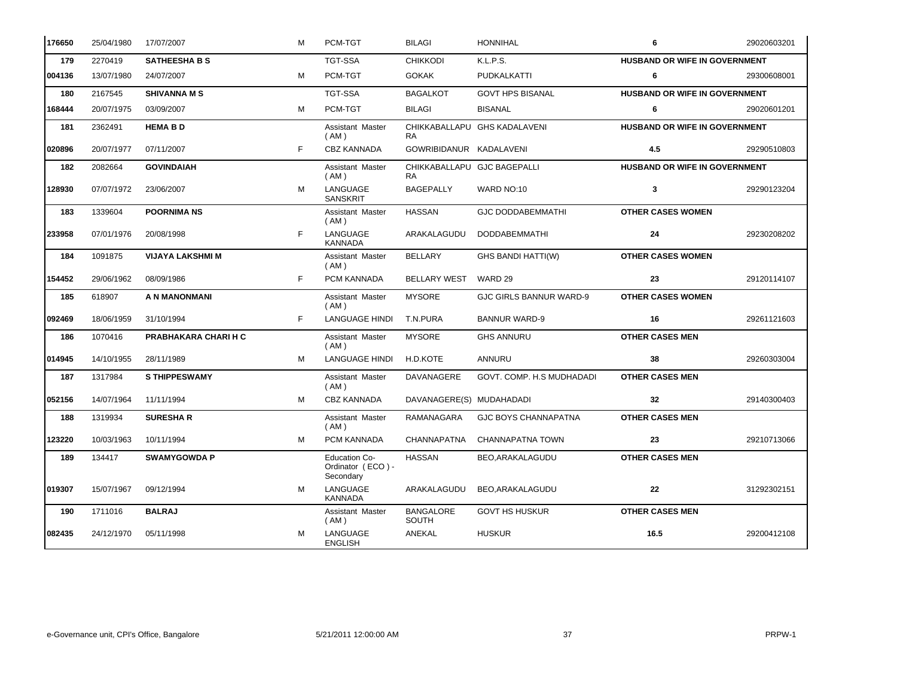| 176650 | 25/04/1980 | 17/07/2007                  | M | PCM-TGT                                                | <b>BILAGI</b>                            | <b>HONNIHAL</b>                | 6                                    | 29020603201 |
|--------|------------|-----------------------------|---|--------------------------------------------------------|------------------------------------------|--------------------------------|--------------------------------------|-------------|
| 179    | 2270419    | <b>SATHEESHA B S</b>        |   | <b>TGT-SSA</b>                                         | <b>CHIKKODI</b>                          | K.L.P.S.                       | HUSBAND OR WIFE IN GOVERNMENT        |             |
| 004136 | 13/07/1980 | 24/07/2007                  | м | PCM-TGT                                                | <b>GOKAK</b>                             | <b>PUDKALKATTI</b>             | 6                                    | 29300608001 |
| 180    | 2167545    | <b>SHIVANNA M S</b>         |   | TGT-SSA                                                | <b>BAGALKOT</b>                          | <b>GOVT HPS BISANAL</b>        | <b>HUSBAND OR WIFE IN GOVERNMENT</b> |             |
| 168444 | 20/07/1975 | 03/09/2007                  | м | PCM-TGT                                                | <b>BILAGI</b>                            | <b>BISANAL</b>                 | 6                                    | 29020601201 |
| 181    | 2362491    | <b>HEMABD</b>               |   | Assistant Master<br>(AM)                               | <b>RA</b>                                | CHIKKABALLAPU GHS KADALAVENI   | HUSBAND OR WIFE IN GOVERNMENT        |             |
| 020896 | 20/07/1977 | 07/11/2007                  | F | <b>CBZ KANNADA</b>                                     | GOWRIBIDANUR KADALAVENI                  |                                | 4.5                                  | 29290510803 |
| 182    | 2082664    | <b>GOVINDAIAH</b>           |   | Assistant Master<br>(AM)                               | CHIKKABALLAPU GJC BAGEPALLI<br><b>RA</b> |                                | <b>HUSBAND OR WIFE IN GOVERNMENT</b> |             |
| 128930 | 07/07/1972 | 23/06/2007                  | м | LANGUAGE<br><b>SANSKRIT</b>                            | <b>BAGEPALLY</b>                         | WARD NO:10                     | 3                                    | 29290123204 |
| 183    | 1339604    | <b>POORNIMA NS</b>          |   | Assistant Master<br>( AM )                             | <b>HASSAN</b>                            | <b>GJC DODDABEMMATHI</b>       | <b>OTHER CASES WOMEN</b>             |             |
| 233958 | 07/01/1976 | 20/08/1998                  | E | LANGUAGE<br><b>KANNADA</b>                             | ARAKALAGUDU                              | <b>DODDABEMMATHI</b>           | 24                                   | 29230208202 |
| 184    | 1091875    | <b>VIJAYA LAKSHMI M</b>     |   | Assistant Master<br>(AM)                               | <b>BELLARY</b>                           | <b>GHS BANDI HATTI(W)</b>      | <b>OTHER CASES WOMEN</b>             |             |
| 154452 | 29/06/1962 | 08/09/1986                  | F | PCM KANNADA                                            | <b>BELLARY WEST</b>                      | WARD 29                        | 23                                   | 29120114107 |
| 185    | 618907     | A N MANONMANI               |   | Assistant Master<br>(AM)                               | <b>MYSORE</b>                            | <b>GJC GIRLS BANNUR WARD-9</b> | <b>OTHER CASES WOMEN</b>             |             |
| 092469 | 18/06/1959 | 31/10/1994                  | F | <b>LANGUAGE HINDI</b>                                  | T.N.PURA                                 | <b>BANNUR WARD-9</b>           | 16                                   | 29261121603 |
| 186    | 1070416    | <b>PRABHAKARA CHARI H C</b> |   | Assistant Master<br>(AM)                               | <b>MYSORE</b>                            | <b>GHS ANNURU</b>              | <b>OTHER CASES MEN</b>               |             |
| 014945 | 14/10/1955 | 28/11/1989                  | M | <b>LANGUAGE HINDI</b>                                  | H.D.KOTE                                 | <b>ANNURU</b>                  | 38                                   | 29260303004 |
| 187    | 1317984    | <b>S THIPPESWAMY</b>        |   | Assistant Master<br>(AM)                               | DAVANAGERE                               | GOVT. COMP. H.S MUDHADADI      | <b>OTHER CASES MEN</b>               |             |
| 052156 | 14/07/1964 | 11/11/1994                  | м | <b>CBZ KANNADA</b>                                     | DAVANAGERE(S) MUDAHADADI                 |                                | 32                                   | 29140300403 |
| 188    | 1319934    | <b>SURESHAR</b>             |   | Assistant Master<br>(AM)                               | RAMANAGARA                               | <b>GJC BOYS CHANNAPATNA</b>    | <b>OTHER CASES MEN</b>               |             |
| 123220 | 10/03/1963 | 10/11/1994                  | M | PCM KANNADA                                            | CHANNAPATNA                              | CHANNAPATNA TOWN               | 23                                   | 29210713066 |
| 189    | 134417     | <b>SWAMYGOWDA P</b>         |   | <b>Education Co-</b><br>Ordinator (ECO) -<br>Secondary | <b>HASSAN</b>                            | BEO, ARAKALAGUDU               | <b>OTHER CASES MEN</b>               |             |
| 019307 | 15/07/1967 | 09/12/1994                  | м | LANGUAGE<br><b>KANNADA</b>                             | ARAKALAGUDU                              | BEO, ARAKALAGUDU               | 22                                   | 31292302151 |
| 190    | 1711016    | <b>BALRAJ</b>               |   | Assistant Master<br>(AM)                               | <b>BANGALORE</b><br><b>SOUTH</b>         | <b>GOVT HS HUSKUR</b>          | <b>OTHER CASES MEN</b>               |             |
| 082435 | 24/12/1970 | 05/11/1998                  | M | LANGUAGE<br><b>ENGLISH</b>                             | ANEKAL                                   | <b>HUSKUR</b>                  | 16.5                                 | 29200412108 |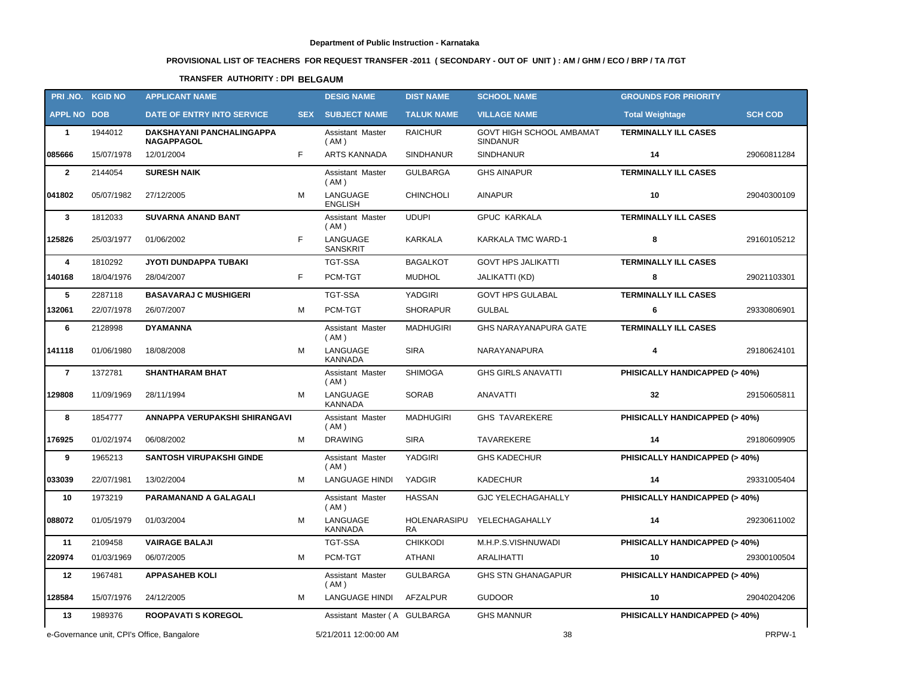# **PROVISIONAL LIST OF TEACHERS FOR REQUEST TRANSFER -2011 ( SECONDARY - OUT OF UNIT ) : AM / GHM / ECO / BRP / TA /TGT**

## **TRANSFER AUTHORITY : DPI BELGAUM**

|                    | PRI.NO. KGID NO | <b>APPLICANT NAME</b>                          |            | <b>DESIG NAME</b>               | <b>DIST NAME</b>   | <b>SCHOOL NAME</b>                          | <b>GROUNDS FOR PRIORITY</b>              |                |
|--------------------|-----------------|------------------------------------------------|------------|---------------------------------|--------------------|---------------------------------------------|------------------------------------------|----------------|
| <b>APPL NO DOB</b> |                 | DATE OF ENTRY INTO SERVICE                     | <b>SEX</b> | <b>SUBJECT NAME</b>             | <b>TALUK NAME</b>  | <b>VILLAGE NAME</b>                         | <b>Total Weightage</b>                   | <b>SCH COD</b> |
| $\mathbf{1}$       | 1944012         | DAKSHAYANI PANCHALINGAPPA<br><b>NAGAPPAGOL</b> |            | Assistant Master<br>(AM)        | <b>RAICHUR</b>     | GOVT HIGH SCHOOL AMBAMAT<br><b>SINDANUR</b> | <b>TERMINALLY ILL CASES</b>              |                |
| 085666             | 15/07/1978      | 12/01/2004                                     | F          | <b>ARTS KANNADA</b>             | <b>SINDHANUR</b>   | <b>SINDHANUR</b>                            | 14                                       | 29060811284    |
| $\overline{2}$     | 2144054         | <b>SURESH NAIK</b>                             |            | Assistant Master<br>(AM)        | <b>GULBARGA</b>    | <b>GHS AINAPUR</b>                          | <b>TERMINALLY ILL CASES</b>              |                |
| 041802             | 05/07/1982      | 27/12/2005                                     | M          | LANGUAGE<br><b>ENGLISH</b>      | <b>CHINCHOLI</b>   | <b>AINAPUR</b>                              | 10                                       | 29040300109    |
| $\mathbf{3}$       | 1812033         | <b>SUVARNA ANAND BANT</b>                      |            | Assistant Master<br>(AM)        | <b>UDUPI</b>       | <b>GPUC KARKALA</b>                         | <b>TERMINALLY ILL CASES</b>              |                |
| 125826             | 25/03/1977      | 01/06/2002                                     | F          | LANGUAGE<br><b>SANSKRIT</b>     | KARKALA            | KARKALA TMC WARD-1                          | 8                                        | 29160105212    |
| 4                  | 1810292         | JYOTI DUNDAPPA TUBAKI                          |            | <b>TGT-SSA</b>                  | <b>BAGALKOT</b>    | <b>GOVT HPS JALIKATTI</b>                   | <b>TERMINALLY ILL CASES</b>              |                |
| 140168             | 18/04/1976      | 28/04/2007                                     | F.         | PCM-TGT                         | <b>MUDHOL</b>      | JALIKATTI (KD)                              | 8                                        | 29021103301    |
| 5                  | 2287118         | <b>BASAVARAJ C MUSHIGERI</b>                   |            | <b>TGT-SSA</b>                  | YADGIRI            | <b>GOVT HPS GULABAL</b>                     | <b>TERMINALLY ILL CASES</b>              |                |
| 132061             | 22/07/1978      | 26/07/2007                                     | М          | PCM-TGT                         | <b>SHORAPUR</b>    | GULBAL                                      | 6                                        | 29330806901    |
| 6                  | 2128998         | <b>DYAMANNA</b>                                |            | Assistant Master<br>(AM)        | <b>MADHUGIRI</b>   | <b>GHS NARAYANAPURA GATE</b>                | <b>TERMINALLY ILL CASES</b>              |                |
| 141118             | 01/06/1980      | 18/08/2008                                     | M          | LANGUAGE<br><b>KANNADA</b>      | <b>SIRA</b>        | NARAYANAPURA                                | 4                                        | 29180624101    |
| $\overline{7}$     | 1372781         | <b>SHANTHARAM BHAT</b>                         |            | <b>Assistant Master</b><br>(AM) | <b>SHIMOGA</b>     | <b>GHS GIRLS ANAVATTI</b>                   | PHISICALLY HANDICAPPED (> 40%)           |                |
| 129808             | 11/09/1969      | 28/11/1994                                     | М          | LANGUAGE<br><b>KANNADA</b>      | <b>SORAB</b>       | <b>ANAVATTI</b>                             | 32                                       | 29150605811    |
| 8                  | 1854777         | ANNAPPA VERUPAKSHI SHIRANGAVI                  |            | Assistant Master<br>(AM)        | <b>MADHUGIRI</b>   | <b>GHS TAVAREKERE</b>                       | PHISICALLY HANDICAPPED (> 40%)           |                |
| 176925             | 01/02/1974      | 06/08/2002                                     | м          | <b>DRAWING</b>                  | <b>SIRA</b>        | TAVAREKERE                                  | 14                                       | 29180609905    |
| 9                  | 1965213         | <b>SANTOSH VIRUPAKSHI GINDE</b>                |            | Assistant Master<br>(AM)        | YADGIRI            | <b>GHS KADECHUR</b>                         | PHISICALLY HANDICAPPED (> 40%)           |                |
| 033039             | 22/07/1981      | 13/02/2004                                     | M          | LANGUAGE HINDI                  | YADGIR             | <b>KADECHUR</b>                             | 14                                       | 29331005404    |
| 10                 | 1973219         | <b>PARAMANAND A GALAGALI</b>                   |            | Assistant Master<br>(AM)        | <b>HASSAN</b>      | <b>GJC YELECHAGAHALLY</b>                   | PHISICALLY HANDICAPPED (> 40%)           |                |
| 088072             | 01/05/1979      | 01/03/2004                                     | м          | LANGUAGE<br>KANNADA             | HOLENARASIPU<br>RA | YELECHAGAHALLY                              | 14                                       | 29230611002    |
| 11                 | 2109458         | <b>VAIRAGE BALAJI</b>                          |            | TGT-SSA                         | <b>CHIKKODI</b>    | M.H.P.S.VISHNUWADI                          | <b>PHISICALLY HANDICAPPED (&gt; 40%)</b> |                |
| 220974             | 01/03/1969      | 06/07/2005                                     | м          | PCM-TGT                         | ATHANI             | ARALIHATTI                                  | 10                                       | 29300100504    |
| 12                 | 1967481         | <b>APPASAHEB KOLI</b>                          |            | Assistant Master<br>(AM)        | <b>GULBARGA</b>    | <b>GHS STN GHANAGAPUR</b>                   | PHISICALLY HANDICAPPED (> 40%)           |                |
| 128584             | 15/07/1976      | 24/12/2005                                     | М          | LANGUAGE HINDI                  | AFZALPUR           | <b>GUDOOR</b>                               | 10                                       | 29040204206    |
| 13                 | 1989376         | <b>ROOPAVATI S KOREGOL</b>                     |            | Assistant Master (A GULBARGA    |                    | <b>GHS MANNUR</b>                           | <b>PHISICALLY HANDICAPPED (&gt; 40%)</b> |                |
|                    |                 | e-Governance unit, CPI's Office, Bangalore     |            | 5/21/2011 12:00:00 AM           |                    | 38                                          |                                          | PRPW-1         |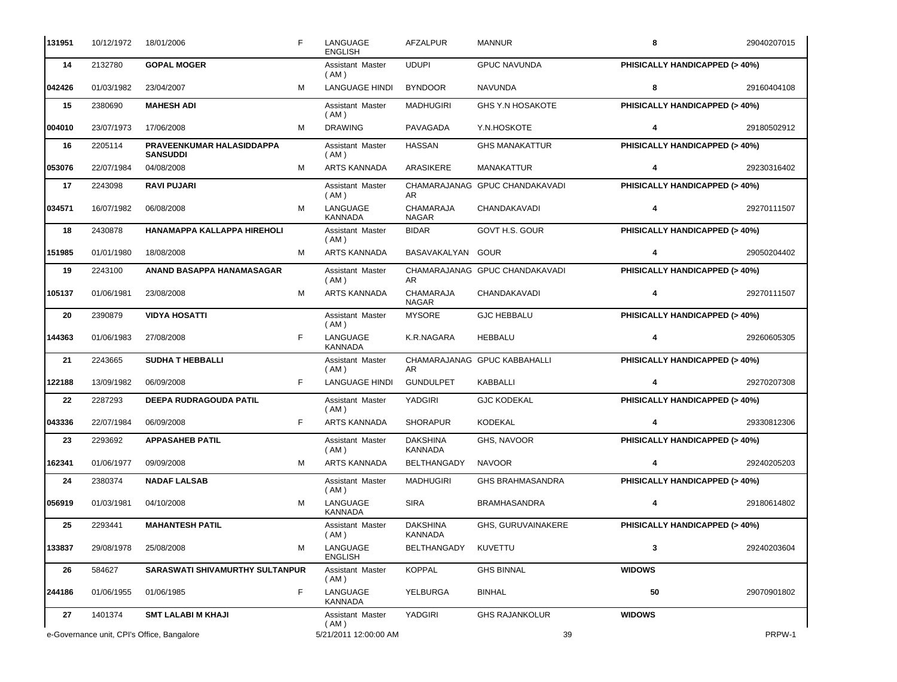| 131951 | 10/12/1972 | 18/01/2006                                   | F  | LANGUAGE<br><b>ENGLISH</b> | <b>AFZALPUR</b>                   | <b>MANNUR</b>                  | 8                              | 29040207015 |
|--------|------------|----------------------------------------------|----|----------------------------|-----------------------------------|--------------------------------|--------------------------------|-------------|
| 14     | 2132780    | <b>GOPAL MOGER</b>                           |    | Assistant Master<br>(AM)   | <b>UDUPI</b>                      | <b>GPUC NAVUNDA</b>            | PHISICALLY HANDICAPPED (> 40%) |             |
| 042426 | 01/03/1982 | 23/04/2007                                   | м  | <b>LANGUAGE HINDI</b>      | <b>BYNDOOR</b>                    | <b>NAVUNDA</b>                 | 8                              | 29160404108 |
| 15     | 2380690    | <b>MAHESH ADI</b>                            |    | Assistant Master<br>(AM)   | <b>MADHUGIRI</b>                  | <b>GHS Y.N HOSAKOTE</b>        | PHISICALLY HANDICAPPED (> 40%) |             |
| 004010 | 23/07/1973 | 17/06/2008                                   | M  | <b>DRAWING</b>             | PAVAGADA                          | Y.N.HOSKOTE                    | 4                              | 29180502912 |
| 16     | 2205114    | PRAVEENKUMAR HALASIDDAPPA<br><b>SANSUDDI</b> |    | Assistant Master<br>(AM)   | <b>HASSAN</b>                     | <b>GHS MANAKATTUR</b>          | PHISICALLY HANDICAPPED (> 40%) |             |
| 053076 | 22/07/1984 | 04/08/2008                                   | м  | <b>ARTS KANNADA</b>        | ARASIKERE                         | <b>MANAKATTUR</b>              | 4                              | 29230316402 |
| 17     | 2243098    | <b>RAVI PUJARI</b>                           |    | Assistant Master<br>(AM)   | AR.                               | CHAMARAJANAG GPUC CHANDAKAVADI | PHISICALLY HANDICAPPED (> 40%) |             |
| 034571 | 16/07/1982 | 06/08/2008                                   | M  | LANGUAGE<br><b>KANNADA</b> | CHAMARAJA<br><b>NAGAR</b>         | CHANDAKAVADI                   | 4                              | 29270111507 |
| 18     | 2430878    | HANAMAPPA KALLAPPA HIREHOLI                  |    | Assistant Master<br>(AM)   | <b>BIDAR</b>                      | GOVT H.S. GOUR                 | PHISICALLY HANDICAPPED (> 40%) |             |
| 151985 | 01/01/1980 | 18/08/2008                                   | M  | <b>ARTS KANNADA</b>        | BASAVAKALYAN GOUR                 |                                | 4                              | 29050204402 |
| 19     | 2243100    | ANAND BASAPPA HANAMASAGAR                    |    | Assistant Master<br>(AM)   | AR.                               | CHAMARAJANAG GPUC CHANDAKAVADI | PHISICALLY HANDICAPPED (> 40%) |             |
| 105137 | 01/06/1981 | 23/08/2008                                   | M  | <b>ARTS KANNADA</b>        | <b>CHAMARAJA</b><br><b>NAGAR</b>  | CHANDAKAVADI                   | 4                              | 29270111507 |
| 20     | 2390879    | <b>VIDYA HOSATTI</b>                         |    | Assistant Master<br>(AM)   | <b>MYSORE</b>                     | <b>GJC HEBBALU</b>             | PHISICALLY HANDICAPPED (> 40%) |             |
| 144363 | 01/06/1983 | 27/08/2008                                   | F  | LANGUAGE<br><b>KANNADA</b> | K.R.NAGARA                        | <b>HEBBALU</b>                 | 4                              | 29260605305 |
| 21     | 2243665    | <b>SUDHA T HEBBALLI</b>                      |    | Assistant Master<br>(AM)   | AR.                               | CHAMARAJANAG GPUC KABBAHALLI   | PHISICALLY HANDICAPPED (> 40%) |             |
| 122188 | 13/09/1982 | 06/09/2008                                   | F  | <b>LANGUAGE HINDI</b>      | <b>GUNDULPET</b>                  | <b>KABBALLI</b>                | 4                              | 29270207308 |
| 22     | 2287293    | DEEPA RUDRAGOUDA PATIL                       |    | Assistant Master<br>(AM)   | YADGIRI                           | <b>GJC KODEKAL</b>             | PHISICALLY HANDICAPPED (> 40%) |             |
| 043336 | 22/07/1984 | 06/09/2008                                   | F  | ARTS KANNADA               | <b>SHORAPUR</b>                   | <b>KODEKAL</b>                 | 4                              | 29330812306 |
| 23     | 2293692    | <b>APPASAHEB PATIL</b>                       |    | Assistant Master<br>(AM)   | <b>DAKSHINA</b><br><b>KANNADA</b> | GHS, NAVOOR                    | PHISICALLY HANDICAPPED (> 40%) |             |
| 162341 | 01/06/1977 | 09/09/2008                                   | M  | <b>ARTS KANNADA</b>        | BELTHANGADY                       | <b>NAVOOR</b>                  | 4                              | 29240205203 |
| 24     | 2380374    | <b>NADAF LALSAB</b>                          |    | Assistant Master<br>(AM)   | <b>MADHUGIRI</b>                  | GHS BRAHMASANDRA               | PHISICALLY HANDICAPPED (> 40%) |             |
| 056919 | 01/03/1981 | 04/10/2008                                   | M  | LANGUAGE<br><b>KANNADA</b> | <b>SIRA</b>                       | <b>BRAMHASANDRA</b>            | 4                              | 29180614802 |
| 25     | 2293441    | <b>MAHANTESH PATIL</b>                       |    | Assistant Master<br>(AM)   | <b>DAKSHINA</b><br>KANNADA        | GHS, GURUVAINAKERE             | PHISICALLY HANDICAPPED (> 40%) |             |
| 133837 | 29/08/1978 | 25/08/2008                                   | M  | LANGUAGE<br><b>ENGLISH</b> | BELTHANGADY                       | KUVETTU                        | 3                              | 29240203604 |
| 26     | 584627     | SARASWATI SHIVAMURTHY SULTANPUR              |    | Assistant Master<br>(AM)   | KOPPAL                            | <b>GHS BINNAL</b>              | <b>WIDOWS</b>                  |             |
| 244186 | 01/06/1955 | 01/06/1985                                   | F. | LANGUAGE<br><b>KANNADA</b> | <b>YELBURGA</b>                   | <b>BINHAL</b>                  | 50                             | 29070901802 |
| 27     | 1401374    | <b>SMT LALABI M KHAJI</b>                    |    | Assistant Master<br>(AM)   | YADGIRI                           | <b>GHS RAJANKOLUR</b>          | <b>WIDOWS</b>                  |             |
|        |            | e-Governance unit, CPI's Office, Bangalore   |    | 5/21/2011 12:00:00 AM      |                                   | 39                             |                                | PRPW-1      |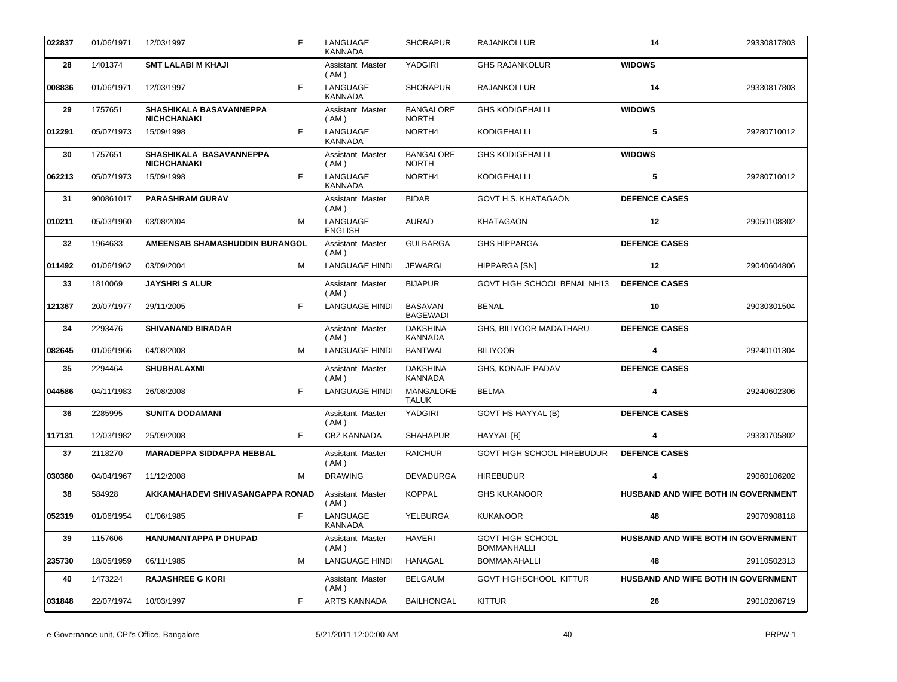| 022837 | 01/06/1971 | F<br>12/03/1997                               | LANGUAGE<br><b>KANNADA</b>      | <b>SHORAPUR</b>                   | RAJANKOLLUR                            | 14                                  | 29330817803 |
|--------|------------|-----------------------------------------------|---------------------------------|-----------------------------------|----------------------------------------|-------------------------------------|-------------|
| 28     | 1401374    | <b>SMT LALABI M KHAJI</b>                     | Assistant Master<br>(AM)        | YADGIRI                           | <b>GHS RAJANKOLUR</b>                  | <b>WIDOWS</b>                       |             |
| 008836 | 01/06/1971 | F<br>12/03/1997                               | LANGUAGE<br><b>KANNADA</b>      | <b>SHORAPUR</b>                   | RAJANKOLLUR                            | 14                                  | 29330817803 |
| 29     | 1757651    | SHASHIKALA BASAVANNEPPA<br><b>NICHCHANAKI</b> | <b>Assistant Master</b><br>(AM) | <b>BANGALORE</b><br><b>NORTH</b>  | <b>GHS KODIGEHALLI</b>                 | <b>WIDOWS</b>                       |             |
| 012291 | 05/07/1973 | F<br>15/09/1998                               | LANGUAGE<br><b>KANNADA</b>      | NORTH4                            | KODIGEHALLI                            | 5                                   | 29280710012 |
| 30     | 1757651    | SHASHIKALA BASAVANNEPPA<br><b>NICHCHANAKI</b> | Assistant Master<br>(AM)        | <b>BANGALORE</b><br><b>NORTH</b>  | <b>GHS KODIGEHALLI</b>                 | <b>WIDOWS</b>                       |             |
| 062213 | 05/07/1973 | F<br>15/09/1998                               | LANGUAGE<br><b>KANNADA</b>      | NORTH4                            | KODIGEHALLI                            | 5                                   | 29280710012 |
| 31     | 900861017  | <b>PARASHRAM GURAV</b>                        | Assistant Master<br>(AM)        | <b>BIDAR</b>                      | GOVT H.S. KHATAGAON                    | <b>DEFENCE CASES</b>                |             |
| 010211 | 05/03/1960 | 03/08/2004<br>м                               | LANGUAGE<br><b>ENGLISH</b>      | <b>AURAD</b>                      | <b>KHATAGAON</b>                       | 12                                  | 29050108302 |
| 32     | 1964633    | AMEENSAB SHAMASHUDDIN BURANGOL                | Assistant Master<br>(AM)        | <b>GULBARGA</b>                   | <b>GHS HIPPARGA</b>                    | <b>DEFENCE CASES</b>                |             |
| 011492 | 01/06/1962 | 03/09/2004<br>м                               | <b>LANGUAGE HINDI</b>           | <b>JEWARGI</b>                    | HIPPARGA [SN]                          | 12                                  | 29040604806 |
| 33     | 1810069    | <b>JAYSHRIS ALUR</b>                          | Assistant Master<br>(AM)        | <b>BIJAPUR</b>                    | GOVT HIGH SCHOOL BENAL NH13            | <b>DEFENCE CASES</b>                |             |
| 121367 | 20/07/1977 | F<br>29/11/2005                               | <b>LANGUAGE HINDI</b>           | <b>BASAVAN</b><br><b>BAGEWADI</b> | <b>BENAL</b>                           | 10                                  | 29030301504 |
| 34     | 2293476    | <b>SHIVANAND BIRADAR</b>                      | Assistant Master<br>(AM)        | <b>DAKSHINA</b><br>KANNADA        | GHS, BILIYOOR MADATHARU                | <b>DEFENCE CASES</b>                |             |
| 082645 | 01/06/1966 | M<br>04/08/2008                               | <b>LANGUAGE HINDI</b>           | <b>BANTWAL</b>                    | <b>BILIYOOR</b>                        | 4                                   | 29240101304 |
| 35     | 2294464    | <b>SHUBHALAXMI</b>                            | Assistant Master<br>(AM)        | <b>DAKSHINA</b><br>KANNADA        | <b>GHS, KONAJE PADAV</b>               | <b>DEFENCE CASES</b>                |             |
| 044586 | 04/11/1983 | F<br>26/08/2008                               | <b>LANGUAGE HINDI</b>           | MANGALORE<br><b>TALUK</b>         | <b>BELMA</b>                           | 4                                   | 29240602306 |
| 36     | 2285995    | <b>SUNITA DODAMANI</b>                        | Assistant Master<br>(AM)        | YADGIRI                           | GOVT HS HAYYAL (B)                     | <b>DEFENCE CASES</b>                |             |
| 117131 | 12/03/1982 | F<br>25/09/2008                               | <b>CBZ KANNADA</b>              | <b>SHAHAPUR</b>                   | HAYYAL [B]                             | 4                                   | 29330705802 |
| 37     | 2118270    | <b>MARADEPPA SIDDAPPA HEBBAL</b>              | Assistant Master<br>(AM)        | <b>RAICHUR</b>                    | GOVT HIGH SCHOOL HIREBUDUR             | <b>DEFENCE CASES</b>                |             |
| 030360 | 04/04/1967 | 11/12/2008<br>м                               | <b>DRAWING</b>                  | DEVADURGA                         | <b>HIREBUDUR</b>                       | 4                                   | 29060106202 |
| 38     | 584928     | AKKAMAHADEVI SHIVASANGAPPA RONAD              | Assistant Master<br>(AM)        | <b>KOPPAL</b>                     | <b>GHS KUKANOOR</b>                    | HUSBAND AND WIFE BOTH IN GOVERNMENT |             |
| 052319 | 01/06/1954 | F<br>01/06/1985                               | LANGUAGE<br><b>KANNADA</b>      | YELBURGA                          | <b>KUKANOOR</b>                        | 48                                  | 29070908118 |
| 39     | 1157606    | HANUMANTAPPA P DHUPAD                         | Assistant Master<br>(AM)        | <b>HAVERI</b>                     | GOVT HIGH SCHOOL<br><b>BOMMANHALLI</b> | HUSBAND AND WIFE BOTH IN GOVERNMENT |             |
| 235730 | 18/05/1959 | 06/11/1985<br>м                               | <b>LANGUAGE HINDI</b>           | HANAGAL                           | <b>BOMMANAHALLI</b>                    | 48                                  | 29110502313 |
| 40     | 1473224    | <b>RAJASHREE G KORI</b>                       | Assistant Master<br>(AM)        | <b>BELGAUM</b>                    | GOVT HIGHSCHOOL KITTUR                 | HUSBAND AND WIFE BOTH IN GOVERNMENT |             |
| 031848 | 22/07/1974 | 10/03/1997<br>F                               | ARTS KANNADA                    | <b>BAILHONGAL</b>                 | <b>KITTUR</b>                          | 26                                  | 29010206719 |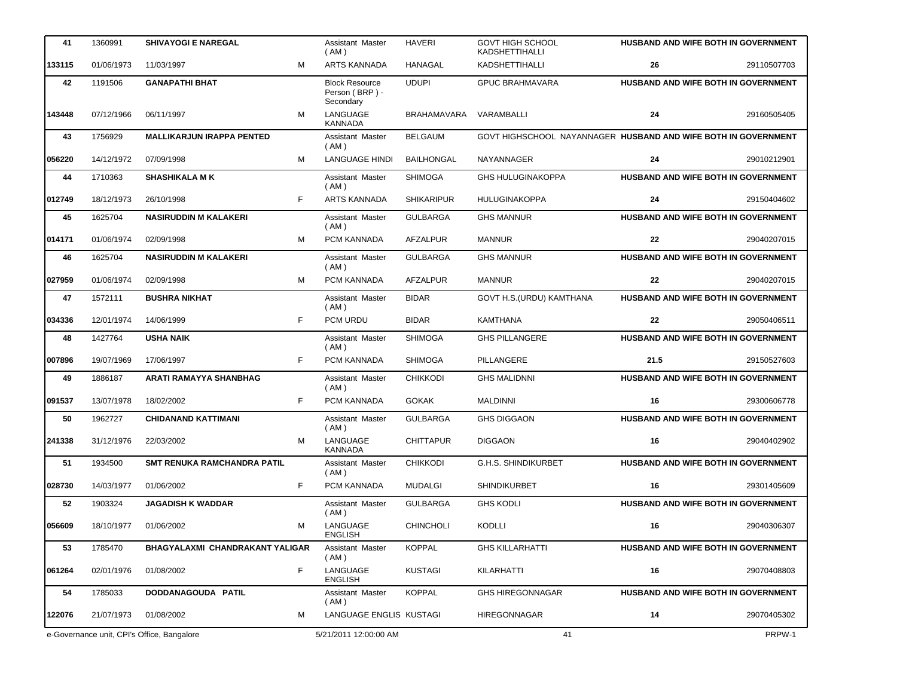| 41     | 1360991    | <b>SHIVAYOGI E NAREGAL</b>                 |   | Assistant Master<br>(AM)                             | <b>HAVERI</b>     | <b>GOVT HIGH SCHOOL</b><br><b>KADSHETTIHALLI</b>               |      | HUSBAND AND WIFE BOTH IN GOVERNMENT        |
|--------|------------|--------------------------------------------|---|------------------------------------------------------|-------------------|----------------------------------------------------------------|------|--------------------------------------------|
| 133115 | 01/06/1973 | 11/03/1997                                 | M | <b>ARTS KANNADA</b>                                  | <b>HANAGAL</b>    | <b>KADSHETTIHALLI</b>                                          | 26   | 29110507703                                |
| 42     | 1191506    | <b>GANAPATHI BHAT</b>                      |   | <b>Block Resource</b><br>Person (BRP) -<br>Secondary | <b>UDUPI</b>      | <b>GPUC BRAHMAVARA</b>                                         |      | HUSBAND AND WIFE BOTH IN GOVERNMENT        |
| 143448 | 07/12/1966 | 06/11/1997                                 | м | LANGUAGE<br>KANNADA                                  | BRAHAMAVARA       | VARAMBALLI                                                     | 24   | 29160505405                                |
| 43     | 1756929    | <b>MALLIKARJUN IRAPPA PENTED</b>           |   | Assistant Master<br>(AM)                             | <b>BELGAUM</b>    | GOVT HIGHSCHOOL NAYANNAGER HUSBAND AND WIFE BOTH IN GOVERNMENT |      |                                            |
| 056220 | 14/12/1972 | 07/09/1998                                 | M | <b>LANGUAGE HINDI</b>                                | <b>BAILHONGAL</b> | NAYANNAGER                                                     | 24   | 29010212901                                |
| 44     | 1710363    | <b>SHASHIKALA MK</b>                       |   | Assistant Master<br>(AM)                             | <b>SHIMOGA</b>    | <b>GHS HULUGINAKOPPA</b>                                       |      | <b>HUSBAND AND WIFE BOTH IN GOVERNMENT</b> |
| 012749 | 18/12/1973 | 26/10/1998                                 | F | <b>ARTS KANNADA</b>                                  | <b>SHIKARIPUR</b> | HULUGINAKOPPA                                                  | 24   | 29150404602                                |
| 45     | 1625704    | <b>NASIRUDDIN M KALAKERI</b>               |   | Assistant Master<br>(AM)                             | <b>GULBARGA</b>   | <b>GHS MANNUR</b>                                              |      | <b>HUSBAND AND WIFE BOTH IN GOVERNMENT</b> |
| 014171 | 01/06/1974 | 02/09/1998                                 | M | PCM KANNADA                                          | <b>AFZALPUR</b>   | <b>MANNUR</b>                                                  | 22   | 29040207015                                |
| 46     | 1625704    | <b>NASIRUDDIN M KALAKERI</b>               |   | Assistant Master<br>(AM)                             | <b>GULBARGA</b>   | <b>GHS MANNUR</b>                                              |      | HUSBAND AND WIFE BOTH IN GOVERNMENT        |
| 027959 | 01/06/1974 | 02/09/1998                                 | M | PCM KANNADA                                          | <b>AFZALPUR</b>   | <b>MANNUR</b>                                                  | 22   | 29040207015                                |
| 47     | 1572111    | <b>BUSHRA NIKHAT</b>                       |   | Assistant Master<br>(AM)                             | <b>BIDAR</b>      | GOVT H.S. (URDU) KAMTHANA                                      |      | HUSBAND AND WIFE BOTH IN GOVERNMENT        |
| 034336 | 12/01/1974 | 14/06/1999                                 | F | PCM URDU                                             | <b>BIDAR</b>      | KAMTHANA                                                       | 22   | 29050406511                                |
| 48     | 1427764    | <b>USHA NAIK</b>                           |   | Assistant Master<br>( AM )                           | <b>SHIMOGA</b>    | <b>GHS PILLANGERE</b>                                          |      | HUSBAND AND WIFE BOTH IN GOVERNMENT        |
| 007896 | 19/07/1969 | 17/06/1997                                 | F | PCM KANNADA                                          | <b>SHIMOGA</b>    | PILLANGERE                                                     | 21.5 | 29150527603                                |
| 49     | 1886187    | <b>ARATI RAMAYYA SHANBHAG</b>              |   | Assistant Master<br>(AM)                             | <b>CHIKKODI</b>   | <b>GHS MALIDNNI</b>                                            |      | <b>HUSBAND AND WIFE BOTH IN GOVERNMENT</b> |
| 091537 | 13/07/1978 | 18/02/2002                                 | F | PCM KANNADA                                          | <b>GOKAK</b>      | <b>MALDINNI</b>                                                | 16   | 29300606778                                |
| 50     | 1962727    | <b>CHIDANAND KATTIMANI</b>                 |   | Assistant Master<br>(AM)                             | <b>GULBARGA</b>   | <b>GHS DIGGAON</b>                                             |      | HUSBAND AND WIFE BOTH IN GOVERNMENT        |
| 241338 | 31/12/1976 | 22/03/2002                                 | м | LANGUAGE<br><b>KANNADA</b>                           | <b>CHITTAPUR</b>  | <b>DIGGAON</b>                                                 | 16   | 29040402902                                |
| 51     | 1934500    | <b>SMT RENUKA RAMCHANDRA PATIL</b>         |   | Assistant Master<br>(AM)                             | <b>CHIKKODI</b>   | <b>G.H.S. SHINDIKURBET</b>                                     |      | HUSBAND AND WIFE BOTH IN GOVERNMENT        |
| 028730 | 14/03/1977 | 01/06/2002                                 | F | PCM KANNADA                                          | <b>MUDALGI</b>    | SHINDIKURBET                                                   | 16   | 29301405609                                |
| 52     | 1903324    | <b>JAGADISH K WADDAR</b>                   |   | Assistant Master<br>(AM)                             | <b>GULBARGA</b>   | <b>GHS KODLI</b>                                               |      | HUSBAND AND WIFE BOTH IN GOVERNMENT        |
| 056609 | 18/10/1977 | 01/06/2002                                 | М | LANGUAGE<br><b>ENGLISH</b>                           | <b>CHINCHOLI</b>  | KODLLI                                                         | 16   | 29040306307                                |
| 53     | 1785470    | BHAGYALAXMI CHANDRAKANT YALIGAR            |   | Assistant Master<br>(AM)                             | <b>KOPPAL</b>     | <b>GHS KILLARHATTI</b>                                         |      | HUSBAND AND WIFE BOTH IN GOVERNMENT        |
| 061264 | 02/01/1976 | 01/08/2002                                 | F | LANGUAGE<br><b>ENGLISH</b>                           | <b>KUSTAGI</b>    | KILARHATTI                                                     | 16   | 29070408803                                |
| 54     | 1785033    | DODDANAGOUDA PATIL                         |   | Assistant Master<br>(AM)                             | <b>KOPPAL</b>     | <b>GHS HIREGONNAGAR</b>                                        |      | <b>HUSBAND AND WIFE BOTH IN GOVERNMENT</b> |
| 122076 | 21/07/1973 | 01/08/2002                                 | м | LANGUAGE ENGLIS KUSTAGI                              |                   | <b>HIREGONNAGAR</b>                                            | 14   | 29070405302                                |
|        |            | e-Governance unit, CPI's Office, Bangalore |   | 5/21/2011 12:00:00 AM                                |                   | 41                                                             |      | PRPW-1                                     |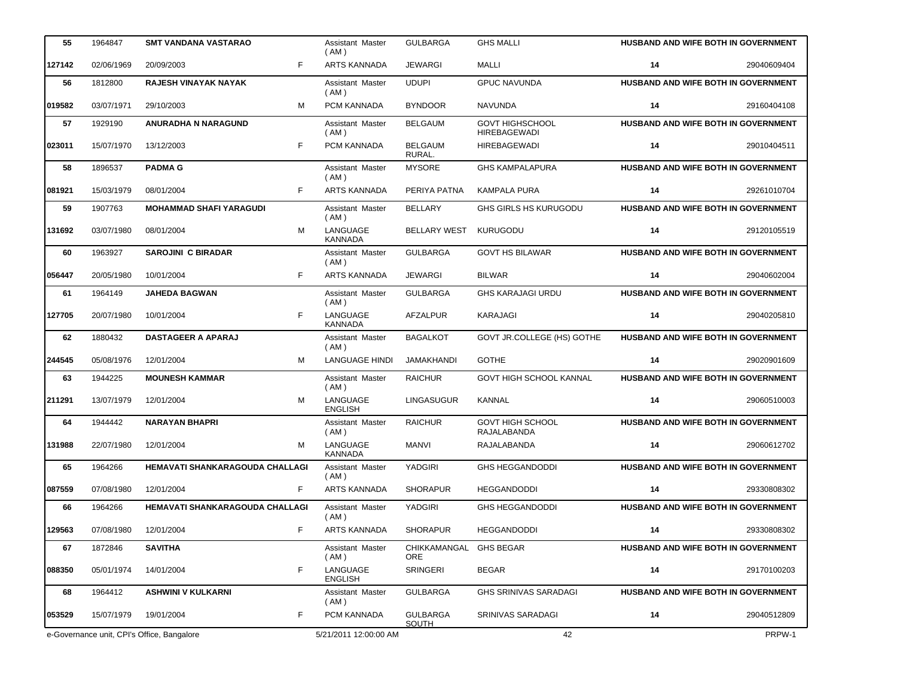| 55     | 1964847    | SMT VANDANA VASTARAO                       |   | Assistant Master<br>(AM)   | <b>GULBARGA</b>                      | <b>GHS MALLI</b>                              |    | <b>HUSBAND AND WIFE BOTH IN GOVERNMENT</b> |
|--------|------------|--------------------------------------------|---|----------------------------|--------------------------------------|-----------------------------------------------|----|--------------------------------------------|
| 127142 | 02/06/1969 | F<br>20/09/2003                            |   | <b>ARTS KANNADA</b>        | <b>JEWARGI</b>                       | <b>MALLI</b>                                  | 14 | 29040609404                                |
| 56     | 1812800    | RAJESH VINAYAK NAYAK                       |   | Assistant Master<br>(AM)   | <b>UDUPI</b>                         | <b>GPUC NAVUNDA</b>                           |    | HUSBAND AND WIFE BOTH IN GOVERNMENT        |
| 019582 | 03/07/1971 | 29/10/2003                                 | м | PCM KANNADA                | <b>BYNDOOR</b>                       | <b>NAVUNDA</b>                                | 14 | 29160404108                                |
| 57     | 1929190    | <b>ANURADHA N NARAGUND</b>                 |   | Assistant Master<br>(AM)   | <b>BELGAUM</b>                       | <b>GOVT HIGHSCHOOL</b><br><b>HIREBAGEWADI</b> |    | HUSBAND AND WIFE BOTH IN GOVERNMENT        |
| 023011 | 15/07/1970 | F<br>13/12/2003                            |   | PCM KANNADA                | <b>BELGAUM</b><br>RURAL.             | <b>HIREBAGEWADI</b>                           | 14 | 29010404511                                |
| 58     | 1896537    | <b>PADMA G</b>                             |   | Assistant Master<br>(AM)   | <b>MYSORE</b>                        | <b>GHS KAMPALAPURA</b>                        |    | HUSBAND AND WIFE BOTH IN GOVERNMENT        |
| 081921 | 15/03/1979 | F<br>08/01/2004                            |   | <b>ARTS KANNADA</b>        | PERIYA PATNA                         | <b>KAMPALA PURA</b>                           | 14 | 29261010704                                |
| 59     | 1907763    | <b>MOHAMMAD SHAFI YARAGUDI</b>             |   | Assistant Master<br>(AM)   | <b>BELLARY</b>                       | <b>GHS GIRLS HS KURUGODU</b>                  |    | HUSBAND AND WIFE BOTH IN GOVERNMENT        |
| 131692 | 03/07/1980 | 08/01/2004                                 | M | LANGUAGE<br><b>KANNADA</b> | <b>BELLARY WEST</b>                  | <b>KURUGODU</b>                               | 14 | 29120105519                                |
| 60     | 1963927    | <b>SAROJINI C BIRADAR</b>                  |   | Assistant Master<br>(AM)   | <b>GULBARGA</b>                      | <b>GOVT HS BILAWAR</b>                        |    | HUSBAND AND WIFE BOTH IN GOVERNMENT        |
| 056447 | 20/05/1980 | F<br>10/01/2004                            |   | <b>ARTS KANNADA</b>        | <b>JEWARGI</b>                       | <b>BILWAR</b>                                 | 14 | 29040602004                                |
| 61     | 1964149    | <b>JAHEDA BAGWAN</b>                       |   | Assistant Master<br>(AM)   | <b>GULBARGA</b>                      | <b>GHS KARAJAGI URDU</b>                      |    | HUSBAND AND WIFE BOTH IN GOVERNMENT        |
| 127705 | 20/07/1980 | F<br>10/01/2004                            |   | LANGUAGE<br><b>KANNADA</b> | AFZALPUR                             | KARAJAGI                                      | 14 | 29040205810                                |
| 62     | 1880432    | <b>DASTAGEER A APARAJ</b>                  |   | Assistant Master<br>(AM)   | <b>BAGALKOT</b>                      | GOVT JR.COLLEGE (HS) GOTHE                    |    | HUSBAND AND WIFE BOTH IN GOVERNMENT        |
| 244545 | 05/08/1976 | 12/01/2004                                 | м | <b>LANGUAGE HINDI</b>      | <b>JAMAKHANDI</b>                    | <b>GOTHE</b>                                  | 14 | 29020901609                                |
| 63     | 1944225    | <b>MOUNESH KAMMAR</b>                      |   | Assistant Master<br>(AM)   | <b>RAICHUR</b>                       | <b>GOVT HIGH SCHOOL KANNAL</b>                |    | HUSBAND AND WIFE BOTH IN GOVERNMENT        |
| 211291 | 13/07/1979 | 12/01/2004                                 | M | LANGUAGE<br><b>ENGLISH</b> | <b>LINGASUGUR</b>                    | KANNAL                                        | 14 | 29060510003                                |
| 64     | 1944442    | <b>NARAYAN BHAPRI</b>                      |   | Assistant Master<br>(AM)   | <b>RAICHUR</b>                       | <b>GOVT HIGH SCHOOL</b><br>RAJALABANDA        |    | HUSBAND AND WIFE BOTH IN GOVERNMENT        |
| 131988 | 22/07/1980 | 12/01/2004                                 | M | LANGUAGE<br><b>KANNADA</b> | <b>MANVI</b>                         | RAJALABANDA                                   | 14 | 29060612702                                |
| 65     | 1964266    | <b>HEMAVATI SHANKARAGOUDA CHALLAGI</b>     |   | Assistant Master<br>(AM)   | <b>YADGIRI</b>                       | <b>GHS HEGGANDODDI</b>                        |    | HUSBAND AND WIFE BOTH IN GOVERNMENT        |
| 087559 | 07/08/1980 | F<br>12/01/2004                            |   | ARTS KANNADA               | <b>SHORAPUR</b>                      | <b>HEGGANDODDI</b>                            | 14 | 29330808302                                |
| 66     | 1964266    | HEMAVATI SHANKARAGOUDA CHALLAGI            |   | Assistant Master<br>(AM)   | YADGIRI                              | <b>GHS HEGGANDODDI</b>                        |    | HUSBAND AND WIFE BOTH IN GOVERNMENT        |
| 129563 | 07/08/1980 | 12/01/2004                                 | F | ARTS KANNADA               | <b>SHORAPUR</b>                      | <b>HEGGANDODDI</b>                            | 14 | 29330808302                                |
| 67     | 1872846    | <b>SAVITHA</b>                             |   | Assistant Master<br>(AM)   | CHIKKAMANGAL GHS BEGAR<br><b>ORE</b> |                                               |    | HUSBAND AND WIFE BOTH IN GOVERNMENT        |
| 088350 | 05/01/1974 | F<br>14/01/2004                            |   | LANGUAGE<br><b>ENGLISH</b> | SRINGERI                             | <b>BEGAR</b>                                  | 14 | 29170100203                                |
| 68     | 1964412    | <b>ASHWINI V KULKARNI</b>                  |   | Assistant Master<br>(AM)   | <b>GULBARGA</b>                      | <b>GHS SRINIVAS SARADAGI</b>                  |    | <b>HUSBAND AND WIFE BOTH IN GOVERNMENT</b> |
| 053529 | 15/07/1979 | F<br>19/01/2004                            |   | PCM KANNADA                | <b>GULBARGA</b><br><b>SOUTH</b>      | SRINIVAS SARADAGI                             | 14 | 29040512809                                |
|        |            | e-Governance unit, CPI's Office, Bangalore |   | 5/21/2011 12:00:00 AM      |                                      | 42                                            |    | PRPW-1                                     |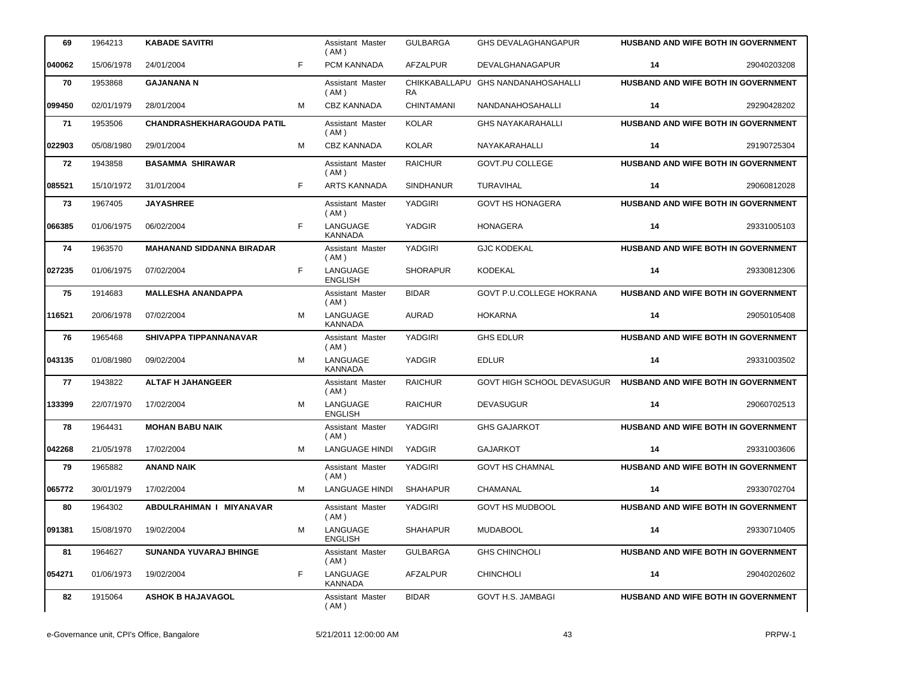| 69     | 1964213    | <b>KABADE SAVITRI</b>             |    | <b>Assistant Master</b><br>( AM ) | <b>GULBARGA</b>            | <b>GHS DEVALAGHANGAPUR</b>      | <b>HUSBAND AND WIFE BOTH IN GOVERNMENT</b> |             |
|--------|------------|-----------------------------------|----|-----------------------------------|----------------------------|---------------------------------|--------------------------------------------|-------------|
| 040062 | 15/06/1978 | 24/01/2004                        | F  | PCM KANNADA                       | <b>AFZALPUR</b>            | DEVALGHANAGAPUR                 | 14                                         | 29040203208 |
| 70     | 1953868    | <b>GAJANANA N</b>                 |    | Assistant Master<br>( AM )        | CHIKKABALLAPU<br><b>RA</b> | <b>GHS NANDANAHOSAHALLI</b>     | HUSBAND AND WIFE BOTH IN GOVERNMENT        |             |
| 099450 | 02/01/1979 | 28/01/2004                        | м  | <b>CBZ KANNADA</b>                | <b>CHINTAMANI</b>          | <b>NANDANAHOSAHALLI</b>         | 14                                         | 29290428202 |
| 71     | 1953506    | <b>CHANDRASHEKHARAGOUDA PATIL</b> |    | Assistant Master<br>(AM)          | <b>KOLAR</b>               | <b>GHS NAYAKARAHALLI</b>        | HUSBAND AND WIFE BOTH IN GOVERNMENT        |             |
| 022903 | 05/08/1980 | 29/01/2004                        | M  | <b>CBZ KANNADA</b>                | <b>KOLAR</b>               | NAYAKARAHALLI                   | 14                                         | 29190725304 |
| 72     | 1943858    | <b>BASAMMA SHIRAWAR</b>           |    | <b>Assistant Master</b><br>(AM)   | <b>RAICHUR</b>             | GOVT.PU COLLEGE                 | HUSBAND AND WIFE BOTH IN GOVERNMENT        |             |
| 085521 | 15/10/1972 | 31/01/2004                        | F. | <b>ARTS KANNADA</b>               | <b>SINDHANUR</b>           | TURAVIHAL                       | 14                                         | 29060812028 |
| 73     | 1967405    | <b>JAYASHREE</b>                  |    | Assistant Master<br>(AM)          | YADGIRI                    | <b>GOVT HS HONAGERA</b>         | HUSBAND AND WIFE BOTH IN GOVERNMENT        |             |
| 066385 | 01/06/1975 | 06/02/2004                        | F. | LANGUAGE<br><b>KANNADA</b>        | YADGIR                     | <b>HONAGERA</b>                 | 14                                         | 29331005103 |
| 74     | 1963570    | <b>MAHANAND SIDDANNA BIRADAR</b>  |    | Assistant Master<br>(AM)          | <b>YADGIRI</b>             | <b>GJC KODEKAL</b>              | HUSBAND AND WIFE BOTH IN GOVERNMENT        |             |
| 027235 | 01/06/1975 | 07/02/2004                        | F. | LANGUAGE<br><b>ENGLISH</b>        | <b>SHORAPUR</b>            | <b>KODEKAL</b>                  | 14                                         | 29330812306 |
| 75     | 1914683    | <b>MALLESHA ANANDAPPA</b>         |    | Assistant Master<br>(AM)          | <b>BIDAR</b>               | <b>GOVT P.U.COLLEGE HOKRANA</b> | HUSBAND AND WIFE BOTH IN GOVERNMENT        |             |
| 116521 | 20/06/1978 | 07/02/2004                        | M  | LANGUAGE<br><b>KANNADA</b>        | <b>AURAD</b>               | <b>HOKARNA</b>                  | 14                                         | 29050105408 |
| 76     | 1965468    | SHIVAPPA TIPPANNANAVAR            |    | Assistant Master<br>(AM)          | <b>YADGIRI</b>             | <b>GHS EDLUR</b>                | HUSBAND AND WIFE BOTH IN GOVERNMENT        |             |
| 043135 | 01/08/1980 | 09/02/2004                        | м  | LANGUAGE<br><b>KANNADA</b>        | YADGIR                     | <b>EDLUR</b>                    | 14                                         | 29331003502 |
| 77     | 1943822    | <b>ALTAF H JAHANGEER</b>          |    | Assistant Master<br>(AM)          | <b>RAICHUR</b>             | GOVT HIGH SCHOOL DEVASUGUR      | <b>HUSBAND AND WIFE BOTH IN GOVERNMENT</b> |             |
| 133399 | 22/07/1970 | 17/02/2004                        | M  | LANGUAGE<br><b>ENGLISH</b>        | <b>RAICHUR</b>             | <b>DEVASUGUR</b>                | 14                                         | 29060702513 |
| 78     | 1964431    | <b>MOHAN BABU NAIK</b>            |    | Assistant Master<br>(AM)          | <b>YADGIRI</b>             | <b>GHS GAJARKOT</b>             | HUSBAND AND WIFE BOTH IN GOVERNMENT        |             |
| 042268 | 21/05/1978 | 17/02/2004                        | м  | <b>LANGUAGE HINDI</b>             | YADGIR                     | <b>GAJARKOT</b>                 | 14                                         | 29331003606 |
| 79     | 1965882    | ANAND NAIK                        |    | Assistant Master<br>(AM)          | YADGIRI                    | <b>GOVT HS CHAMNAL</b>          | HUSBAND AND WIFE BOTH IN GOVERNMENT        |             |
| 065772 | 30/01/1979 | 17/02/2004                        | M  | <b>LANGUAGE HINDI</b>             | <b>SHAHAPUR</b>            | CHAMANAL                        | 14                                         | 29330702704 |
| 80     | 1964302    | ABDULRAHIMAN I MIYANAVAR          |    | Assistant Master<br>(AM)          | YADGIRI                    | <b>GOVT HS MUDBOOL</b>          | <b>HUSBAND AND WIFE BOTH IN GOVERNMENT</b> |             |
| 091381 | 15/08/1970 | 19/02/2004                        | M  | LANGUAGE<br><b>ENGLISH</b>        | <b>SHAHAPUR</b>            | <b>MUDABOOL</b>                 | 14                                         | 29330710405 |
| 81     | 1964627    | <b>SUNANDA YUVARAJ BHINGE</b>     |    | Assistant Master<br>( AM )        | <b>GULBARGA</b>            | <b>GHS CHINCHOLI</b>            | <b>HUSBAND AND WIFE BOTH IN GOVERNMENT</b> |             |
| 054271 | 01/06/1973 | 19/02/2004                        | F  | LANGUAGE<br><b>KANNADA</b>        | AFZALPUR                   | <b>CHINCHOLI</b>                | 14                                         | 29040202602 |
| 82     | 1915064    | <b>ASHOK B HAJAVAGOL</b>          |    | Assistant Master<br>(AM)          | <b>BIDAR</b>               | GOVT H.S. JAMBAGI               | <b>HUSBAND AND WIFE BOTH IN GOVERNMENT</b> |             |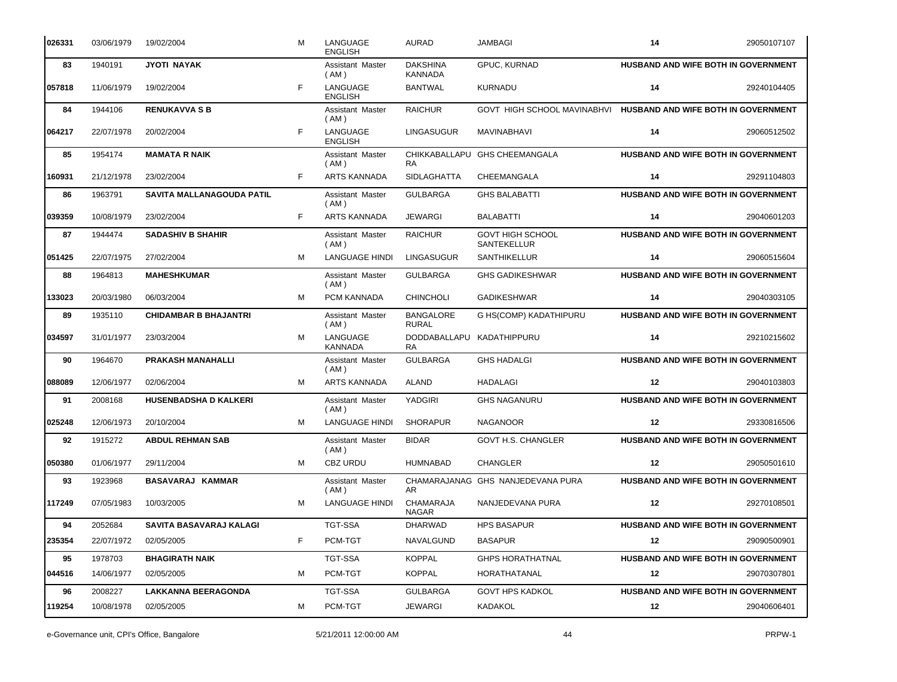| 026331 | 03/06/1979 | 19/02/2004                   | м  | LANGUAGE<br><b>ENGLISH</b>      | <b>AURAD</b>                      | <b>JAMBAGI</b>                         | 14 | 29050107107                                |
|--------|------------|------------------------------|----|---------------------------------|-----------------------------------|----------------------------------------|----|--------------------------------------------|
| 83     | 1940191    | <b>JYOTI NAYAK</b>           |    | Assistant Master<br>(AM)        | <b>DAKSHINA</b><br><b>KANNADA</b> | GPUC, KURNAD                           |    | HUSBAND AND WIFE BOTH IN GOVERNMENT        |
| 057818 | 11/06/1979 | 19/02/2004                   | F  | LANGUAGE<br><b>ENGLISH</b>      | <b>BANTWAL</b>                    | <b>KURNADU</b>                         | 14 | 29240104405                                |
| 84     | 1944106    | <b>RENUKAVVA S B</b>         |    | Assistant Master<br>(AM)        | <b>RAICHUR</b>                    | GOVT HIGH SCHOOL MAVINABHVI            |    | HUSBAND AND WIFE BOTH IN GOVERNMENT        |
| 064217 | 22/07/1978 | 20/02/2004                   | F  | LANGUAGE<br><b>ENGLISH</b>      | <b>LINGASUGUR</b>                 | MAVINABHAVI                            | 14 | 29060512502                                |
| 85     | 1954174    | <b>MAMATA R NAIK</b>         |    | <b>Assistant Master</b><br>(AM) | <b>RA</b>                         | CHIKKABALLAPU GHS CHEEMANGALA          |    | HUSBAND AND WIFE BOTH IN GOVERNMENT        |
| 160931 | 21/12/1978 | 23/02/2004                   | F. | <b>ARTS KANNADA</b>             | <b>SIDLAGHATTA</b>                | CHEEMANGALA                            | 14 | 29291104803                                |
| 86     | 1963791    | SAVITA MALLANAGOUDA PATIL    |    | Assistant Master<br>(AM)        | <b>GULBARGA</b>                   | <b>GHS BALABATTI</b>                   |    | HUSBAND AND WIFE BOTH IN GOVERNMENT        |
| 039359 | 10/08/1979 | 23/02/2004                   | F. | <b>ARTS KANNADA</b>             | <b>JEWARGI</b>                    | <b>BALABATTI</b>                       | 14 | 29040601203                                |
| 87     | 1944474    | <b>SADASHIV B SHAHIR</b>     |    | Assistant Master<br>(AM)        | <b>RAICHUR</b>                    | <b>GOVT HIGH SCHOOL</b><br>SANTEKELLUR |    | HUSBAND AND WIFE BOTH IN GOVERNMENT        |
| 051425 | 22/07/1975 | 27/02/2004                   | M  | <b>LANGUAGE HINDI</b>           | <b>LINGASUGUR</b>                 | SANTHIKELLUR                           | 14 | 29060515604                                |
| 88     | 1964813    | <b>MAHESHKUMAR</b>           |    | Assistant Master<br>( AM )      | <b>GULBARGA</b>                   | <b>GHS GADIKESHWAR</b>                 |    | HUSBAND AND WIFE BOTH IN GOVERNMENT        |
| 133023 | 20/03/1980 | 06/03/2004                   | м  | PCM KANNADA                     | <b>CHINCHOLI</b>                  | <b>GADIKESHWAR</b>                     | 14 | 29040303105                                |
| 89     | 1935110    | <b>CHIDAMBAR B BHAJANTRI</b> |    | Assistant Master<br>(AM)        | <b>BANGALORE</b><br><b>RURAL</b>  | G HS(COMP) KADATHIPURU                 |    | HUSBAND AND WIFE BOTH IN GOVERNMENT        |
| 034597 | 31/01/1977 | 23/03/2004                   | M  | LANGUAGE<br><b>KANNADA</b>      | DODDABALLAPU<br><b>RA</b>         | KADATHIPPURU                           | 14 | 29210215602                                |
| 90     | 1964670    | PRAKASH MANAHALLI            |    | Assistant Master<br>(AM)        | <b>GULBARGA</b>                   | <b>GHS HADALGI</b>                     |    | HUSBAND AND WIFE BOTH IN GOVERNMENT        |
| 088089 | 12/06/1977 | 02/06/2004                   | м  | <b>ARTS KANNADA</b>             | <b>ALAND</b>                      | HADALAGI                               | 12 | 29040103803                                |
| 91     | 2008168    | <b>HUSENBADSHA D KALKERI</b> |    | Assistant Master<br>(AM)        | YADGIRI                           | <b>GHS NAGANURU</b>                    |    | HUSBAND AND WIFE BOTH IN GOVERNMENT        |
| 025248 | 12/06/1973 | 20/10/2004                   | м  | LANGUAGE HINDI                  | <b>SHORAPUR</b>                   | <b>NAGANOOR</b>                        | 12 | 29330816506                                |
| 92     | 1915272    | <b>ABDUL REHMAN SAB</b>      |    | Assistant Master<br>(AM)        | <b>BIDAR</b>                      | <b>GOVT H.S. CHANGLER</b>              |    | HUSBAND AND WIFE BOTH IN GOVERNMENT        |
| 050380 | 01/06/1977 | 29/11/2004                   | м  | <b>CBZ URDU</b>                 | HUMNABAD                          | <b>CHANGLER</b>                        | 12 | 29050501610                                |
| 93     | 1923968    | <b>BASAVARAJ KAMMAR</b>      |    | Assistant Master<br>( AM )      | AR                                | CHAMARAJANAG GHS NANJEDEVANA PURA      |    | HUSBAND AND WIFE BOTH IN GOVERNMENT        |
| 117249 | 07/05/1983 | 10/03/2005                   | м  | <b>LANGUAGE HINDI</b>           | CHAMARAJA<br>NAGAR                | NANJEDEVANA PURA                       | 12 | 29270108501                                |
| 94     | 2052684    | SAVITA BASAVARAJ KALAGI      |    | <b>TGT-SSA</b>                  | <b>DHARWAD</b>                    | <b>HPS BASAPUR</b>                     |    | <b>HUSBAND AND WIFE BOTH IN GOVERNMENT</b> |
| 235354 | 22/07/1972 | 02/05/2005                   | F  | PCM-TGT                         | NAVALGUND                         | <b>BASAPUR</b>                         | 12 | 29090500901                                |
| 95     | 1978703    | <b>BHAGIRATH NAIK</b>        |    | <b>TGT-SSA</b>                  | <b>KOPPAL</b>                     | <b>GHPS HORATHATNAL</b>                |    | <b>HUSBAND AND WIFE BOTH IN GOVERNMENT</b> |
| 044516 | 14/06/1977 | 02/05/2005                   | м  | PCM-TGT                         | <b>KOPPAL</b>                     | HORATHATANAL                           | 12 | 29070307801                                |
| 96     | 2008227    | <b>LAKKANNA BEERAGONDA</b>   |    | <b>TGT-SSA</b>                  | <b>GULBARGA</b>                   | <b>GOVT HPS KADKOL</b>                 |    | <b>HUSBAND AND WIFE BOTH IN GOVERNMENT</b> |
| 119254 | 10/08/1978 | 02/05/2005                   | м  | PCM-TGT                         | <b>JEWARGI</b>                    | KADAKOL                                | 12 | 29040606401                                |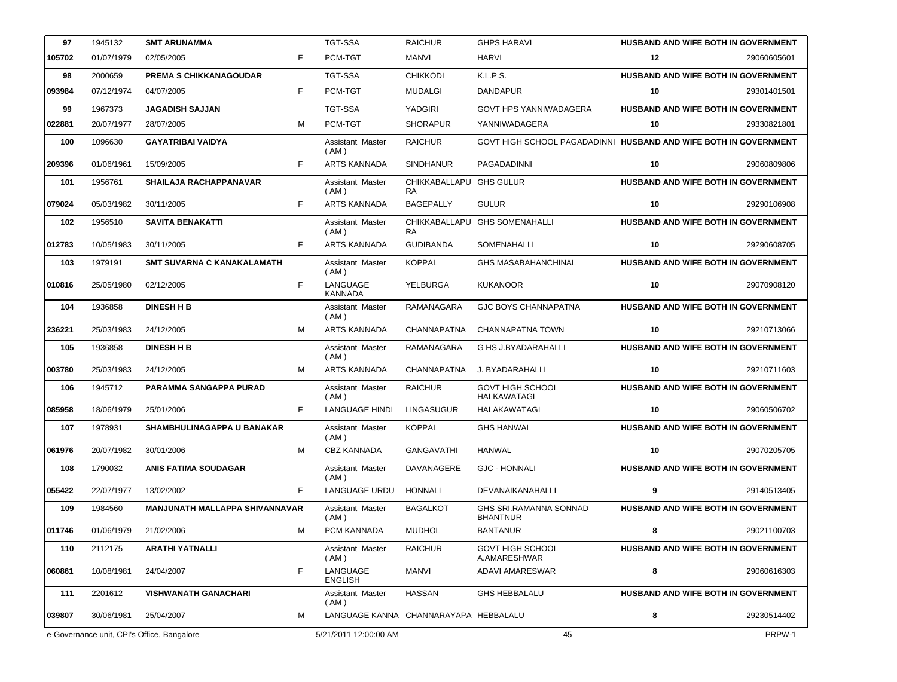| 97     | 1945132    | <b>SMT ARUNAMMA</b>                        |   | <b>TGT-SSA</b>                        | <b>RAICHUR</b>                       | <b>GHPS HARAVI</b>                                               | HUSBAND AND WIFE BOTH IN GOVERNMENT        |             |
|--------|------------|--------------------------------------------|---|---------------------------------------|--------------------------------------|------------------------------------------------------------------|--------------------------------------------|-------------|
| 105702 | 01/07/1979 | 02/05/2005                                 | F | PCM-TGT                               | MANVI                                | HARVI                                                            | 12                                         | 29060605601 |
| 98     | 2000659    | <b>PREMA S CHIKKANAGOUDAR</b>              |   | <b>TGT-SSA</b>                        | <b>CHIKKODI</b>                      | K.L.P.S.                                                         | HUSBAND AND WIFE BOTH IN GOVERNMENT        |             |
| 093984 | 07/12/1974 | 04/07/2005                                 | F | PCM-TGT                               | <b>MUDALGI</b>                       | <b>DANDAPUR</b>                                                  | 10                                         | 29301401501 |
| 99     | 1967373    | <b>JAGADISH SAJJAN</b>                     |   | <b>TGT-SSA</b>                        | <b>YADGIRI</b>                       | <b>GOVT HPS YANNIWADAGERA</b>                                    | <b>HUSBAND AND WIFE BOTH IN GOVERNMENT</b> |             |
| 022881 | 20/07/1977 | 28/07/2005                                 | м | PCM-TGT                               | <b>SHORAPUR</b>                      | YANNIWADAGERA                                                    | 10                                         | 29330821801 |
| 100    | 1096630    | <b>GAYATRIBAI VAIDYA</b>                   |   | Assistant Master<br>(AM)              | <b>RAICHUR</b>                       | GOVT HIGH SCHOOL PAGADADINNI HUSBAND AND WIFE BOTH IN GOVERNMENT |                                            |             |
| 209396 | 01/06/1961 | 15/09/2005                                 | F | <b>ARTS KANNADA</b>                   | <b>SINDHANUR</b>                     | PAGADADINNI                                                      | 10                                         | 29060809806 |
| 101    | 1956761    | SHAILAJA RACHAPPANAVAR                     |   | Assistant Master<br>(AM)              | CHIKKABALLAPU GHS GULUR<br><b>RA</b> |                                                                  | <b>HUSBAND AND WIFE BOTH IN GOVERNMENT</b> |             |
| 079024 | 05/03/1982 | 30/11/2005                                 | F | <b>ARTS KANNADA</b>                   | <b>BAGEPALLY</b>                     | <b>GULUR</b>                                                     | 10                                         | 29290106908 |
| 102    | 1956510    | <b>SAVITA BENAKATTI</b>                    |   | Assistant Master<br>(AM)              | <b>RA</b>                            | CHIKKABALLAPU GHS SOMENAHALLI                                    | <b>HUSBAND AND WIFE BOTH IN GOVERNMENT</b> |             |
| 012783 | 10/05/1983 | 30/11/2005                                 | F | <b>ARTS KANNADA</b>                   | <b>GUDIBANDA</b>                     | SOMENAHALLI                                                      | 10                                         | 29290608705 |
| 103    | 1979191    | <b>SMT SUVARNA C KANAKALAMATH</b>          |   | Assistant Master<br>(AM)              | <b>KOPPAL</b>                        | <b>GHS MASABAHANCHINAL</b>                                       | <b>HUSBAND AND WIFE BOTH IN GOVERNMENT</b> |             |
| 010816 | 25/05/1980 | 02/12/2005                                 | F | LANGUAGE<br><b>KANNADA</b>            | YELBURGA                             | <b>KUKANOOR</b>                                                  | 10                                         | 29070908120 |
| 104    | 1936858    | <b>DINESH H B</b>                          |   | Assistant Master<br>(AM)              | RAMANAGARA                           | <b>GJC BOYS CHANNAPATNA</b>                                      | <b>HUSBAND AND WIFE BOTH IN GOVERNMENT</b> |             |
| 236221 | 25/03/1983 | 24/12/2005                                 | м | <b>ARTS KANNADA</b>                   | <b>CHANNAPATNA</b>                   | CHANNAPATNA TOWN                                                 | 10                                         | 29210713066 |
| 105    | 1936858    | <b>DINESH H B</b>                          |   | Assistant Master<br>(AM)              | RAMANAGARA                           | G HS J.BYADARAHALLI                                              | <b>HUSBAND AND WIFE BOTH IN GOVERNMENT</b> |             |
| 003780 | 25/03/1983 | 24/12/2005                                 | м | <b>ARTS KANNADA</b>                   | <b>CHANNAPATNA</b>                   | J. BYADARAHALLI                                                  | 10                                         | 29210711603 |
| 106    | 1945712    | PARAMMA SANGAPPA PURAD                     |   | Assistant Master<br>(AM)              | <b>RAICHUR</b>                       | <b>GOVT HIGH SCHOOL</b><br><b>HALKAWATAGI</b>                    | HUSBAND AND WIFE BOTH IN GOVERNMENT        |             |
| 085958 | 18/06/1979 | 25/01/2006                                 | F | <b>LANGUAGE HINDI</b>                 | LINGASUGUR                           | HALAKAWATAGI                                                     | 10                                         | 29060506702 |
| 107    | 1978931    | <b>SHAMBHULINAGAPPA U BANAKAR</b>          |   | Assistant Master<br>(AM)              | <b>KOPPAL</b>                        | <b>GHS HANWAL</b>                                                | HUSBAND AND WIFE BOTH IN GOVERNMENT        |             |
| 061976 | 20/07/1982 | 30/01/2006                                 | м | <b>CBZ KANNADA</b>                    | GANGAVATHI                           | HANWAL                                                           | 10                                         | 29070205705 |
| 108    | 1790032    | <b>ANIS FATIMA SOUDAGAR</b>                |   | Assistant Master<br>(AM)              | DAVANAGERE                           | <b>GJC - HONNALI</b>                                             | <b>HUSBAND AND WIFE BOTH IN GOVERNMENT</b> |             |
| 055422 | 22/07/1977 | 13/02/2002                                 | F | LANGUAGE URDU                         | HONNALI                              | DEVANAIKANAHALLI                                                 | 9                                          | 29140513405 |
| 109    | 1984560    | <b>MANJUNATH MALLAPPA SHIVANNAVAR</b>      |   | Assistant Master<br>(AM)              | <b>BAGALKOT</b>                      | GHS SRI.RAMANNA SONNAD<br><b>BHANTNUR</b>                        | <b>HUSBAND AND WIFE BOTH IN GOVERNMENT</b> |             |
| 011746 | 01/06/1979 | 21/02/2006                                 | М | PCM KANNADA                           | <b>MUDHOL</b>                        | <b>BANTANUR</b>                                                  | 8                                          | 29021100703 |
| 110    | 2112175    | <b>ARATHI YATNALLI</b>                     |   | Assistant Master<br>(AM)              | <b>RAICHUR</b>                       | <b>GOVT HIGH SCHOOL</b><br>A.AMARESHWAR                          | HUSBAND AND WIFE BOTH IN GOVERNMENT        |             |
| 060861 | 10/08/1981 | 24/04/2007                                 | F | LANGUAGE<br><b>ENGLISH</b>            | <b>MANVI</b>                         | ADAVI AMARESWAR                                                  | 8                                          | 29060616303 |
| 111    | 2201612    | <b>VISHWANATH GANACHARI</b>                |   | Assistant Master<br>(AM)              | HASSAN                               | <b>GHS HEBBALALU</b>                                             | HUSBAND AND WIFE BOTH IN GOVERNMENT        |             |
| 039807 | 30/06/1981 | 25/04/2007                                 | м | LANGUAGE KANNA CHANNARAYAPA HEBBALALU |                                      |                                                                  | 8                                          | 29230514402 |
|        |            | e-Governance unit, CPI's Office, Bangalore |   | 5/21/2011 12:00:00 AM                 |                                      | 45                                                               |                                            | PRPW-1      |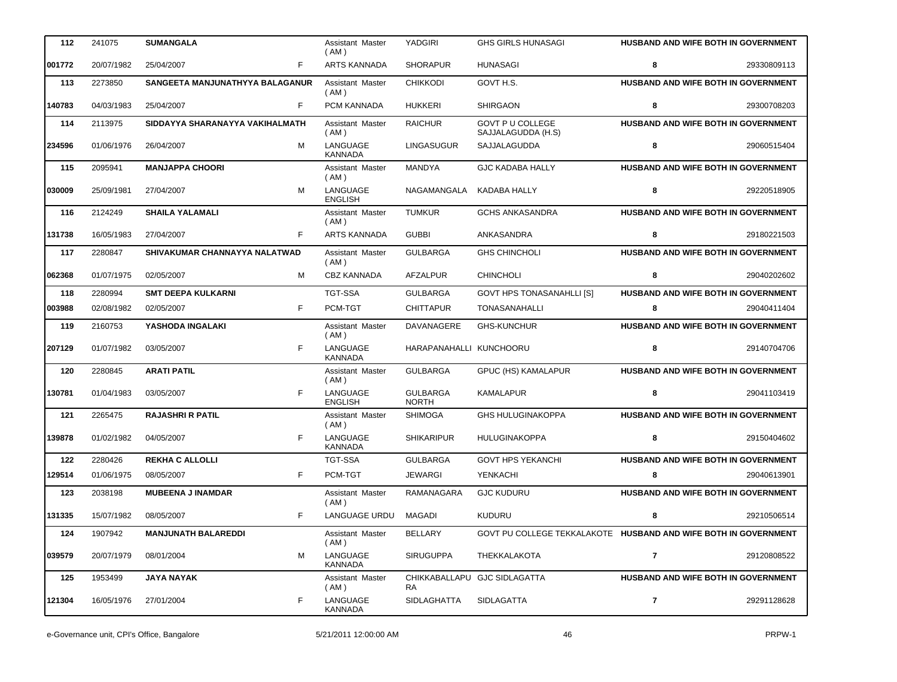| F<br>ARTS KANNADA<br>001772<br>20/07/1982<br>25/04/2007<br><b>SHORAPUR</b><br><b>HUNASAGI</b><br>GOVT H.S.<br>2273850<br>SANGEETA MANJUNATHYYA BALAGANUR<br>Assistant Master<br><b>CHIKKODI</b><br>113<br>(AM)<br>F<br>PCM KANNADA<br><b>HUKKERI</b><br><b>SHIRGAON</b><br>140783<br>04/03/1983<br>25/04/2007<br><b>GOVT P U COLLEGE</b><br>114<br>2113975<br>SIDDAYYA SHARANAYYA VAKIHALMATH<br><b>RAICHUR</b><br>Assistant Master<br>(AM)<br>SAJJALAGUDDA (H.S)<br>M<br>LANGUAGE<br><b>LINGASUGUR</b><br>234596<br>01/06/1976<br>26/04/2007<br>SAJJALAGUDDA<br><b>KANNADA</b><br>2095941<br><b>MANDYA</b><br><b>GJC KADABA HALLY</b><br>115<br><b>MANJAPPA CHOORI</b><br>Assistant Master<br>(AM)<br>M<br>LANGUAGE<br>030009<br>25/09/1981<br>27/04/2007<br>NAGAMANGALA<br>KADABA HALLY<br><b>ENGLISH</b> | 8<br>29330809113<br>HUSBAND AND WIFE BOTH IN GOVERNMENT<br>8<br>29300708203<br>HUSBAND AND WIFE BOTH IN GOVERNMENT<br>8<br>29060515404<br>HUSBAND AND WIFE BOTH IN GOVERNMENT<br>8<br>29220518905<br>HUSBAND AND WIFE BOTH IN GOVERNMENT<br>8<br>29180221503 |
|-------------------------------------------------------------------------------------------------------------------------------------------------------------------------------------------------------------------------------------------------------------------------------------------------------------------------------------------------------------------------------------------------------------------------------------------------------------------------------------------------------------------------------------------------------------------------------------------------------------------------------------------------------------------------------------------------------------------------------------------------------------------------------------------------------------|--------------------------------------------------------------------------------------------------------------------------------------------------------------------------------------------------------------------------------------------------------------|
|                                                                                                                                                                                                                                                                                                                                                                                                                                                                                                                                                                                                                                                                                                                                                                                                             |                                                                                                                                                                                                                                                              |
|                                                                                                                                                                                                                                                                                                                                                                                                                                                                                                                                                                                                                                                                                                                                                                                                             |                                                                                                                                                                                                                                                              |
|                                                                                                                                                                                                                                                                                                                                                                                                                                                                                                                                                                                                                                                                                                                                                                                                             |                                                                                                                                                                                                                                                              |
|                                                                                                                                                                                                                                                                                                                                                                                                                                                                                                                                                                                                                                                                                                                                                                                                             |                                                                                                                                                                                                                                                              |
|                                                                                                                                                                                                                                                                                                                                                                                                                                                                                                                                                                                                                                                                                                                                                                                                             |                                                                                                                                                                                                                                                              |
|                                                                                                                                                                                                                                                                                                                                                                                                                                                                                                                                                                                                                                                                                                                                                                                                             |                                                                                                                                                                                                                                                              |
|                                                                                                                                                                                                                                                                                                                                                                                                                                                                                                                                                                                                                                                                                                                                                                                                             |                                                                                                                                                                                                                                                              |
| 2124249<br><b>SHAILA YALAMALI</b><br>Assistant Master<br><b>TUMKUR</b><br><b>GCHS ANKASANDRA</b><br>116<br>(AM)                                                                                                                                                                                                                                                                                                                                                                                                                                                                                                                                                                                                                                                                                             |                                                                                                                                                                                                                                                              |
| F<br><b>ARTS KANNADA</b><br><b>GUBBI</b><br>ANKASANDRA<br>131738<br>16/05/1983<br>27/04/2007                                                                                                                                                                                                                                                                                                                                                                                                                                                                                                                                                                                                                                                                                                                |                                                                                                                                                                                                                                                              |
| 2280847<br>117<br>SHIVAKUMAR CHANNAYYA NALATWAD<br><b>GULBARGA</b><br><b>GHS CHINCHOLI</b><br>Assistant Master<br>(AM)                                                                                                                                                                                                                                                                                                                                                                                                                                                                                                                                                                                                                                                                                      | HUSBAND AND WIFE BOTH IN GOVERNMENT                                                                                                                                                                                                                          |
| M<br><b>CBZ KANNADA</b><br><b>AFZALPUR</b><br><b>CHINCHOLI</b><br>062368<br>01/07/1975<br>02/05/2007                                                                                                                                                                                                                                                                                                                                                                                                                                                                                                                                                                                                                                                                                                        | 8<br>29040202602                                                                                                                                                                                                                                             |
| 118<br>2280994<br><b>TGT-SSA</b><br><b>GOVT HPS TONASANAHLLI [S]</b><br><b>SMT DEEPA KULKARNI</b><br><b>GULBARGA</b>                                                                                                                                                                                                                                                                                                                                                                                                                                                                                                                                                                                                                                                                                        | HUSBAND AND WIFE BOTH IN GOVERNMENT                                                                                                                                                                                                                          |
| F<br>003988<br>02/08/1982<br>02/05/2007<br>PCM-TGT<br><b>CHITTAPUR</b><br><b>TONASANAHALLI</b>                                                                                                                                                                                                                                                                                                                                                                                                                                                                                                                                                                                                                                                                                                              | 8<br>29040411404                                                                                                                                                                                                                                             |
| 119<br>2160753<br>YASHODA INGALAKI<br><b>GHS-KUNCHUR</b><br>Assistant Master<br>DAVANAGERE<br>(AM)                                                                                                                                                                                                                                                                                                                                                                                                                                                                                                                                                                                                                                                                                                          | HUSBAND AND WIFE BOTH IN GOVERNMENT                                                                                                                                                                                                                          |
| F<br>LANGUAGE<br>207129<br>01/07/1982<br>03/05/2007<br>HARAPANAHALLI KUNCHOORU<br><b>KANNADA</b>                                                                                                                                                                                                                                                                                                                                                                                                                                                                                                                                                                                                                                                                                                            | 8<br>29140704706                                                                                                                                                                                                                                             |
| <b>ARATI PATIL</b><br><b>GULBARGA</b><br>120<br>2280845<br>Assistant Master<br>GPUC (HS) KAMALAPUR<br>(AM)                                                                                                                                                                                                                                                                                                                                                                                                                                                                                                                                                                                                                                                                                                  | HUSBAND AND WIFE BOTH IN GOVERNMENT                                                                                                                                                                                                                          |
| F<br>LANGUAGE<br><b>GULBARGA</b><br>130781<br>01/04/1983<br>03/05/2007<br><b>KAMALAPUR</b><br><b>NORTH</b><br><b>ENGLISH</b>                                                                                                                                                                                                                                                                                                                                                                                                                                                                                                                                                                                                                                                                                | 8<br>29041103419                                                                                                                                                                                                                                             |
| 2265475<br><b>RAJASHRI R PATIL</b><br><b>SHIMOGA</b><br><b>GHS HULUGINAKOPPA</b><br>121<br>Assistant Master<br>(AM)                                                                                                                                                                                                                                                                                                                                                                                                                                                                                                                                                                                                                                                                                         | HUSBAND AND WIFE BOTH IN GOVERNMENT                                                                                                                                                                                                                          |
| F<br>LANGUAGE<br>HULUGINAKOPPA<br>139878<br>01/02/1982<br>04/05/2007<br><b>SHIKARIPUR</b><br><b>KANNADA</b>                                                                                                                                                                                                                                                                                                                                                                                                                                                                                                                                                                                                                                                                                                 | 8<br>29150404602                                                                                                                                                                                                                                             |
| <b>REKHA C ALLOLLI</b><br><b>TGT-SSA</b><br><b>GULBARGA</b><br><b>GOVT HPS YEKANCHI</b><br>122<br>2280426                                                                                                                                                                                                                                                                                                                                                                                                                                                                                                                                                                                                                                                                                                   | HUSBAND AND WIFE BOTH IN GOVERNMENT                                                                                                                                                                                                                          |
| F<br>PCM-TGT<br>129514<br>01/06/1975<br><b>JEWARGI</b><br><b>YENKACHI</b><br>08/05/2007                                                                                                                                                                                                                                                                                                                                                                                                                                                                                                                                                                                                                                                                                                                     | 8<br>29040613901                                                                                                                                                                                                                                             |
| 2038198<br><b>MUBEENA J INAMDAR</b><br>RAMANAGARA<br>123<br>Assistant Master<br><b>GJC KUDURU</b><br>(AM)                                                                                                                                                                                                                                                                                                                                                                                                                                                                                                                                                                                                                                                                                                   | HUSBAND AND WIFE BOTH IN GOVERNMENT                                                                                                                                                                                                                          |
| F<br>LANGUAGE URDU<br>MAGADI<br>KUDURU<br>15/07/1982<br>08/05/2007<br>131335                                                                                                                                                                                                                                                                                                                                                                                                                                                                                                                                                                                                                                                                                                                                | 8<br>29210506514                                                                                                                                                                                                                                             |
| 124<br>1907942<br><b>MANJUNATH BALAREDDI</b><br><b>BELLARY</b><br>Assistant Master<br>(AM)                                                                                                                                                                                                                                                                                                                                                                                                                                                                                                                                                                                                                                                                                                                  | GOVT PU COLLEGE TEKKALAKOTE HUSBAND AND WIFE BOTH IN GOVERNMENT                                                                                                                                                                                              |
| LANGUAGE<br>м<br><b>SIRUGUPPA</b><br>THEKKALAKOTA<br> 039579<br>20/07/1979<br>08/01/2004<br>KANNADA                                                                                                                                                                                                                                                                                                                                                                                                                                                                                                                                                                                                                                                                                                         | 7<br>29120808522                                                                                                                                                                                                                                             |
| 125<br>1953499<br><b>JAYA NAYAK</b><br>Assistant Master<br>CHIKKABALLAPU GJC SIDLAGATTA<br>( AM )<br>RA                                                                                                                                                                                                                                                                                                                                                                                                                                                                                                                                                                                                                                                                                                     | HUSBAND AND WIFE BOTH IN GOVERNMENT                                                                                                                                                                                                                          |
| F<br>LANGUAGE<br>121304<br>16/05/1976<br>SIDLAGHATTA<br><b>SIDLAGATTA</b><br>27/01/2004<br><b>KANNADA</b>                                                                                                                                                                                                                                                                                                                                                                                                                                                                                                                                                                                                                                                                                                   | $\mathbf{7}$<br>29291128628                                                                                                                                                                                                                                  |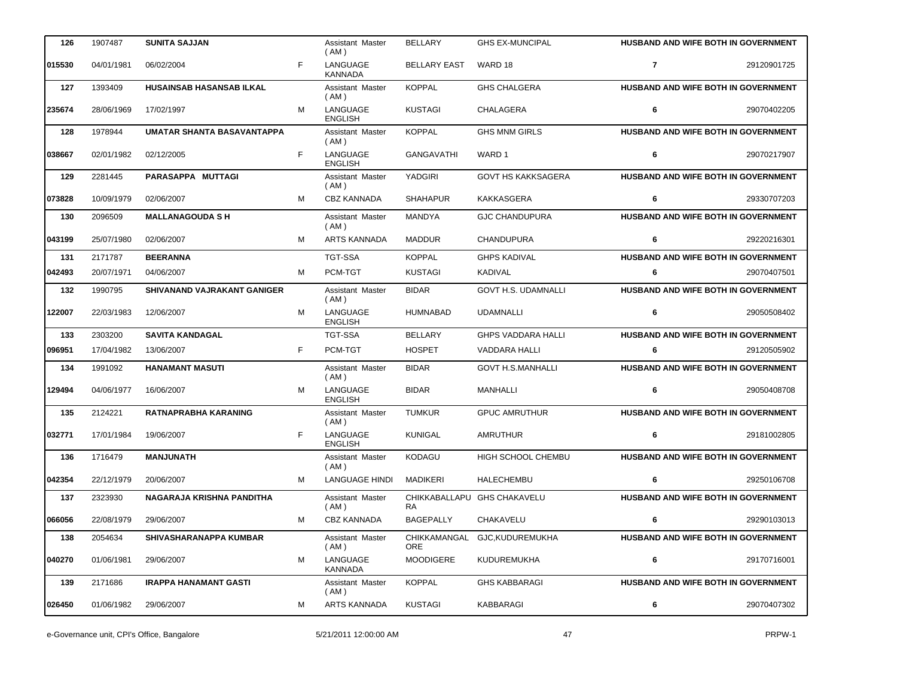| 126    | 1907487    | <b>SUNITA SAJJAN</b>               |   | Assistant Master<br>(AM)           | <b>BELLARY</b>             | <b>GHS EX-MUNCIPAL</b>      |                | HUSBAND AND WIFE BOTH IN GOVERNMENT        |
|--------|------------|------------------------------------|---|------------------------------------|----------------------------|-----------------------------|----------------|--------------------------------------------|
| 015530 | 04/01/1981 | 06/02/2004                         | F | LANGUAGE<br><b>KANNADA</b>         | <b>BELLARY EAST</b>        | WARD 18                     | $\overline{7}$ | 29120901725                                |
| 127    | 1393409    | <b>HUSAINSAB HASANSAB ILKAL</b>    |   | Assistant Master<br>(AM)           | <b>KOPPAL</b>              | <b>GHS CHALGERA</b>         |                | HUSBAND AND WIFE BOTH IN GOVERNMENT        |
| 235674 | 28/06/1969 | 17/02/1997                         | м | LANGUAGE<br><b>ENGLISH</b>         | <b>KUSTAGI</b>             | <b>CHALAGERA</b>            | 6              | 29070402205                                |
| 128    | 1978944    | UMATAR SHANTA BASAVANTAPPA         |   | Assistant Master<br>(AM)           | <b>KOPPAL</b>              | <b>GHS MNM GIRLS</b>        |                | <b>HUSBAND AND WIFE BOTH IN GOVERNMENT</b> |
| 038667 | 02/01/1982 | 02/12/2005                         | F | LANGUAGE<br><b>ENGLISH</b>         | <b>GANGAVATHI</b>          | WARD 1                      | 6              | 29070217907                                |
| 129    | 2281445    | PARASAPPA MUTTAGI                  |   | Assistant Master<br>(AM)           | <b>YADGIRI</b>             | <b>GOVT HS KAKKSAGERA</b>   |                | HUSBAND AND WIFE BOTH IN GOVERNMENT        |
| 073828 | 10/09/1979 | 02/06/2007                         | м | <b>CBZ KANNADA</b>                 | <b>SHAHAPUR</b>            | <b>KAKKASGERA</b>           | 6              | 29330707203                                |
| 130    | 2096509    | <b>MALLANAGOUDA S H</b>            |   | Assistant Master<br>(AM)           | <b>MANDYA</b>              | <b>GJC CHANDUPURA</b>       |                | <b>HUSBAND AND WIFE BOTH IN GOVERNMENT</b> |
| 043199 | 25/07/1980 | 02/06/2007                         | м | ARTS KANNADA                       | <b>MADDUR</b>              | <b>CHANDUPURA</b>           | 6              | 29220216301                                |
| 131    | 2171787    | <b>BEERANNA</b>                    |   | <b>TGT-SSA</b>                     | <b>KOPPAL</b>              | <b>GHPS KADIVAL</b>         |                | HUSBAND AND WIFE BOTH IN GOVERNMENT        |
| 042493 | 20/07/1971 | 04/06/2007                         | м | PCM-TGT                            | <b>KUSTAGI</b>             | KADIVAL                     | 6              | 29070407501                                |
| 132    | 1990795    | <b>SHIVANAND VAJRAKANT GANIGER</b> |   | Assistant Master<br>(AM)           | <b>BIDAR</b>               | <b>GOVT H.S. UDAMNALLI</b>  |                | <b>HUSBAND AND WIFE BOTH IN GOVERNMENT</b> |
| 122007 | 22/03/1983 | 12/06/2007                         | м | LANGUAGE<br><b>ENGLISH</b>         | <b>HUMNABAD</b>            | <b>UDAMNALLI</b>            | 6              | 29050508402                                |
| 133    | 2303200    | <b>SAVITA KANDAGAL</b>             |   | <b>TGT-SSA</b>                     | <b>BELLARY</b>             | <b>GHPS VADDARA HALLI</b>   |                | <b>HUSBAND AND WIFE BOTH IN GOVERNMENT</b> |
| 096951 | 17/04/1982 | 13/06/2007                         | F | PCM-TGT                            | <b>HOSPET</b>              | VADDARA HALLI               | 6              | 29120505902                                |
| 134    | 1991092    | <b>HANAMANT MASUTI</b>             |   | Assistant Master<br>(AM)           | <b>BIDAR</b>               | <b>GOVT H.S.MANHALLI</b>    |                | <b>HUSBAND AND WIFE BOTH IN GOVERNMENT</b> |
| 129494 | 04/06/1977 | 16/06/2007                         | м | LANGUAGE<br><b>ENGLISH</b>         | <b>BIDAR</b>               | MANHALLI                    | 6              | 29050408708                                |
| 135    |            |                                    |   |                                    |                            |                             |                |                                            |
|        | 2124221    | RATNAPRABHA KARANING               |   | Assistant Master                   | <b>TUMKUR</b>              | <b>GPUC AMRUTHUR</b>        |                | HUSBAND AND WIFE BOTH IN GOVERNMENT        |
| 032771 | 17/01/1984 | 19/06/2007                         | F | (AM)<br>LANGUAGE<br><b>ENGLISH</b> | <b>KUNIGAL</b>             | AMRUTHUR                    | 6              | 29181002805                                |
| 136    | 1716479    | <b>MANJUNATH</b>                   |   | Assistant Master<br>(AM)           | <b>KODAGU</b>              | HIGH SCHOOL CHEMBU          |                | HUSBAND AND WIFE BOTH IN GOVERNMENT        |
| 042354 | 22/12/1979 | 20/06/2007                         | M | LANGUAGE HINDI                     | MADIKERI                   | HALECHEMBU                  | 6.             | 29250106708                                |
| 137    | 2323930    | NAGARAJA KRISHNA PANDITHA          |   | Assistant Master<br>(AM)           | RA                         | CHIKKABALLAPU GHS CHAKAVELU |                | <b>HUSBAND AND WIFE BOTH IN GOVERNMENT</b> |
| 066056 | 22/08/1979 | 29/06/2007                         | м | <b>CBZ KANNADA</b>                 | <b>BAGEPALLY</b>           | CHAKAVELU                   | 6              | 29290103013                                |
| 138    | 2054634    | <b>SHIVASHARANAPPA KUMBAR</b>      |   | Assistant Master<br>( AM )         | CHIKKAMANGAL<br><b>ORE</b> | GJC,KUDUREMUKHA             |                | <b>HUSBAND AND WIFE BOTH IN GOVERNMENT</b> |
| 040270 | 01/06/1981 | 29/06/2007                         | м | LANGUAGE<br>KANNADA                | <b>MOODIGERE</b>           | KUDUREMUKHA                 | 6              | 29170716001                                |
| 139    | 2171686    | <b>IRAPPA HANAMANT GASTI</b>       |   | Assistant Master<br>(AM)           | <b>KOPPAL</b>              | <b>GHS KABBARAGI</b>        |                | HUSBAND AND WIFE BOTH IN GOVERNMENT        |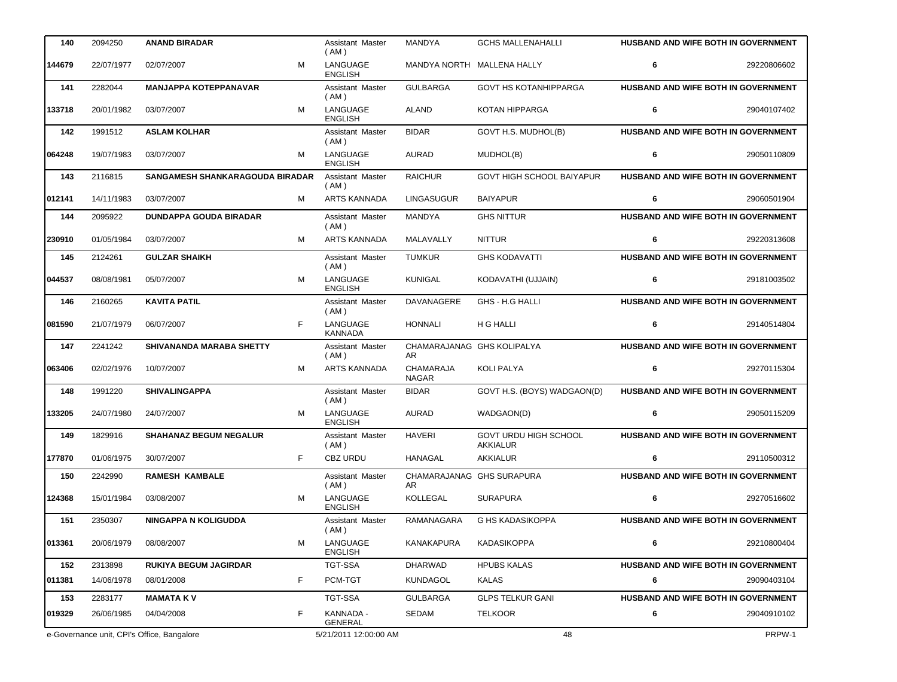| 140    | 2094250    | <b>ANAND BIRADAR</b>                       | Assistant Master<br>(AM)        | <b>MANDYA</b>                    | <b>GCHS MALLENAHALLI</b>                 | HUSBAND AND WIFE BOTH IN GOVERNMENT        |             |
|--------|------------|--------------------------------------------|---------------------------------|----------------------------------|------------------------------------------|--------------------------------------------|-------------|
| 144679 | 22/07/1977 | M<br>02/07/2007                            | LANGUAGE<br><b>ENGLISH</b>      |                                  | MANDYA NORTH MALLENA HALLY               | 6                                          | 29220806602 |
| 141    | 2282044    | <b>MANJAPPA KOTEPPANAVAR</b>               | Assistant Master<br>(AM)        | <b>GULBARGA</b>                  | <b>GOVT HS KOTANHIPPARGA</b>             | HUSBAND AND WIFE BOTH IN GOVERNMENT        |             |
| 133718 | 20/01/1982 | M<br>03/07/2007                            | LANGUAGE<br><b>ENGLISH</b>      | <b>ALAND</b>                     | KOTAN HIPPARGA                           | 6                                          | 29040107402 |
| 142    | 1991512    | <b>ASLAM KOLHAR</b>                        | Assistant Master<br>(AM)        | <b>BIDAR</b>                     | GOVT H.S. MUDHOL(B)                      | HUSBAND AND WIFE BOTH IN GOVERNMENT        |             |
| 064248 | 19/07/1983 | M<br>03/07/2007                            | LANGUAGE<br><b>ENGLISH</b>      | <b>AURAD</b>                     | MUDHOL(B)                                | 6                                          | 29050110809 |
| 143    | 2116815    | SANGAMESH SHANKARAGOUDA BIRADAR            | Assistant Master<br>(AM)        | <b>RAICHUR</b>                   | <b>GOVT HIGH SCHOOL BAIYAPUR</b>         | <b>HUSBAND AND WIFE BOTH IN GOVERNMENT</b> |             |
| 012141 | 14/11/1983 | 03/07/2007<br>м                            | <b>ARTS KANNADA</b>             | <b>LINGASUGUR</b>                | <b>BAIYAPUR</b>                          | 6                                          | 29060501904 |
| 144    | 2095922    | <b>DUNDAPPA GOUDA BIRADAR</b>              | Assistant Master<br>(AM)        | <b>MANDYA</b>                    | <b>GHS NITTUR</b>                        | HUSBAND AND WIFE BOTH IN GOVERNMENT        |             |
| 230910 | 01/05/1984 | M<br>03/07/2007                            | <b>ARTS KANNADA</b>             | MALAVALLY                        | <b>NITTUR</b>                            | 6                                          | 29220313608 |
| 145    | 2124261    | <b>GULZAR SHAIKH</b>                       | <b>Assistant Master</b><br>(AM) | <b>TUMKUR</b>                    | <b>GHS KODAVATTI</b>                     | HUSBAND AND WIFE BOTH IN GOVERNMENT        |             |
| 044537 | 08/08/1981 | M<br>05/07/2007                            | LANGUAGE<br><b>ENGLISH</b>      | <b>KUNIGAL</b>                   | KODAVATHI (UJJAIN)                       | 6                                          | 29181003502 |
| 146    | 2160265    | <b>KAVITA PATIL</b>                        | Assistant Master<br>(AM)        | DAVANAGERE                       | GHS - H.G HALLI                          | HUSBAND AND WIFE BOTH IN GOVERNMENT        |             |
| 081590 | 21/07/1979 | F<br>06/07/2007                            | LANGUAGE<br><b>KANNADA</b>      | <b>HONNALI</b>                   | H G HALLI                                | 6                                          | 29140514804 |
| 147    | 2241242    | SHIVANANDA MARABA SHETTY                   | Assistant Master<br>(AM)        | AR                               | CHAMARAJANAG GHS KOLIPALYA               | HUSBAND AND WIFE BOTH IN GOVERNMENT        |             |
| 063406 | 02/02/1976 | M<br>10/07/2007                            | <b>ARTS KANNADA</b>             | <b>CHAMARAJA</b><br><b>NAGAR</b> | <b>KOLI PALYA</b>                        | 6                                          | 29270115304 |
| 148    | 1991220    | <b>SHIVALINGAPPA</b>                       | Assistant Master<br>(AM)        | <b>BIDAR</b>                     | GOVT H.S. (BOYS) WADGAON(D)              | HUSBAND AND WIFE BOTH IN GOVERNMENT        |             |
| 133205 | 24/07/1980 | M<br>24/07/2007                            | LANGUAGE<br><b>ENGLISH</b>      | <b>AURAD</b>                     | WADGAON(D)                               | 6                                          | 29050115209 |
| 149    | 1829916    | <b>SHAHANAZ BEGUM NEGALUR</b>              | Assistant Master<br>(AM)        | <b>HAVERI</b>                    | GOVT URDU HIGH SCHOOL<br><b>AKKIALUR</b> | HUSBAND AND WIFE BOTH IN GOVERNMENT        |             |
| 177870 | 01/06/1975 | F<br>30/07/2007                            | CBZ URDU                        | <b>HANAGAL</b>                   | AKKIALUR                                 | 6                                          | 29110500312 |
| 150    | 2242990    | <b>RAMESH KAMBALE</b>                      | Assistant Master<br>(AM)        | <b>AR</b>                        | CHAMARAJANAG GHS SURAPURA                | HUSBAND AND WIFE BOTH IN GOVERNMENT        |             |
| 124368 | 15/01/1984 | M<br>03/08/2007                            | LANGUAGE<br><b>ENGLISH</b>      | KOLLEGAL                         | <b>SURAPURA</b>                          | 6                                          | 29270516602 |
| 151    | 2350307    | <b>NINGAPPA N KOLIGUDDA</b>                | Assistant Master<br>(AM)        | RAMANAGARA                       | G HS KADASIKOPPA                         | <b>HUSBAND AND WIFE BOTH IN GOVERNMENT</b> |             |
| 013361 | 20/06/1979 | м<br>08/08/2007                            | LANGUAGE<br><b>ENGLISH</b>      | <b>KANAKAPURA</b>                | <b>KADASIKOPPA</b>                       | 6                                          | 29210800404 |
| 152    | 2313898    | <b>RUKIYA BEGUM JAGIRDAR</b>               | TGT-SSA                         | <b>DHARWAD</b>                   | <b>HPUBS KALAS</b>                       | HUSBAND AND WIFE BOTH IN GOVERNMENT        |             |
| 011381 | 14/06/1978 | F<br>08/01/2008                            | PCM-TGT                         | <b>KUNDAGOL</b>                  | <b>KALAS</b>                             | 6                                          | 29090403104 |
| 153    | 2283177    | <b>MAMATA KV</b>                           | TGT-SSA                         | <b>GULBARGA</b>                  | <b>GLPS TELKUR GANI</b>                  | HUSBAND AND WIFE BOTH IN GOVERNMENT        |             |
| 019329 | 26/06/1985 | F<br>04/04/2008                            | KANNADA -<br>GENERAL            | SEDAM                            | <b>TELKOOR</b>                           | 6                                          | 29040910102 |
|        |            | e-Governance unit, CPI's Office, Bangalore | 5/21/2011 12:00:00 AM           |                                  | 48                                       |                                            | PRPW-1      |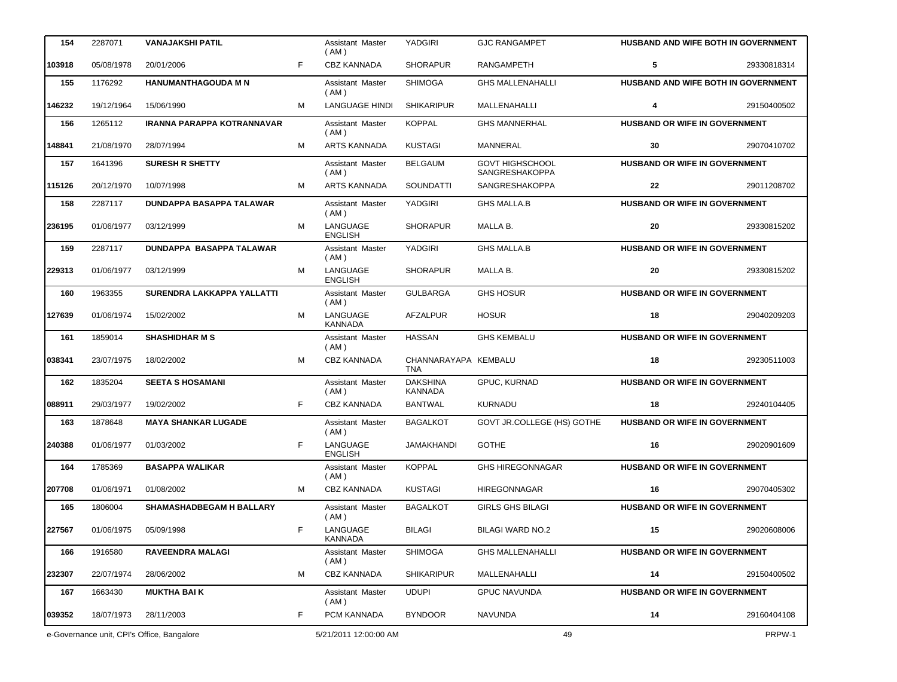| 154    | 2287071    | <b>VANAJAKSHI PATIL</b>                    |   | Assistant Master<br>(AM)        | YADGIRI                            | <b>GJC RANGAMPET</b>                     | HUSBAND AND WIFE BOTH IN GOVERNMENT  |             |
|--------|------------|--------------------------------------------|---|---------------------------------|------------------------------------|------------------------------------------|--------------------------------------|-------------|
| 103918 | 05/08/1978 | 20/01/2006                                 | F | <b>CBZ KANNADA</b>              | <b>SHORAPUR</b>                    | <b>RANGAMPETH</b>                        | 5                                    | 29330818314 |
| 155    | 1176292    | <b>HANUMANTHAGOUDA M N</b>                 |   | Assistant Master<br>(AM)        | <b>SHIMOGA</b>                     | <b>GHS MALLENAHALLI</b>                  | HUSBAND AND WIFE BOTH IN GOVERNMENT  |             |
| 146232 | 19/12/1964 | 15/06/1990                                 | м | <b>LANGUAGE HINDI</b>           | <b>SHIKARIPUR</b>                  | MALLENAHALLI                             | 4                                    | 29150400502 |
| 156    | 1265112    | <b>IRANNA PARAPPA KOTRANNAVAR</b>          |   | Assistant Master<br>(AM)        | <b>KOPPAL</b>                      | <b>GHS MANNERHAL</b>                     | HUSBAND OR WIFE IN GOVERNMENT        |             |
| 148841 | 21/08/1970 | 28/07/1994                                 | м | <b>ARTS KANNADA</b>             | <b>KUSTAGI</b>                     | <b>MANNERAL</b>                          | 30                                   | 29070410702 |
| 157    | 1641396    | <b>SURESH R SHETTY</b>                     |   | <b>Assistant Master</b><br>(AM) | <b>BELGAUM</b>                     | <b>GOVT HIGHSCHOOL</b><br>SANGRESHAKOPPA | <b>HUSBAND OR WIFE IN GOVERNMENT</b> |             |
| 115126 | 20/12/1970 | 10/07/1998                                 | м | <b>ARTS KANNADA</b>             | <b>SOUNDATTI</b>                   | SANGRESHAKOPPA                           | 22                                   | 29011208702 |
| 158    | 2287117    | DUNDAPPA BASAPPA TALAWAR                   |   | Assistant Master<br>(AM)        | YADGIRI                            | <b>GHS MALLA.B</b>                       | HUSBAND OR WIFE IN GOVERNMENT        |             |
| 236195 | 01/06/1977 | 03/12/1999                                 | м | LANGUAGE<br><b>ENGLISH</b>      | <b>SHORAPUR</b>                    | MALLA B.                                 | 20                                   | 29330815202 |
| 159    | 2287117    | DUNDAPPA BASAPPA TALAWAR                   |   | Assistant Master<br>(AM)        | <b>YADGIRI</b>                     | <b>GHS MALLA.B</b>                       | <b>HUSBAND OR WIFE IN GOVERNMENT</b> |             |
| 229313 | 01/06/1977 | 03/12/1999                                 | м | LANGUAGE<br><b>ENGLISH</b>      | <b>SHORAPUR</b>                    | MALLA B.                                 | 20                                   | 29330815202 |
| 160    | 1963355    | SURENDRA LAKKAPPA YALLATTI                 |   | Assistant Master<br>(AM)        | <b>GULBARGA</b>                    | <b>GHS HOSUR</b>                         | <b>HUSBAND OR WIFE IN GOVERNMENT</b> |             |
| 127639 | 01/06/1974 | 15/02/2002                                 | м | LANGUAGE<br><b>KANNADA</b>      | AFZALPUR                           | <b>HOSUR</b>                             | 18                                   | 29040209203 |
| 161    | 1859014    | <b>SHASHIDHAR M S</b>                      |   | Assistant Master<br>(AM)        | <b>HASSAN</b>                      | <b>GHS KEMBALU</b>                       | HUSBAND OR WIFE IN GOVERNMENT        |             |
| 038341 | 23/07/1975 | 18/02/2002                                 | M | <b>CBZ KANNADA</b>              | CHANNARAYAPA KEMBALU<br><b>TNA</b> |                                          | 18                                   | 29230511003 |
| 162    | 1835204    | <b>SEETA S HOSAMANI</b>                    |   | Assistant Master<br>(AM)        | <b>DAKSHINA</b><br><b>KANNADA</b>  | GPUC, KURNAD                             | HUSBAND OR WIFE IN GOVERNMENT        |             |
| 088911 | 29/03/1977 | 19/02/2002                                 | F | <b>CBZ KANNADA</b>              | <b>BANTWAL</b>                     | <b>KURNADU</b>                           | 18                                   | 29240104405 |
| 163    | 1878648    | <b>MAYA SHANKAR LUGADE</b>                 |   | Assistant Master<br>(AM)        | <b>BAGALKOT</b>                    | GOVT JR.COLLEGE (HS) GOTHE               | HUSBAND OR WIFE IN GOVERNMENT        |             |
| 240388 | 01/06/1977 | 01/03/2002                                 | F | LANGUAGE<br><b>ENGLISH</b>      | JAMAKHANDI                         | <b>GOTHE</b>                             | 16                                   | 29020901609 |
| 164    | 1785369    | <b>BASAPPA WALIKAR</b>                     |   | Assistant Master<br>(AM)        | <b>KOPPAL</b>                      | <b>GHS HIREGONNAGAR</b>                  | <b>HUSBAND OR WIFE IN GOVERNMENT</b> |             |
| 207708 | 01/06/1971 | 01/08/2002                                 | м | CBZ KANNADA                     | <b>KUSTAGI</b>                     | HIREGONNAGAR                             | 16                                   | 29070405302 |
| 165    | 1806004    | <b>SHAMASHADBEGAM H BALLARY</b>            |   | Assistant Master<br>(AM)        | <b>BAGALKOT</b>                    | <b>GIRLS GHS BILAGI</b>                  | HUSBAND OR WIFE IN GOVERNMENT        |             |
| 227567 | 01/06/1975 | 05/09/1998                                 | F | LANGUAGE<br><b>KANNADA</b>      | <b>BILAGI</b>                      | <b>BILAGI WARD NO.2</b>                  | 15                                   | 29020608006 |
| 166    | 1916580    | <b>RAVEENDRA MALAGI</b>                    |   | Assistant Master<br>(AM)        | <b>SHIMOGA</b>                     | <b>GHS MALLENAHALLI</b>                  | <b>HUSBAND OR WIFE IN GOVERNMENT</b> |             |
| 232307 | 22/07/1974 | 28/06/2002                                 | м | CBZ KANNADA                     | <b>SHIKARIPUR</b>                  | MALLENAHALLI                             | 14                                   | 29150400502 |
| 167    | 1663430    | <b>MUKTHA BAIK</b>                         |   | Assistant Master<br>(AM)        | <b>UDUPI</b>                       | <b>GPUC NAVUNDA</b>                      | <b>HUSBAND OR WIFE IN GOVERNMENT</b> |             |
| 039352 | 18/07/1973 | 28/11/2003                                 | F | PCM KANNADA                     | <b>BYNDOOR</b>                     | <b>NAVUNDA</b>                           | 14                                   | 29160404108 |
|        |            | e-Governance unit, CPI's Office, Bangalore |   | 5/21/2011 12:00:00 AM           |                                    | 49                                       |                                      | PRPW-1      |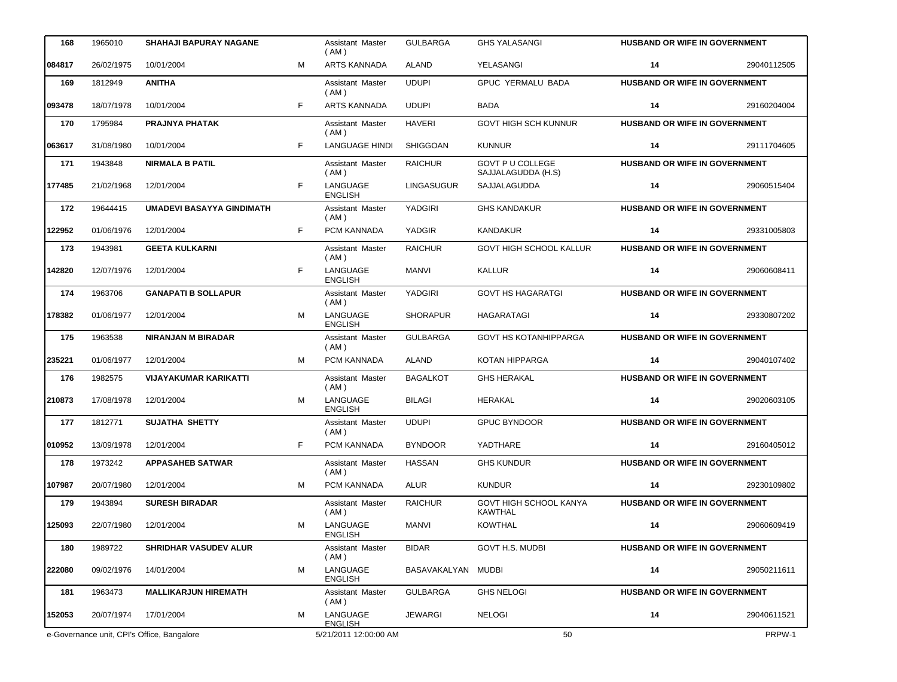| 168    | 1965010    | <b>SHAHAJI BAPURAY NAGANE</b>              |    | Assistant Master<br>(AM)   | <b>GULBARGA</b>    | <b>GHS YALASANGI</b>                            | <b>HUSBAND OR WIFE IN GOVERNMENT</b> |             |
|--------|------------|--------------------------------------------|----|----------------------------|--------------------|-------------------------------------------------|--------------------------------------|-------------|
| 084817 | 26/02/1975 | 10/01/2004                                 | M  | <b>ARTS KANNADA</b>        | ALAND              | YELASANGI                                       | 14                                   | 29040112505 |
| 169    | 1812949    | <b>ANITHA</b>                              |    | Assistant Master<br>(AM)   | <b>UDUPI</b>       | GPUC YERMALU BADA                               | HUSBAND OR WIFE IN GOVERNMENT        |             |
| 093478 | 18/07/1978 | 10/01/2004                                 | F  | <b>ARTS KANNADA</b>        | <b>UDUPI</b>       | <b>BADA</b>                                     | 14                                   | 29160204004 |
| 170    | 1795984    | PRAJNYA PHATAK                             |    | Assistant Master<br>(AM)   | <b>HAVERI</b>      | <b>GOVT HIGH SCH KUNNUR</b>                     | HUSBAND OR WIFE IN GOVERNMENT        |             |
| 063617 | 31/08/1980 | 10/01/2004                                 | F. | <b>LANGUAGE HINDI</b>      | <b>SHIGGOAN</b>    | <b>KUNNUR</b>                                   | 14                                   | 29111704605 |
| 171    | 1943848    | <b>NIRMALA B PATIL</b>                     |    | Assistant Master<br>(AM)   | <b>RAICHUR</b>     | <b>GOVT P U COLLEGE</b><br>SAJJALAGUDDA (H.S)   | HUSBAND OR WIFE IN GOVERNMENT        |             |
| 177485 | 21/02/1968 | 12/01/2004                                 | F  | LANGUAGE<br><b>ENGLISH</b> | LINGASUGUR         | SAJJALAGUDDA                                    | 14                                   | 29060515404 |
| 172    | 19644415   | <b>UMADEVI BASAYYA GINDIMATH</b>           |    | Assistant Master<br>(AM)   | YADGIRI            | <b>GHS KANDAKUR</b>                             | HUSBAND OR WIFE IN GOVERNMENT        |             |
| 122952 | 01/06/1976 | 12/01/2004                                 | F. | PCM KANNADA                | YADGIR             | <b>KANDAKUR</b>                                 | 14                                   | 29331005803 |
| 173    | 1943981    | <b>GEETA KULKARNI</b>                      |    | Assistant Master<br>(AM)   | <b>RAICHUR</b>     | <b>GOVT HIGH SCHOOL KALLUR</b>                  | <b>HUSBAND OR WIFE IN GOVERNMENT</b> |             |
| 142820 | 12/07/1976 | 12/01/2004                                 | F  | LANGUAGE<br><b>ENGLISH</b> | MANVI              | <b>KALLUR</b>                                   | 14                                   | 29060608411 |
| 174    | 1963706    | <b>GANAPATI B SOLLAPUR</b>                 |    | Assistant Master<br>(AM)   | YADGIRI            | <b>GOVT HS HAGARATGI</b>                        | HUSBAND OR WIFE IN GOVERNMENT        |             |
| 178382 | 01/06/1977 | 12/01/2004                                 | М  | LANGUAGE<br><b>ENGLISH</b> | <b>SHORAPUR</b>    | HAGARATAGI                                      | 14                                   | 29330807202 |
| 175    | 1963538    | <b>NIRANJAN M BIRADAR</b>                  |    | Assistant Master<br>(AM)   | <b>GULBARGA</b>    | <b>GOVT HS KOTANHIPPARGA</b>                    | <b>HUSBAND OR WIFE IN GOVERNMENT</b> |             |
| 235221 | 01/06/1977 | 12/01/2004                                 | м  | <b>PCM KANNADA</b>         | ALAND              | KOTAN HIPPARGA                                  | 14                                   | 29040107402 |
| 176    | 1982575    | <b>VIJAYAKUMAR KARIKATTI</b>               |    | Assistant Master<br>(AM)   | <b>BAGALKOT</b>    | <b>GHS HERAKAL</b>                              | <b>HUSBAND OR WIFE IN GOVERNMENT</b> |             |
| 210873 | 17/08/1978 | 12/01/2004                                 | м  | LANGUAGE<br><b>ENGLISH</b> | <b>BILAGI</b>      | HERAKAL                                         | 14                                   | 29020603105 |
| 177    | 1812771    | <b>SUJATHA SHETTY</b>                      |    | Assistant Master<br>(AM)   | <b>UDUPI</b>       | <b>GPUC BYNDOOR</b>                             | HUSBAND OR WIFE IN GOVERNMENT        |             |
| 010952 | 13/09/1978 | 12/01/2004                                 | F  | PCM KANNADA                | <b>BYNDOOR</b>     | YADTHARE                                        | 14                                   | 29160405012 |
| 178    | 1973242    | <b>APPASAHEB SATWAR</b>                    |    | Assistant Master<br>(AM)   | <b>HASSAN</b>      | <b>GHS KUNDUR</b>                               | <b>HUSBAND OR WIFE IN GOVERNMENT</b> |             |
| 107987 | 20/07/1980 | 12/01/2004                                 | м  | PCM KANNADA                | <b>ALUR</b>        | <b>KUNDUR</b>                                   | 14                                   | 29230109802 |
| 179    | 1943894    | <b>SURESH BIRADAR</b>                      |    | Assistant Master<br>(AM)   | <b>RAICHUR</b>     | <b>GOVT HIGH SCHOOL KANYA</b><br><b>KAWTHAL</b> | <b>HUSBAND OR WIFE IN GOVERNMENT</b> |             |
| 125093 | 22/07/1980 | 12/01/2004                                 | М  | LANGUAGE<br><b>ENGLISH</b> | <b>MANVI</b>       | <b>KOWTHAL</b>                                  | 14                                   | 29060609419 |
| 180    | 1989722    | <b>SHRIDHAR VASUDEV ALUR</b>               |    | Assistant Master<br>(AM)   | <b>BIDAR</b>       | <b>GOVT H.S. MUDBI</b>                          | <b>HUSBAND OR WIFE IN GOVERNMENT</b> |             |
| 222080 | 09/02/1976 | 14/01/2004                                 | M  | LANGUAGE<br><b>ENGLISH</b> | BASAVAKALYAN MUDBI |                                                 | 14                                   | 29050211611 |
| 181    | 1963473    | <b>MALLIKARJUN HIREMATH</b>                |    | Assistant Master<br>(AM)   | <b>GULBARGA</b>    | <b>GHS NELOGI</b>                               | <b>HUSBAND OR WIFE IN GOVERNMENT</b> |             |
| 152053 | 20/07/1974 | 17/01/2004                                 | М  | LANGUAGE<br><b>ENGLISH</b> | <b>JEWARGI</b>     | <b>NELOGI</b>                                   | 14                                   | 29040611521 |
|        |            | e-Governance unit, CPI's Office, Bangalore |    | 5/21/2011 12:00:00 AM      |                    | 50                                              |                                      | PRPW-1      |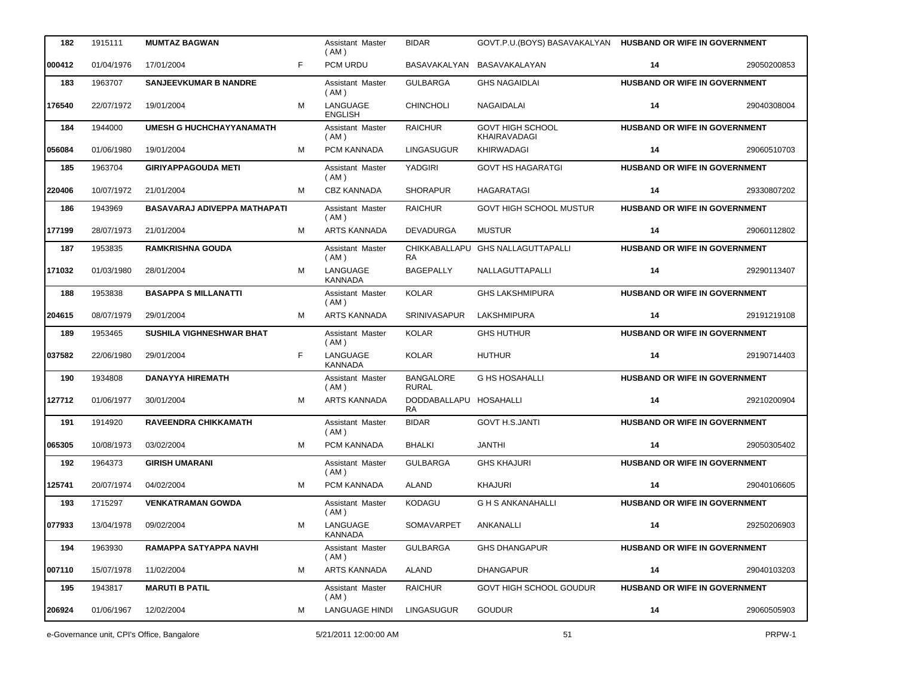| 182    | 1915111    | <b>MUMTAZ BAGWAN</b>            |   | Assistant Master<br>(AM)   | <b>BIDAR</b>                     | GOVT.P.U. (BOYS) BASAVAKALYAN HUSBAND OR WIFE IN GOVERNMENT |                                      |             |
|--------|------------|---------------------------------|---|----------------------------|----------------------------------|-------------------------------------------------------------|--------------------------------------|-------------|
| 000412 | 01/04/1976 | 17/01/2004                      | F | PCM URDU                   |                                  | BASAVAKALYAN BASAVAKALAYAN                                  | 14                                   | 29050200853 |
| 183    | 1963707    | <b>SANJEEVKUMAR B NANDRE</b>    |   | Assistant Master<br>(AM)   | <b>GULBARGA</b>                  | <b>GHS NAGAIDLAI</b>                                        | HUSBAND OR WIFE IN GOVERNMENT        |             |
| 176540 | 22/07/1972 | 19/01/2004                      | M | LANGUAGE<br><b>ENGLISH</b> | <b>CHINCHOLI</b>                 | NAGAIDALAI                                                  | 14                                   | 29040308004 |
| 184    | 1944000    | <b>UMESH G HUCHCHAYYANAMATH</b> |   | Assistant Master<br>(AM)   | <b>RAICHUR</b>                   | <b>GOVT HIGH SCHOOL</b><br>KHAIRAVADAGI                     | HUSBAND OR WIFE IN GOVERNMENT        |             |
| 056084 | 01/06/1980 | 19/01/2004                      | м | PCM KANNADA                | <b>LINGASUGUR</b>                | <b>KHIRWADAGI</b>                                           | 14                                   | 29060510703 |
| 185    | 1963704    | <b>GIRIYAPPAGOUDA METI</b>      |   | Assistant Master<br>(AM)   | YADGIRI                          | <b>GOVT HS HAGARATGI</b>                                    | HUSBAND OR WIFE IN GOVERNMENT        |             |
| 220406 | 10/07/1972 | 21/01/2004                      | м | CBZ KANNADA                | <b>SHORAPUR</b>                  | HAGARATAGI                                                  | 14                                   | 29330807202 |
| 186    | 1943969    | BASAVARAJ ADIVEPPA MATHAPATI    |   | Assistant Master<br>(AM)   | <b>RAICHUR</b>                   | <b>GOVT HIGH SCHOOL MUSTUR</b>                              | HUSBAND OR WIFE IN GOVERNMENT        |             |
| 177199 | 28/07/1973 | 21/01/2004                      | м | <b>ARTS KANNADA</b>        | DEVADURGA                        | <b>MUSTUR</b>                                               | 14                                   | 29060112802 |
| 187    | 1953835    | <b>RAMKRISHNA GOUDA</b>         |   | Assistant Master<br>(AM)   | CHIKKABALLAPU<br><b>RA</b>       | <b>GHS NALLAGUTTAPALLI</b>                                  | <b>HUSBAND OR WIFE IN GOVERNMENT</b> |             |
| 171032 | 01/03/1980 | 28/01/2004                      | М | LANGUAGE<br><b>KANNADA</b> | <b>BAGEPALLY</b>                 | NALLAGUTTAPALLI                                             | 14                                   | 29290113407 |
| 188    | 1953838    | <b>BASAPPA S MILLANATTI</b>     |   | Assistant Master<br>(AM)   | <b>KOLAR</b>                     | <b>GHS LAKSHMIPURA</b>                                      | HUSBAND OR WIFE IN GOVERNMENT        |             |
| 204615 | 08/07/1979 | 29/01/2004                      | м | ARTS KANNADA               | <b>SRINIVASAPUR</b>              | LAKSHMIPURA                                                 | 14                                   | 29191219108 |
| 189    | 1953465    | SUSHILA VIGHNESHWAR BHAT        |   | Assistant Master<br>(AM)   | <b>KOLAR</b>                     | <b>GHS HUTHUR</b>                                           | HUSBAND OR WIFE IN GOVERNMENT        |             |
| 037582 | 22/06/1980 | 29/01/2004                      | F | LANGUAGE<br>KANNADA        | <b>KOLAR</b>                     | <b>HUTHUR</b>                                               | 14                                   | 29190714403 |
| 190    | 1934808    | <b>DANAYYA HIREMATH</b>         |   | Assistant Master<br>(AM)   | <b>BANGALORE</b><br><b>RURAL</b> | <b>G HS HOSAHALLI</b>                                       | HUSBAND OR WIFE IN GOVERNMENT        |             |
| 127712 | 01/06/1977 | 30/01/2004                      | м | <b>ARTS KANNADA</b>        | DODDABALLAPU HOSAHALLI<br>RA     |                                                             | 14                                   | 29210200904 |
| 191    | 1914920    | <b>RAVEENDRA CHIKKAMATH</b>     |   | Assistant Master<br>(AM)   | <b>BIDAR</b>                     | <b>GOVT H.S.JANTI</b>                                       | HUSBAND OR WIFE IN GOVERNMENT        |             |
| 065305 | 10/08/1973 | 03/02/2004                      | м | PCM KANNADA                | <b>BHALKI</b>                    | <b>JANTHI</b>                                               | 14                                   | 29050305402 |
| 192    | 1964373    | <b>GIRISH UMARANI</b>           |   | Assistant Master<br>(AM)   | <b>GULBARGA</b>                  | <b>GHS KHAJURI</b>                                          | HUSBAND OR WIFE IN GOVERNMENT        |             |
| 125741 | 20/07/1974 | 04/02/2004                      | М | PCM KANNADA                | <b>ALAND</b>                     | <b>KHAJURI</b>                                              | 14                                   | 29040106605 |
| 193    | 1715297    | <b>VENKATRAMAN GOWDA</b>        |   | Assistant Master<br>(AM)   | <b>KODAGU</b>                    | <b>G H S ANKANAHALLI</b>                                    | <b>HUSBAND OR WIFE IN GOVERNMENT</b> |             |
| 077933 | 13/04/1978 | 09/02/2004                      | М | LANGUAGE<br><b>KANNADA</b> | SOMAVARPET                       | ANKANALLI                                                   | 14                                   | 29250206903 |
| 194    | 1963930    | RAMAPPA SATYAPPA NAVHI          |   | Assistant Master<br>(AM)   | <b>GULBARGA</b>                  | <b>GHS DHANGAPUR</b>                                        | <b>HUSBAND OR WIFE IN GOVERNMENT</b> |             |
| 007110 | 15/07/1978 | 11/02/2004                      | М | ARTS KANNADA               | ALAND                            | <b>DHANGAPUR</b>                                            | 14                                   | 29040103203 |
| 195    | 1943817    | <b>MARUTI B PATIL</b>           |   | Assistant Master<br>(AM)   | <b>RAICHUR</b>                   | GOVT HIGH SCHOOL GOUDUR                                     | <b>HUSBAND OR WIFE IN GOVERNMENT</b> |             |
| 206924 | 01/06/1967 | 12/02/2004                      | М | <b>LANGUAGE HINDI</b>      | <b>LINGASUGUR</b>                | <b>GOUDUR</b>                                               | 14                                   | 29060505903 |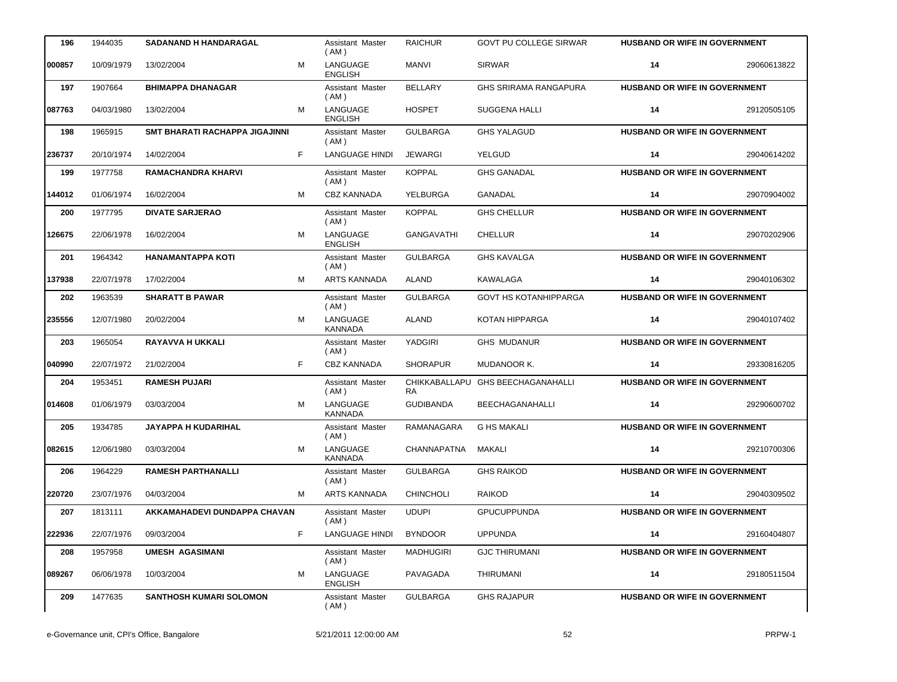| 196    | 1944035    | <b>SADANAND H HANDARAGAL</b>   |   | Assistant Master<br>(AM)   | <b>RAICHUR</b>      | <b>GOVT PU COLLEGE SIRWAR</b> | <b>HUSBAND OR WIFE IN GOVERNMENT</b> |             |
|--------|------------|--------------------------------|---|----------------------------|---------------------|-------------------------------|--------------------------------------|-------------|
| 000857 | 10/09/1979 | 13/02/2004                     | м | LANGUAGE<br><b>ENGLISH</b> | MANVI               | <b>SIRWAR</b>                 | 14                                   | 29060613822 |
| 197    | 1907664    | <b>BHIMAPPA DHANAGAR</b>       |   | Assistant Master<br>(AM)   | <b>BELLARY</b>      | <b>GHS SRIRAMA RANGAPURA</b>  | HUSBAND OR WIFE IN GOVERNMENT        |             |
| 087763 | 04/03/1980 | 13/02/2004                     | M | LANGUAGE<br><b>ENGLISH</b> | <b>HOSPET</b>       | <b>SUGGENA HALLI</b>          | 14                                   | 29120505105 |
| 198    | 1965915    | SMT BHARATI RACHAPPA JIGAJINNI |   | Assistant Master<br>(AM)   | <b>GULBARGA</b>     | <b>GHS YALAGUD</b>            | HUSBAND OR WIFE IN GOVERNMENT        |             |
| 236737 | 20/10/1974 | 14/02/2004                     | F | <b>LANGUAGE HINDI</b>      | <b>JEWARGI</b>      | YELGUD                        | 14                                   | 29040614202 |
| 199    | 1977758    | <b>RAMACHANDRA KHARVI</b>      |   | Assistant Master<br>(AM)   | <b>KOPPAL</b>       | <b>GHS GANADAL</b>            | HUSBAND OR WIFE IN GOVERNMENT        |             |
| 144012 | 01/06/1974 | 16/02/2004                     | M | <b>CBZ KANNADA</b>         | YELBURGA            | <b>GANADAL</b>                | 14                                   | 29070904002 |
| 200    | 1977795    | <b>DIVATE SARJERAO</b>         |   | Assistant Master<br>(AM)   | <b>KOPPAL</b>       | <b>GHS CHELLUR</b>            | HUSBAND OR WIFE IN GOVERNMENT        |             |
| 126675 | 22/06/1978 | 16/02/2004                     | М | LANGUAGE<br><b>ENGLISH</b> | <b>GANGAVATHI</b>   | <b>CHELLUR</b>                | 14                                   | 29070202906 |
| 201    | 1964342    | <b>HANAMANTAPPA KOTI</b>       |   | Assistant Master<br>(AM)   | <b>GULBARGA</b>     | <b>GHS KAVALGA</b>            | HUSBAND OR WIFE IN GOVERNMENT        |             |
| 137938 | 22/07/1978 | 17/02/2004                     | M | <b>ARTS KANNADA</b>        | ALAND               | KAWALAGA                      | 14                                   | 29040106302 |
| 202    | 1963539    | <b>SHARATT B PAWAR</b>         |   | Assistant Master<br>(AM)   | <b>GULBARGA</b>     | <b>GOVT HS KOTANHIPPARGA</b>  | <b>HUSBAND OR WIFE IN GOVERNMENT</b> |             |
| 235556 | 12/07/1980 | 20/02/2004                     | М | LANGUAGE<br><b>KANNADA</b> | <b>ALAND</b>        | KOTAN HIPPARGA                | 14                                   | 29040107402 |
| 203    | 1965054    | RAYAVVA H UKKALI               |   | Assistant Master<br>(AM)   | YADGIRI             | <b>GHS MUDANUR</b>            | HUSBAND OR WIFE IN GOVERNMENT        |             |
| 040990 | 22/07/1972 | 21/02/2004                     | F | <b>CBZ KANNADA</b>         | <b>SHORAPUR</b>     | MUDANOOR K.                   | 14                                   | 29330816205 |
| 204    | 1953451    | <b>RAMESH PUJARI</b>           |   | Assistant Master<br>(AM)   | CHIKKABALLAPU<br>RA | <b>GHS BEECHAGANAHALLI</b>    | HUSBAND OR WIFE IN GOVERNMENT        |             |
| 014608 | 01/06/1979 | 03/03/2004                     | M | LANGUAGE<br><b>KANNADA</b> | <b>GUDIBANDA</b>    | <b>BEECHAGANAHALLI</b>        | 14                                   | 29290600702 |
| 205    | 1934785    | <b>JAYAPPA H KUDARIHAL</b>     |   | Assistant Master<br>(AM)   | RAMANAGARA          | <b>G HS MAKALI</b>            | <b>HUSBAND OR WIFE IN GOVERNMENT</b> |             |
| 082615 | 12/06/1980 | 03/03/2004                     | м | LANGUAGE<br><b>KANNADA</b> | <b>CHANNAPATNA</b>  | MAKALI                        | 14                                   | 29210700306 |
| 206    | 1964229    | <b>RAMESH PARTHANALLI</b>      |   | Assistant Master<br>(AM)   | <b>GULBARGA</b>     | <b>GHS RAIKOD</b>             | <b>HUSBAND OR WIFE IN GOVERNMENT</b> |             |
| 220720 | 23/07/1976 | 04/03/2004                     | М | ARTS KANNADA               | <b>CHINCHOLI</b>    | <b>RAIKOD</b>                 | 14                                   | 29040309502 |
| 207    | 1813111    | AKKAMAHADEVI DUNDAPPA CHAVAN   |   | Assistant Master<br>(AM)   | <b>UDUPI</b>        | <b>GPUCUPPUNDA</b>            | <b>HUSBAND OR WIFE IN GOVERNMENT</b> |             |
| 222936 | 22/07/1976 | 09/03/2004                     | F | <b>LANGUAGE HINDI</b>      | <b>BYNDOOR</b>      | <b>UPPUNDA</b>                | 14                                   | 29160404807 |
| 208    | 1957958    | <b>UMESH AGASIMANI</b>         |   | Assistant Master<br>(AM)   | <b>MADHUGIRI</b>    | <b>GJC THIRUMANI</b>          | HUSBAND OR WIFE IN GOVERNMENT        |             |
| 089267 | 06/06/1978 | 10/03/2004                     | м | LANGUAGE<br><b>ENGLISH</b> | PAVAGADA            | THIRUMANI                     | 14                                   | 29180511504 |
| 209    | 1477635    | <b>SANTHOSH KUMARI SOLOMON</b> |   | Assistant Master<br>(AM)   | <b>GULBARGA</b>     | <b>GHS RAJAPUR</b>            | HUSBAND OR WIFE IN GOVERNMENT        |             |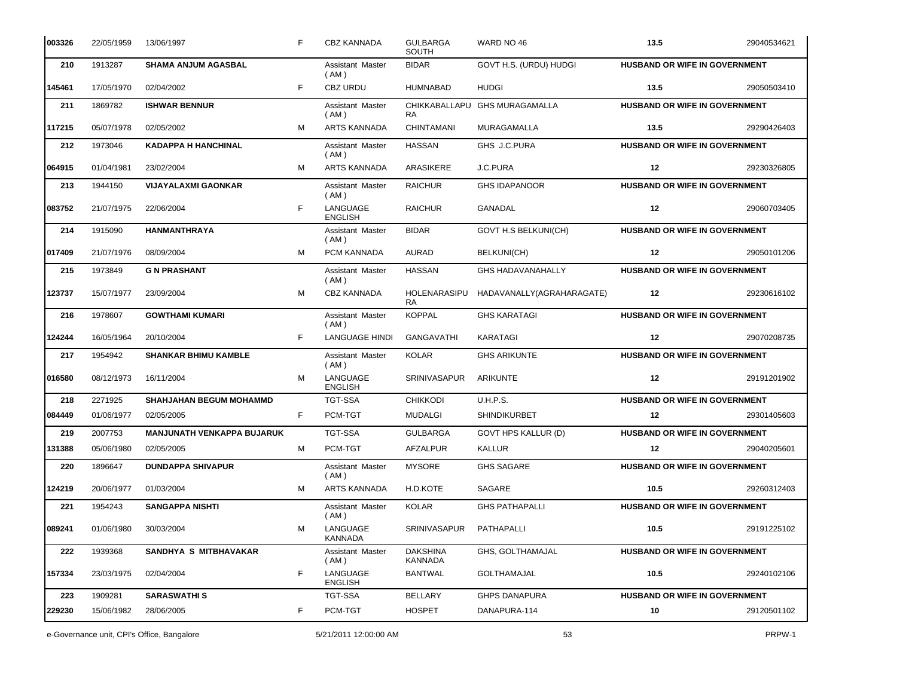| 003326 | 22/05/1959 | 13/06/1997                        | F  | <b>CBZ KANNADA</b>         | <b>GULBARGA</b><br><b>SOUTH</b> | WARD NO 46                 | 13.5                                 | 29040534621 |
|--------|------------|-----------------------------------|----|----------------------------|---------------------------------|----------------------------|--------------------------------------|-------------|
| 210    | 1913287    | <b>SHAMA ANJUM AGASBAL</b>        |    | Assistant Master<br>(AM)   | <b>BIDAR</b>                    | GOVT H.S. (URDU) HUDGI     | HUSBAND OR WIFE IN GOVERNMENT        |             |
| 145461 | 17/05/1970 | 02/04/2002                        | F  | <b>CBZ URDU</b>            | <b>HUMNABAD</b>                 | <b>HUDGI</b>               | 13.5                                 | 29050503410 |
| 211    | 1869782    | <b>ISHWAR BENNUR</b>              |    | Assistant Master<br>(AM)   | CHIKKABALLAPU<br><b>RA</b>      | <b>GHS MURAGAMALLA</b>     | HUSBAND OR WIFE IN GOVERNMENT        |             |
| 117215 | 05/07/1978 | 02/05/2002                        | М  | <b>ARTS KANNADA</b>        | CHINTAMANI                      | MURAGAMALLA                | 13.5                                 | 29290426403 |
| 212    | 1973046    | <b>KADAPPA H HANCHINAL</b>        |    | Assistant Master<br>(AM)   | <b>HASSAN</b>                   | GHS J.C.PURA               | HUSBAND OR WIFE IN GOVERNMENT        |             |
| 064915 | 01/04/1981 | 23/02/2004                        | M  | <b>ARTS KANNADA</b>        | ARASIKERE                       | J.C.PURA                   | $12 \,$                              | 29230326805 |
| 213    | 1944150    | <b>VIJAYALAXMI GAONKAR</b>        |    | Assistant Master<br>(AM)   | <b>RAICHUR</b>                  | <b>GHS IDAPANOOR</b>       | HUSBAND OR WIFE IN GOVERNMENT        |             |
| 083752 | 21/07/1975 | 22/06/2004                        | F  | LANGUAGE<br><b>ENGLISH</b> | <b>RAICHUR</b>                  | GANADAL                    | 12                                   | 29060703405 |
| 214    | 1915090    | <b>HANMANTHRAYA</b>               |    | Assistant Master<br>(AM)   | <b>BIDAR</b>                    | GOVT H.S BELKUNI(CH)       | HUSBAND OR WIFE IN GOVERNMENT        |             |
| 017409 | 21/07/1976 | 08/09/2004                        | м  | PCM KANNADA                | AURAD                           | BELKUNI(CH)                | $12 \,$                              | 29050101206 |
| 215    | 1973849    | <b>G N PRASHANT</b>               |    | Assistant Master<br>(AM)   | <b>HASSAN</b>                   | <b>GHS HADAVANAHALLY</b>   | HUSBAND OR WIFE IN GOVERNMENT        |             |
| 123737 | 15/07/1977 | 23/09/2004                        | M  | CBZ KANNADA                | HOLENARASIPU<br><b>RA</b>       | HADAVANALLY(AGRAHARAGATE)  | 12                                   | 29230616102 |
| 216    | 1978607    | <b>GOWTHAMI KUMARI</b>            |    | Assistant Master<br>(AM)   | <b>KOPPAL</b>                   | <b>GHS KARATAGI</b>        | HUSBAND OR WIFE IN GOVERNMENT        |             |
| 124244 | 16/05/1964 | 20/10/2004                        | F  | <b>LANGUAGE HINDI</b>      | GANGAVATHI                      | KARATAGI                   | $12 \,$                              | 29070208735 |
| 217    | 1954942    | <b>SHANKAR BHIMU KAMBLE</b>       |    | Assistant Master<br>(AM)   | <b>KOLAR</b>                    | <b>GHS ARIKUNTE</b>        | <b>HUSBAND OR WIFE IN GOVERNMENT</b> |             |
| 016580 | 08/12/1973 | 16/11/2004                        | м  | LANGUAGE<br><b>ENGLISH</b> | SRINIVASAPUR                    | <b>ARIKUNTE</b>            | 12                                   | 29191201902 |
| 218    | 2271925    | <b>SHAHJAHAN BEGUM MOHAMMD</b>    |    | <b>TGT-SSA</b>             | <b>CHIKKODI</b>                 | <b>U.H.P.S.</b>            | HUSBAND OR WIFE IN GOVERNMENT        |             |
| 084449 | 01/06/1977 | 02/05/2005                        | F. | PCM-TGT                    | <b>MUDALGI</b>                  | <b>SHINDIKURBET</b>        | 12                                   | 29301405603 |
| 219    | 2007753    | <b>MANJUNATH VENKAPPA BUJARUK</b> |    | <b>TGT-SSA</b>             | <b>GULBARGA</b>                 | <b>GOVT HPS KALLUR (D)</b> | <b>HUSBAND OR WIFE IN GOVERNMENT</b> |             |
| 131388 | 05/06/1980 | 02/05/2005                        | м  | PCM-TGT                    | AFZALPUR                        | KALLUR                     | $12 \,$                              | 29040205601 |
| 220    | 1896647    | <b>DUNDAPPA SHIVAPUR</b>          |    | Assistant Master<br>(AM)   | <b>MYSORE</b>                   | <b>GHS SAGARE</b>          | HUSBAND OR WIFE IN GOVERNMENT        |             |
| 124219 | 20/06/1977 | 01/03/2004                        | М  | ARTS KANNADA               | H.D.KOTE                        | SAGARE                     | 10.5                                 | 29260312403 |
| 221    | 1954243    | <b>SANGAPPA NISHTI</b>            |    | Assistant Master<br>(AM)   | <b>KOLAR</b>                    | <b>GHS PATHAPALLI</b>      | <b>HUSBAND OR WIFE IN GOVERNMENT</b> |             |
| 089241 | 01/06/1980 | 30/03/2004                        | М  | LANGUAGE<br>KANNADA        | <b>SRINIVASAPUR</b>             | PATHAPALLI                 | 10.5                                 | 29191225102 |
| 222    | 1939368    | SANDHYA S MITBHAVAKAR             |    | Assistant Master<br>(AM)   | <b>DAKSHINA</b><br>KANNADA      | GHS, GOLTHAMAJAL           | <b>HUSBAND OR WIFE IN GOVERNMENT</b> |             |
| 157334 | 23/03/1975 | 02/04/2004                        | F  | LANGUAGE<br><b>ENGLISH</b> | <b>BANTWAL</b>                  | <b>GOLTHAMAJAL</b>         | 10.5                                 | 29240102106 |
| 223    | 1909281    | <b>SARASWATHIS</b>                |    | TGT-SSA                    | <b>BELLARY</b>                  | <b>GHPS DANAPURA</b>       | <b>HUSBAND OR WIFE IN GOVERNMENT</b> |             |
| 229230 | 15/06/1982 | 28/06/2005                        | F  | PCM-TGT                    | <b>HOSPET</b>                   | DANAPURA-114               | 10                                   | 29120501102 |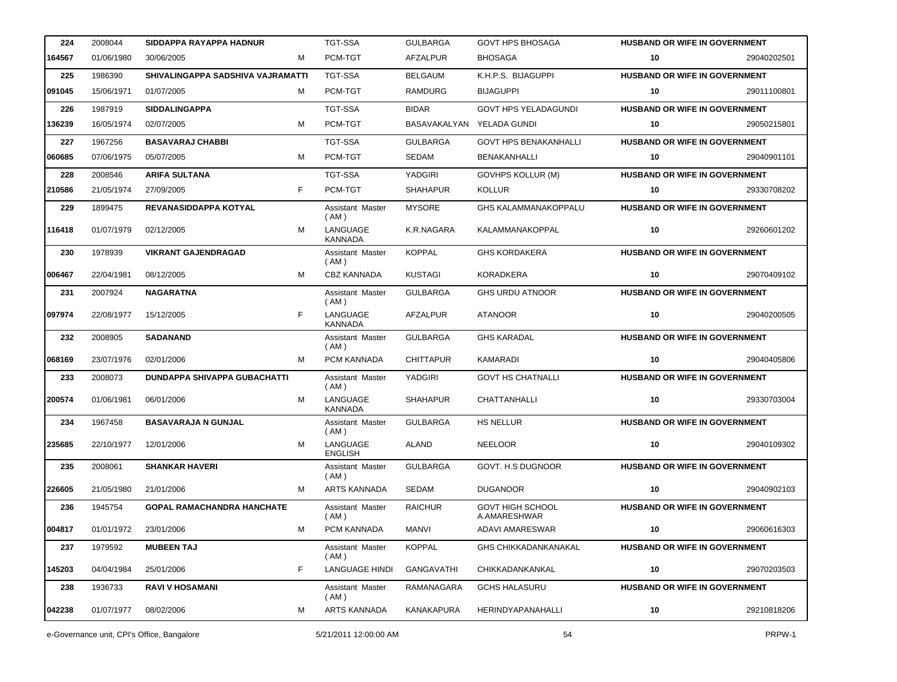| 224    | 2008044    | SIDDAPPA RAYAPPA HADNUR           |   | <b>TGT-SSA</b>             | <b>GULBARGA</b>           | <b>GOVT HPS BHOSAGA</b>                 | <b>HUSBAND OR WIFE IN GOVERNMENT</b> |             |
|--------|------------|-----------------------------------|---|----------------------------|---------------------------|-----------------------------------------|--------------------------------------|-------------|
| 164567 | 01/06/1980 | 30/06/2005                        | м | PCM-TGT                    | AFZALPUR                  | <b>BHOSAGA</b>                          | 10                                   | 29040202501 |
| 225    | 1986390    | SHIVALINGAPPA SADSHIVA VAJRAMATTI |   | <b>TGT-SSA</b>             | <b>BELGAUM</b>            | K.H.P.S. BIJAGUPPI                      | HUSBAND OR WIFE IN GOVERNMENT        |             |
| 091045 | 15/06/1971 | 01/07/2005                        | м | PCM-TGT                    | <b>RAMDURG</b>            | <b>BIJAGUPPI</b>                        | 10                                   | 29011100801 |
| 226    | 1987919    | <b>SIDDALINGAPPA</b>              |   | <b>TGT-SSA</b>             | <b>BIDAR</b>              | <b>GOVT HPS YELADAGUNDI</b>             | <b>HUSBAND OR WIFE IN GOVERNMENT</b> |             |
| 136239 | 16/05/1974 | 02/07/2005                        | м | PCM-TGT                    | BASAVAKALYAN YELADA GUNDI |                                         | 10                                   | 29050215801 |
| 227    | 1967256    | <b>BASAVARAJ CHABBI</b>           |   | <b>TGT-SSA</b>             | <b>GULBARGA</b>           | <b>GOVT HPS BENAKANHALLI</b>            | <b>HUSBAND OR WIFE IN GOVERNMENT</b> |             |
| 060685 | 07/06/1975 | 05/07/2005                        | м | PCM-TGT                    | SEDAM                     | <b>BENAKANHALLI</b>                     | 10                                   | 29040901101 |
| 228    | 2008546    | <b>ARIFA SULTANA</b>              |   | TGT-SSA                    | YADGIRI                   | <b>GOVHPS KOLLUR (M)</b>                | HUSBAND OR WIFE IN GOVERNMENT        |             |
| 210586 | 21/05/1974 | 27/09/2005                        | F | PCM-TGT                    | <b>SHAHAPUR</b>           | <b>KOLLUR</b>                           | 10                                   | 29330708202 |
| 229    | 1899475    | REVANASIDDAPPA KOTYAL             |   | Assistant Master<br>(AM)   | <b>MYSORE</b>             | GHS KALAMMANAKOPPALU                    | HUSBAND OR WIFE IN GOVERNMENT        |             |
| 116418 | 01/07/1979 | 02/12/2005                        | м | LANGUAGE<br><b>KANNADA</b> | K.R.NAGARA                | KALAMMANAKOPPAL                         | 10                                   | 29260601202 |
| 230    | 1978939    | <b>VIKRANT GAJENDRAGAD</b>        |   | Assistant Master<br>(AM)   | <b>KOPPAL</b>             | <b>GHS KORDAKERA</b>                    | HUSBAND OR WIFE IN GOVERNMENT        |             |
| 006467 | 22/04/1981 | 08/12/2005                        | м | <b>CBZ KANNADA</b>         | <b>KUSTAGI</b>            | <b>KORADKERA</b>                        | 10                                   | 29070409102 |
| 231    | 2007924    | <b>NAGARATNA</b>                  |   | Assistant Master<br>(AM)   | <b>GULBARGA</b>           | <b>GHS URDU ATNOOR</b>                  | HUSBAND OR WIFE IN GOVERNMENT        |             |
| 097974 | 22/08/1977 | 15/12/2005                        | F | LANGUAGE<br><b>KANNADA</b> | AFZALPUR                  | <b>ATANOOR</b>                          | 10                                   | 29040200505 |
| 232    | 2008905    | <b>SADANAND</b>                   |   | Assistant Master<br>(AM)   | <b>GULBARGA</b>           | <b>GHS KARADAL</b>                      | HUSBAND OR WIFE IN GOVERNMENT        |             |
| 068169 | 23/07/1976 | 02/01/2006                        | м | PCM KANNADA                | <b>CHITTAPUR</b>          | KAMARADI                                | 10                                   | 29040405806 |
| 233    | 2008073    | DUNDAPPA SHIVAPPA GUBACHATTI      |   | Assistant Master<br>(AM)   | YADGIRI                   | <b>GOVT HS CHATNALLI</b>                | <b>HUSBAND OR WIFE IN GOVERNMENT</b> |             |
| 200574 | 01/06/1981 | 06/01/2006                        | м | LANGUAGE<br><b>KANNADA</b> | <b>SHAHAPUR</b>           | CHATTANHALLI                            | 10                                   | 29330703004 |
| 234    | 1967458    | <b>BASAVARAJA N GUNJAL</b>        |   | Assistant Master<br>(AM)   | <b>GULBARGA</b>           | <b>HS NELLUR</b>                        | HUSBAND OR WIFE IN GOVERNMENT        |             |
| 235685 | 22/10/1977 | 12/01/2006                        | м | LANGUAGE<br><b>ENGLISH</b> | <b>ALAND</b>              | <b>NEELOOR</b>                          | 10                                   | 29040109302 |
| 235    | 2008061    | <b>SHANKAR HAVERI</b>             |   | Assistant Master<br>(AM)   | <b>GULBARGA</b>           | GOVT. H.S DUGNOOR                       | HUSBAND OR WIFE IN GOVERNMENT        |             |
| 226605 | 21/05/1980 | 21/01/2006                        | М | <b>ARTS KANNADA</b>        | SEDAM                     | <b>DUGANOOR</b>                         | 10                                   | 29040902103 |
| 236    | 1945754    | <b>GOPAL RAMACHANDRA HANCHATE</b> |   | Assistant Master<br>(AM)   | <b>RAICHUR</b>            | <b>GOVT HIGH SCHOOL</b><br>A.AMARESHWAR | HUSBAND OR WIFE IN GOVERNMENT        |             |
| 004817 | 01/01/1972 | 23/01/2006                        | м | PCM KANNADA                | MANVI                     | ADAVI AMARESWAR                         | 10                                   | 29060616303 |
| 237    | 1979592    | <b>MUBEEN TAJ</b>                 |   | Assistant Master<br>(AM)   | <b>KOPPAL</b>             | <b>GHS CHIKKADANKANAKAL</b>             | HUSBAND OR WIFE IN GOVERNMENT        |             |
| 145203 | 04/04/1984 | 25/01/2006                        | F | <b>LANGUAGE HINDI</b>      | GANGAVATHI                | CHIKKADANKANKAL                         | 10                                   | 29070203503 |
| 238    | 1936733    | <b>RAVI V HOSAMANI</b>            |   | Assistant Master<br>(AM)   | RAMANAGARA                | <b>GCHS HALASURU</b>                    | HUSBAND OR WIFE IN GOVERNMENT        |             |
| 042238 | 01/07/1977 | 08/02/2006                        | м | ARTS KANNADA               | <b>KANAKAPURA</b>         | HERINDYAPANAHALLI                       | 10                                   | 29210818206 |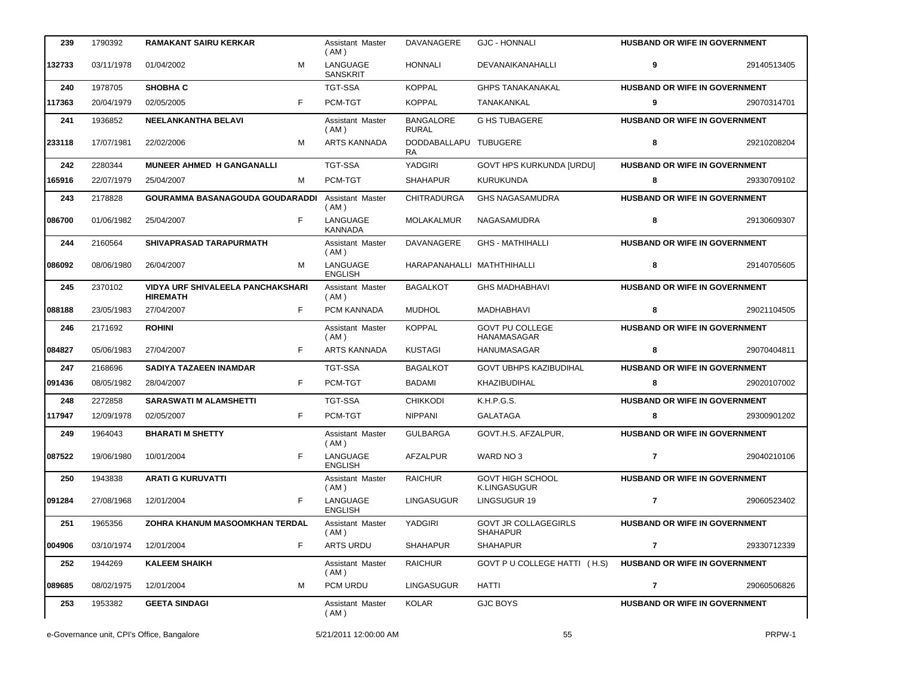| 239    | 1790392    | <b>RAMAKANT SAIRU KERKAR</b>                                | Assistant Master<br>(AM)        | DAVANAGERE                       | <b>GJC - HONNALI</b>                           | HUSBAND OR WIFE IN GOVERNMENT        |             |
|--------|------------|-------------------------------------------------------------|---------------------------------|----------------------------------|------------------------------------------------|--------------------------------------|-------------|
| 132733 | 03/11/1978 | M<br>01/04/2002                                             | LANGUAGE<br><b>SANSKRIT</b>     | <b>HONNALI</b>                   | DEVANAIKANAHALLI                               | 9                                    | 29140513405 |
| 240    | 1978705    | <b>SHOBHA C</b>                                             | <b>TGT-SSA</b>                  | <b>KOPPAL</b>                    | <b>GHPS TANAKANAKAL</b>                        | HUSBAND OR WIFE IN GOVERNMENT        |             |
| 117363 | 20/04/1979 | F<br>02/05/2005                                             | PCM-TGT                         | <b>KOPPAL</b>                    | TANAKANKAL                                     | 9                                    | 29070314701 |
| 241    | 1936852    | <b>NEELANKANTHA BELAVI</b>                                  | Assistant Master<br>(AM)        | <b>BANGALORE</b><br><b>RURAL</b> | <b>G HS TUBAGERE</b>                           | HUSBAND OR WIFE IN GOVERNMENT        |             |
| 233118 | 17/07/1981 | 22/02/2006<br>м                                             | <b>ARTS KANNADA</b>             | DODDABALLAPU TUBUGERE<br>RA      |                                                | 8                                    | 29210208204 |
| 242    | 2280344    | MUNEER AHMED H GANGANALLI                                   | <b>TGT-SSA</b>                  | YADGIRI                          | <b>GOVT HPS KURKUNDA [URDU]</b>                | HUSBAND OR WIFE IN GOVERNMENT        |             |
| 165916 | 22/07/1979 | 25/04/2007<br>м                                             | PCM-TGT                         | <b>SHAHAPUR</b>                  | <b>KURUKUNDA</b>                               | 8                                    | 29330709102 |
| 243    | 2178828    | GOURAMMA BASANAGOUDA GOUDARADDI                             | <b>Assistant Master</b><br>(AM) | <b>CHITRADURGA</b>               | <b>GHS NAGASAMUDRA</b>                         | HUSBAND OR WIFE IN GOVERNMENT        |             |
| 086700 | 01/06/1982 | F<br>25/04/2007                                             | LANGUAGE<br><b>KANNADA</b>      | MOLAKALMUR                       | NAGASAMUDRA                                    | 8                                    | 29130609307 |
| 244    | 2160564    | <b>SHIVAPRASAD TARAPURMATH</b>                              | Assistant Master<br>(AM)        | DAVANAGERE                       | <b>GHS - MATHIHALLI</b>                        | HUSBAND OR WIFE IN GOVERNMENT        |             |
| 086092 | 08/06/1980 | M<br>26/04/2007                                             | LANGUAGE<br><b>ENGLISH</b>      | HARAPANAHALLI MATHTHIHALLI       |                                                | 8                                    | 29140705605 |
| 245    | 2370102    | <b>VIDYA URF SHIVALEELA PANCHAKSHARI</b><br><b>HIREMATH</b> | Assistant Master<br>(AM)        | <b>BAGALKOT</b>                  | <b>GHS MADHABHAVI</b>                          | HUSBAND OR WIFE IN GOVERNMENT        |             |
| 088188 | 23/05/1983 | F<br>27/04/2007                                             | PCM KANNADA                     | <b>MUDHOL</b>                    | MADHABHAVI                                     | 8                                    | 29021104505 |
| 246    | 2171692    | <b>ROHINI</b>                                               | Assistant Master<br>(AM)        | <b>KOPPAL</b>                    | <b>GOVT PU COLLEGE</b><br>HANAMASAGAR          | HUSBAND OR WIFE IN GOVERNMENT        |             |
| 084827 | 05/06/1983 | 27/04/2007<br>F.                                            | <b>ARTS KANNADA</b>             | <b>KUSTAGI</b>                   | HANUMASAGAR                                    | 8                                    | 29070404811 |
| 247    | 2168696    | <b>SADIYA TAZAEEN INAMDAR</b>                               | <b>TGT-SSA</b>                  | <b>BAGALKOT</b>                  | <b>GOVT UBHPS KAZIBUDIHAL</b>                  | HUSBAND OR WIFE IN GOVERNMENT        |             |
| 091436 | 08/05/1982 | F<br>28/04/2007                                             | PCM-TGT                         | <b>BADAMI</b>                    | KHAZIBUDIHAL                                   | 8                                    | 29020107002 |
| 248    | 2272858    | <b>SARASWATI M ALAMSHETTI</b>                               | <b>TGT-SSA</b>                  | <b>CHIKKODI</b>                  | K.H.P.G.S.                                     | HUSBAND OR WIFE IN GOVERNMENT        |             |
| 117947 | 12/09/1978 | F<br>02/05/2007                                             | PCM-TGT                         | <b>NIPPANI</b>                   | <b>GALATAGA</b>                                | 8                                    | 29300901202 |
| 249    | 1964043    | <b>BHARATI M SHETTY</b>                                     | Assistant Master<br>(AM)        | <b>GULBARGA</b>                  | GOVT.H.S. AFZALPUR.                            | HUSBAND OR WIFE IN GOVERNMENT        |             |
| 087522 | 19/06/1980 | F<br>10/01/2004                                             | LANGUAGE<br><b>ENGLISH</b>      | AFZALPUR                         | WARD NO 3                                      | $\overline{7}$                       | 29040210106 |
| 250    | 1943838    | <b>ARATI G KURUVATTI</b>                                    | Assistant Master<br>(AM)        | <b>RAICHUR</b>                   | <b>GOVT HIGH SCHOOL</b><br><b>K.LINGASUGUR</b> | HUSBAND OR WIFE IN GOVERNMENT        |             |
| 091284 | 27/08/1968 | F<br>12/01/2004                                             | LANGUAGE<br><b>ENGLISH</b>      | <b>LINGASUGUR</b>                | LINGSUGUR 19                                   | 7                                    | 29060523402 |
| 251    | 1965356    | ZOHRA KHANUM MASOOMKHAN TERDAL                              | Assistant Master<br>(AM)        | YADGIRI                          | <b>GOVT JR COLLAGEGIRLS</b><br><b>SHAHAPUR</b> | <b>HUSBAND OR WIFE IN GOVERNMENT</b> |             |
| 004906 | 03/10/1974 | 12/01/2004<br>F.                                            | <b>ARTS URDU</b>                | <b>SHAHAPUR</b>                  | <b>SHAHAPUR</b>                                | $\mathbf{7}$                         | 29330712339 |
| 252    | 1944269    | <b>KALEEM SHAIKH</b>                                        | Assistant Master<br>(AM)        | <b>RAICHUR</b>                   | GOVT P U COLLEGE HATTI (H.S)                   | HUSBAND OR WIFE IN GOVERNMENT        |             |
| 089685 | 08/02/1975 | 12/01/2004<br>м                                             | PCM URDU                        | <b>LINGASUGUR</b>                | HATTI                                          | 7                                    | 29060506826 |
| 253    | 1953382    | <b>GEETA SINDAGI</b>                                        | Assistant Master<br>(AM)        | KOLAR                            | <b>GJC BOYS</b>                                | <b>HUSBAND OR WIFE IN GOVERNMENT</b> |             |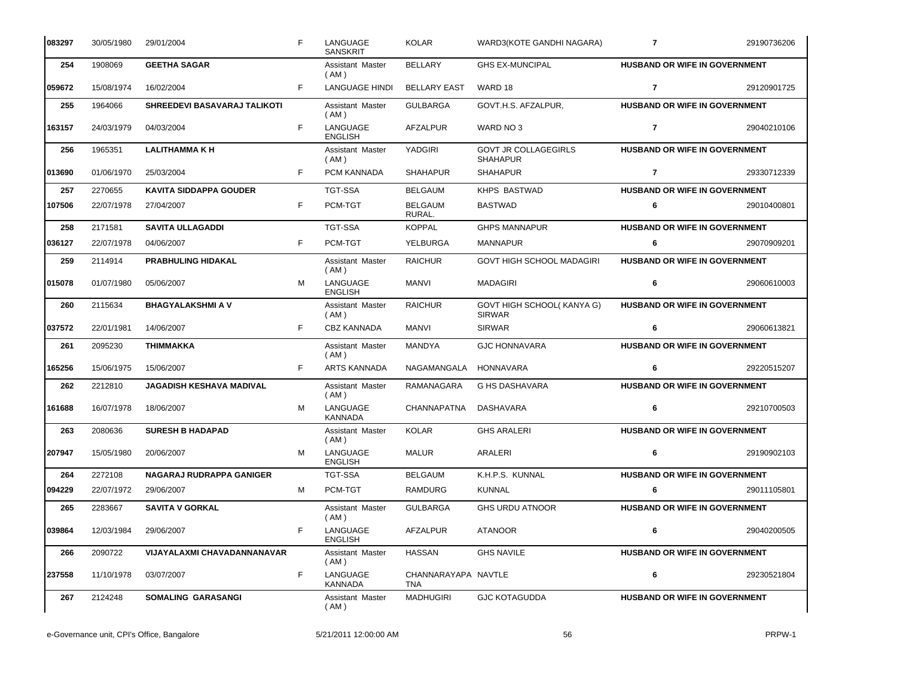| 083297 | 30/05/1980 | 29/01/2004                      | F. | LANGUAGE<br><b>SANSKRIT</b>     | <b>KOLAR</b>                      | WARD3(KOTE GANDHI NAGARA)                      | $\overline{7}$                       | 29190736206 |
|--------|------------|---------------------------------|----|---------------------------------|-----------------------------------|------------------------------------------------|--------------------------------------|-------------|
| 254    | 1908069    | <b>GEETHA SAGAR</b>             |    | <b>Assistant Master</b><br>(AM) | <b>BELLARY</b>                    | <b>GHS EX-MUNCIPAL</b>                         | HUSBAND OR WIFE IN GOVERNMENT        |             |
| 059672 | 15/08/1974 | 16/02/2004                      | F. | <b>LANGUAGE HINDI</b>           | <b>BELLARY EAST</b>               | WARD 18                                        | $\overline{7}$                       | 29120901725 |
| 255    | 1964066    | SHREEDEVI BASAVARAJ TALIKOTI    |    | <b>Assistant Master</b><br>(AM) | <b>GULBARGA</b>                   | GOVT.H.S. AFZALPUR,                            | <b>HUSBAND OR WIFE IN GOVERNMENT</b> |             |
| 163157 | 24/03/1979 | 04/03/2004                      | F. | LANGUAGE<br><b>ENGLISH</b>      | AFZALPUR                          | WARD NO 3                                      | $\overline{7}$                       | 29040210106 |
| 256    | 1965351    | <b>LALITHAMMAKH</b>             |    | Assistant Master<br>( AM )      | YADGIRI                           | <b>GOVT JR COLLAGEGIRLS</b><br><b>SHAHAPUR</b> | HUSBAND OR WIFE IN GOVERNMENT        |             |
| 013690 | 01/06/1970 | 25/03/2004                      | F. | PCM KANNADA                     | <b>SHAHAPUR</b>                   | <b>SHAHAPUR</b>                                | $\overline{7}$                       | 29330712339 |
| 257    | 2270655    | <b>KAVITA SIDDAPPA GOUDER</b>   |    | <b>TGT-SSA</b>                  | <b>BELGAUM</b>                    | KHPS BASTWAD                                   | HUSBAND OR WIFE IN GOVERNMENT        |             |
| 107506 | 22/07/1978 | 27/04/2007                      | F  | PCM-TGT                         | BELGAUM<br>RURAL.                 | <b>BASTWAD</b>                                 | 6                                    | 29010400801 |
| 258    | 2171581    | <b>SAVITA ULLAGADDI</b>         |    | <b>TGT-SSA</b>                  | <b>KOPPAL</b>                     | <b>GHPS MANNAPUR</b>                           | HUSBAND OR WIFE IN GOVERNMENT        |             |
| 036127 | 22/07/1978 | 04/06/2007                      | F. | PCM-TGT                         | <b>YELBURGA</b>                   | <b>MANNAPUR</b>                                | 6                                    | 29070909201 |
| 259    | 2114914    | <b>PRABHULING HIDAKAL</b>       |    | Assistant Master<br>(AM)        | <b>RAICHUR</b>                    | <b>GOVT HIGH SCHOOL MADAGIRI</b>               | <b>HUSBAND OR WIFE IN GOVERNMENT</b> |             |
| 015078 | 01/07/1980 | 05/06/2007                      | м  | LANGUAGE<br><b>ENGLISH</b>      | <b>MANVI</b>                      | <b>MADAGIRI</b>                                | 6                                    | 29060610003 |
| 260    | 2115634    | <b>BHAGYALAKSHMI A V</b>        |    | Assistant Master<br>( AM )      | <b>RAICHUR</b>                    | GOVT HIGH SCHOOL(KANYA G)<br><b>SIRWAR</b>     | HUSBAND OR WIFE IN GOVERNMENT        |             |
| 037572 | 22/01/1981 | 14/06/2007                      | F. | <b>CBZ KANNADA</b>              | MANVI                             | <b>SIRWAR</b>                                  | 6                                    | 29060613821 |
| 261    | 2095230    | THIMMAKKA                       |    | Assistant Master<br>(AM)        | MANDYA                            | <b>GJC HONNAVARA</b>                           | HUSBAND OR WIFE IN GOVERNMENT        |             |
| 165256 | 15/06/1975 | 15/06/2007                      | F. | <b>ARTS KANNADA</b>             | NAGAMANGALA                       | <b>HONNAVARA</b>                               | 6                                    | 29220515207 |
| 262    | 2212810    | <b>JAGADISH KESHAVA MADIVAL</b> |    | Assistant Master<br>(AM)        | RAMANAGARA                        | <b>G HS DASHAVARA</b>                          | HUSBAND OR WIFE IN GOVERNMENT        |             |
| 161688 | 16/07/1978 | 18/06/2007                      | м  | LANGUAGE<br><b>KANNADA</b>      | CHANNAPATNA                       | DASHAVARA                                      | 6                                    | 29210700503 |
| 263    | 2080636    | <b>SURESH B HADAPAD</b>         |    | Assistant Master<br>(AM)        | <b>KOLAR</b>                      | <b>GHS ARALERI</b>                             | HUSBAND OR WIFE IN GOVERNMENT        |             |
| 207947 | 15/05/1980 | 20/06/2007                      | м  | LANGUAGE<br><b>ENGLISH</b>      | <b>MALUR</b>                      | ARALERI                                        | 6                                    | 29190902103 |
| 264    | 2272108    | NAGARAJ RUDRAPPA GANIGER        |    | <b>TGT-SSA</b>                  | <b>BELGAUM</b>                    | K.H.P.S. KUNNAL                                | <b>HUSBAND OR WIFE IN GOVERNMENT</b> |             |
| 094229 | 22/07/1972 | 29/06/2007                      | M  | PCM-TGT                         | RAMDURG                           | <b>KUNNAL</b>                                  | 6                                    | 29011105801 |
| 265    | 2283667    | <b>SAVITA V GORKAL</b>          |    | Assistant Master<br>(AM)        | <b>GULBARGA</b>                   | <b>GHS URDU ATNOOR</b>                         | HUSBAND OR WIFE IN GOVERNMENT        |             |
| 039864 | 12/03/1984 | 29/06/2007                      | F  | LANGUAGE<br><b>ENGLISH</b>      | <b>AFZALPUR</b>                   | <b>ATANOOR</b>                                 | 6                                    | 29040200505 |
| 266    | 2090722    | VIJAYALAXMI CHAVADANNANAVAR     |    | Assistant Master<br>( AM )      | <b>HASSAN</b>                     | <b>GHS NAVILE</b>                              | HUSBAND OR WIFE IN GOVERNMENT        |             |
| 237558 | 11/10/1978 | 03/07/2007                      | F. | LANGUAGE<br><b>KANNADA</b>      | CHANNARAYAPA NAVTLE<br><b>TNA</b> |                                                | 6                                    | 29230521804 |
| 267    | 2124248    | SOMALING GARASANGI              |    | Assistant Master<br>(AM)        | <b>MADHUGIRI</b>                  | <b>GJC KOTAGUDDA</b>                           | <b>HUSBAND OR WIFE IN GOVERNMENT</b> |             |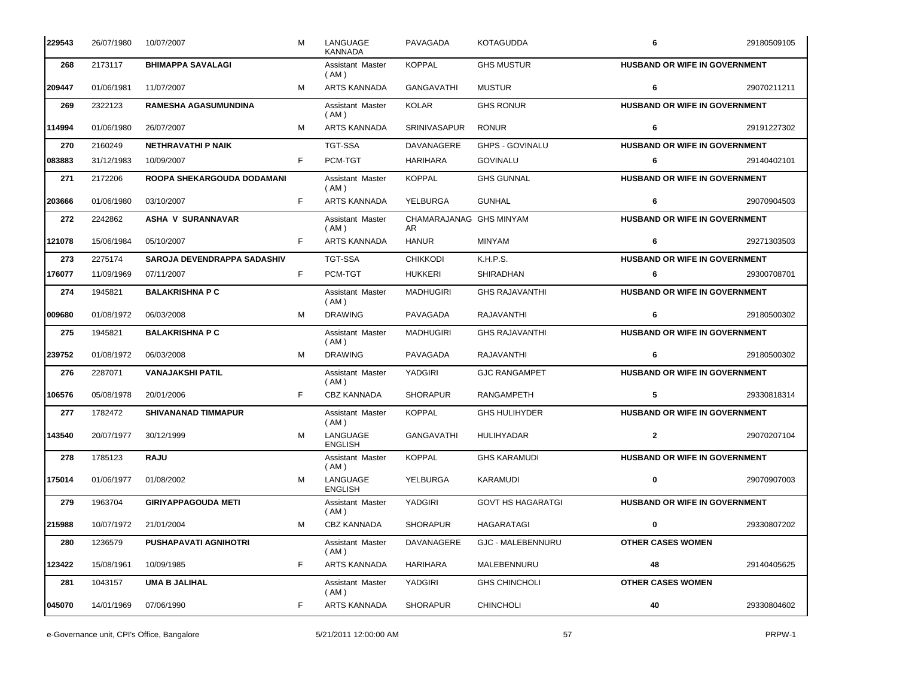| 229543 | 26/07/1980 | 10/07/2007                  | м  | LANGUAGE<br><b>KANNADA</b> | PAVAGADA                       | <b>KOTAGUDDA</b>         | 6                                    | 29180509105 |
|--------|------------|-----------------------------|----|----------------------------|--------------------------------|--------------------------|--------------------------------------|-------------|
| 268    | 2173117    | <b>BHIMAPPA SAVALAGI</b>    |    | Assistant Master<br>(AM)   | <b>KOPPAL</b>                  | <b>GHS MUSTUR</b>        | HUSBAND OR WIFE IN GOVERNMENT        |             |
| 209447 | 01/06/1981 | 11/07/2007                  | м  | ARTS KANNADA               | <b>GANGAVATHI</b>              | <b>MUSTUR</b>            | 6                                    | 29070211211 |
| 269    | 2322123    | <b>RAMESHA AGASUMUNDINA</b> |    | Assistant Master<br>(AM)   | <b>KOLAR</b>                   | <b>GHS RONUR</b>         | HUSBAND OR WIFE IN GOVERNMENT        |             |
| 114994 | 01/06/1980 | 26/07/2007                  | м  | <b>ARTS KANNADA</b>        | <b>SRINIVASAPUR</b>            | <b>RONUR</b>             | 6                                    | 29191227302 |
| 270    | 2160249    | <b>NETHRAVATHI P NAIK</b>   |    | <b>TGT-SSA</b>             | <b>DAVANAGERE</b>              | <b>GHPS - GOVINALU</b>   | <b>HUSBAND OR WIFE IN GOVERNMENT</b> |             |
| 083883 | 31/12/1983 | 10/09/2007                  | F. | PCM-TGT                    | HARIHARA                       | <b>GOVINALU</b>          | 6                                    | 29140402101 |
| 271    | 2172206    | ROOPA SHEKARGOUDA DODAMANI  |    | Assistant Master<br>(AM)   | <b>KOPPAL</b>                  | <b>GHS GUNNAL</b>        | <b>HUSBAND OR WIFE IN GOVERNMENT</b> |             |
| 203666 | 01/06/1980 | 03/10/2007                  | F. | <b>ARTS KANNADA</b>        | YELBURGA                       | <b>GUNHAL</b>            | 6                                    | 29070904503 |
| 272    | 2242862    | <b>ASHA V SURANNAVAR</b>    |    | Assistant Master<br>(AM)   | CHAMARAJANAG GHS MINYAM<br>AR. |                          | HUSBAND OR WIFE IN GOVERNMENT        |             |
| 121078 | 15/06/1984 | 05/10/2007                  | F. | <b>ARTS KANNADA</b>        | <b>HANUR</b>                   | MINYAM                   | 6                                    | 29271303503 |
| 273    | 2275174    | SAROJA DEVENDRAPPA SADASHIV |    | <b>TGT-SSA</b>             | <b>CHIKKODI</b>                | K.H.P.S.                 | HUSBAND OR WIFE IN GOVERNMENT        |             |
| 176077 | 11/09/1969 | 07/11/2007                  | F. | PCM-TGT                    | <b>HUKKERI</b>                 | SHIRADHAN                | 6                                    | 29300708701 |
| 274    | 1945821    | <b>BALAKRISHNA P C</b>      |    | Assistant Master<br>(AM)   | <b>MADHUGIRI</b>               | <b>GHS RAJAVANTHI</b>    | <b>HUSBAND OR WIFE IN GOVERNMENT</b> |             |
| 009680 | 01/08/1972 | 06/03/2008                  | м  | <b>DRAWING</b>             | PAVAGADA                       | RAJAVANTHI               | 6                                    | 29180500302 |
| 275    | 1945821    | <b>BALAKRISHNA P C</b>      |    | Assistant Master<br>(AM)   | MADHUGIRI                      | <b>GHS RAJAVANTHI</b>    | HUSBAND OR WIFE IN GOVERNMENT        |             |
| 239752 | 01/08/1972 | 06/03/2008                  | м  | <b>DRAWING</b>             | PAVAGADA                       | RAJAVANTHI               | 6                                    | 29180500302 |
| 276    | 2287071    | <b>VANAJAKSHI PATIL</b>     |    | Assistant Master<br>(AM)   | YADGIRI                        | <b>GJC RANGAMPET</b>     | HUSBAND OR WIFE IN GOVERNMENT        |             |
| 106576 | 05/08/1978 | 20/01/2006                  | F. | <b>CBZ KANNADA</b>         | <b>SHORAPUR</b>                | <b>RANGAMPETH</b>        | 5                                    | 29330818314 |
| 277    | 1782472    | <b>SHIVANANAD TIMMAPUR</b>  |    | Assistant Master<br>(AM)   | <b>KOPPAL</b>                  | <b>GHS HULIHYDER</b>     | <b>HUSBAND OR WIFE IN GOVERNMENT</b> |             |
| 143540 | 20/07/1977 | 30/12/1999                  | M  | LANGUAGE<br><b>ENGLISH</b> | <b>GANGAVATHI</b>              | <b>HULIHYADAR</b>        | $\mathbf{2}$                         | 29070207104 |
| 278    | 1785123    | <b>RAJU</b>                 |    | Assistant Master<br>(AM)   | <b>KOPPAL</b>                  | <b>GHS KARAMUDI</b>      | HUSBAND OR WIFE IN GOVERNMENT        |             |
| 175014 | 01/06/1977 | 01/08/2002                  | M  | LANGUAGE<br><b>ENGLISH</b> | YELBURGA                       | KARAMUDI                 | $\mathbf 0$                          | 29070907003 |
| 279    | 1963704    | <b>GIRIYAPPAGOUDA METI</b>  |    | Assistant Master<br>(AM)   | YADGIRI                        | <b>GOVT HS HAGARATGI</b> | HUSBAND OR WIFE IN GOVERNMENT        |             |
| 215988 | 10/07/1972 | 21/01/2004                  | м  | CBZ KANNADA                | <b>SHORAPUR</b>                | HAGARATAGI               | 0                                    | 29330807202 |
| 280    | 1236579    | PUSHAPAVATI AGNIHOTRI       |    | Assistant Master<br>(AM)   | DAVANAGERE                     | <b>GJC - MALEBENNURU</b> | <b>OTHER CASES WOMEN</b>             |             |
| 123422 | 15/08/1961 | 10/09/1985                  | F  | ARTS KANNADA               | <b>HARIHARA</b>                | MALEBENNURU              | 48                                   | 29140405625 |
| 281    | 1043157    | <b>UMA B JALIHAL</b>        |    | Assistant Master<br>( AM ) | YADGIRI                        | <b>GHS CHINCHOLI</b>     | <b>OTHER CASES WOMEN</b>             |             |
| 045070 | 14/01/1969 | 07/06/1990                  | F. | ARTS KANNADA               | <b>SHORAPUR</b>                | <b>CHINCHOLI</b>         | 40                                   | 29330804602 |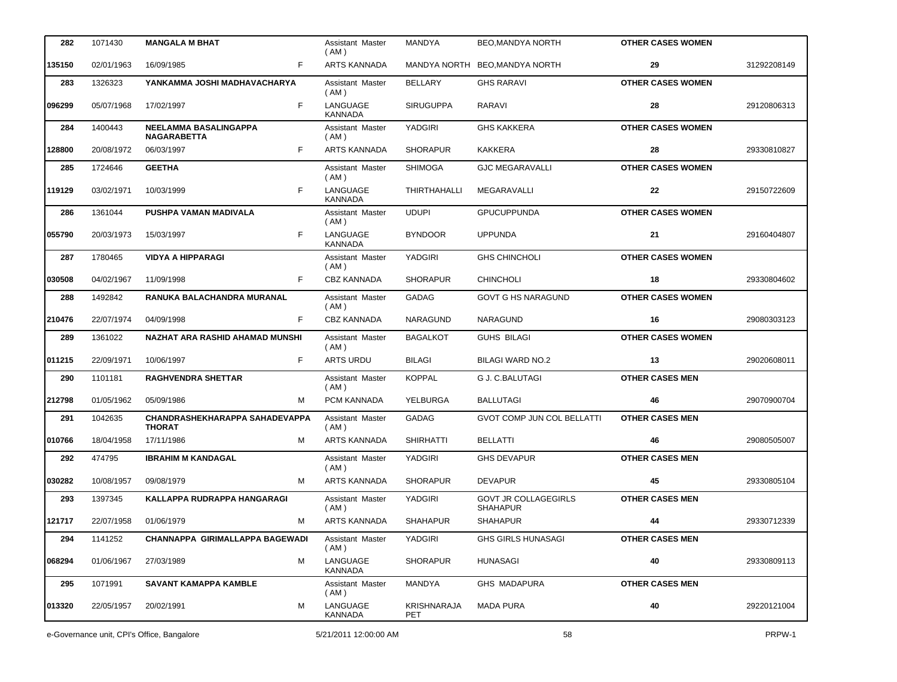| 282    | 1071430    | <b>MANGALA M BHAT</b>                                  | Assistant Master<br>(AM)   | MANDYA             | <b>BEO, MANDYA NORTH</b>                | <b>OTHER CASES WOMEN</b> |             |
|--------|------------|--------------------------------------------------------|----------------------------|--------------------|-----------------------------------------|--------------------------|-------------|
| 135150 | 02/01/1963 | F<br>16/09/1985                                        | <b>ARTS KANNADA</b>        |                    | MANDYA NORTH BEO, MANDYA NORTH          | 29                       | 31292208149 |
| 283    | 1326323    | YANKAMMA JOSHI MADHAVACHARYA                           | Assistant Master<br>(AM)   | <b>BELLARY</b>     | <b>GHS RARAVI</b>                       | <b>OTHER CASES WOMEN</b> |             |
| 096299 | 05/07/1968 | F<br>17/02/1997                                        | LANGUAGE<br>KANNADA        | <b>SIRUGUPPA</b>   | RARAVI                                  | 28                       | 29120806313 |
| 284    | 1400443    | NEELAMMA BASALINGAPPA<br><b>NAGARABETTA</b>            | Assistant Master<br>( AM ) | YADGIRI            | <b>GHS KAKKERA</b>                      | <b>OTHER CASES WOMEN</b> |             |
| 128800 | 20/08/1972 | 06/03/1997<br>F.                                       | <b>ARTS KANNADA</b>        | <b>SHORAPUR</b>    | <b>KAKKERA</b>                          | 28                       | 29330810827 |
| 285    | 1724646    | <b>GEETHA</b>                                          | Assistant Master<br>(AM)   | <b>SHIMOGA</b>     | <b>GJC MEGARAVALLI</b>                  | <b>OTHER CASES WOMEN</b> |             |
| 119129 | 03/02/1971 | F<br>10/03/1999                                        | LANGUAGE<br><b>KANNADA</b> | THIRTHAHALLI       | MEGARAVALLI                             | 22                       | 29150722609 |
| 286    | 1361044    | PUSHPA VAMAN MADIVALA                                  | Assistant Master<br>(AM)   | <b>UDUPI</b>       | <b>GPUCUPPUNDA</b>                      | <b>OTHER CASES WOMEN</b> |             |
| 055790 | 20/03/1973 | F<br>15/03/1997                                        | LANGUAGE<br><b>KANNADA</b> | <b>BYNDOOR</b>     | <b>UPPUNDA</b>                          | 21                       | 29160404807 |
| 287    | 1780465    | <b>VIDYA A HIPPARAGI</b>                               | Assistant Master<br>(AM)   | YADGIRI            | <b>GHS CHINCHOLI</b>                    | <b>OTHER CASES WOMEN</b> |             |
| 030508 | 04/02/1967 | F<br>11/09/1998                                        | <b>CBZ KANNADA</b>         | <b>SHORAPUR</b>    | <b>CHINCHOLI</b>                        | 18                       | 29330804602 |
| 288    | 1492842    | RANUKA BALACHANDRA MURANAL                             | Assistant Master<br>(AM)   | <b>GADAG</b>       | <b>GOVT G HS NARAGUND</b>               | <b>OTHER CASES WOMEN</b> |             |
| 210476 | 22/07/1974 | F<br>04/09/1998                                        | <b>CBZ KANNADA</b>         | NARAGUND           | <b>NARAGUND</b>                         | 16                       | 29080303123 |
| 289    | 1361022    | NAZHAT ARA RASHID AHAMAD MUNSHI                        | Assistant Master<br>(AM)   | <b>BAGALKOT</b>    | <b>GUHS BILAGI</b>                      | <b>OTHER CASES WOMEN</b> |             |
| 011215 | 22/09/1971 | F.<br>10/06/1997                                       | ARTS URDU                  | <b>BILAGI</b>      | <b>BILAGI WARD NO.2</b>                 | 13                       | 29020608011 |
| 290    | 1101181    | <b>RAGHVENDRA SHETTAR</b>                              | Assistant Master<br>(AM)   | <b>KOPPAL</b>      | <b>G J. C.BALUTAGI</b>                  | <b>OTHER CASES MEN</b>   |             |
| 212798 | 01/05/1962 | 05/09/1986<br>м                                        | PCM KANNADA                | YELBURGA           | <b>BALLUTAGI</b>                        | 46                       | 29070900704 |
| 291    | 1042635    | <b>CHANDRASHEKHARAPPA SAHADEVAPPA</b><br><b>THORAT</b> | Assistant Master<br>(AM)   | <b>GADAG</b>       | <b>GVOT COMP JUN COL BELLATTI</b>       | <b>OTHER CASES MEN</b>   |             |
| 010766 | 18/04/1958 | 17/11/1986<br>м                                        | ARTS KANNADA               | <b>SHIRHATTI</b>   | <b>BELLATTI</b>                         | 46                       | 29080505007 |
| 292    | 474795     | <b>IBRAHIM M KANDAGAL</b>                              | Assistant Master<br>(AM)   | YADGIRI            | <b>GHS DEVAPUR</b>                      | <b>OTHER CASES MEN</b>   |             |
| 030282 | 10/08/1957 | 09/08/1979                                             | ARTS KANNADA               | <b>SHORAPUR</b>    | <b>DEVAPUR</b>                          | 45                       | 29330805104 |
| 293    | 1397345    | KALLAPPA RUDRAPPA HANGARAGI                            | Assistant Master<br>(AM)   | YADGIRI            | <b>GOVT JR COLLAGEGIRLS</b><br>SHAHAPUR | <b>OTHER CASES MEN</b>   |             |
| 121717 | 22/07/1958 | 01/06/1979<br>м                                        | <b>ARTS KANNADA</b>        | <b>SHAHAPUR</b>    | <b>SHAHAPUR</b>                         | 44                       | 29330712339 |
| 294    | 1141252    | CHANNAPPA GIRIMALLAPPA BAGEWADI                        | Assistant Master<br>(AM)   | YADGIRI            | <b>GHS GIRLS HUNASAGI</b>               | <b>OTHER CASES MEN</b>   |             |
| 068294 | 01/06/1967 | 27/03/1989<br>м                                        | LANGUAGE<br>KANNADA        | <b>SHORAPUR</b>    | <b>HUNASAGI</b>                         | 40                       | 29330809113 |
| 295    | 1071991    | <b>SAVANT KAMAPPA KAMBLE</b>                           | Assistant Master<br>( AM ) | <b>MANDYA</b>      | <b>GHS MADAPURA</b>                     | <b>OTHER CASES MEN</b>   |             |
| 013320 | 22/05/1957 | 20/02/1991<br>м                                        | LANGUAGE<br>KANNADA        | KRISHNARAJA<br>PET | MADA PURA                               | 40                       | 29220121004 |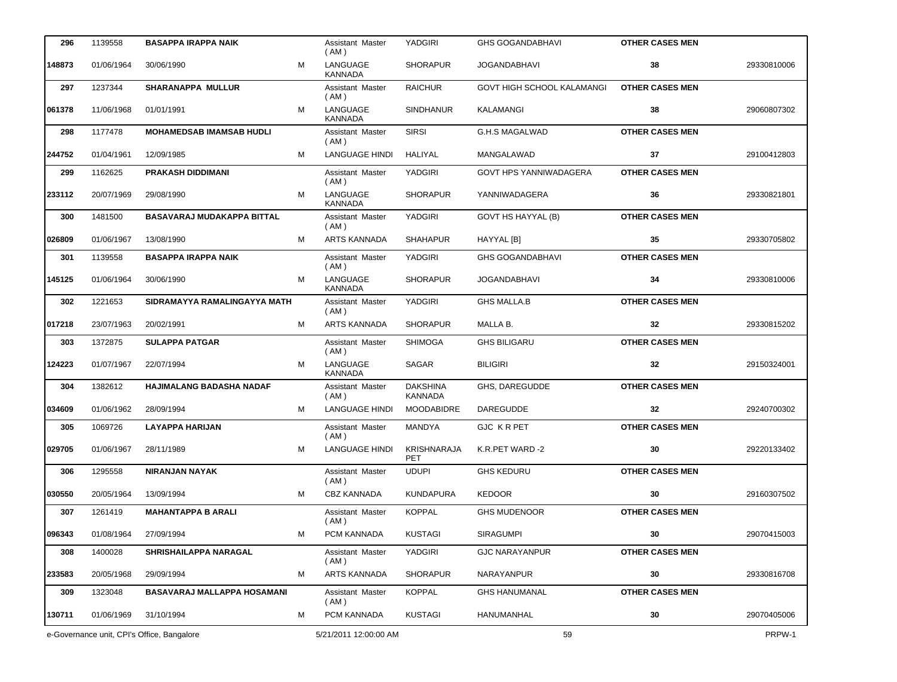| 296    | 1139558    | <b>BASAPPA IRAPPA NAIK</b>                 |   | Assistant Master<br>(AM)   | <b>YADGIRI</b>                    | <b>GHS GOGANDABHAVI</b>           | <b>OTHER CASES MEN</b> |             |
|--------|------------|--------------------------------------------|---|----------------------------|-----------------------------------|-----------------------------------|------------------------|-------------|
| 148873 | 01/06/1964 | 30/06/1990                                 | M | LANGUAGE<br><b>KANNADA</b> | <b>SHORAPUR</b>                   | JOGANDABHAVI                      | 38                     | 29330810006 |
| 297    | 1237344    | <b>SHARANAPPA MULLUR</b>                   |   | Assistant Master<br>(AM)   | <b>RAICHUR</b>                    | <b>GOVT HIGH SCHOOL KALAMANGI</b> | <b>OTHER CASES MEN</b> |             |
| 061378 | 11/06/1968 | 01/01/1991                                 | M | LANGUAGE<br>KANNADA        | <b>SINDHANUR</b>                  | <b>KALAMANGI</b>                  | 38                     | 29060807302 |
| 298    | 1177478    | <b>MOHAMEDSAB IMAMSAB HUDLI</b>            |   | Assistant Master<br>(AM)   | <b>SIRSI</b>                      | <b>G.H.S MAGALWAD</b>             | <b>OTHER CASES MEN</b> |             |
| 244752 | 01/04/1961 | 12/09/1985                                 | м | <b>LANGUAGE HINDI</b>      | HALIYAL                           | MANGALAWAD                        | 37                     | 29100412803 |
| 299    | 1162625    | <b>PRAKASH DIDDIMANI</b>                   |   | Assistant Master<br>(AM)   | <b>YADGIRI</b>                    | GOVT HPS YANNIWADAGERA            | <b>OTHER CASES MEN</b> |             |
| 233112 | 20/07/1969 | 29/08/1990                                 | М | LANGUAGE<br><b>KANNADA</b> | <b>SHORAPUR</b>                   | YANNIWADAGERA                     | 36                     | 29330821801 |
| 300    | 1481500    | <b>BASAVARAJ MUDAKAPPA BITTAL</b>          |   | Assistant Master<br>(AM)   | YADGIRI                           | GOVT HS HAYYAL (B)                | <b>OTHER CASES MEN</b> |             |
| 026809 | 01/06/1967 | 13/08/1990                                 | м | <b>ARTS KANNADA</b>        | <b>SHAHAPUR</b>                   | <b>HAYYAL [B]</b>                 | 35                     | 29330705802 |
| 301    | 1139558    | <b>BASAPPA IRAPPA NAIK</b>                 |   | Assistant Master<br>(AM)   | YADGIRI                           | <b>GHS GOGANDABHAVI</b>           | <b>OTHER CASES MEN</b> |             |
| 145125 | 01/06/1964 | 30/06/1990                                 | м | LANGUAGE<br><b>KANNADA</b> | <b>SHORAPUR</b>                   | <b>JOGANDABHAVI</b>               | 34                     | 29330810006 |
| 302    | 1221653    | SIDRAMAYYA RAMALINGAYYA MATH               |   | Assistant Master<br>(AM)   | <b>YADGIRI</b>                    | <b>GHS MALLA.B</b>                | <b>OTHER CASES MEN</b> |             |
| 017218 | 23/07/1963 | 20/02/1991                                 | м | <b>ARTS KANNADA</b>        | <b>SHORAPUR</b>                   | MALLA B.                          | 32                     | 29330815202 |
| 303    | 1372875    | <b>SULAPPA PATGAR</b>                      |   | Assistant Master<br>(AM)   | <b>SHIMOGA</b>                    | <b>GHS BILIGARU</b>               | <b>OTHER CASES MEN</b> |             |
| 124223 | 01/07/1967 | 22/07/1994                                 | м | LANGUAGE<br><b>KANNADA</b> | SAGAR                             | <b>BILIGIRI</b>                   | 32                     | 29150324001 |
| 304    | 1382612    | <b>HAJIMALANG BADASHA NADAF</b>            |   | Assistant Master<br>(AM)   | <b>DAKSHINA</b><br><b>KANNADA</b> | GHS, DAREGUDDE                    | <b>OTHER CASES MEN</b> |             |
| 034609 | 01/06/1962 | 28/09/1994                                 | м | <b>LANGUAGE HINDI</b>      | <b>MOODABIDRE</b>                 | <b>DAREGUDDE</b>                  | 32                     | 29240700302 |
| 305    | 1069726    | LAYAPPA HARIJAN                            |   | Assistant Master<br>(AM)   | <b>MANDYA</b>                     | GJC KRPET                         | <b>OTHER CASES MEN</b> |             |
| 029705 | 01/06/1967 | 28/11/1989                                 | м | <b>LANGUAGE HINDI</b>      | <b>KRISHNARAJA</b><br><b>PET</b>  | K.R.PET WARD -2                   | 30                     | 29220133402 |
| 306    | 1295558    | <b>NIRANJAN NAYAK</b>                      |   | Assistant Master<br>(AM)   | <b>UDUPI</b>                      | <b>GHS KEDURU</b>                 | <b>OTHER CASES MEN</b> |             |
| 030550 | 20/05/1964 | 13/09/1994                                 | м | <b>CBZ KANNADA</b>         | <b>KUNDAPURA</b>                  | <b>KEDOOR</b>                     | 30                     | 29160307502 |
| 307    | 1261419    | <b>MAHANTAPPA B ARALI</b>                  |   | Assistant Master<br>(AM)   | <b>KOPPAL</b>                     | <b>GHS MUDENOOR</b>               | <b>OTHER CASES MEN</b> |             |
| 096343 | 01/08/1964 | 27/09/1994                                 | м | PCM KANNADA                | <b>KUSTAGI</b>                    | <b>SIRAGUMPI</b>                  | 30                     | 29070415003 |
| 308    | 1400028    | SHRISHAILAPPA NARAGAL                      |   | Assistant Master<br>(AM)   | YADGIRI                           | <b>GJC NARAYANPUR</b>             | <b>OTHER CASES MEN</b> |             |
| 233583 | 20/05/1968 | 29/09/1994                                 | м | ARTS KANNADA               | <b>SHORAPUR</b>                   | NARAYANPUR                        | 30                     | 29330816708 |
| 309    | 1323048    | BASAVARAJ MALLAPPA HOSAMANI                |   | Assistant Master<br>(AM)   | <b>KOPPAL</b>                     | <b>GHS HANUMANAL</b>              | <b>OTHER CASES MEN</b> |             |
| 130711 | 01/06/1969 | 31/10/1994                                 | м | PCM KANNADA                | <b>KUSTAGI</b>                    | HANUMANHAL                        | 30                     | 29070405006 |
|        |            | e-Governance unit, CPI's Office, Bangalore |   | 5/21/2011 12:00:00 AM      |                                   | 59                                |                        | PRPW-1      |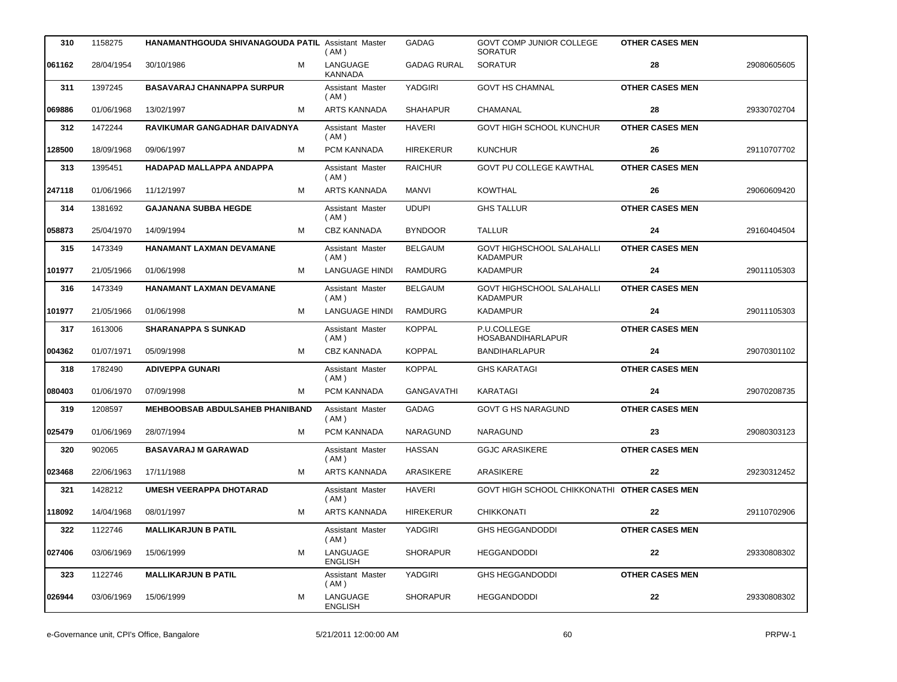| 310    | 1158275    | <b>HANAMANTHGOUDA SHIVANAGOUDA PATIL Assistant Master</b> | (AM)                       | <b>GADAG</b>       | <b>GOVT COMP JUNIOR COLLEGE</b><br><b>SORATUR</b> | <b>OTHER CASES MEN</b> |             |
|--------|------------|-----------------------------------------------------------|----------------------------|--------------------|---------------------------------------------------|------------------------|-------------|
| 061162 | 28/04/1954 | м<br>30/10/1986                                           | LANGUAGE<br><b>KANNADA</b> | <b>GADAG RURAL</b> | <b>SORATUR</b>                                    | 28                     | 29080605605 |
| 311    | 1397245    | <b>BASAVARAJ CHANNAPPA SURPUR</b>                         | Assistant Master<br>(AM)   | YADGIRI            | <b>GOVT HS CHAMNAL</b>                            | <b>OTHER CASES MEN</b> |             |
| 069886 | 01/06/1968 | 13/02/1997<br>М                                           | <b>ARTS KANNADA</b>        | <b>SHAHAPUR</b>    | CHAMANAL                                          | 28                     | 29330702704 |
| 312    | 1472244    | RAVIKUMAR GANGADHAR DAIVADNYA                             | Assistant Master<br>(AM)   | <b>HAVERI</b>      | GOVT HIGH SCHOOL KUNCHUR                          | <b>OTHER CASES MEN</b> |             |
| 128500 | 18/09/1968 | 09/06/1997<br>м                                           | PCM KANNADA                | <b>HIREKERUR</b>   | <b>KUNCHUR</b>                                    | 26                     | 29110707702 |
| 313    | 1395451    | HADAPAD MALLAPPA ANDAPPA                                  | Assistant Master<br>(AM)   | <b>RAICHUR</b>     | <b>GOVT PU COLLEGE KAWTHAL</b>                    | <b>OTHER CASES MEN</b> |             |
| 247118 | 01/06/1966 | 11/12/1997<br>м                                           | <b>ARTS KANNADA</b>        | MANVI              | <b>KOWTHAL</b>                                    | 26                     | 29060609420 |
| 314    | 1381692    | <b>GAJANANA SUBBA HEGDE</b>                               | Assistant Master<br>(AM)   | <b>UDUPI</b>       | <b>GHS TALLUR</b>                                 | <b>OTHER CASES MEN</b> |             |
| 058873 | 25/04/1970 | 14/09/1994<br>м                                           | <b>CBZ KANNADA</b>         | <b>BYNDOOR</b>     | <b>TALLUR</b>                                     | 24                     | 29160404504 |
| 315    | 1473349    | <b>HANAMANT LAXMAN DEVAMANE</b>                           | Assistant Master<br>(AM)   | <b>BELGAUM</b>     | GOVT HIGHSCHOOL SALAHALLI<br>KADAMPUR             | <b>OTHER CASES MEN</b> |             |
| 101977 | 21/05/1966 | 01/06/1998<br>м                                           | <b>LANGUAGE HINDI</b>      | <b>RAMDURG</b>     | <b>KADAMPUR</b>                                   | 24                     | 29011105303 |
| 316    | 1473349    | <b>HANAMANT LAXMAN DEVAMANE</b>                           | Assistant Master<br>(AM)   | <b>BELGAUM</b>     | GOVT HIGHSCHOOL SALAHALLI<br><b>KADAMPUR</b>      | <b>OTHER CASES MEN</b> |             |
| 101977 | 21/05/1966 | 01/06/1998<br>м                                           | <b>LANGUAGE HINDI</b>      | <b>RAMDURG</b>     | KADAMPUR                                          | 24                     | 29011105303 |
| 317    | 1613006    | SHARANAPPA S SUNKAD                                       | Assistant Master<br>(AM)   | <b>KOPPAL</b>      | P.U.COLLEGE<br><b>HOSABANDIHARLAPUR</b>           | <b>OTHER CASES MEN</b> |             |
| 004362 | 01/07/1971 | 05/09/1998<br>м                                           | CBZ KANNADA                | <b>KOPPAL</b>      | <b>BANDIHARLAPUR</b>                              | 24                     | 29070301102 |
| 318    | 1782490    | <b>ADIVEPPA GUNARI</b>                                    | Assistant Master<br>(AM)   | <b>KOPPAL</b>      | <b>GHS KARATAGI</b>                               | <b>OTHER CASES MEN</b> |             |
| 080403 | 01/06/1970 | 07/09/1998<br>м                                           | PCM KANNADA                | GANGAVATHI         | KARATAGI                                          | 24                     | 29070208735 |
| 319    | 1208597    | <b>MEHBOOBSAB ABDULSAHEB PHANIBAND</b>                    | Assistant Master<br>(AM)   | <b>GADAG</b>       | <b>GOVT G HS NARAGUND</b>                         | <b>OTHER CASES MEN</b> |             |
| 025479 | 01/06/1969 | 28/07/1994<br>м                                           | PCM KANNADA                | NARAGUND           | <b>NARAGUND</b>                                   | 23                     | 29080303123 |
| 320    | 902065     | BASAVARAJ M GARAWAD                                       | Assistant Master<br>(AM)   | <b>HASSAN</b>      | <b>GGJC ARASIKERE</b>                             | <b>OTHER CASES MEN</b> |             |
| 023468 | 22/06/1963 | 17/11/1988<br>М                                           | <b>ARTS KANNADA</b>        | ARASIKERE          | ARASIKERE                                         | 22                     | 29230312452 |
| 321    | 1428212    | UMESH VEERAPPA DHOTARAD                                   | Assistant Master<br>(AM)   | <b>HAVERI</b>      | GOVT HIGH SCHOOL CHIKKONATHI OTHER CASES MEN      |                        |             |
| 118092 | 14/04/1968 | 08/01/1997<br>М                                           | <b>ARTS KANNADA</b>        | <b>HIREKERUR</b>   | <b>CHIKKONATI</b>                                 | 22                     | 29110702906 |
| 322    | 1122746    | <b>MALLIKARJUN B PATIL</b>                                | Assistant Master<br>(AM)   | YADGIRI            | <b>GHS HEGGANDODDI</b>                            | <b>OTHER CASES MEN</b> |             |
| 027406 | 03/06/1969 | 15/06/1999<br>М                                           | LANGUAGE<br><b>ENGLISH</b> | <b>SHORAPUR</b>    | <b>HEGGANDODDI</b>                                | 22                     | 29330808302 |
| 323    | 1122746    | <b>MALLIKARJUN B PATIL</b>                                | Assistant Master<br>(AM)   | YADGIRI            | <b>GHS HEGGANDODDI</b>                            | <b>OTHER CASES MEN</b> |             |
| 026944 | 03/06/1969 | 15/06/1999<br>М                                           | LANGUAGE<br><b>ENGLISH</b> | <b>SHORAPUR</b>    | <b>HEGGANDODDI</b>                                | 22                     | 29330808302 |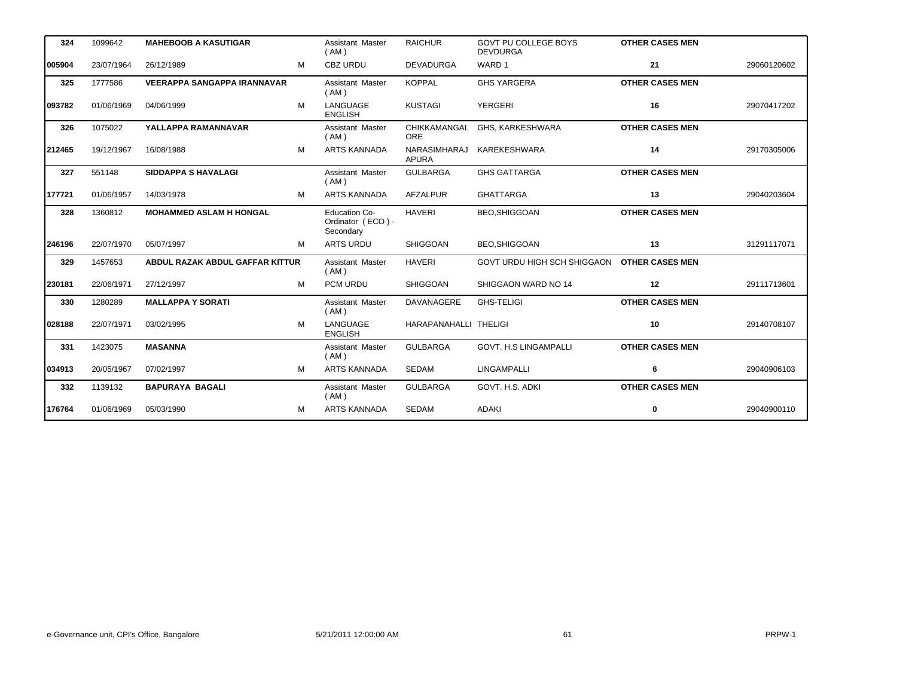| 324    | 1099642    | <b>MAHEBOOB A KASUTIGAR</b>            |   | Assistant Master<br>(AM)                               | <b>RAICHUR</b>                      | <b>GOVT PU COLLEGE BOYS</b><br><b>DEVDURGA</b> | <b>OTHER CASES MEN</b> |             |
|--------|------------|----------------------------------------|---|--------------------------------------------------------|-------------------------------------|------------------------------------------------|------------------------|-------------|
| 005904 | 23/07/1964 | 26/12/1989                             | M | <b>CBZ URDU</b>                                        | <b>DEVADURGA</b>                    | WARD 1                                         | 21                     | 29060120602 |
| 325    | 1777586    | <b>VEERAPPA SANGAPPA IRANNAVAR</b>     |   | Assistant Master<br>(AM)                               | <b>KOPPAL</b>                       | <b>GHS YARGERA</b>                             | <b>OTHER CASES MEN</b> |             |
| 093782 | 01/06/1969 | 04/06/1999                             | M | LANGUAGE<br><b>ENGLISH</b>                             | <b>KUSTAGI</b>                      | <b>YERGERI</b>                                 | 16                     | 29070417202 |
| 326    | 1075022    | YALLAPPA RAMANNAVAR                    |   | Assistant Master<br>(AM)                               | CHIKKAMANGAL<br><b>ORE</b>          | GHS, KARKESHWARA                               | <b>OTHER CASES MEN</b> |             |
| 212465 | 19/12/1967 | 16/08/1988                             | м | <b>ARTS KANNADA</b>                                    | <b>NARASIMHARAJ</b><br><b>APURA</b> | KAREKESHWARA                                   | 14                     | 29170305006 |
| 327    | 551148     | <b>SIDDAPPA S HAVALAGI</b>             |   | Assistant Master<br>(AM)                               | <b>GULBARGA</b>                     | <b>GHS GATTARGA</b>                            | <b>OTHER CASES MEN</b> |             |
| 177721 | 01/06/1957 | 14/03/1978                             | м | <b>ARTS KANNADA</b>                                    | <b>AFZALPUR</b>                     | <b>GHATTARGA</b>                               | 13                     | 29040203604 |
| 328    | 1360812    | <b>MOHAMMED ASLAM H HONGAL</b>         |   | <b>Education Co-</b><br>Ordinator (ECO) -<br>Secondary | <b>HAVERI</b>                       | <b>BEO, SHIGGOAN</b>                           | <b>OTHER CASES MEN</b> |             |
| 246196 | 22/07/1970 | 05/07/1997                             | M | <b>ARTS URDU</b>                                       | <b>SHIGGOAN</b>                     | <b>BEO, SHIGGOAN</b>                           | 13                     | 31291117071 |
| 329    | 1457653    | <b>ABDUL RAZAK ABDUL GAFFAR KITTUR</b> |   | Assistant Master<br>(AM)                               | <b>HAVERI</b>                       | GOVT URDU HIGH SCH SHIGGAON                    | <b>OTHER CASES MEN</b> |             |
| 230181 | 22/06/1971 | 27/12/1997                             | M | PCM URDU                                               | SHIGGOAN                            | SHIGGAON WARD NO 14                            | 12                     | 29111713601 |
| 330    | 1280289    | <b>MALLAPPA Y SORATI</b>               |   | Assistant Master<br>(AM)                               | DAVANAGERE                          | <b>GHS-TELIGI</b>                              | <b>OTHER CASES MEN</b> |             |
| 028188 | 22/07/1971 | 03/02/1995                             | M | LANGUAGE<br><b>ENGLISH</b>                             | HARAPANAHALLI THELIGI               |                                                | 10                     | 29140708107 |
| 331    | 1423075    | <b>MASANNA</b>                         |   | Assistant Master<br>(AM)                               | <b>GULBARGA</b>                     | GOVT. H.S LINGAMPALLI                          | <b>OTHER CASES MEN</b> |             |
| 034913 | 20/05/1967 | 07/02/1997                             | м | <b>ARTS KANNADA</b>                                    | <b>SEDAM</b>                        | <b>LINGAMPALLI</b>                             | 6                      | 29040906103 |
| 332    | 1139132    | <b>BAPURAYA BAGALI</b>                 |   | Assistant Master<br>(AM)                               | <b>GULBARGA</b>                     | GOVT. H.S. ADKI                                | <b>OTHER CASES MEN</b> |             |
| 176764 | 01/06/1969 | 05/03/1990                             | М | <b>ARTS KANNADA</b>                                    | <b>SEDAM</b>                        | <b>ADAKI</b>                                   | 0                      | 29040900110 |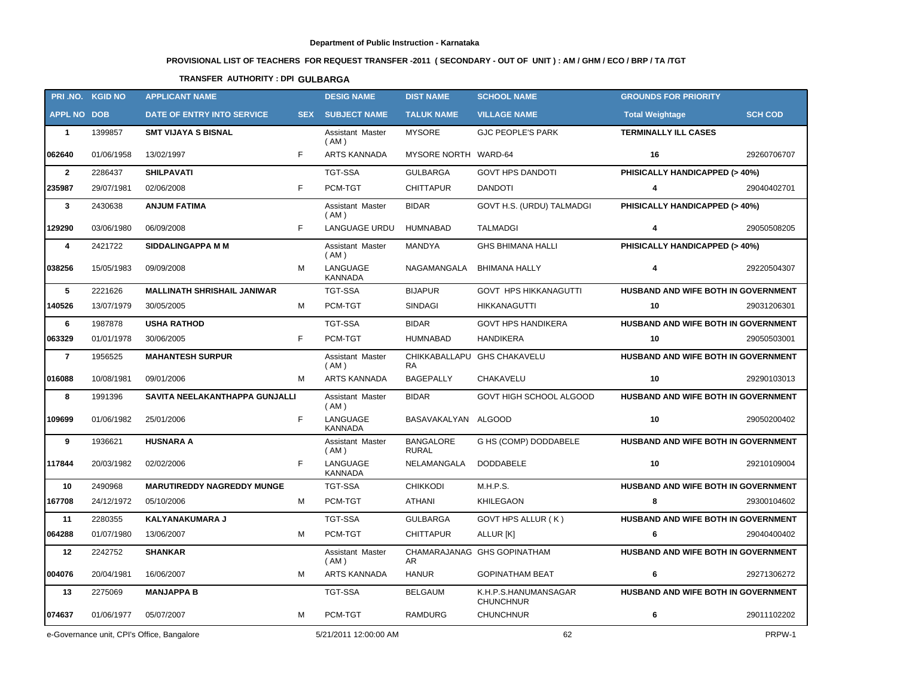# **PROVISIONAL LIST OF TEACHERS FOR REQUEST TRANSFER -2011 ( SECONDARY - OUT OF UNIT ) : AM / GHM / ECO / BRP / TA /TGT**

## **TRANSFER AUTHORITY : DPI GULBARGA**

| PRI.NO. KGID NO                            |                       | <b>APPLICANT NAME</b>              |                       | <b>DESIG NAME</b>               | <b>DIST NAME</b>                 | <b>SCHOOL NAME</b>                       | <b>GROUNDS FOR PRIORITY</b>         |                |
|--------------------------------------------|-----------------------|------------------------------------|-----------------------|---------------------------------|----------------------------------|------------------------------------------|-------------------------------------|----------------|
| <b>APPL NO DOB</b>                         |                       | DATE OF ENTRY INTO SERVICE         | <b>SEX</b>            | <b>SUBJECT NAME</b>             | <b>TALUK NAME</b>                | <b>VILLAGE NAME</b>                      | <b>Total Weightage</b>              | <b>SCH COD</b> |
| $\mathbf{1}$                               | 1399857               | <b>SMT VIJAYA S BISNAL</b>         |                       | Assistant Master<br>(AM)        | <b>MYSORE</b>                    | <b>GJC PEOPLE'S PARK</b>                 | <b>TERMINALLY ILL CASES</b>         |                |
| 062640                                     | 01/06/1958            | 13/02/1997                         | F.                    | ARTS KANNADA                    | MYSORE NORTH WARD-64             |                                          | 16                                  | 29260706707    |
| $\overline{2}$                             | 2286437               | <b>SHILPAVATI</b>                  |                       | <b>TGT-SSA</b>                  | <b>GULBARGA</b>                  | <b>GOVT HPS DANDOTI</b>                  | PHISICALLY HANDICAPPED (> 40%)      |                |
| 235987                                     | 29/07/1981            | 02/06/2008                         | F.                    | PCM-TGT                         | <b>CHITTAPUR</b>                 | <b>DANDOTI</b>                           | 4                                   | 29040402701    |
| $\mathbf{3}$                               | 2430638               | <b>ANJUM FATIMA</b>                |                       | <b>Assistant Master</b><br>(AM) | <b>BIDAR</b>                     | GOVT H.S. (URDU) TALMADGI                | PHISICALLY HANDICAPPED (> 40%)      |                |
| 129290                                     | 03/06/1980            | 06/09/2008                         | F.                    | <b>LANGUAGE URDU</b>            | HUMNABAD                         | <b>TALMADGI</b>                          | 4                                   | 29050508205    |
| 4                                          | 2421722               | <b>SIDDALINGAPPA M M</b>           |                       | Assistant Master<br>(AM)        | MANDYA                           | <b>GHS BHIMANA HALLI</b>                 | PHISICALLY HANDICAPPED (> 40%)      |                |
| 038256                                     | 15/05/1983            | 09/09/2008                         | M                     | LANGUAGE<br><b>KANNADA</b>      | NAGAMANGALA                      | <b>BHIMANA HALLY</b>                     | 4                                   | 29220504307    |
| 5                                          | 2221626               | <b>MALLINATH SHRISHAIL JANIWAR</b> |                       | <b>TGT-SSA</b>                  | <b>BIJAPUR</b>                   | <b>GOVT HPS HIKKANAGUTTI</b>             | HUSBAND AND WIFE BOTH IN GOVERNMENT |                |
| 140526                                     | 13/07/1979            | 30/05/2005                         | м                     | PCM-TGT                         | <b>SINDAGI</b>                   | <b>HIKKANAGUTTI</b>                      | 10                                  | 29031206301    |
| 6                                          | 1987878               | <b>USHA RATHOD</b>                 |                       | <b>TGT-SSA</b>                  | <b>BIDAR</b>                     | <b>GOVT HPS HANDIKERA</b>                | HUSBAND AND WIFE BOTH IN GOVERNMENT |                |
| 063329                                     | 01/01/1978            | 30/06/2005                         | F.                    | PCM-TGT                         | <b>HUMNABAD</b>                  | <b>HANDIKERA</b>                         | 10                                  | 29050503001    |
| $\overline{7}$                             | 1956525               | <b>MAHANTESH SURPUR</b>            |                       | Assistant Master<br>(AM)        | <b>RA</b>                        | CHIKKABALLAPU GHS CHAKAVELU              | HUSBAND AND WIFE BOTH IN GOVERNMENT |                |
| 016088                                     | 10/08/1981            | 09/01/2006                         | м                     | <b>ARTS KANNADA</b>             | <b>BAGEPALLY</b>                 | CHAKAVELU                                | 10                                  | 29290103013    |
| 8                                          | 1991396               | SAVITA NEELAKANTHAPPA GUNJALLI     |                       | Assistant Master<br>(AM)        | <b>BIDAR</b>                     | GOVT HIGH SCHOOL ALGOOD                  | HUSBAND AND WIFE BOTH IN GOVERNMENT |                |
| 109699                                     | 01/06/1982            | 25/01/2006                         | F.                    | LANGUAGE<br><b>KANNADA</b>      | BASAVAKALYAN ALGOOD              |                                          | 10                                  | 29050200402    |
| 9                                          | 1936621               | <b>HUSNARA A</b>                   |                       | Assistant Master<br>(AM)        | <b>BANGALORE</b><br><b>RURAL</b> | G HS (COMP) DODDABELE                    | HUSBAND AND WIFE BOTH IN GOVERNMENT |                |
| 117844                                     | 20/03/1982            | 02/02/2006                         | F                     | LANGUAGE<br><b>KANNADA</b>      | NELAMANGALA                      | <b>DODDABELE</b>                         | 10                                  | 29210109004    |
| 10                                         | 2490968               | <b>MARUTIREDDY NAGREDDY MUNGE</b>  |                       | <b>TGT-SSA</b>                  | <b>CHIKKODI</b>                  | M.H.P.S.                                 | HUSBAND AND WIFE BOTH IN GOVERNMENT |                |
| 167708                                     | 24/12/1972            | 05/10/2006                         | м                     | PCM-TGT                         | ATHANI                           | KHILEGAON                                | 8                                   | 29300104602    |
| 11                                         | 2280355               | KALYANAKUMARA J                    |                       | <b>TGT-SSA</b>                  | <b>GULBARGA</b>                  | GOVT HPS ALLUR (K)                       | HUSBAND AND WIFE BOTH IN GOVERNMENT |                |
| 064288                                     | 01/07/1980 13/06/2007 |                                    | M                     | PCM-TGT                         | CHITTAPUR                        | ALLUR [K]                                | -6                                  | 29040400402    |
| 12                                         | 2242752               | <b>SHANKAR</b>                     |                       | Assistant Master<br>(AM)        | AR.                              | CHAMARAJANAG GHS GOPINATHAM              | HUSBAND AND WIFE BOTH IN GOVERNMENT |                |
| 004076                                     | 20/04/1981            | 16/06/2007                         | М                     | <b>ARTS KANNADA</b>             | <b>HANUR</b>                     | <b>GOPINATHAM BEAT</b>                   | 6                                   | 29271306272    |
| 13                                         | 2275069               | <b>MANJAPPA B</b>                  |                       | TGT-SSA                         | <b>BELGAUM</b>                   | K.H.P.S.HANUMANSAGAR<br><b>CHUNCHNUR</b> | HUSBAND AND WIFE BOTH IN GOVERNMENT |                |
| 074637                                     | 01/06/1977            | 05/07/2007                         | М                     | PCM-TGT                         | RAMDURG                          | <b>CHUNCHNUR</b>                         | 6                                   | 29011102202    |
| e-Governance unit, CPI's Office, Bangalore |                       |                                    | 5/21/2011 12:00:00 AM |                                 | 62                               |                                          | PRPW-1                              |                |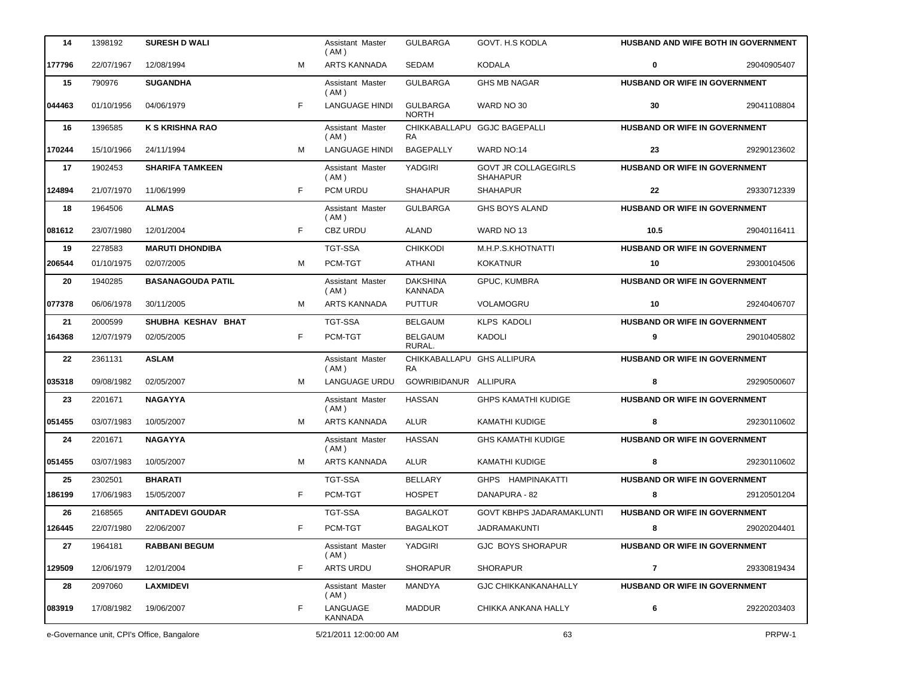| 14                                         | 1398192    | <b>SURESH D WALI</b>     |                       | Assistant Master<br>( AM ) | <b>GULBARGA</b>                   | GOVT. H.S KODLA                                |                                      | <b>HUSBAND AND WIFE BOTH IN GOVERNMENT</b> |
|--------------------------------------------|------------|--------------------------|-----------------------|----------------------------|-----------------------------------|------------------------------------------------|--------------------------------------|--------------------------------------------|
| 177796                                     | 22/07/1967 | 12/08/1994               | M                     | ARTS KANNADA               | SEDAM                             | <b>KODALA</b>                                  | 0                                    | 29040905407                                |
| 15                                         | 790976     | <b>SUGANDHA</b>          |                       | Assistant Master<br>( AM ) | <b>GULBARGA</b>                   | <b>GHS MB NAGAR</b>                            | HUSBAND OR WIFE IN GOVERNMENT        |                                            |
| 044463                                     | 01/10/1956 | 04/06/1979               | F.                    | <b>LANGUAGE HINDI</b>      | <b>GULBARGA</b><br><b>NORTH</b>   | WARD NO 30                                     | 30                                   | 29041108804                                |
| 16                                         | 1396585    | <b>K S KRISHNA RAO</b>   |                       | Assistant Master<br>(AM)   | <b>RA</b>                         | CHIKKABALLAPU GGJC BAGEPALLI                   | <b>HUSBAND OR WIFE IN GOVERNMENT</b> |                                            |
| 170244                                     | 15/10/1966 | 24/11/1994               | м                     | <b>LANGUAGE HINDI</b>      | <b>BAGEPALLY</b>                  | WARD NO:14                                     | 23                                   | 29290123602                                |
| 17                                         | 1902453    | <b>SHARIFA TAMKEEN</b>   |                       | Assistant Master<br>(AM)   | YADGIRI                           | <b>GOVT JR COLLAGEGIRLS</b><br><b>SHAHAPUR</b> | HUSBAND OR WIFE IN GOVERNMENT        |                                            |
| 124894                                     | 21/07/1970 | 11/06/1999               | F                     | PCM URDU                   | <b>SHAHAPUR</b>                   | <b>SHAHAPUR</b>                                | 22                                   | 29330712339                                |
| 18                                         | 1964506    | <b>ALMAS</b>             |                       | Assistant Master<br>(AM)   | <b>GULBARGA</b>                   | <b>GHS BOYS ALAND</b>                          | HUSBAND OR WIFE IN GOVERNMENT        |                                            |
| 081612                                     | 23/07/1980 | 12/01/2004               | F.                    | <b>CBZ URDU</b>            | <b>ALAND</b>                      | WARD NO 13                                     | 10.5                                 | 29040116411                                |
| 19                                         | 2278583    | <b>MARUTI DHONDIBA</b>   |                       | <b>TGT-SSA</b>             | <b>CHIKKODI</b>                   | M.H.P.S.KHOTNATTI                              | <b>HUSBAND OR WIFE IN GOVERNMENT</b> |                                            |
| 206544                                     | 01/10/1975 | 02/07/2005               | м                     | PCM-TGT                    | ATHANI                            | <b>KOKATNUR</b>                                | 10                                   | 29300104506                                |
| 20                                         | 1940285    | <b>BASANAGOUDA PATIL</b> |                       | Assistant Master<br>( AM ) | <b>DAKSHINA</b><br><b>KANNADA</b> | GPUC, KUMBRA                                   | HUSBAND OR WIFE IN GOVERNMENT        |                                            |
| 077378                                     | 06/06/1978 | 30/11/2005               | M                     | <b>ARTS KANNADA</b>        | <b>PUTTUR</b>                     | VOLAMOGRU                                      | 10                                   | 29240406707                                |
| 21                                         | 2000599    | SHUBHA KESHAV BHAT       |                       | <b>TGT-SSA</b>             | <b>BELGAUM</b>                    | <b>KLPS KADOLI</b>                             | HUSBAND OR WIFE IN GOVERNMENT        |                                            |
| 164368                                     | 12/07/1979 | 02/05/2005               | F.                    | PCM-TGT                    | <b>BELGAUM</b><br>RURAL.          | <b>KADOLI</b>                                  | 9                                    | 29010405802                                |
| 22                                         | 2361131    | <b>ASLAM</b>             |                       | Assistant Master<br>(AM)   | CHIKKABALLAPU GHS ALLIPURA<br>RA. |                                                | HUSBAND OR WIFE IN GOVERNMENT        |                                            |
| 035318                                     | 09/08/1982 | 02/05/2007               | M                     | LANGUAGE URDU              | GOWRIBIDANUR ALLIPURA             |                                                | 8                                    | 29290500607                                |
| 23                                         | 2201671    | <b>NAGAYYA</b>           |                       | Assistant Master<br>(AM)   | <b>HASSAN</b>                     | <b>GHPS KAMATHI KUDIGE</b>                     | HUSBAND OR WIFE IN GOVERNMENT        |                                            |
| 051455                                     | 03/07/1983 | 10/05/2007               | м                     | <b>ARTS KANNADA</b>        | <b>ALUR</b>                       | KAMATHI KUDIGE                                 | 8                                    | 29230110602                                |
| 24                                         | 2201671    | <b>NAGAYYA</b>           |                       | Assistant Master<br>(AM)   | <b>HASSAN</b>                     | <b>GHS KAMATHI KUDIGE</b>                      | HUSBAND OR WIFE IN GOVERNMENT        |                                            |
| 051455                                     | 03/07/1983 | 10/05/2007               | м                     | <b>ARTS KANNADA</b>        | ALUR                              | <b>KAMATHI KUDIGE</b>                          | 8                                    | 29230110602                                |
| 25                                         | 2302501    | <b>BHARATI</b>           |                       | <b>TGT-SSA</b>             | <b>BELLARY</b>                    | GHPS HAMPINAKATTI                              | HUSBAND OR WIFE IN GOVERNMENT        |                                            |
| 186199                                     | 17/06/1983 | 15/05/2007               | F.                    | PCM-TGT                    | <b>HOSPET</b>                     | DANAPURA - 82                                  | 8                                    | 29120501204                                |
| 26                                         | 2168565    | <b>ANITADEVI GOUDAR</b>  |                       | <b>TGT-SSA</b>             | <b>BAGALKOT</b>                   | <b>GOVT KBHPS JADARAMAKLUNTI</b>               | HUSBAND OR WIFE IN GOVERNMENT        |                                            |
| 126445                                     | 22/07/1980 | 22/06/2007               | F                     | PCM-TGT                    | <b>BAGALKOT</b>                   | JADRAMAKUNTI                                   | 8                                    | 29020204401                                |
| 27                                         | 1964181    | <b>RABBANI BEGUM</b>     |                       | Assistant Master<br>( AM ) | YADGIRI                           | GJC BOYS SHORAPUR                              | HUSBAND OR WIFE IN GOVERNMENT        |                                            |
| 129509                                     | 12/06/1979 | 12/01/2004               | F                     | <b>ARTS URDU</b>           | <b>SHORAPUR</b>                   | <b>SHORAPUR</b>                                | 7                                    | 29330819434                                |
| 28                                         | 2097060    | <b>LAXMIDEVI</b>         |                       | Assistant Master<br>(AM)   | MANDYA                            | <b>GJC CHIKKANKANAHALLY</b>                    | <b>HUSBAND OR WIFE IN GOVERNMENT</b> |                                            |
| 083919                                     | 17/08/1982 | 19/06/2007               | F                     | LANGUAGE<br><b>KANNADA</b> | <b>MADDUR</b>                     | CHIKKA ANKANA HALLY                            | 6                                    | 29220203403                                |
| e-Governance unit, CPI's Office, Bangalore |            |                          | 5/21/2011 12:00:00 AM |                            | 63                                |                                                | PRPW-1                               |                                            |